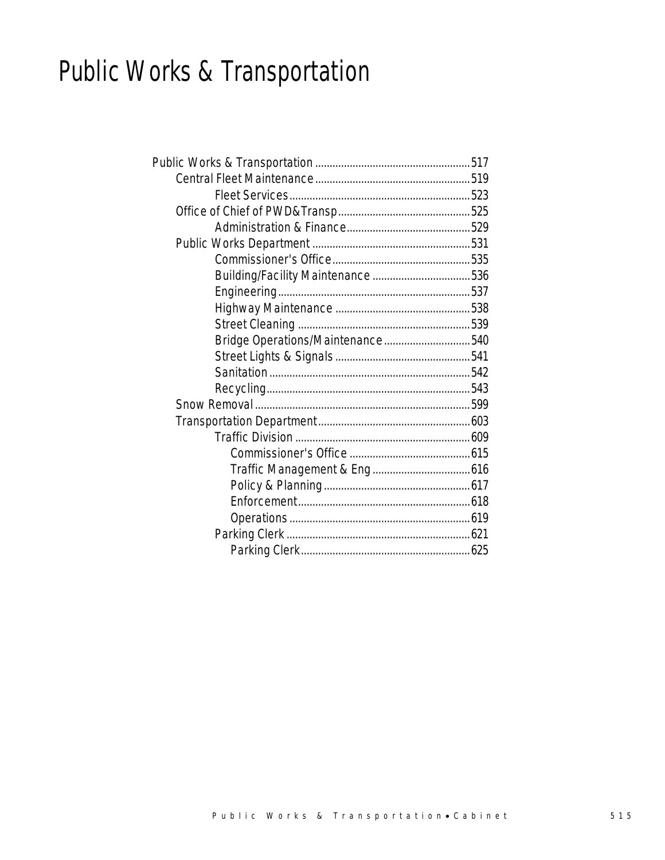# Public Works & Transportation

| Bridge Operations/Maintenance540 |  |
|----------------------------------|--|
|                                  |  |
|                                  |  |
|                                  |  |
|                                  |  |
|                                  |  |
|                                  |  |
|                                  |  |
|                                  |  |
|                                  |  |
|                                  |  |
|                                  |  |
|                                  |  |
|                                  |  |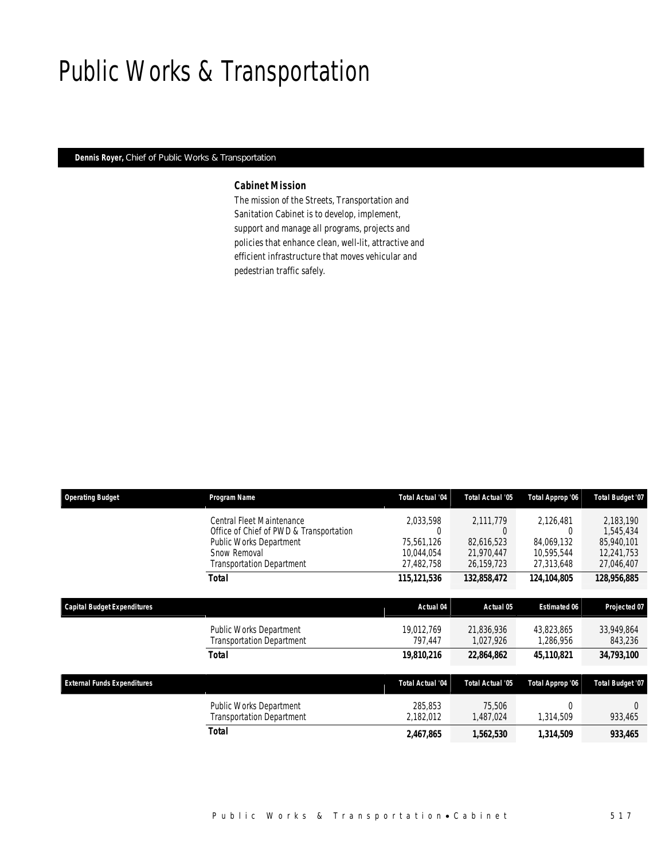# Public Works & Transportation

### *Dennis Royer, Chief of Public Works & Transportation*

## *Cabinet Mission*

The mission of the Streets, Transportation and Sanitation Cabinet is to develop, implement, support and manage all programs, projects and policies that enhance clean, well-lit, attractive and efficient infrastructure that moves vehicular and pedestrian traffic safely.

| <b>Operating Budget</b>            | Program Name                            | <b>Total Actual '04</b> | Total Actual '05 | Total Approp '06    | Total Budget '07 |
|------------------------------------|-----------------------------------------|-------------------------|------------------|---------------------|------------------|
|                                    | Central Fleet Maintenance               | 2,033,598               | 2,111,779        | 2,126,481           | 2,183,190        |
|                                    | Office of Chief of PWD & Transportation | 0                       | $\Omega$         | 0                   | 1,545,434        |
|                                    | Public Works Department                 | 75.561.126              | 82.616.523       | 84.069.132          | 85,940,101       |
|                                    | Snow Removal                            | 10,044,054              | 21,970,447       | 10,595,544          | 12,241,753       |
|                                    | <b>Transportation Department</b>        | 27,482,758              | 26,159,723       | 27,313,648          | 27,046,407       |
|                                    | <b>Total</b>                            | 115, 121, 536           | 132,858,472      | 124,104,805         | 128,956,885      |
| <b>Capital Budget Expenditures</b> |                                         | Actual 04               | Actual 05        | <b>Estimated 06</b> | Projected 07     |
|                                    | Public Works Department                 | 19,012,769              | 21,836,936       | 43,823,865          | 33,949,864       |
|                                    | <b>Transportation Department</b>        | 797,447                 | 1,027,926        | 1,286,956           | 843,236          |
|                                    | <b>Total</b>                            | 19,810,216              | 22,864,862       | 45,110,821          | 34,793,100       |
| <b>External Funds Expenditures</b> |                                         | <b>Total Actual '04</b> | Total Actual '05 | Total Approp '06    | Total Budget '07 |
|                                    | Public Works Department                 | 285,853                 | 75,506           | $\Omega$            | $\Omega$         |
|                                    | <b>Transportation Department</b>        | 2,182,012               | 1,487,024        | 1,314,509           | 933,465          |
|                                    | Total                                   | 2,467,865               | 1,562,530        | 1,314,509           | 933,465          |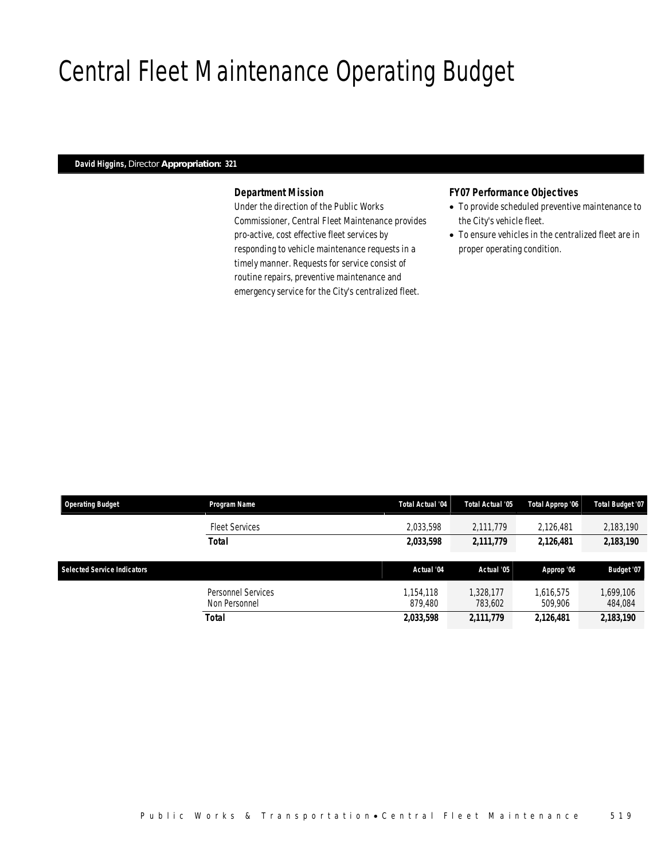# Central Fleet Maintenance Operating Budget

### *David Higgins, Director Appropriation: 321*

### *Department Mission*

Under the direction of the Public Works Commissioner, Central Fleet Maintenance provides pro-active, cost effective fleet services by responding to vehicle maintenance requests in a timely manner. Requests for service consist of routine repairs, preventive maintenance and emergency service for the City's centralized fleet.

### *FY07 Performance Objectives*

- To provide scheduled preventive maintenance to the City's vehicle fleet.
- To ensure vehicles in the centralized fleet are in proper operating condition.

| <b>Operating Budget</b>            | Program Name                        | <b>Total Actual '04</b> | Total Actual '05     | Total Approp '06     | <b>Total Budget '07</b> |
|------------------------------------|-------------------------------------|-------------------------|----------------------|----------------------|-------------------------|
|                                    | <b>Fleet Services</b>               | 2,033,598               | 2,111,779            | 2.126.481            | 2,183,190               |
|                                    | Total                               | 2,033,598               | 2,111,779            | 2,126,481            | 2,183,190               |
| <b>Selected Service Indicators</b> |                                     | Actual '04              | Actual '05           | Approp '06           | Budget '07              |
|                                    | Personnel Services<br>Non Personnel | 1.154.118<br>879.480    | 1.328.177<br>783.602 | 1.616.575<br>509.906 | 1,699,106<br>484,084    |
|                                    | Total                               | 2,033,598               | 2,111,779            | 2,126,481            | 2,183,190               |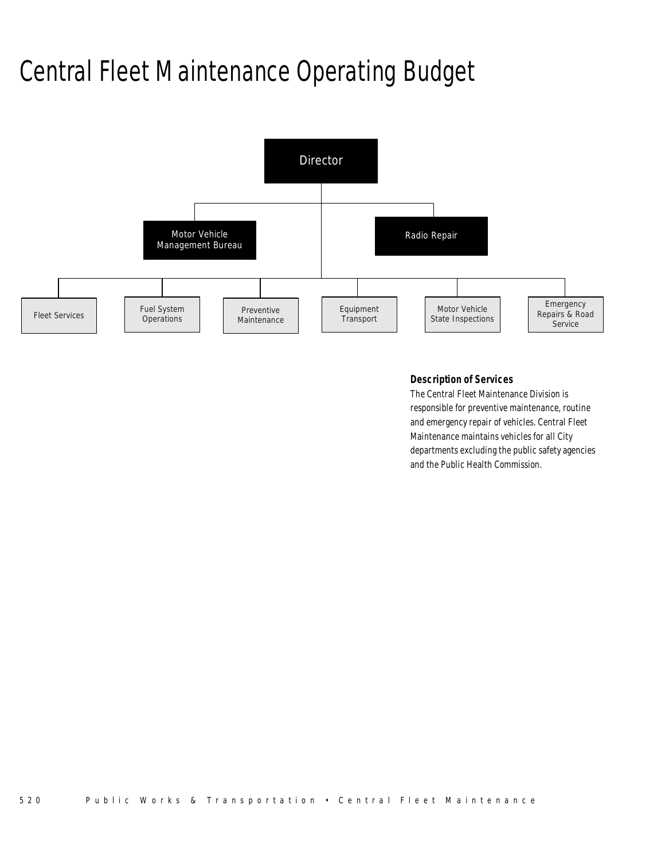# Central Fleet Maintenance Operating Budget



## *Description of Services*

The Central Fleet Maintenance Division is responsible for preventive maintenance, routine and emergency repair of vehicles. Central Fleet Maintenance maintains vehicles for all City departments excluding the public safety agencies and the Public Health Commission.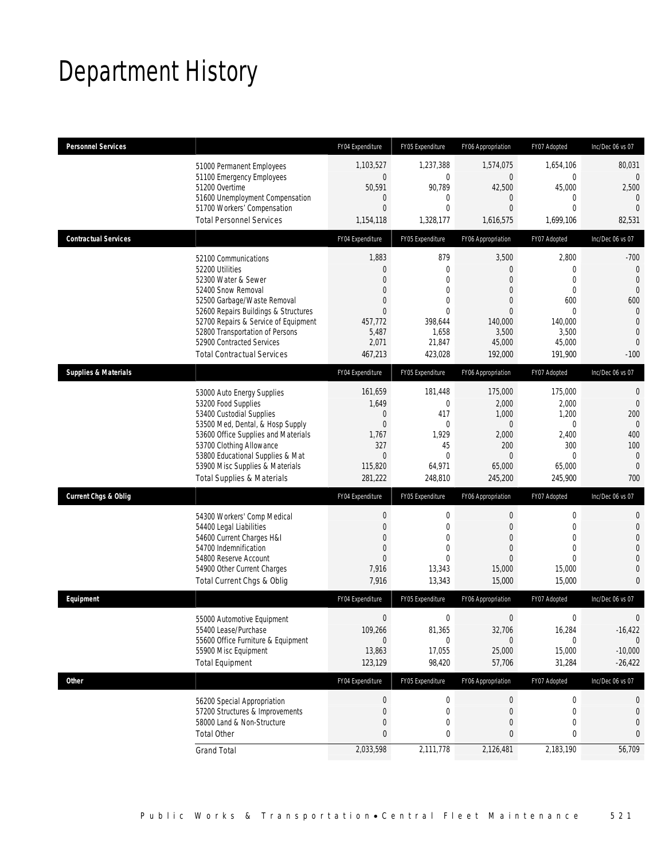# Department History

| <b>Personnel Services</b>       |                                                                                                                                                                                                                                                                                                          | FY04 Expenditure                                                                                                                  | FY05 Expenditure                                                                                                        | FY06 Appropriation                                                                                       | FY07 Adopted                                                                                       | Inc/Dec 06 vs 07                                                                                                                  |
|---------------------------------|----------------------------------------------------------------------------------------------------------------------------------------------------------------------------------------------------------------------------------------------------------------------------------------------------------|-----------------------------------------------------------------------------------------------------------------------------------|-------------------------------------------------------------------------------------------------------------------------|----------------------------------------------------------------------------------------------------------|----------------------------------------------------------------------------------------------------|-----------------------------------------------------------------------------------------------------------------------------------|
|                                 | 51000 Permanent Employees<br>51100 Emergency Employees<br>51200 Overtime<br>51600 Unemployment Compensation<br>51700 Workers' Compensation                                                                                                                                                               | 1,103,527<br>$\mathbf 0$<br>50,591<br>0<br>$\overline{0}$                                                                         | 1,237,388<br>$\mathbf 0$<br>90,789<br>$\mathbf 0$<br>$\mathbf{0}$                                                       | 1,574,075<br>$\mathbf 0$<br>42,500<br>0<br>$\overline{0}$                                                | 1,654,106<br>0<br>45,000<br>$\overline{0}$<br>$\Omega$                                             | 80,031<br>$\overline{0}$<br>2,500<br>$\theta$<br>$\mathbf{0}$                                                                     |
|                                 | <b>Total Personnel Services</b>                                                                                                                                                                                                                                                                          | 1,154,118                                                                                                                         | 1,328,177                                                                                                               | 1,616,575                                                                                                | 1,699,106                                                                                          | 82,531                                                                                                                            |
| <b>Contractual Services</b>     |                                                                                                                                                                                                                                                                                                          | FY04 Expenditure                                                                                                                  | FY05 Expenditure                                                                                                        | FY06 Appropriation                                                                                       | FY07 Adopted                                                                                       | Inc/Dec 06 vs 07                                                                                                                  |
|                                 | 52100 Communications<br>52200 Utilities<br>52300 Water & Sewer<br>52400 Snow Removal<br>52500 Garbage/Waste Removal<br>52600 Repairs Buildings & Structures<br>52700 Repairs & Service of Equipment<br>52800 Transportation of Persons<br>52900 Contracted Services<br><b>Total Contractual Services</b> | 1,883<br>$\overline{0}$<br>$\overline{0}$<br>$\overline{0}$<br>$\overline{0}$<br>$\Omega$<br>457,772<br>5,487<br>2,071<br>467,213 | 879<br>$\mathbf 0$<br>$\mathbf{0}$<br>$\mathbf{0}$<br>$\mathbf{0}$<br>$\theta$<br>398,644<br>1,658<br>21,847<br>423,028 | 3,500<br>0<br>$\overline{0}$<br>0<br>$\overline{0}$<br>$\Omega$<br>140,000<br>3,500<br>45,000<br>192,000 | 2,800<br>0<br>$\Omega$<br>$\mathbf{0}$<br>600<br>$\Omega$<br>140,000<br>3,500<br>45,000<br>191,900 | $-700$<br>$\theta$<br>$\mathbf 0$<br>$\mathbf 0$<br>600<br>$\overline{0}$<br>$\overline{0}$<br>$\mathbf{0}$<br>$\theta$<br>$-100$ |
| <b>Supplies &amp; Materials</b> |                                                                                                                                                                                                                                                                                                          | FY04 Expenditure                                                                                                                  | FY05 Expenditure                                                                                                        | FY06 Appropriation                                                                                       | FY07 Adopted                                                                                       | Inc/Dec 06 vs 07                                                                                                                  |
|                                 | 53000 Auto Energy Supplies<br>53200 Food Supplies<br>53400 Custodial Supplies<br>53500 Med, Dental, & Hosp Supply<br>53600 Office Supplies and Materials<br>53700 Clothing Allowance<br>53800 Educational Supplies & Mat<br>53900 Misc Supplies & Materials<br><b>Total Supplies &amp; Materials</b>     | 161,659<br>1,649<br>0<br>$\mathbf{0}$<br>1,767<br>327<br>$\Omega$<br>115,820<br>281,222                                           | 181,448<br>$\mathbf{0}$<br>417<br>$\mathbf 0$<br>1,929<br>45<br>$\mathbf{0}$<br>64,971<br>248,810                       | 175,000<br>2,000<br>1,000<br>$\mathbf 0$<br>2,000<br>200<br>$\Omega$<br>65,000<br>245,200                | 175,000<br>2,000<br>1,200<br>$\mathbf 0$<br>2,400<br>300<br>$\Omega$<br>65,000<br>245,900          | $\theta$<br>$\overline{0}$<br>200<br>$\theta$<br>400<br>100<br>$\mathbf 0$<br>$\mathbf{0}$<br>700                                 |
| <b>Current Chgs &amp; Oblig</b> |                                                                                                                                                                                                                                                                                                          | FY04 Expenditure                                                                                                                  | FY05 Expenditure                                                                                                        | FY06 Appropriation                                                                                       | FY07 Adopted                                                                                       | Inc/Dec 06 vs 07                                                                                                                  |
|                                 | 54300 Workers' Comp Medical<br>54400 Legal Liabilities<br>54600 Current Charges H&I<br>54700 Indemnification<br>54800 Reserve Account<br>54900 Other Current Charges<br>Total Current Chgs & Oblig                                                                                                       | 0<br>$\overline{0}$<br>$\mathbf{0}$<br>$\Omega$<br>$\overline{0}$<br>7,916<br>7,916                                               | $\mathbf 0$<br>$\mathbf{0}$<br>$\mathbf{0}$<br>$\mathbf{0}$<br>$\theta$<br>13,343<br>13,343                             | $\theta$<br>$\overline{0}$<br>0<br>$\Omega$<br>$\Omega$<br>15,000<br>15,000                              | $\mathbf 0$<br>$\Omega$<br>$\overline{0}$<br>$\Omega$<br>$\Omega$<br>15,000<br>15,000              | $\boldsymbol{0}$<br>$\mathbf{0}$<br>$\boldsymbol{0}$<br>$\mathbf 0$<br>$\theta$<br>$\mathbf 0$<br>$\bf{0}$                        |
| Equipment                       |                                                                                                                                                                                                                                                                                                          | FY04 Expenditure                                                                                                                  | FY05 Expenditure                                                                                                        | FY06 Appropriation                                                                                       | FY07 Adopted                                                                                       | Inc/Dec 06 vs 07                                                                                                                  |
|                                 | 55000 Automotive Equipment<br>55400 Lease/Purchase<br>55600 Office Furniture & Equipment<br>55900 Misc Equipment<br><b>Total Equipment</b>                                                                                                                                                               | $\boldsymbol{0}$<br>109,266<br>0<br>13,863<br>123,129                                                                             | $\boldsymbol{0}$<br>81,365<br>$\Omega$<br>17,055<br>98,420                                                              | $\overline{0}$<br>32,706<br>$\Omega$<br>25,000<br>57,706                                                 | $\boldsymbol{0}$<br>16,284<br>0<br>15,000<br>31,284                                                | 0<br>$-16,422$<br>$\Omega$<br>$-10,000$<br>$-26,422$                                                                              |
| <b>Other</b>                    |                                                                                                                                                                                                                                                                                                          | FY04 Expenditure                                                                                                                  | FY05 Expenditure                                                                                                        | FY06 Appropriation                                                                                       | FY07 Adopted                                                                                       | Inc/Dec 06 vs 07                                                                                                                  |
|                                 | 56200 Special Appropriation<br>57200 Structures & Improvements<br>58000 Land & Non-Structure<br><b>Total Other</b>                                                                                                                                                                                       | $\boldsymbol{0}$<br>0<br>$\mathbf{0}$<br>0                                                                                        | $\boldsymbol{0}$<br>$\boldsymbol{0}$<br>$\mathbf{0}$<br>0                                                               | $\theta$<br>$\boldsymbol{0}$<br>0<br>0                                                                   | $\boldsymbol{0}$<br>$\mathbf 0$<br>0<br>0                                                          | 0<br>$\bf{0}$<br>$\mathbf{0}$<br>0                                                                                                |
|                                 | <b>Grand Total</b>                                                                                                                                                                                                                                                                                       | 2,033,598                                                                                                                         | 2,111,778                                                                                                               | 2,126,481                                                                                                | 2,183,190                                                                                          | 56,709                                                                                                                            |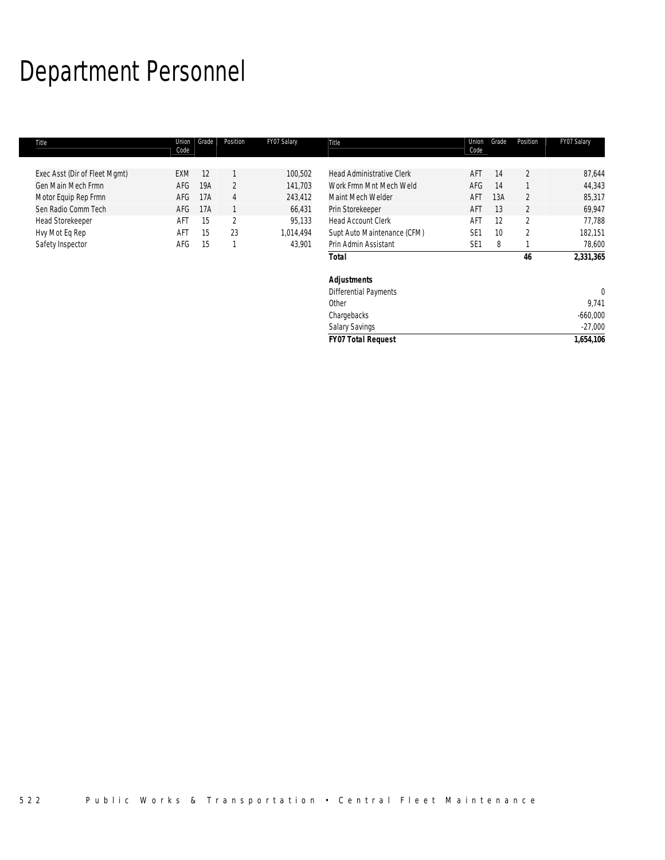# Department Personnel

| 87,644<br>44,343<br>85,317<br>69,947 |
|--------------------------------------|
|                                      |
|                                      |
|                                      |
|                                      |
| 77,788                               |
| 182,151                              |
| 78,600                               |
| 2,331,365                            |
|                                      |
| 0                                    |
| 9,741                                |
| $-660,000$                           |
| $-27,000$                            |
| 1,654,106                            |
|                                      |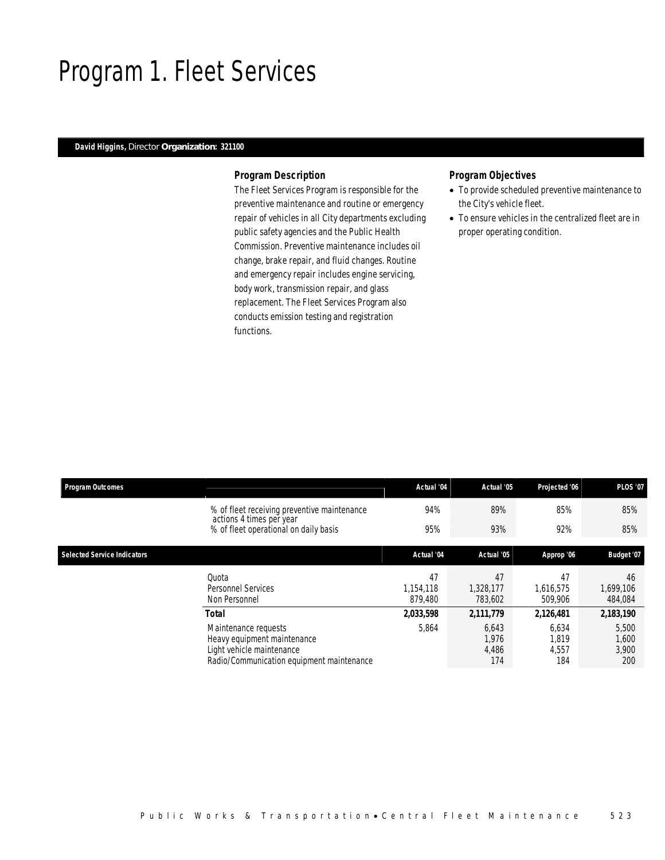# Program 1. Fleet Services

### *David Higgins, Director Organization: 321100*

### *Program Description*

The Fleet Services Program is responsible for the preventive maintenance and routine or emergency repair of vehicles in all City departments excluding public safety agencies and the Public Health Commission. Preventive maintenance includes oil change, brake repair, and fluid changes. Routine and emergency repair includes engine servicing, body work, transmission repair, and glass replacement. The Fleet Services Program also conducts emission testing and registration functions.

### *Program Objectives*

- To provide scheduled preventive maintenance to the City's vehicle fleet.
- To ensure vehicles in the centralized fleet are in proper operating condition.

| <b>Program Outcomes</b>            |                                                                                                                               | Actual '04                 | Actual '05                     | Projected '06                  | <b>PLOS '07</b>                |
|------------------------------------|-------------------------------------------------------------------------------------------------------------------------------|----------------------------|--------------------------------|--------------------------------|--------------------------------|
|                                    | % of fleet receiving preventive maintenance<br>actions 4 times per year                                                       | 94%                        | 89%                            | 85%                            | 85%                            |
|                                    | % of fleet operational on daily basis                                                                                         | 95%                        | 93%                            | 92%                            | 85%                            |
| <b>Selected Service Indicators</b> |                                                                                                                               | Actual '04                 | Actual '05                     | Approp '06                     | Budget '07                     |
|                                    | Quota<br>Personnel Services<br>Non Personnel                                                                                  | 47<br>1.154.118<br>879.480 | 47<br>1,328,177<br>783,602     | 47<br>1,616,575<br>509,906     | 46<br>1,699,106<br>484,084     |
|                                    | <b>Total</b>                                                                                                                  | 2,033,598                  | 2,111,779                      | 2,126,481                      | 2,183,190                      |
|                                    | Maintenance requests<br>Heavy equipment maintenance<br>Light vehicle maintenance<br>Radio/Communication equipment maintenance | 5,864                      | 6,643<br>1,976<br>4,486<br>174 | 6,634<br>1,819<br>4,557<br>184 | 5,500<br>1,600<br>3,900<br>200 |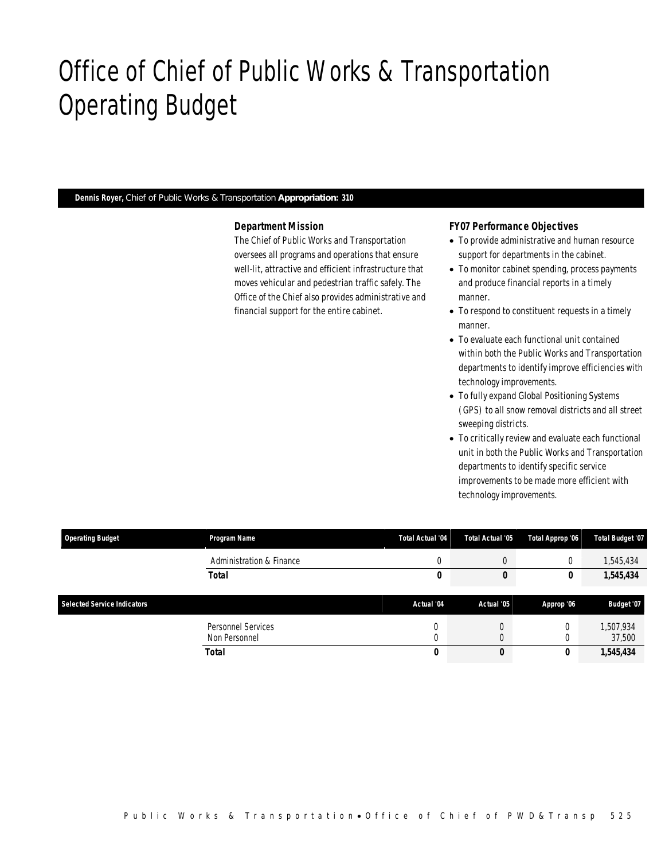# Office of Chief of Public Works & Transportation Operating Budget

*Dennis Royer, Chief of Public Works & Transportation Appropriation: 310* 

Office of Chief of PWD&Transp

### *Department Mission*

The Chief of Public Works and Transportation oversees all programs and operations that ensure well-lit, attractive and efficient infrastructure that moves vehicular and pedestrian traffic safely. The Office of the Chief also provides administrative and financial support for the entire cabinet.

## *FY07 Performance Objectives*

- To provide administrative and human resource support for departments in the cabinet.
- To monitor cabinet spending, process payments and produce financial reports in a timely manner.
- To respond to constituent requests in a timely manner.
- To evaluate each functional unit contained within both the Public Works and Transportation departments to identify improve efficiencies with technology improvements.
- To fully expand Global Positioning Systems (GPS) to all snow removal districts and all street sweeping districts.
- To critically review and evaluate each functional unit in both the Public Works and Transportation departments to identify specific service improvements to be made more efficient with technology improvements.

| <b>Operating Budget</b>            | Program Name                        | Total Actual '04 | Total Actual '05 | Total Approp '06 | <b>Total Budget '07</b> |
|------------------------------------|-------------------------------------|------------------|------------------|------------------|-------------------------|
|                                    | Administration & Finance            | C                |                  |                  | 1,545,434               |
|                                    | <b>Total</b>                        | 0                |                  | IJ               | 1,545,434               |
| <b>Selected Service Indicators</b> |                                     | Actual '04       | Actual '05       | Approp '06       | Budget '07              |
|                                    | Personnel Services<br>Non Personnel | 0<br>0           |                  |                  | 1,507,934<br>37,500     |
|                                    | Total                               | 0                | 0                |                  | 1,545,434               |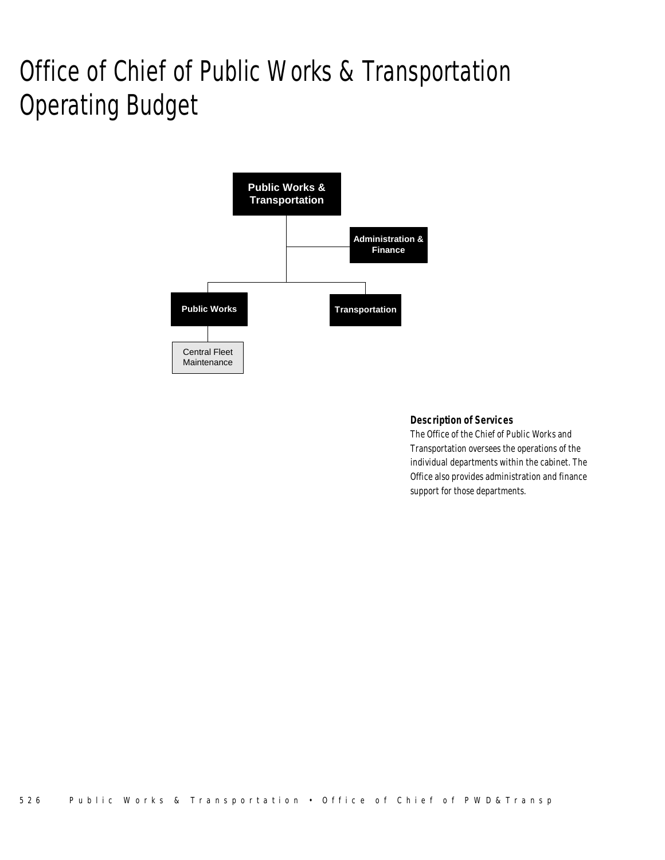# Office of Chief of Public Works & Transportation Operating Budget



# *Description of Services*

The Office of the Chief of Public Works and Transportation oversees the operations of the individual departments within the cabinet. The Office also provides administration and finance support for those departments.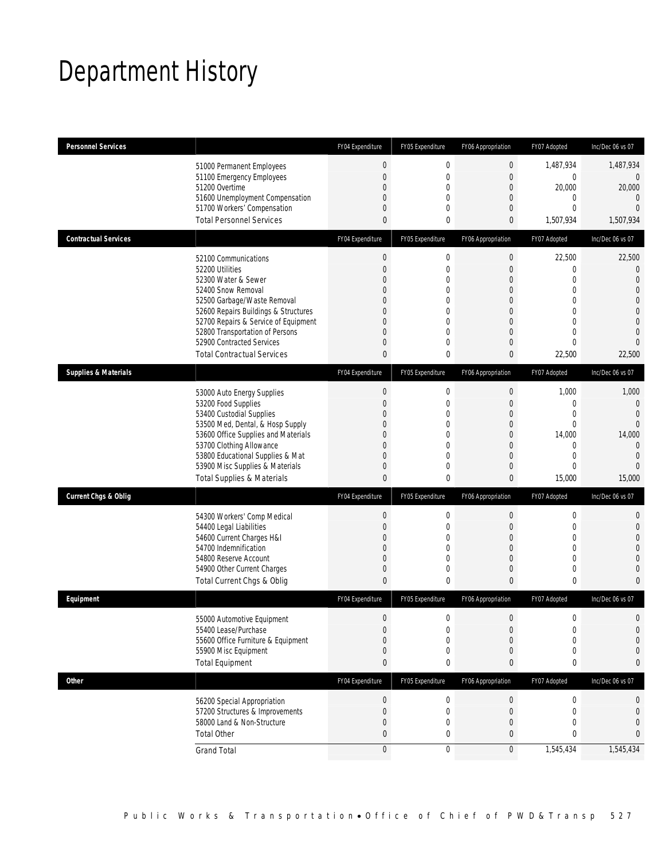# Department History

| <b>Personnel Services</b>       |                                                                         | FY04 Expenditure                 | FY05 Expenditure             | FY06 Appropriation  | FY07 Adopted             | Inc/Dec 06 vs 07         |
|---------------------------------|-------------------------------------------------------------------------|----------------------------------|------------------------------|---------------------|--------------------------|--------------------------|
|                                 |                                                                         |                                  |                              |                     |                          |                          |
|                                 | 51000 Permanent Employees                                               | $\boldsymbol{0}$                 | $\boldsymbol{0}$             | $\mathbf 0$         | 1,487,934                | 1,487,934                |
|                                 | 51100 Emergency Employees                                               | $\overline{0}$                   | $\mathbf 0$                  | $\mathbf 0$         | 0                        | $\overline{0}$           |
|                                 | 51200 Overtime<br>51600 Unemployment Compensation                       | $\Omega$<br>$\mathbf 0$          | $\mathbf{0}$<br>$\mathbf 0$  | 0<br>$\mathbf 0$    | 20,000<br>$\mathbf{0}$   | 20,000<br>$\overline{0}$ |
|                                 | 51700 Workers' Compensation                                             | 0                                | $\mathbf{0}$                 | 0                   | $\Omega$                 | $\overline{0}$           |
|                                 | <b>Total Personnel Services</b>                                         | $\theta$                         | $\mathbf 0$                  | 0                   | 1,507,934                | 1,507,934                |
| <b>Contractual Services</b>     |                                                                         | FY04 Expenditure                 | FY05 Expenditure             | FY06 Appropriation  | FY07 Adopted             | Inc/Dec 06 vs 07         |
|                                 |                                                                         | $\theta$                         | $\boldsymbol{0}$             | $\boldsymbol{0}$    | 22,500                   | 22,500                   |
|                                 | 52100 Communications<br>52200 Utilities                                 | $\mathbf 0$                      | $\mathbf 0$                  | $\mathbf 0$         | $\overline{0}$           | $\mathbf{0}$             |
|                                 | 52300 Water & Sewer                                                     | $\mathbf{0}$                     | $\mathbf{0}$                 | 0                   | $\mathbf{0}$             | $\theta$                 |
|                                 | 52400 Snow Removal                                                      | $\mathbf{0}$                     | $\mathbf 0$                  | 0                   | $\mathbf{0}$             | $\mathbf{0}$             |
|                                 | 52500 Garbage/Waste Removal                                             | $\overline{0}$                   | $\mathbf{0}$                 | $\overline{0}$      | $\overline{0}$           | $\boldsymbol{0}$         |
|                                 | 52600 Repairs Buildings & Structures                                    | $\Omega$                         | $\theta$                     | $\Omega$            | $\Omega$                 | $\Omega$                 |
|                                 | 52700 Repairs & Service of Equipment                                    | $\overline{0}$                   | $\mathbf 0$                  | $\overline{0}$      | $\Omega$                 | $\mathbf{0}$             |
|                                 | 52800 Transportation of Persons<br>52900 Contracted Services            | $\mathbf{0}$<br>$\overline{0}$   | $\mathbf{0}$                 | $\overline{0}$      | $\Omega$<br>$\Omega$     | $\theta$<br>$\mathbf{0}$ |
|                                 | <b>Total Contractual Services</b>                                       | $\overline{0}$                   | $\mathbf 0$<br>$\mathbf 0$   | $\mathbf 0$<br>0    |                          |                          |
|                                 |                                                                         |                                  |                              |                     | 22,500                   | 22,500                   |
| <b>Supplies &amp; Materials</b> |                                                                         | FY04 Expenditure                 | FY05 Expenditure             | FY06 Appropriation  | FY07 Adopted             | Inc/Dec 06 vs 07         |
|                                 | 53000 Auto Energy Supplies                                              | $\mathbf{0}$                     | $\mathbf 0$                  | $\mathbf 0$         | 1,000                    | 1,000                    |
|                                 | 53200 Food Supplies                                                     | $\overline{0}$                   | $\mathbf 0$                  | $\mathbf 0$         | $\mathbf{0}$             | $\theta$                 |
|                                 | 53400 Custodial Supplies                                                | $\mathbf{0}$                     | $\mathbf 0$                  | 0                   | $\mathbf{0}$             | $\mathbf 0$              |
|                                 | 53500 Med, Dental, & Hosp Supply<br>53600 Office Supplies and Materials | $\overline{0}$<br>$\overline{0}$ | $\mathbf{0}$<br>$\mathbf{0}$ | $\overline{0}$<br>0 | $\overline{0}$<br>14,000 | $\mathbf 0$<br>14,000    |
|                                 | 53700 Clothing Allowance                                                | $\overline{0}$                   | $\mathbf{0}$                 | $\mathbf 0$         | $\Omega$                 | $\mathbf{0}$             |
|                                 | 53800 Educational Supplies & Mat                                        | $\mathbf{0}$                     | $\mathbf{0}$                 | 0                   | $\mathbf{0}$             | $\theta$                 |
|                                 | 53900 Misc Supplies & Materials                                         | 0                                | $\mathbf 0$                  | 0                   | $\Omega$                 | $\overline{0}$           |
|                                 | <b>Total Supplies &amp; Materials</b>                                   | $\overline{0}$                   | $\mathbf 0$                  | 0                   | 15,000                   | 15,000                   |
| Current Chgs & Oblig            |                                                                         | FY04 Expenditure                 | FY05 Expenditure             | FY06 Appropriation  | FY07 Adopted             | Inc/Dec 06 vs 07         |
|                                 | 54300 Workers' Comp Medical                                             | $\mathbf 0$                      | $\mathbf 0$                  | $\mathbf 0$         | $\mathbf 0$              | $\mathbf 0$              |
|                                 | 54400 Legal Liabilities                                                 | $\overline{0}$                   | $\mathbf 0$                  | $\overline{0}$      | $\mathbf{0}$             | $\boldsymbol{0}$         |
|                                 | 54600 Current Charges H&I                                               | $\mathbf{0}$                     | $\mathbf 0$                  | 0                   | $\overline{0}$           | $\mathbf{0}$             |
|                                 | 54700 Indemnification                                                   | $\overline{0}$                   | $\mathbf{0}$                 | $\overline{0}$      | $\overline{0}$           | $\boldsymbol{0}$         |
|                                 | 54800 Reserve Account                                                   | $\overline{0}$                   | $\mathbf{0}$                 | 0                   | $\theta$                 | $\theta$                 |
|                                 | 54900 Other Current Charges                                             | $\mathbf 0$                      | $\mathbf 0$                  | $\mathbf 0$         | $\overline{0}$           | $\boldsymbol{0}$         |
|                                 | Total Current Chgs & Oblig                                              | $\theta$                         | $\mathbf 0$                  | $\Omega$            | 0                        | $\mathbf{0}$             |
| Equipment                       |                                                                         | FY04 Expenditure                 | FY05 Expenditure             | FY06 Appropriation  | FY07 Adopted             | Inc/Dec 06 vs 07         |
|                                 | 55000 Automotive Equipment                                              | $\mathbf{0}$                     | $\overline{0}$               | $\overline{0}$      | $\mathbf{0}$             | $\mathbf{0}$             |
|                                 | 55400 Lease/Purchase                                                    | $\mathbf 0$                      | $\mathbf 0$                  | $\mathbf 0$         | $\mathbf 0$              | $\theta$                 |
|                                 | 55600 Office Furniture & Equipment                                      | $\overline{0}$                   | $\mathbf 0$                  | 0                   | $\overline{0}$           | $\mathbf 0$              |
|                                 | 55900 Misc Equipment                                                    | 0                                | $\mathbf 0$                  | 0                   | 0                        | $\mathbf 0$              |
|                                 | <b>Total Equipment</b>                                                  | $\bf{0}$                         | 0                            | 0                   | 0                        | $\bf{0}$                 |
| Other                           |                                                                         | FY04 Expenditure                 | FY05 Expenditure             | FY06 Appropriation  | FY07 Adopted             | Inc/Dec 06 vs 07         |
|                                 | 56200 Special Appropriation                                             | $\boldsymbol{0}$                 | $\boldsymbol{0}$             | $\theta$            | 0                        | 0                        |
|                                 | 57200 Structures & Improvements                                         | 0                                | $\boldsymbol{0}$             | $\mathbf 0$         | $\mathbf{0}$             | $\mathbf 0$              |
|                                 | 58000 Land & Non-Structure                                              | $\overline{0}$                   | $\mathbf{0}$                 | 0                   | 0                        | $\mathbf{0}$             |
|                                 | <b>Total Other</b>                                                      | 0                                | 0                            | 0                   | 0                        | $\mathbf{0}$             |
|                                 | <b>Grand Total</b>                                                      | $\boldsymbol{0}$                 | $\pmb{0}$                    | $\overline{0}$      | 1,545,434                | 1,545,434                |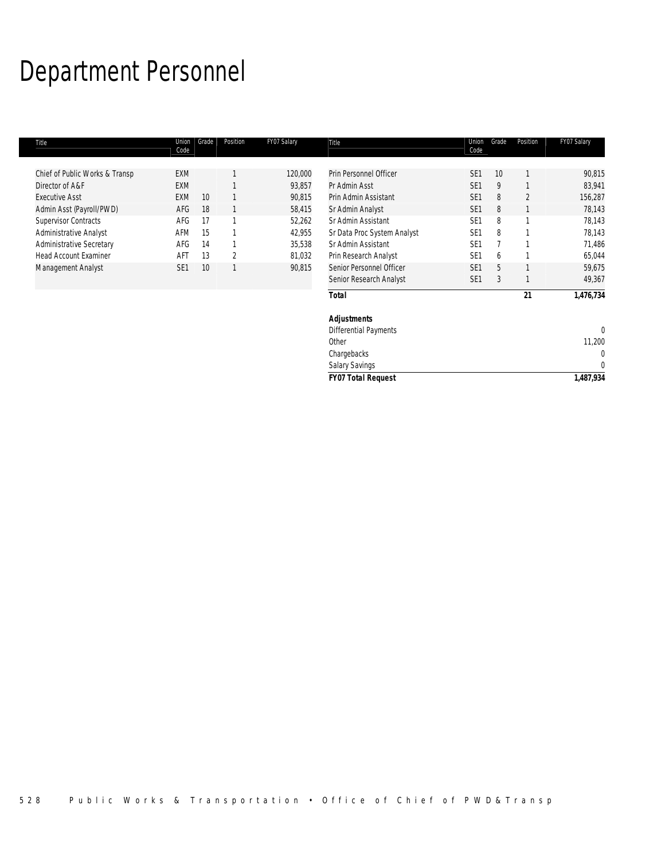# Department Personnel

| Title                           | Union<br>Code   | Grade | Position       | FY07 Salary | Title                        | Union<br>Code   | Grade | Position       | FY07 Salary  |
|---------------------------------|-----------------|-------|----------------|-------------|------------------------------|-----------------|-------|----------------|--------------|
| Chief of Public Works & Transp  | <b>EXM</b>      |       |                | 120,000     | Prin Personnel Officer       | SE <sub>1</sub> | 10    |                | 90,815       |
| Director of A&F                 | <b>EXM</b>      |       |                | 93,857      | Pr Admin Asst                | SE <sub>1</sub> | 9     |                | 83,941       |
| <b>Executive Asst</b>           | <b>EXM</b>      | 10    |                | 90,815      | Prin Admin Assistant         | SE <sub>1</sub> | 8     | $\overline{2}$ | 156,287      |
| Admin Asst (Payroll/PWD)        | AFG             | 18    |                | 58,415      | Sr Admin Analyst             | SE <sub>1</sub> | 8     |                | 78,143       |
| <b>Supervisor Contracts</b>     | AFG             | 17    |                | 52,262      | Sr Admin Assistant           | SE <sub>1</sub> | 8     |                | 78,143       |
| Administrative Analyst          | AFM             | 15    |                | 42,955      | Sr Data Proc System Analyst  | SE <sub>1</sub> | 8     |                | 78,143       |
| <b>Administrative Secretary</b> | AFG             | 14    |                | 35,538      | Sr Admin Assistant           | SE <sub>1</sub> |       |                | 71,486       |
| <b>Head Account Examiner</b>    | AFT             | 13    | $\overline{2}$ | 81,032      | Prin Research Analyst        | SE <sub>1</sub> | 6     |                | 65,044       |
| Management Analyst              | SE <sub>1</sub> | 10    |                | 90,815      | Senior Personnel Officer     | SE <sub>1</sub> | 5     |                | 59,675       |
|                                 |                 |       |                |             | Senior Research Analyst      | SE <sub>1</sub> | 3     |                | 49,367       |
|                                 |                 |       |                |             | <b>Total</b>                 |                 |       | 21             | 1,476,734    |
|                                 |                 |       |                |             | <b>Adjustments</b>           |                 |       |                |              |
|                                 |                 |       |                |             | <b>Differential Payments</b> |                 |       |                | $\Omega$     |
|                                 |                 |       |                |             | Other                        |                 |       |                | 11,200       |
|                                 |                 |       |                |             | Chargebacks                  |                 |       |                | $\Omega$     |
|                                 |                 |       |                |             | <b>Salary Savings</b>        |                 |       |                | $\mathbf{0}$ |
|                                 |                 |       |                |             | <b>FY07 Total Request</b>    |                 |       |                | 1,487,934    |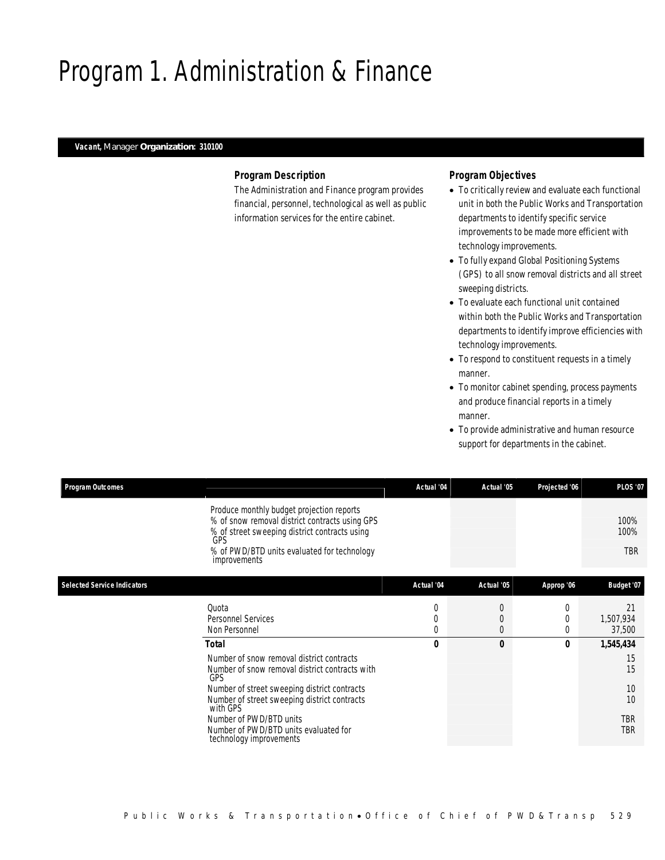# Program 1. Administration & Finance

### *Vacant, Manager Organization: 310100*

### *Program Description*

The Administration and Finance program provides financial, personnel, technological as well as public information services for the entire cabinet.

# *Program Objectives*

- To critically review and evaluate each functional unit in both the Public Works and Transportation departments to identify specific service improvements to be made more efficient with technology improvements.
- To fully expand Global Positioning Systems (GPS) to all snow removal districts and all street sweeping districts.
- To evaluate each functional unit contained within both the Public Works and Transportation departments to identify improve efficiencies with technology improvements.
- To respond to constituent requests in a timely manner.
- To monitor cabinet spending, process payments and produce financial reports in a timely manner.
- To provide administrative and human resource support for departments in the cabinet.

TBR

| <b>Program Outcomes</b>            |                                                                                                                                                            | Actual '04 | Actual '05     | Projected '06 | <b>PLOS '07</b>            |
|------------------------------------|------------------------------------------------------------------------------------------------------------------------------------------------------------|------------|----------------|---------------|----------------------------|
|                                    | Produce monthly budget projection reports<br>% of snow removal district contracts using GPS<br>% of street sweeping district contracts using<br><b>GPS</b> |            |                |               | 100%<br>100%<br><b>TBR</b> |
|                                    | % of PWD/BTD units evaluated for technology<br>improvements                                                                                                |            |                |               |                            |
| <b>Selected Service Indicators</b> |                                                                                                                                                            | Actual '04 | Actual '05     | Approp '06    | Budget '07                 |
|                                    | Quota                                                                                                                                                      |            | $\overline{0}$ | $\Omega$      | 21                         |
|                                    | Personnel Services                                                                                                                                         |            | $\overline{0}$ | 0             | 1,507,934                  |
|                                    | Non Personnel                                                                                                                                              |            | $\overline{0}$ | $\Omega$      | 37,500                     |
|                                    | Total                                                                                                                                                      | 0          | 0              | 0             | 1,545,434                  |
|                                    | Number of snow removal district contracts                                                                                                                  |            |                |               | 15                         |
|                                    | Number of snow removal district contracts with<br>GPS                                                                                                      |            |                |               | 15                         |
|                                    | Number of street sweeping district contracts                                                                                                               |            |                |               | 10                         |
|                                    | Number of street sweeping district contracts<br>with GPS                                                                                                   |            |                |               | 10                         |
|                                    | Number of PWD/BTD units                                                                                                                                    |            |                |               | TBR                        |

Number of PWD/BTD units evaluated for

technology improvements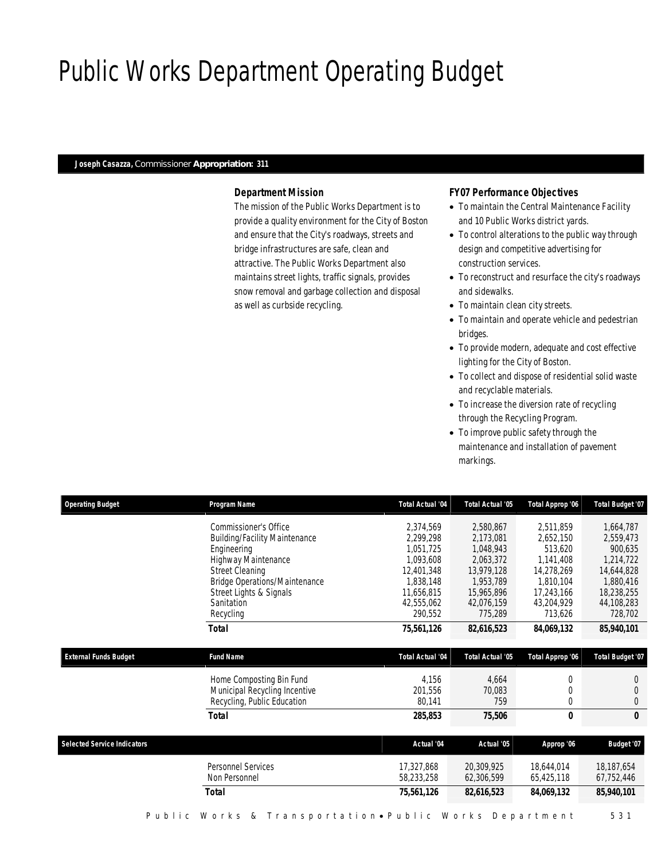# Public Works Department Operating Budget

#### *Joseph Casazza, Commissioner Appropriation: 311*

## *Department Mission*

The mission of the Public Works Department is to provide a quality environment for the City of Boston and ensure that the City's roadways, streets and bridge infrastructures are safe, clean and attractive. The Public Works Department also maintains street lights, traffic signals, provides snow removal and garbage collection and disposal as well as curbside recycling.

### *FY07 Performance Objectives*

- To maintain the Central Maintenance Facility and 10 Public Works district yards.
- To control alterations to the public way through design and competitive advertising for construction services.
- To reconstruct and resurface the city's roadways and sidewalks.
- To maintain clean city streets.
- To maintain and operate vehicle and pedestrian bridges.
- To provide modern, adequate and cost effective lighting for the City of Boston.
- To collect and dispose of residential solid waste and recyclable materials.
- To increase the diversion rate of recycling through the Recycling Program.
- To improve public safety through the maintenance and installation of pavement markings.

| <b>Operating Budget</b>            | Program Name                                                                                                                                                                                                                | <b>Total Actual '04</b>                                                                                            | <b>Total Actual '05</b>                                                                                            | Total Approp '06                                                                                                 | <b>Total Budget '07</b>                                                                                          |
|------------------------------------|-----------------------------------------------------------------------------------------------------------------------------------------------------------------------------------------------------------------------------|--------------------------------------------------------------------------------------------------------------------|--------------------------------------------------------------------------------------------------------------------|------------------------------------------------------------------------------------------------------------------|------------------------------------------------------------------------------------------------------------------|
|                                    | Commissioner's Office<br><b>Building/Facility Maintenance</b><br>Engineering<br>Highway Maintenance<br><b>Street Cleaning</b><br><b>Bridge Operations/Maintenance</b><br>Street Lights & Signals<br>Sanitation<br>Recycling | 2,374,569<br>2.299.298<br>1,051,725<br>1,093,608<br>12,401,348<br>1,838,148<br>11,656,815<br>42,555,062<br>290,552 | 2,580,867<br>2,173,081<br>1,048,943<br>2,063,372<br>13,979,128<br>1,953,789<br>15,965,896<br>42,076,159<br>775,289 | 2,511,859<br>2,652,150<br>513,620<br>1,141,408<br>14,278,269<br>1,810,104<br>17,243,166<br>43,204,929<br>713,626 | 1,664,787<br>2,559,473<br>900,635<br>1,214,722<br>14,644,828<br>1,880,416<br>18,238,255<br>44,108,283<br>728,702 |
|                                    | Total                                                                                                                                                                                                                       | 75,561,126                                                                                                         | 82,616,523                                                                                                         | 84,069,132                                                                                                       | 85,940,101                                                                                                       |
| <b>External Funds Budget</b>       | <b>Fund Name</b>                                                                                                                                                                                                            | <b>Total Actual '04</b>                                                                                            | <b>Total Actual '05</b>                                                                                            | Total Approp '06                                                                                                 | Total Budget '07                                                                                                 |
|                                    | Home Composting Bin Fund<br>Municipal Recycling Incentive<br>Recycling, Public Education                                                                                                                                    | 4,156<br>201,556<br>80,141                                                                                         | 4,664<br>70,083<br>759                                                                                             | $\theta$<br>$\Omega$<br>$\Omega$                                                                                 | 0<br>$\theta$<br>$\overline{0}$                                                                                  |
|                                    | <b>Total</b>                                                                                                                                                                                                                | 285,853                                                                                                            | 75,506                                                                                                             | 0                                                                                                                | $\theta$                                                                                                         |
| <b>Selected Service Indicators</b> |                                                                                                                                                                                                                             | Actual '04                                                                                                         | Actual '05                                                                                                         | Approp '06                                                                                                       | Budget '07                                                                                                       |
|                                    | <b>Personnel Services</b><br>Non Personnel                                                                                                                                                                                  | 17,327,868<br>58,233,258                                                                                           | 20,309,925<br>62,306,599                                                                                           | 18,644,014<br>65,425,118                                                                                         | 18,187,654<br>67,752,446                                                                                         |
|                                    |                                                                                                                                                                                                                             |                                                                                                                    |                                                                                                                    |                                                                                                                  |                                                                                                                  |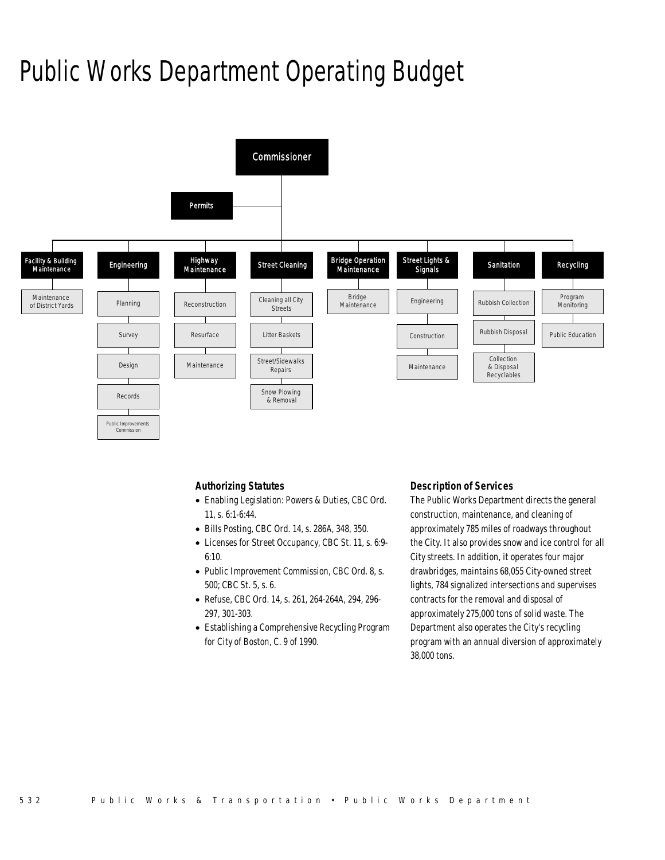# Public Works Department Operating Budget



### *Authorizing Statutes*

- Enabling Legislation: Powers & Duties, CBC Ord. 11, s. 6:1-6:44.
- Bills Posting, CBC Ord. 14, s. 286A, 348, 350.
- Licenses for Street Occupancy, CBC St. 11, s. 6:9- 6:10.
- Public Improvement Commission, CBC Ord. 8, s. 500; CBC St. 5, s. 6.
- Refuse, CBC Ord. 14, s. 261, 264-264A, 294, 296- 297, 301-303.
- Establishing a Comprehensive Recycling Program for City of Boston, C. 9 of 1990.

#### *Description of Services*

The Public Works Department directs the general construction, maintenance, and cleaning of approximately 785 miles of roadways throughout the City. It also provides snow and ice control for all City streets. In addition, it operates four major drawbridges, maintains 68,055 City-owned street lights, 784 signalized intersections and supervises contracts for the removal and disposal of approximately 275,000 tons of solid waste. The Department also operates the City's recycling program with an annual diversion of approximately 38,000 tons.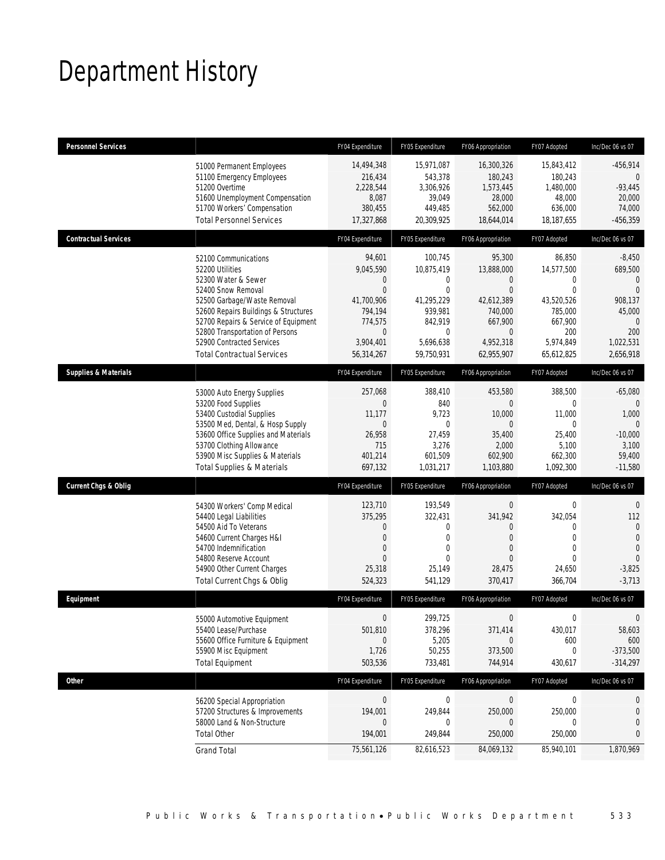# Department History

| <b>Personnel Services</b>       |                                                                                                                                                                                                                                                                                                          | FY04 Expenditure                                                                                                                      | FY05 Expenditure                                                                                           | FY06 Appropriation                                                                                                                  | FY07 Adopted                                                                                                    | Inc/Dec 06 vs 07                                                                                                      |
|---------------------------------|----------------------------------------------------------------------------------------------------------------------------------------------------------------------------------------------------------------------------------------------------------------------------------------------------------|---------------------------------------------------------------------------------------------------------------------------------------|------------------------------------------------------------------------------------------------------------|-------------------------------------------------------------------------------------------------------------------------------------|-----------------------------------------------------------------------------------------------------------------|-----------------------------------------------------------------------------------------------------------------------|
|                                 | 51000 Permanent Employees<br>51100 Emergency Employees<br>51200 Overtime<br>51600 Unemployment Compensation<br>51700 Workers' Compensation<br><b>Total Personnel Services</b>                                                                                                                            | 14,494,348<br>216,434<br>2,228,544<br>8,087<br>380,455<br>17,327,868                                                                  | 15,971,087<br>543,378<br>3,306,926<br>39,049<br>449,485<br>20,309,925                                      | 16,300,326<br>180,243<br>1,573,445<br>28,000<br>562.000<br>18,644,014                                                               | 15,843,412<br>180,243<br>1,480,000<br>48,000<br>636,000<br>18,187,655                                           | $-456,914$<br>$\theta$<br>$-93,445$<br>20,000<br>74,000<br>$-456,359$                                                 |
| <b>Contractual Services</b>     |                                                                                                                                                                                                                                                                                                          | FY04 Expenditure                                                                                                                      | FY05 Expenditure                                                                                           | FY06 Appropriation                                                                                                                  | FY07 Adopted                                                                                                    | Inc/Dec 06 vs 07                                                                                                      |
|                                 | 52100 Communications<br>52200 Utilities<br>52300 Water & Sewer<br>52400 Snow Removal<br>52500 Garbage/Waste Removal<br>52600 Repairs Buildings & Structures<br>52700 Repairs & Service of Equipment<br>52800 Transportation of Persons<br>52900 Contracted Services<br><b>Total Contractual Services</b> | 94,601<br>9,045,590<br>$\overline{0}$<br>$\overline{0}$<br>41,700,906<br>794,194<br>774,575<br>$\mathbf 0$<br>3,904,401<br>56,314,267 | 100,745<br>10,875,419<br>0<br>$\Omega$<br>41,295,229<br>939,981<br>842,919<br>0<br>5,696,638<br>59,750,931 | 95,300<br>13,888,000<br>$\overline{0}$<br>$\Omega$<br>42,612,389<br>740,000<br>667,900<br>$\overline{0}$<br>4,952,318<br>62,955,907 | 86,850<br>14,577,500<br>0<br>$\mathbf 0$<br>43,520,526<br>785,000<br>667,900<br>200<br>5,974,849<br>65,612,825  | $-8,450$<br>689,500<br>$\mathbf{0}$<br>$\mathbf{0}$<br>908,137<br>45,000<br>$\Omega$<br>200<br>1,022,531<br>2,656,918 |
| <b>Supplies &amp; Materials</b> |                                                                                                                                                                                                                                                                                                          | FY04 Expenditure                                                                                                                      | FY05 Expenditure                                                                                           | FY06 Appropriation                                                                                                                  | FY07 Adopted                                                                                                    | Inc/Dec 06 vs 07                                                                                                      |
|                                 | 53000 Auto Energy Supplies<br>53200 Food Supplies<br>53400 Custodial Supplies<br>53500 Med, Dental, & Hosp Supply<br>53600 Office Supplies and Materials<br>53700 Clothing Allowance<br>53900 Misc Supplies & Materials<br><b>Total Supplies &amp; Materials</b>                                         | 257,068<br>$\overline{0}$<br>11,177<br>$\overline{0}$<br>26,958<br>715<br>401,214<br>697,132                                          | 388,410<br>840<br>9,723<br>$\mathbf{0}$<br>27,459<br>3,276<br>601,509<br>1,031,217                         | 453,580<br>$\Omega$<br>10,000<br>$\mathbf{0}$<br>35,400<br>2,000<br>602,900<br>1,103,880                                            | 388,500<br>$\mathbf 0$<br>11,000<br>$\mathbf 0$<br>25,400<br>5,100<br>662,300<br>1,092,300                      | $-65,080$<br>$\Omega$<br>1,000<br>$\theta$<br>$-10,000$<br>3,100<br>59,400<br>$-11,580$                               |
| <b>Current Chgs &amp; Oblig</b> |                                                                                                                                                                                                                                                                                                          | FY04 Expenditure                                                                                                                      | FY05 Expenditure                                                                                           | FY06 Appropriation                                                                                                                  | FY07 Adopted                                                                                                    | Inc/Dec 06 vs 07                                                                                                      |
|                                 | 54300 Workers' Comp Medical<br>54400 Legal Liabilities<br>54500 Aid To Veterans<br>54600 Current Charges H&I<br>54700 Indemnification<br>54800 Reserve Account<br>54900 Other Current Charges<br>Total Current Chgs & Oblig                                                                              | 123,710<br>375,295<br>$\mathbf{0}$<br>$\mathbf{0}$<br>$\mathbf{0}$<br>$\Omega$<br>25,318<br>524,323                                   | 193,549<br>322,431<br>$\mathbf 0$<br>$\mathbf{0}$<br>$\mathbf 0$<br>0<br>25,149<br>541,129                 | $\mathbf 0$<br>341,942<br>$\Omega$<br>$\overline{0}$<br>$\overline{0}$<br>$\Omega$<br>28,475<br>370,417                             | $\mathbf 0$<br>342,054<br>$\mathbf 0$<br>$\boldsymbol{0}$<br>$\mathbf 0$<br>$\overline{0}$<br>24,650<br>366,704 | $\theta$<br>112<br>$\overline{0}$<br>$\overline{0}$<br>$\overline{0}$<br>$\Omega$<br>$-3,825$<br>$-3,713$             |
| Equipment                       |                                                                                                                                                                                                                                                                                                          | FY04 Expenditure                                                                                                                      | FY05 Expenditure                                                                                           | FY06 Appropriation                                                                                                                  | FY07 Adopted                                                                                                    | Inc/Dec 06 vs 07                                                                                                      |
|                                 | 55000 Automotive Equipment<br>55400 Lease/Purchase<br>55600 Office Furniture & Equipment<br>55900 Misc Equipment<br><b>Total Equipment</b>                                                                                                                                                               | $\mathbf{0}$<br>501,810<br>$\Omega$<br>1,726<br>503,536                                                                               | 299,725<br>378,296<br>5,205<br>50,255<br>733,481                                                           | $\mathbf{0}$<br>371,414<br>$\Omega$<br>373,500<br>744,914                                                                           | $\mathbf{0}$<br>430,017<br>600<br>0<br>430,617                                                                  | 0<br>58,603<br>600<br>$-373,500$<br>$-314,297$                                                                        |
| Other                           |                                                                                                                                                                                                                                                                                                          | FY04 Expenditure                                                                                                                      | FY05 Expenditure                                                                                           | FY06 Appropriation                                                                                                                  | FY07 Adopted                                                                                                    | Inc/Dec 06 vs 07                                                                                                      |
|                                 | 56200 Special Appropriation<br>57200 Structures & Improvements<br>58000 Land & Non-Structure<br><b>Total Other</b>                                                                                                                                                                                       | $\pmb{0}$<br>194,001<br>0<br>194,001                                                                                                  | $\boldsymbol{0}$<br>249,844<br>0<br>249,844                                                                | $\overline{0}$<br>250,000<br>$\overline{0}$<br>250,000                                                                              | 0<br>250,000<br>0<br>250,000                                                                                    | 0<br>0<br>0<br>0                                                                                                      |
|                                 | <b>Grand Total</b>                                                                                                                                                                                                                                                                                       | 75,561,126                                                                                                                            | 82,616,523                                                                                                 | 84,069,132                                                                                                                          | 85,940,101                                                                                                      | 1,870,969                                                                                                             |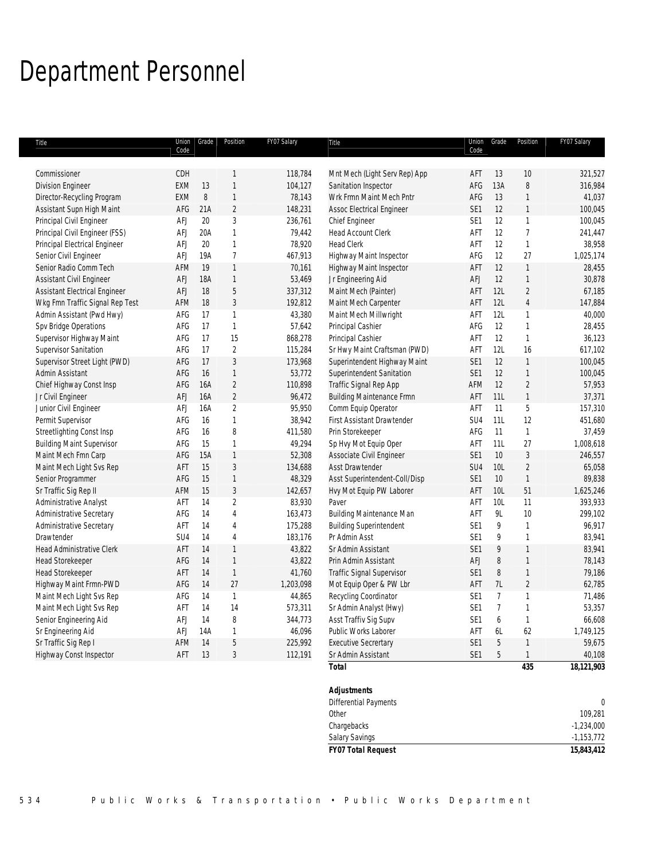# Department Personnel

| Title                                |            | Union Grade | Position       | FY07 Salary | Title                            |                 | Union Grade     | Position       | FY07 Salary  |
|--------------------------------------|------------|-------------|----------------|-------------|----------------------------------|-----------------|-----------------|----------------|--------------|
|                                      | Code       |             |                |             |                                  | Code            |                 |                |              |
| Commissioner                         | CDH        |             | 1              | 118,784     | Mnt Mech (Light Serv Rep) App    | AFT             | 13              | 10             | 321,527      |
| <b>Division Engineer</b>             | <b>EXM</b> | 13          | $\mathbf{1}$   | 104,127     | Sanitation Inspector             | AFG             | 13A             | 8              | 316,984      |
| Director-Recycling Program           | <b>EXM</b> | $\, 8$      | $\mathbf{1}$   | 78,143      | Wrk Frmn Maint Mech Pntr         | AFG             | 13              | 1              | 41,037       |
| Assistant Supn High Maint            | AFG        | 21A         | $\sqrt{2}$     | 148,231     | <b>Assoc Electrical Engineer</b> | SE <sub>1</sub> | 12              | 1              | 100,045      |
| Principal Civil Engineer             | <b>AFJ</b> | $20\,$      | $\sqrt{3}$     | 236,761     | Chief Engineer                   | SE <sub>1</sub> | 12              | $\mathbf{1}$   | 100,045      |
| Principal Civil Engineer (FSS)       | AFJ        | 20A         | $\mathbf{1}$   | 79,442      | Head Account Clerk               | AFT             | 12              | $\overline{1}$ | 241,447      |
| Principal Electrical Engineer        | AFJ        | 20          | $\mathbf{1}$   | 78,920      | <b>Head Clerk</b>                | AFT             | 12              | $\mathbf{1}$   | 38,958       |
| Senior Civil Engineer                | AFJ        | 19A         | $\overline{1}$ | 467,913     | Highway Maint Inspector          | AFG             | 12              | 27             | 1,025,174    |
| Senior Radio Comm Tech               | AFM        | 19          | $\mathbf{1}$   | 70,161      | Highway Maint Inspector          | AFT             | 12              | $\mathbf{1}$   | 28,455       |
| Assistant Civil Engineer             | AFJ        | <b>18A</b>  | $\mathbf{1}$   | 53,469      | Jr Engineering Aid               | AFJ             | 12              | $\mathbf{1}$   | 30,878       |
| <b>Assistant Electrical Engineer</b> | <b>AFJ</b> | 18          | $\sqrt{5}$     | 337,312     | Maint Mech (Painter)             | AFT             | 12L             | $\overline{c}$ | 67,185       |
| Wkg Fmn Traffic Signal Rep Test      | AFM        | 18          | $\mathfrak{Z}$ | 192,812     | Maint Mech Carpenter             | AFT             | 12L             | $\overline{4}$ | 147,884      |
| Admin Assistant (Pwd Hwy)            | AFG        | 17          | $\mathbf{1}$   | 43,380      | Maint Mech Millwright            | AFT             | 12L             | 1              | 40,000       |
| Spv Bridge Operations                | AFG        | 17          | $\mathbf{1}$   | 57,642      | Principal Cashier                | AFG             | 12              | 1              | 28,455       |
| Supervisor Highway Maint             | AFG        | 17          | 15             | 868,278     | Principal Cashier                | AFT             | 12              | $\mathbf{1}$   | 36,123       |
| Supervisor Sanitation                | AFG        | 17          | $\sqrt{2}$     | 115,284     | Sr Hwy Maint Craftsman (PWD)     | AFT             | 12L             | 16             | 617,102      |
| Supervisor Street Light (PWD)        | AFG        | 17          | $\mathfrak{Z}$ | 173,968     | Superintendent Highway Maint     | SE <sub>1</sub> | 12              | $\mathbf{1}$   | 100,045      |
| Admin Assistant                      | AFG        | 16          | $\mathbf{1}$   | 53,772      | Superintendent Sanitation        | SE1             | 12              | $\mathbf{1}$   | 100,045      |
| Chief Highway Const Insp             | AFG        | 16A         | $\sqrt{2}$     | 110,898     | Traffic Signal Rep App           | AFM             | 12              | $\overline{2}$ | 57,953       |
| Jr Civil Engineer                    | <b>AFJ</b> | 16A         | $\overline{c}$ | 96,472      | <b>Building Maintenance Frmn</b> | AFT             | 11L             | $\mathbf{1}$   | 37,371       |
| Junior Civil Engineer                | <b>AFJ</b> | 16A         | $\overline{2}$ | 95,950      | Comm Equip Operator              | AFT             | 11              | 5              | 157,310      |
| Permit Supervisor                    | AFG        | 16          | $\mathbf{1}$   | 38,942      | First Assistant Drawtender       | SU <sub>4</sub> | 11L             | 12             | 451,680      |
| Streetlighting Const Insp            | AFG        | 16          | 8              | 411,580     | Prin Storekeeper                 | AFG             | 11              | $\mathbf{1}$   | 37,459       |
| <b>Building Maint Supervisor</b>     | AFG        | 15          | $\mathbf{1}$   | 49,294      | Sp Hvy Mot Equip Oper            | AFT             | 11L             | 27             | 1,008,618    |
| Maint Mech Fmn Carp                  | AFG        | 15A         | $\mathbf{1}$   | 52,308      | Associate Civil Engineer         | SE <sub>1</sub> | $10$            | 3              | 246,557      |
| Maint Mech Light Svs Rep             | AFT        | 15          | $\sqrt{3}$     | 134,688     | <b>Asst Drawtender</b>           | SU4             | 10L             | $\sqrt{2}$     | 65,058       |
| Senior Programmer                    | AFG        | 15          | $\mathbf{1}$   | 48,329      | Asst Superintendent-Coll/Disp    | SE <sub>1</sub> | 10              | $\mathbf{1}$   | 89,838       |
| Sr Traffic Sig Rep II                | AFM        | 15          | $\sqrt{3}$     | 142,657     | Hvy Mot Equip PW Laborer         | AFT             | 10L             | 51             | 1,625,246    |
| Administrative Analyst               | AFT        | 14          | $\overline{2}$ | 83,930      | Paver                            | AFT             | 10L             | 11             | 393,933      |
| Administrative Secretary             | AFG        | 14          | $\overline{4}$ | 163,473     | <b>Building Maintenance Man</b>  | AFT             | 9L              | 10             | 299,102      |
| Administrative Secretary             | AFT        | 14          | $\overline{4}$ | 175,288     | <b>Building Superintendent</b>   | SE <sub>1</sub> | 9               | $\mathbf{1}$   | 96,917       |
| Drawtender                           | SU4        | 14          | $\overline{4}$ | 183,176     | Pr Admin Asst                    | SE <sub>1</sub> | 9               | $\mathbf{1}$   | 83,941       |
| <b>Head Administrative Clerk</b>     | AFT        | 14          | $\mathbf{1}$   | 43,822      | Sr Admin Assistant               | SE <sub>1</sub> | 9               | $\mathbf{1}$   | 83,941       |
| <b>Head Storekeeper</b>              | AFG        | 14          | $\mathbf{1}$   | 43,822      | Prin Admin Assistant             | AFJ             | 8               | 1              | 78,143       |
| <b>Head Storekeeper</b>              | AFT        | 14          | $\mathbf{1}$   | 41,760      | Traffic Signal Supervisor        | SE <sub>1</sub> | $\, 8$          | $\mathbf{1}$   | 79,186       |
| Highway Maint Frmn-PWD               | AFG        | 14          | 27             | 1,203,098   | Mot Equip Oper & PW Lbr          | AFT             | 7L              | $\sqrt{2}$     | 62,785       |
| Maint Mech Light Svs Rep             | AFG        | 14          | $\mathbf{1}$   | 44,865      | Recycling Coordinator            | SE1             | $7\overline{ }$ | $\mathbf{1}$   | 71,486       |
| Maint Mech Light Svs Rep             | AFT        | 14          | 14             | 573,311     | Sr Admin Analyst (Hwy)           | SE <sub>1</sub> | $\overline{7}$  | 1              | 53,357       |
| Senior Engineering Aid               | AFJ        | 14          | 8              | 344,773     | Asst Traffiv Sig Supv            | SE1             | 6               | 1              | 66,608       |
| Sr Engineering Aid                   | AFJ        | 14A         | $\mathbf{1}$   | 46,096      | Public Works Laborer             | AFT             | 6L              | 62             | 1,749,125    |
| Sr Traffic Sig Rep I                 | AFM        | 14          | 5              | 225,992     | <b>Executive Secrertary</b>      | SE1             | 5               | $\mathbf{1}$   | 59,675       |
| Highway Const Inspector              | AFT        | 13          | $\mathfrak{Z}$ | 112,191     | Sr Admin Assistant               | SE1             | 5               | $\mathbf{1}$   | 40,108       |
|                                      |            |             |                |             | <b>Total</b>                     |                 |                 | 435            | 18, 121, 903 |
|                                      |            |             |                |             |                                  |                 |                 |                |              |
|                                      |            |             |                |             | <b>Adjustments</b>               |                 |                 |                |              |
|                                      |            |             |                |             | Differential Payments            |                 |                 |                | 0            |
|                                      |            |             |                |             | Other                            |                 |                 |                | 109,281      |
|                                      |            |             |                |             | Chargebacks                      |                 |                 |                | $-1,234,000$ |

Salary Savings -1,153,772 *FY07 Total Request 15,843,412*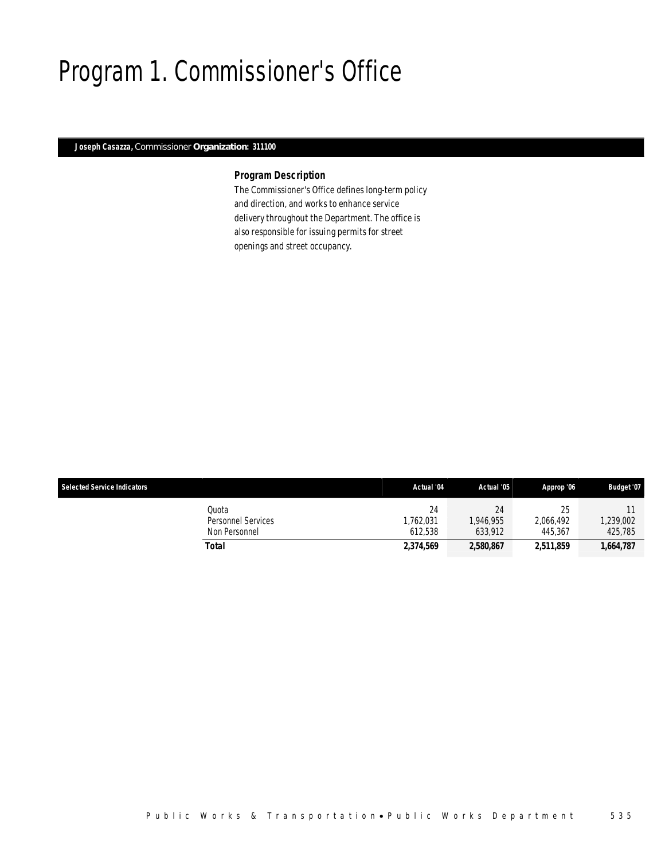# Program 1. Commissioner's Office

## *Joseph Casazza, Commissioner Organization: 311100*

## *Program Description*

The Commissioner's Office defines long-term policy and direction, and works to enhance service delivery throughout the Department. The office is also responsible for issuing permits for street openings and street occupancy.

| <b>Selected Service Indicators</b> |                                              | Actual '04                | Actual '05                | Approp '06                 | <b>Budget '07</b>   |
|------------------------------------|----------------------------------------------|---------------------------|---------------------------|----------------------------|---------------------|
|                                    | Quota<br>Personnel Services<br>Non Personnel | 24<br>.762.031<br>612.538 | 24<br>.946.955<br>633.912 | 25<br>2.066.492<br>445.367 | ,239,002<br>425.785 |
|                                    | Total                                        | 2,374,569                 | 2,580,867                 | 2,511,859                  | 1,664,787           |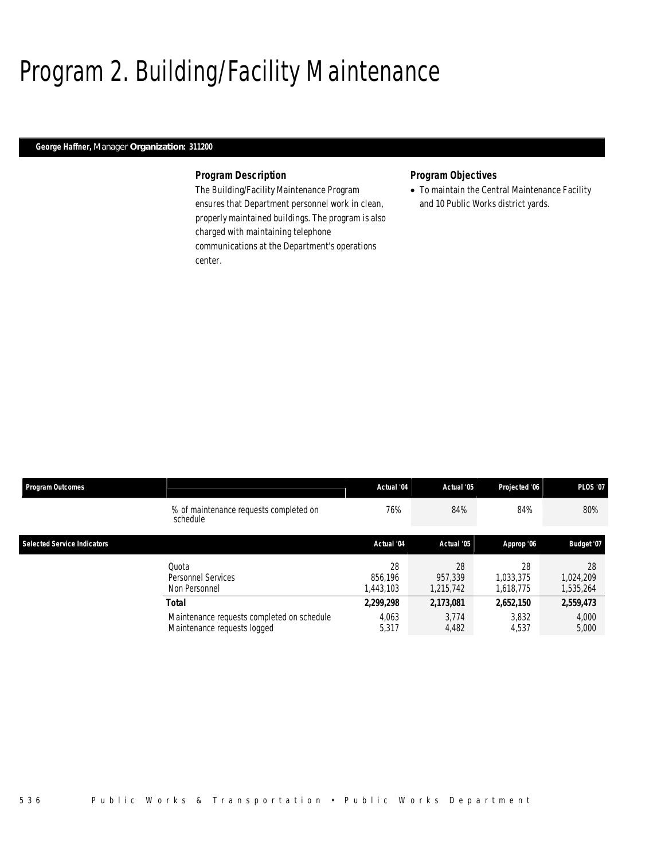# Program 2. Building/Facility Maintenance

## *George Haffner, Manager Organization: 311200*

### *Program Description*

The Building/Facility Maintenance Program ensures that Department personnel work in clean, properly maintained buildings. The program is also charged with maintaining telephone communications at the Department's operations center.

## *Program Objectives*

• To maintain the Central Maintenance Facility and 10 Public Works district yards.

| <b>Program Outcomes</b>            |                                                                           | Actual '04                 | Actual '05                 | Projected '06                | <b>PLOS '07</b>              |
|------------------------------------|---------------------------------------------------------------------------|----------------------------|----------------------------|------------------------------|------------------------------|
|                                    | % of maintenance requests completed on<br>schedule                        | 76%                        | 84%                        | 84%                          | 80%                          |
| <b>Selected Service Indicators</b> |                                                                           | Actual '04                 | Actual '05                 | Approp '06                   | Budget '07                   |
|                                    | Quota<br>Personnel Services<br>Non Personnel                              | 28<br>856.196<br>1,443,103 | 28<br>957,339<br>1,215,742 | 28<br>1.033.375<br>1,618,775 | 28<br>1,024,209<br>1,535,264 |
|                                    | Total                                                                     | 2,299,298                  | 2,173,081                  | 2,652,150                    | 2,559,473                    |
|                                    | Maintenance requests completed on schedule<br>Maintenance requests logged | 4.063<br>5,317             | 3.774<br>4,482             | 3.832<br>4,537               | 4,000<br>5,000               |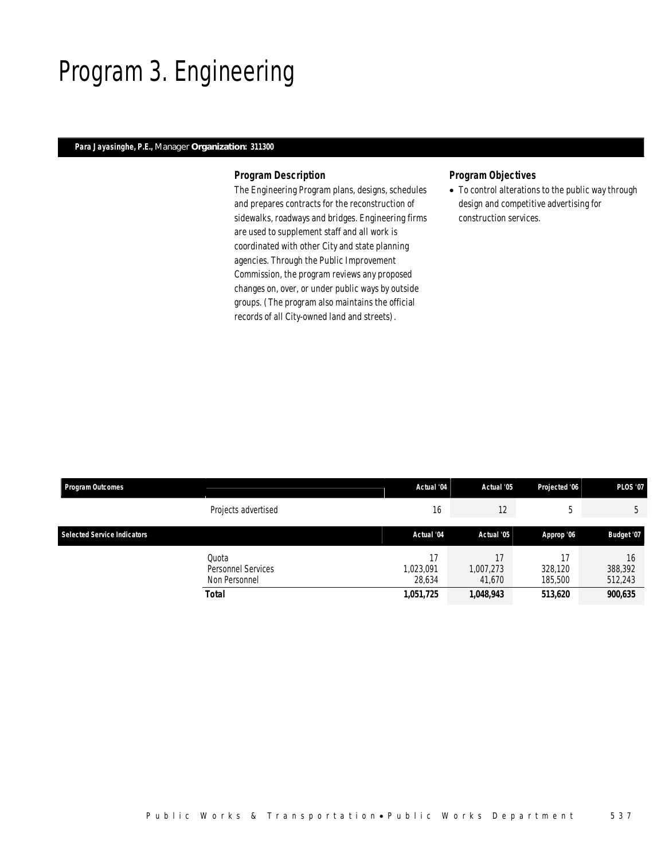# Program 3. Engineering

### *Para Jayasinghe, P.E., Manager Organization: 311300*

### *Program Description*

The Engineering Program plans, designs, schedules and prepares contracts for the reconstruction of sidewalks, roadways and bridges. Engineering firms are used to supplement staff and all work is coordinated with other City and state planning agencies. Through the Public Improvement Commission, the program reviews any proposed changes on, over, or under public ways by outside groups. (The program also maintains the official records of all City-owned land and streets).

# *Program Objectives*

• To control alterations to the public way through design and competitive advertising for construction services.

| <b>Program Outcomes</b>            |                                                       | Actual '04                       | Actual '05                             | Projected '06                       | <b>PLOS '07</b>                     |
|------------------------------------|-------------------------------------------------------|----------------------------------|----------------------------------------|-------------------------------------|-------------------------------------|
|                                    | Projects advertised                                   | 16                               | 12                                     | .5                                  | 5                                   |
| <b>Selected Service Indicators</b> |                                                       | Actual '04                       | Actual '05                             | Approp '06                          | Budget '07                          |
|                                    | Ouota<br>Personnel Services<br>Non Personnel<br>Total | 1,023,091<br>28.634<br>1,051,725 | 17<br>1,007,273<br>41.670<br>1,048,943 | 17<br>328,120<br>185,500<br>513,620 | 16<br>388,392<br>512,243<br>900,635 |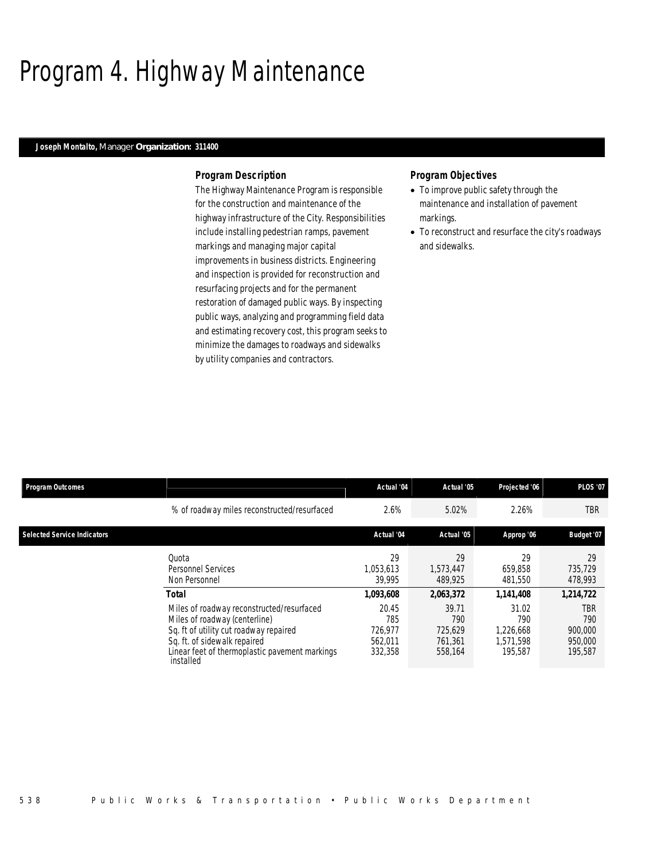# Program 4. Highway Maintenance

### *Joseph Montalto, Manager Organization: 311400*

### *Program Description*

The Highway Maintenance Program is responsible for the construction and maintenance of the highway infrastructure of the City. Responsibilities include installing pedestrian ramps, pavement markings and managing major capital improvements in business districts. Engineering and inspection is provided for reconstruction and resurfacing projects and for the permanent restoration of damaged public ways. By inspecting public ways, analyzing and programming field data and estimating recovery cost, this program seeks to minimize the damages to roadways and sidewalks by utility companies and contractors.

### *Program Objectives*

- To improve public safety through the maintenance and installation of pavement markings.
- To reconstruct and resurface the city's roadways and sidewalks.

| Program Outcomes                   |                                                                                                                                                                                                                     | Actual '04                                    | Actual '05                                    | Projected '06                                     | <b>PLOS '07</b>                             |
|------------------------------------|---------------------------------------------------------------------------------------------------------------------------------------------------------------------------------------------------------------------|-----------------------------------------------|-----------------------------------------------|---------------------------------------------------|---------------------------------------------|
|                                    | % of roadway miles reconstructed/resurfaced                                                                                                                                                                         | 2.6%                                          | 5.02%                                         | 2.26%                                             | TBR                                         |
| <b>Selected Service Indicators</b> |                                                                                                                                                                                                                     | Actual '04                                    | Actual '05                                    | Approp '06                                        | Budget '07                                  |
|                                    | Ouota<br><b>Personnel Services</b><br>Non Personnel                                                                                                                                                                 | 29<br>1.053.613<br>39.995                     | 29<br>1.573.447<br>489.925                    | 29<br>659.858<br>481,550                          | 29<br>735.729<br>478,993                    |
|                                    | Total                                                                                                                                                                                                               | 1,093,608                                     | 2,063,372                                     | 1,141,408                                         | 1,214,722                                   |
|                                    | Miles of roadway reconstructed/resurfaced<br>Miles of roadway (centerline)<br>Sq. ft of utility cut roadway repaired<br>Sq. ft. of sidewalk repaired<br>Linear feet of thermoplastic pavement markings<br>installed | 20.45<br>785<br>726.977<br>562.011<br>332,358 | 39.71<br>790<br>725.629<br>761.361<br>558,164 | 31.02<br>790<br>1,226,668<br>1.571.598<br>195.587 | TBR<br>790<br>900,000<br>950,000<br>195,587 |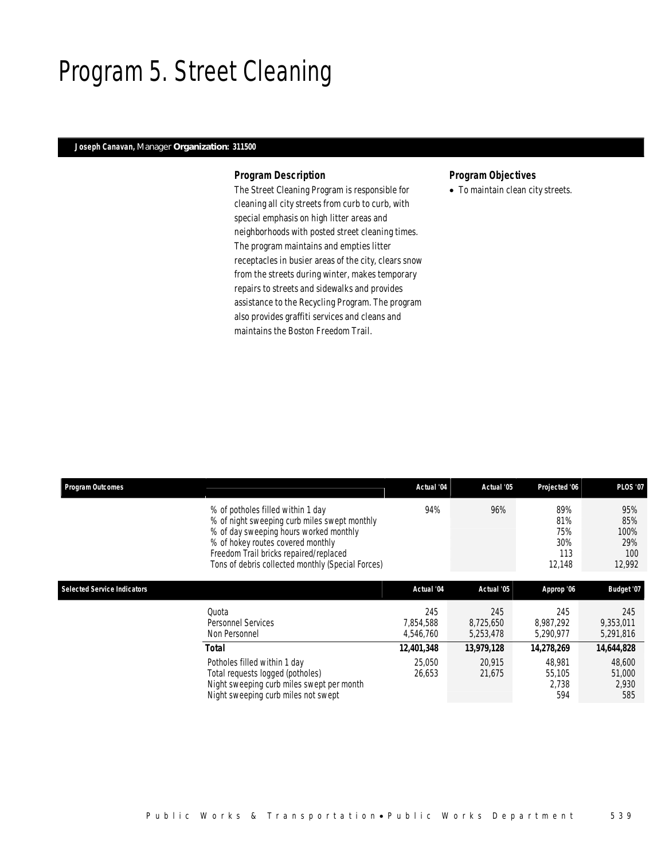# Program 5. Street Cleaning

## *Joseph Canavan, Manager Organization: 311500*

### *Program Description*

The Street Cleaning Program is responsible for cleaning all city streets from curb to curb, with special emphasis on high litter areas and neighborhoods with posted street cleaning times. The program maintains and empties litter receptacles in busier areas of the city, clears snow from the streets during winter, makes temporary repairs to streets and sidewalks and provides assistance to the Recycling Program. The program also provides graffiti services and cleans and maintains the Boston Freedom Trail.

## *Program Objectives*

• To maintain clean city streets.

| <b>Program Outcomes</b>            |                                                                                                                                                                                                                                                                 | Actual '04                    | Actual '05                    | Projected '06                             | <b>PLOS '07</b>                            |
|------------------------------------|-----------------------------------------------------------------------------------------------------------------------------------------------------------------------------------------------------------------------------------------------------------------|-------------------------------|-------------------------------|-------------------------------------------|--------------------------------------------|
|                                    | % of potholes filled within 1 day<br>% of night sweeping curb miles swept monthly<br>% of day sweeping hours worked monthly<br>% of hokey routes covered monthly<br>Freedom Trail bricks repaired/replaced<br>Tons of debris collected monthly (Special Forces) | 94%                           | 96%                           | 89%<br>81%<br>75%<br>30%<br>113<br>12,148 | 95%<br>85%<br>100%<br>29%<br>100<br>12,992 |
| <b>Selected Service Indicators</b> |                                                                                                                                                                                                                                                                 | Actual '04                    | Actual '05                    | Approp '06                                | Budget '07                                 |
|                                    | Ouota<br>Personnel Services<br>Non Personnel                                                                                                                                                                                                                    | 245<br>7,854,588<br>4,546,760 | 245<br>8,725,650<br>5,253,478 | 245<br>8.987.292<br>5,290,977             | 245<br>9,353,011<br>5,291,816              |
|                                    | Total                                                                                                                                                                                                                                                           | 12,401,348                    | 13,979,128                    | 14,278,269                                | 14,644,828                                 |
|                                    | Potholes filled within 1 day<br>Total requests logged (potholes)<br>Night sweeping curb miles swept per month<br>Night sweeping curb miles not swept                                                                                                            | 25,050<br>26,653              | 20,915<br>21,675              | 48,981<br>55,105<br>2.738<br>594          | 48,600<br>51,000<br>2,930<br>585           |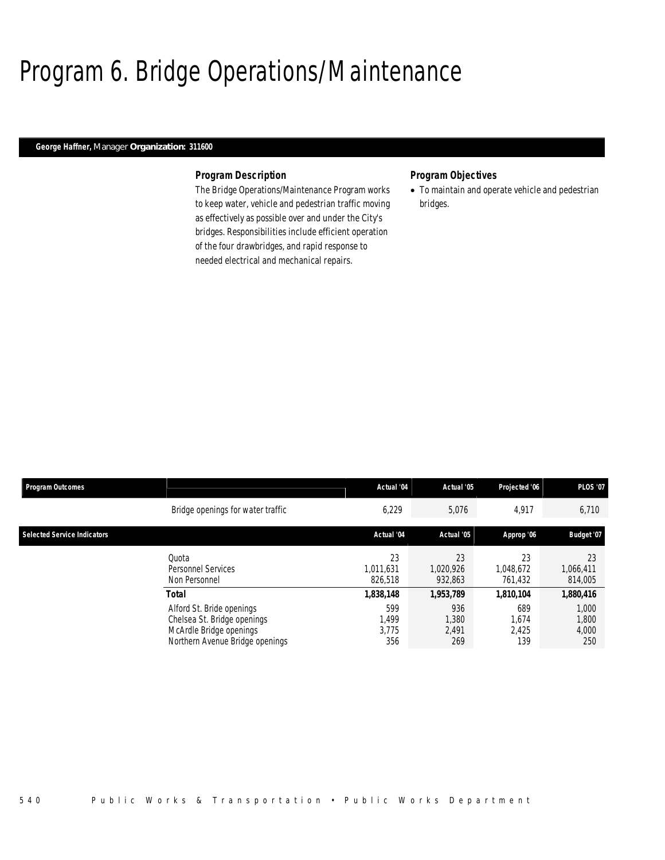# Program 6. Bridge Operations/Maintenance

## *George Haffner, Manager Organization: 311600*

### *Program Description*

The Bridge Operations/Maintenance Program works to keep water, vehicle and pedestrian traffic moving as effectively as possible over and under the City's bridges. Responsibilities include efficient operation of the four drawbridges, and rapid response to needed electrical and mechanical repairs.

### *Program Objectives*

• To maintain and operate vehicle and pedestrian bridges.

| <b>Program Outcomes</b>            |                                                                                                                        | Actual '04                   | Actual '05                   | Projected '06                | <b>PLOS '07</b>                |
|------------------------------------|------------------------------------------------------------------------------------------------------------------------|------------------------------|------------------------------|------------------------------|--------------------------------|
|                                    | Bridge openings for water traffic                                                                                      | 6,229                        | 5,076                        | 4,917                        | 6,710                          |
| <b>Selected Service Indicators</b> |                                                                                                                        | Actual '04                   | Actual '05                   | Approp '06                   | Budget '07                     |
|                                    | Ouota<br><b>Personnel Services</b><br>Non Personnel                                                                    | 23<br>1.011.631<br>826.518   | 23<br>1.020.926<br>932.863   | 23<br>1,048,672<br>761.432   | 23<br>1,066,411<br>814,005     |
|                                    | Total                                                                                                                  | 1,838,148                    | 1,953,789                    | 1,810,104                    | 1,880,416                      |
|                                    | Alford St. Bride openings<br>Chelsea St. Bridge openings<br>McArdle Bridge openings<br>Northern Avenue Bridge openings | 599<br>1,499<br>3.775<br>356 | 936<br>1,380<br>2.491<br>269 | 689<br>1,674<br>2.425<br>139 | 1,000<br>1,800<br>4,000<br>250 |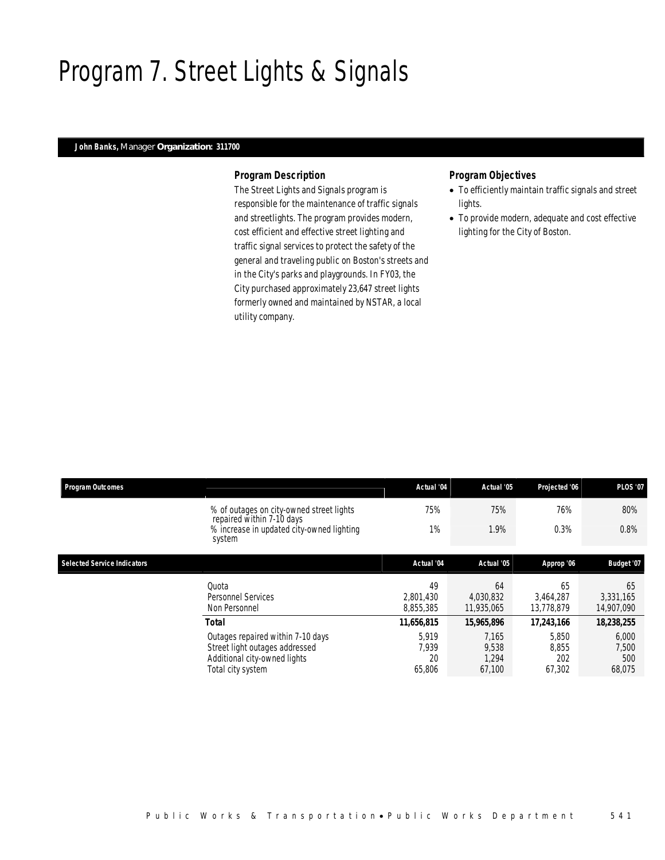# Program 7. Street Lights & Signals

### *John Banks, Manager Organization: 311700*

### *Program Description*

The Street Lights and Signals program is responsible for the maintenance of traffic signals and streetlights. The program provides modern, cost efficient and effective street lighting and traffic signal services to protect the safety of the general and traveling public on Boston's streets and in the City's parks and playgrounds. In FY03, the City purchased approximately 23,647 street lights formerly owned and maintained by NSTAR, a local utility company.

## *Program Objectives*

- To efficiently maintain traffic signals and street lights.
- To provide modern, adequate and cost effective lighting for the City of Boston.

| <b>Program Outcomes</b>            |                                                                                                                          | Actual '04                     | Actual '05                        | Projected '06                   | <b>PLOS '07</b>                 |
|------------------------------------|--------------------------------------------------------------------------------------------------------------------------|--------------------------------|-----------------------------------|---------------------------------|---------------------------------|
|                                    | % of outages on city-owned street lights<br>repaired within 7-10 days                                                    | 75%                            | 75%                               | 76%                             | 80%                             |
|                                    | % increase in updated city-owned lighting<br>system                                                                      | 1%                             | 1.9%                              | 0.3%                            | 0.8%                            |
| <b>Selected Service Indicators</b> |                                                                                                                          | Actual '04                     | Actual '05                        | Approp '06                      | Budget '07                      |
|                                    | Ouota<br>Personnel Services<br>Non Personnel                                                                             | 49<br>2,801,430<br>8,855,385   | 64<br>4,030,832<br>11,935,065     | 65<br>3.464.287<br>13,778,879   | 65<br>3,331,165<br>14,907,090   |
|                                    | <b>Total</b>                                                                                                             | 11,656,815                     | 15,965,896                        | 17,243,166                      | 18,238,255                      |
|                                    | Outages repaired within 7-10 days<br>Street light outages addressed<br>Additional city-owned lights<br>Total city system | 5.919<br>7,939<br>20<br>65,806 | 7.165<br>9,538<br>1.294<br>67,100 | 5,850<br>8,855<br>202<br>67,302 | 6,000<br>7,500<br>500<br>68,075 |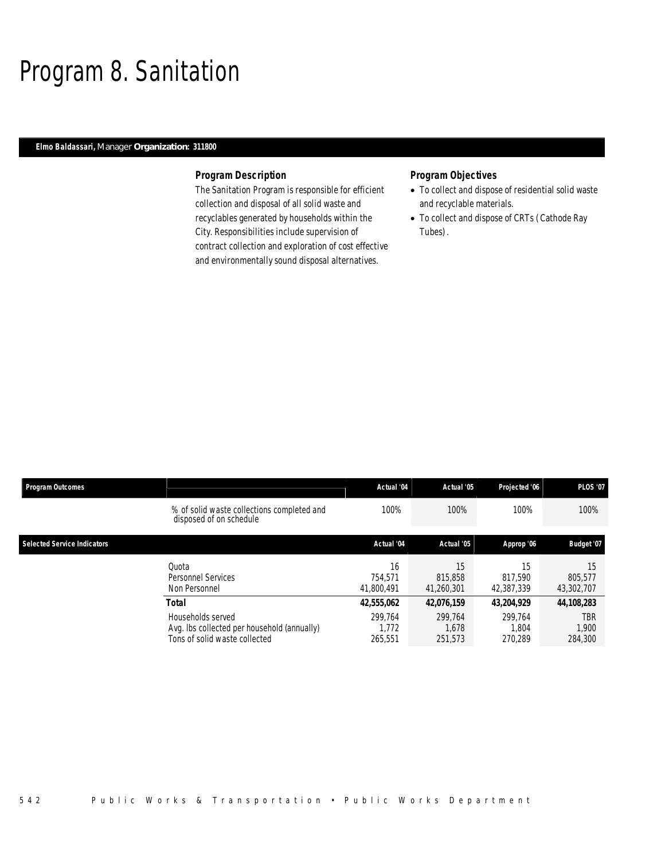# Program 8. Sanitation

## *Elmo Baldassari, Manager Organization: 311800*

### *Program Description*

The Sanitation Program is responsible for efficient collection and disposal of all solid waste and recyclables generated by households within the City. Responsibilities include supervision of contract collection and exploration of cost effective and environmentally sound disposal alternatives.

### *Program Objectives*

- To collect and dispose of residential solid waste and recyclable materials.
- To collect and dispose of CRTs (Cathode Ray Tubes).

| <b>Program Outcomes</b>            |                                                                                                            | Actual '04                                | Actual '05                                | Projected '06                             | <b>PLOS '07</b>                              |
|------------------------------------|------------------------------------------------------------------------------------------------------------|-------------------------------------------|-------------------------------------------|-------------------------------------------|----------------------------------------------|
|                                    | % of solid waste collections completed and<br>disposed of on schedule                                      | 100%                                      | 100%                                      | 100%                                      | 100%                                         |
| <b>Selected Service Indicators</b> |                                                                                                            | Actual '04                                | Actual '05                                | Approp '06                                | Budget '07                                   |
|                                    | Ouota<br>Personnel Services<br>Non Personnel                                                               | 16<br>754.571<br>41,800,491               | 15<br>815,858<br>41,260,301               | 15<br>817.590<br>42.387.339               | 15<br>805.577<br>43,302,707                  |
|                                    | Total<br>Households served<br>Avg. Ibs collected per household (annually)<br>Tons of solid waste collected | 42,555,062<br>299.764<br>1.772<br>265.551 | 42,076,159<br>299.764<br>1.678<br>251,573 | 43.204.929<br>299.764<br>1.804<br>270.289 | 44,108,283<br><b>TBR</b><br>1.900<br>284,300 |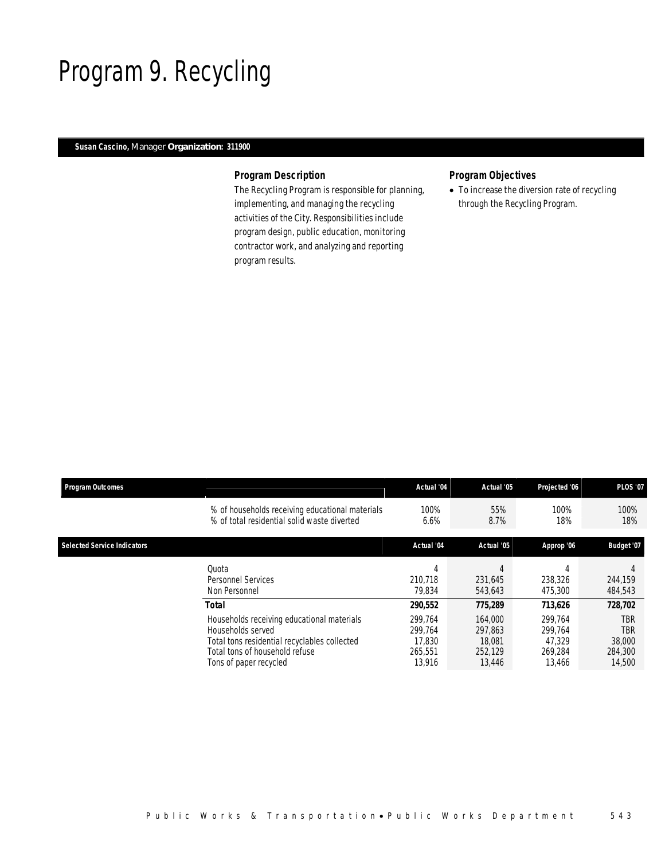# Program 9. Recycling

# *Susan Cascino, Manager Organization: 311900*

### *Program Description*

The Recycling Program is responsible for planning, implementing, and managing the recycling activities of the City. Responsibilities include program design, public education, monitoring contractor work, and analyzing and reporting program results.

# *Program Objectives*

• To increase the diversion rate of recycling through the Recycling Program.

| <b>Program Outcomes</b>            |                                                 | Actual '04 | Actual '05 | Projected '06 | <b>PLOS '07</b> |
|------------------------------------|-------------------------------------------------|------------|------------|---------------|-----------------|
|                                    | % of households receiving educational materials | 100%       | 55%        | 100%          | 100%            |
|                                    | % of total residential solid waste diverted     | 6.6%       | 8.7%       | 18%           | 18%             |
| <b>Selected Service Indicators</b> |                                                 | Actual '04 | Actual '05 | Approp '06    | Budget '07      |
|                                    | Quota                                           | 4          | 4          | 4             | 4               |
|                                    | Personnel Services                              | 210.718    | 231.645    | 238,326       | 244,159         |
|                                    | Non Personnel                                   | 79.834     | 543.643    | 475,300       | 484,543         |
|                                    | <b>Total</b>                                    | 290,552    | 775,289    | 713,626       | 728,702         |
|                                    | Households receiving educational materials      | 299.764    | 164,000    | 299.764       | <b>TBR</b>      |
|                                    | Households served                               | 299.764    | 297.863    | 299.764       | <b>TBR</b>      |
|                                    | Total tons residential recyclables collected    | 17.830     | 18.081     | 47.329        | 38,000          |
|                                    | Total tons of household refuse                  | 265.551    | 252.129    | 269.284       | 284,300         |
|                                    | Tons of paper recycled                          | 13,916     | 13,446     | 13.466        | 14,500          |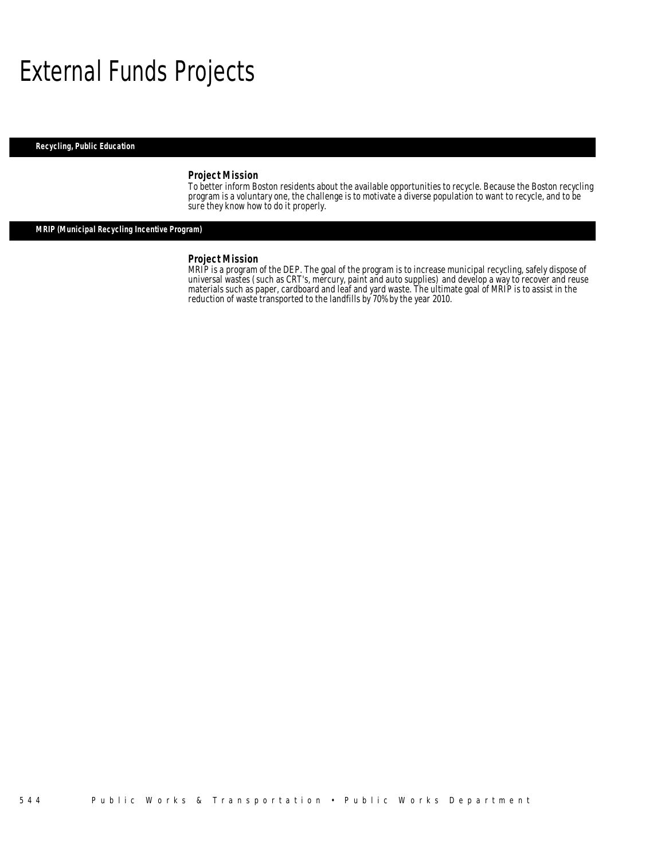# External Funds Projects

*Recycling, Public Education* 

### *Project Mission*

To better inform Boston residents about the available opportunities to recycle. Because the Boston recycling program is a voluntary one, the challenge is to motivate a diverse population to want to recycle, and to be sure they know how to do it properly.

# *MRIP (Municipal Recycling Incentive Program)*

#### *Project Mission*

MRIP is a program of the DEP. The goal of the program is to increase municipal recycling, safely dispose of universal wastes (such as CRT's, mercury, paint and auto supplies) and develop a way to recover and reuse materials such as paper, cardboard and leaf and yard waste. The ultimate goal of MRIP is to assist in the reduction of waste transported to the landfills by 70% by the year 2010.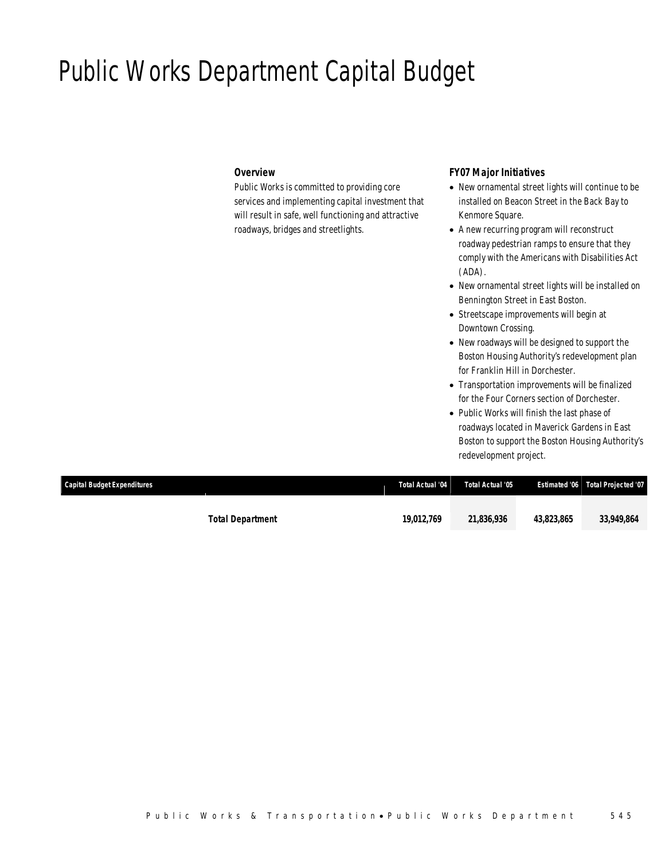# Public Works Department Capital Budget

## *Overview*

Public Works is committed to providing core services and implementing capital investment that will result in safe, well functioning and attractive roadways, bridges and streetlights.

# *FY07 Major Initiatives*

- New ornamental street lights will continue to be installed on Beacon Street in the Back Bay to Kenmore Square.
- A new recurring program will reconstruct roadway pedestrian ramps to ensure that they comply with the Americans with Disabilities Act (ADA).
- New ornamental street lights will be installed on Bennington Street in East Boston.
- Streetscape improvements will begin at Downtown Crossing.
- New roadways will be designed to support the Boston Housing Authority's redevelopment plan for Franklin Hill in Dorchester.
- Transportation improvements will be finalized for the Four Corners section of Dorchester.
- Public Works will finish the last phase of roadways located in Maverick Gardens in East Boston to support the Boston Housing Authority's redevelopment project.

| Capital Budget Expenditures |                         | Total Actual '04 | Total Actual '05 |            | <b>Estimated '06 Total Projected '07</b> |
|-----------------------------|-------------------------|------------------|------------------|------------|------------------------------------------|
|                             |                         |                  |                  |            |                                          |
|                             | <b>Total Department</b> | 19.012.769       | 21.836.936       | 43.823.865 | 33,949,864                               |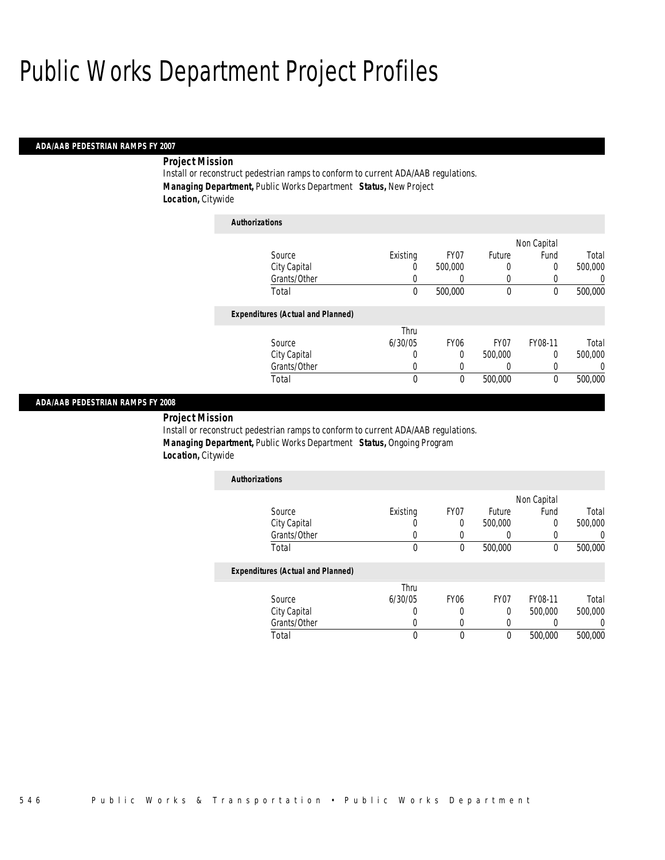#### *ADA/AAB PEDESTRIAN RAMPS FY 2007*

## *Project Mission*

Install or reconstruct pedestrian ramps to conform to current ADA/AAB regulations. *Managing Department,* Public Works Department *Status,* New Project *Location,* Citywide

| <b>Authorizations</b>                    |          |                  |                  |             |          |
|------------------------------------------|----------|------------------|------------------|-------------|----------|
|                                          |          |                  |                  | Non Capital |          |
| Source                                   | Existing | FY07             | Future           | Fund        | Total    |
| City Capital                             | 0        | 500,000          | 0                | 0           | 500,000  |
| Grants/Other                             | 0        | 0                | 0                | 0           | 0        |
| Total                                    | $\theta$ | 500,000          | $\theta$         | 0           | 500,000  |
| <b>Expenditures (Actual and Planned)</b> |          |                  |                  |             |          |
|                                          | Thru     |                  |                  |             |          |
| Source                                   | 6/30/05  | FY <sub>06</sub> | FY <sub>07</sub> | FY08-11     | Total    |
| City Capital                             | 0        | 0                | 500,000          | $\Omega$    | 500,000  |
| Grants/Other                             | 0        | 0                | 0                | 0           | $\left($ |
| Total                                    | 0        | 0                | 500,000          | 0           | 500,000  |

### *ADA/AAB PEDESTRIAN RAMPS FY 2008*

*Project Mission* 

Install or reconstruct pedestrian ramps to conform to current ADA/AAB regulations. *Managing Department,* Public Works Department *Status,* Ongoing Program *Location,* Citywide

| <b>Authorizations</b> |          |      |         |             |         |
|-----------------------|----------|------|---------|-------------|---------|
|                       |          |      |         | Non Capital |         |
| Source                | Existing | FY07 | Future  | Fund        | Total   |
| City Capital          |          |      | 500,000 |             | 500,000 |
| Grants/Other          |          |      |         |             |         |
| Total                 |          |      | 500,000 |             | 500,000 |

### *Expenditures (Actual and Planned)*

|              | Thru    |                  |                  |         |         |
|--------------|---------|------------------|------------------|---------|---------|
| Source       | 6/30/05 | FY <sub>06</sub> | FY <sub>07</sub> | FY08-11 | Total   |
| City Capital |         |                  |                  | 500,000 | 500,000 |
| Grants/Other |         |                  |                  |         |         |
| Total        |         |                  |                  | 500,000 | 500,000 |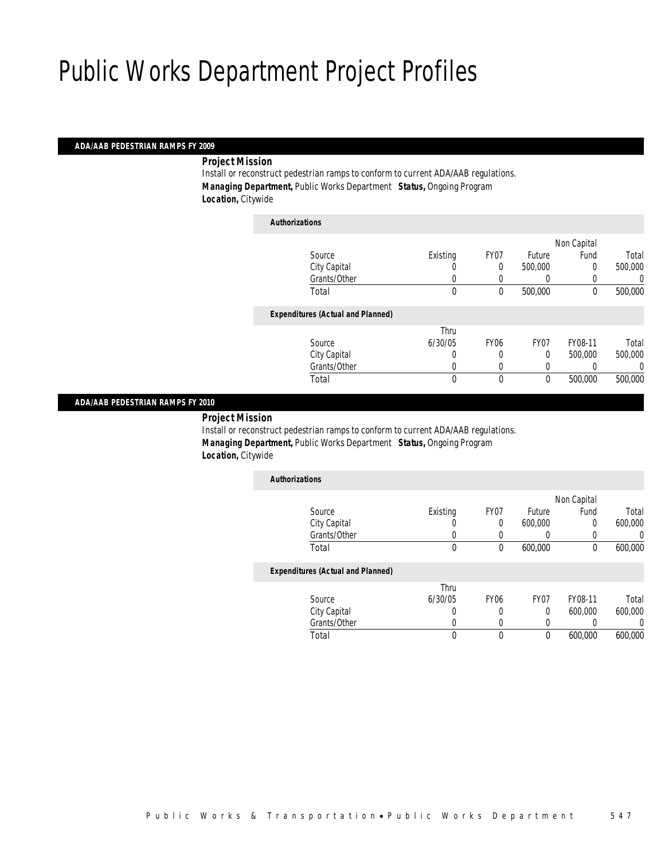### *ADA/AAB PEDESTRIAN RAMPS FY 2009*

*Project Mission* 

Install or reconstruct pedestrian ramps to conform to current ADA/AAB regulations. *Managing Department,* Public Works Department *Status,* Ongoing Program *Location,* Citywide

| <b>Authorizations</b>                    |              |             |             |             |         |
|------------------------------------------|--------------|-------------|-------------|-------------|---------|
|                                          |              |             |             | Non Capital |         |
| Source                                   | Existing     | FY07        | Future      | Fund        | Total   |
| City Capital                             | 0            | 0           | 500,000     | 0           | 500,000 |
| Grants/Other                             | 0            |             |             |             | 0       |
| Total                                    | $\mathbf{0}$ | 0           | 500,000     | $\mathbf 0$ | 500,000 |
| <b>Expenditures (Actual and Planned)</b> |              |             |             |             |         |
|                                          | Thru         |             |             |             |         |
| Source                                   | 6/30/05      | <b>FY06</b> | FY07        | FY08-11     | Total   |
| City Capital                             | 0            | 0           | $\Omega$    | 500,000     | 500,000 |
| Grants/Other                             | 0            |             | 0           |             | 0       |
| Total                                    | $\mathbf{0}$ | 0           | $\mathbf 0$ | 500,000     | 500,000 |
|                                          |              |             |             |             |         |

### *ADA/AAB PEDESTRIAN RAMPS FY 2010*

*Project Mission* 

Install or reconstruct pedestrian ramps to conform to current ADA/AAB regulations. *Managing Department,* Public Works Department *Status,* Ongoing Program *Location,* Citywide

| <b>Authorizations</b>                    |          |                  |                  |             |         |
|------------------------------------------|----------|------------------|------------------|-------------|---------|
|                                          |          |                  |                  | Non Capital |         |
| Source                                   | Existing | FY07             | Future           | Fund        | Total   |
| City Capital                             |          | 0                | 600,000          | 0           | 600,000 |
| Grants/Other                             |          |                  | 0                | 0           |         |
| Total                                    | $\theta$ | 0                | 600,000          | 0           | 600,000 |
| <b>Expenditures (Actual and Planned)</b> |          |                  |                  |             |         |
|                                          | Thru     |                  |                  |             |         |
| Source                                   | 6/30/05  | FY <sub>06</sub> | FY <sub>07</sub> | FY08-11     | Total   |
| City Capital                             | 0        | 0                | 0                | 600,000     | 600,000 |
| Grants/Other                             |          |                  | 0                | 0           |         |

Total 0 0 0 600,000 600,000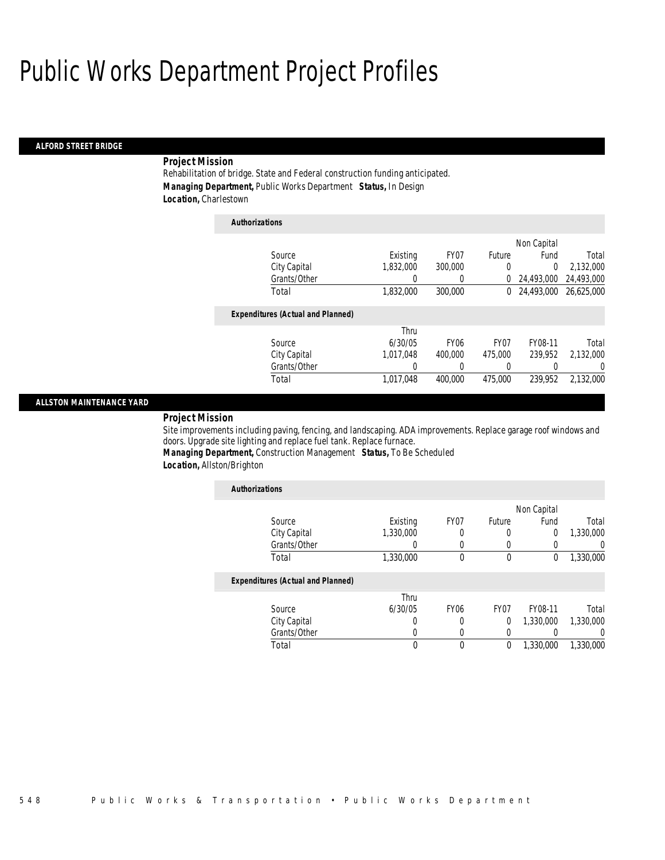#### *ALFORD STREET BRIDGE*

## *Project Mission*

Rehabilitation of bridge. State and Federal construction funding anticipated. *Managing Department,* Public Works Department *Status,* In Design *Location,* Charlestown

| <b>Authorizations</b>                    |           |             |                  |             |            |
|------------------------------------------|-----------|-------------|------------------|-------------|------------|
|                                          |           |             |                  | Non Capital |            |
| Source                                   | Existing  | FY07        | Future           | Fund        | Total      |
| City Capital                             | 1.832.000 | 300,000     | 0                | $\theta$    | 2,132,000  |
| Grants/Other                             | 0         | 0           | 0                | 24.493.000  | 24,493,000 |
| Total                                    | 1,832,000 | 300,000     | 0                | 24.493.000  | 26.625.000 |
| <b>Expenditures (Actual and Planned)</b> |           |             |                  |             |            |
|                                          | Thru      |             |                  |             |            |
| Source                                   | 6/30/05   | <b>FY06</b> | FY <sub>07</sub> | FY08-11     | Total      |
| City Capital                             | 1.017.048 | 400,000     | 475,000          | 239.952     | 2.132.000  |
| Grants/Other                             | 0         | 0           | 0                | 0           | $\left($   |
| Total                                    | 1,017,048 | 400,000     | 475,000          | 239.952     | 2,132,000  |

### *ALLSTON MAINTENANCE YARD*

*Project Mission* 

Site improvements including paving, fencing, and landscaping. ADA improvements. Replace garage roof windows and doors. Upgrade site lighting and replace fuel tank. Replace furnace.

*Managing Department,* Construction Management *Status,* To Be Scheduled *Location,* Allston/Brighton

| <b>Authorizations</b>                    |           |                  |                  |             |           |
|------------------------------------------|-----------|------------------|------------------|-------------|-----------|
|                                          |           |                  |                  | Non Capital |           |
| Source                                   | Existing  | FY <sub>07</sub> | Future           | Fund        | Total     |
| City Capital                             | 1.330.000 | 0                | 0                | 0           | 1,330,000 |
| Grants/Other                             | O         | 0                |                  | 0           | 0         |
| Total                                    | 1,330,000 | $\theta$         | $\mathbf 0$      | 0           | 1,330,000 |
| <b>Expenditures (Actual and Planned)</b> |           |                  |                  |             |           |
|                                          | Thru      |                  |                  |             |           |
| Source                                   | 6/30/05   | FY <sub>06</sub> | FY <sub>07</sub> | FY08-11     | Total     |
| City Capital                             | 0         |                  | $\theta$         | 1,330,000   | 1,330,000 |
| Grants/Other                             | 0         | 0                | $\Omega$         |             | $\left($  |
| Total                                    | 0         | $\theta$         | $\theta$         | 1.330.000   | 1,330,000 |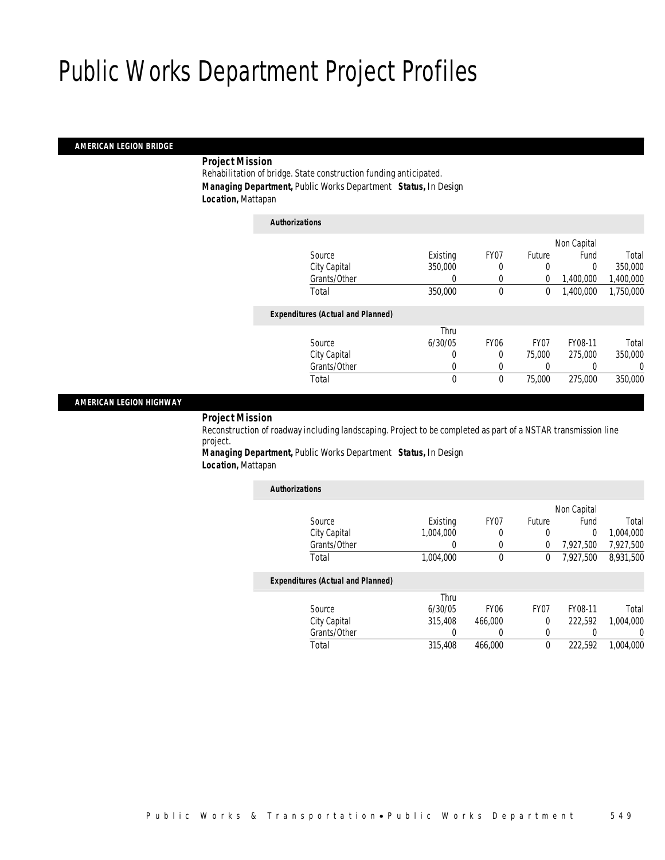### *AMERICAN LEGION BRIDGE*

### *Project Mission*

Rehabilitation of bridge. State construction funding anticipated. *Managing Department,* Public Works Department *Status,* In Design *Location,* Mattapan

*Authorizations*

| Authorizations                           |              |             |                |             |           |
|------------------------------------------|--------------|-------------|----------------|-------------|-----------|
|                                          |              |             |                | Non Capital |           |
| Source                                   | Existing     | FY07        | Future         | Fund        | Total     |
| City Capital                             | 350,000      | 0           | 0              | 0           | 350,000   |
| Grants/Other                             | 0            | 0           | $\overline{0}$ | 1,400,000   | 1,400,000 |
| Total                                    | 350,000      | 0           | 0              | 1,400,000   | 1,750,000 |
| <b>Expenditures (Actual and Planned)</b> |              |             |                |             |           |
|                                          | Thru         |             |                |             |           |
| Source                                   | 6/30/05      | <b>FY06</b> | FY07           | FY08-11     | Total     |
| City Capital                             | 0            | 0           | 75,000         | 275,000     | 350,000   |
| Grants/Other                             | 0            | 0           |                |             | 0         |
| Total                                    | $\mathbf{0}$ | $\theta$    | 75,000         | 275,000     | 350,000   |
|                                          |              |             |                |             |           |

### *AMERICAN LEGION HIGHWAY*

### *Project Mission*

Reconstruction of roadway including landscaping. Project to be completed as part of a NSTAR transmission line project.

*Managing Department,* Public Works Department *Status,* In Design *Location,* Mattapan

| <b>Authorizations</b>                    |           |                  |        |             |           |
|------------------------------------------|-----------|------------------|--------|-------------|-----------|
|                                          |           |                  |        | Non Capital |           |
| Source                                   | Existing  | FY07             | Future | Fund        | Total     |
| City Capital                             | 1.004.000 | 0                | 0      | $\theta$    | 1.004.000 |
| Grants/Other                             | 0         | 0                | 0      | 7,927,500   | 7,927,500 |
| Total                                    | 1,004,000 | 0                | 0      | 7.927.500   | 8.931.500 |
| <b>Expenditures (Actual and Planned)</b> |           |                  |        |             |           |
|                                          | Thru      |                  |        |             |           |
| Source                                   | 6/30/05   | FY <sub>06</sub> | FY07   | FY08-11     | Total     |
| City Capital                             | 315,408   | 466,000          | 0      | 222.592     | 1.004.000 |
| Grants/Other                             | 0         | 0                | 0      | 0           | $\left($  |
| Total                                    | 315,408   | 466,000          | 0      | 222.592     | 1,004,000 |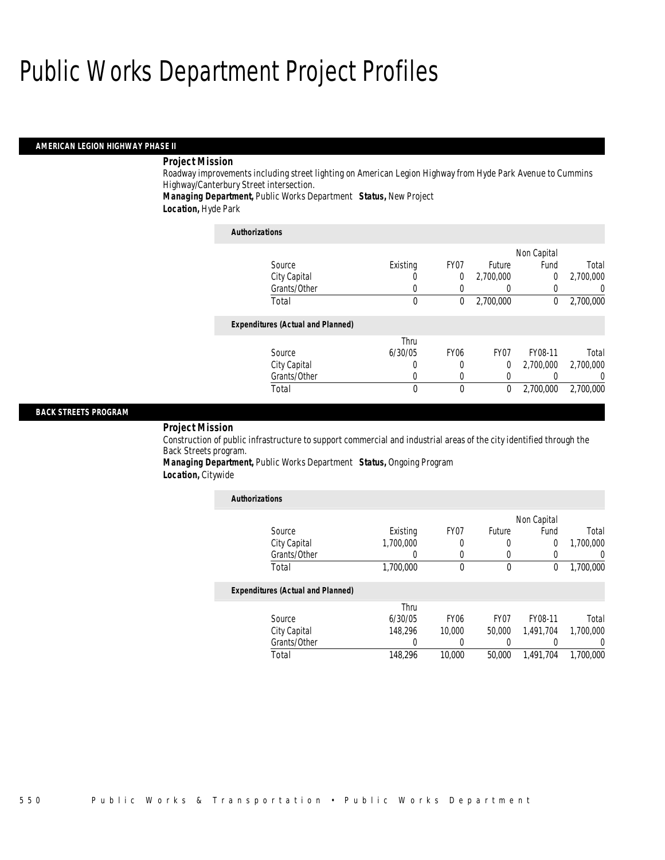#### *AMERICAN LEGION HIGHWAY PHASE II*

## *Project Mission*

Roadway improvements including street lighting on American Legion Highway from Hyde Park Avenue to Cummins Highway/Canterbury Street intersection.

*Managing Department,* Public Works Department *Status,* New Project

*Location,* Hyde Park

## *Authorizations* Source Existing FY07 Future<br>City Capital 6 0 0 2,700,000 Non Capital Fund Total<br>0 2,700,000 City Capital 0 0 0 2,700,000 0<br>
Grants/Other 0 0 0 0 0 Grants/Other 0 0 0 0 0 0 Total 0 0 2,700,000 0 2,700,000*Expenditures (Actual and Planned)* Source Thru 6/30/05 FY06 FY07 FY08-11 Total City Capital 0 0 0 0<br>Grants/Other 0 0 0 0 Grants/Other 0 0 0 0 0 0 Total 0 0 0 2,700,000 2,700,000

### *BACK STREETS PROGRAM*

### *Project Mission*

Construction of public infrastructure to support commercial and industrial areas of the city identified through the Back Streets program.

### *Managing Department,* Public Works Department *Status,* Ongoing Program *Location,* Citywide

| <b>Authorizations</b>                    |                  |                  |                  |             |           |
|------------------------------------------|------------------|------------------|------------------|-------------|-----------|
|                                          |                  |                  |                  | Non Capital |           |
| Source                                   | Existing         | FY07             | Future           | Fund        | Total     |
| City Capital                             | 1.700.000        |                  | 0                | 0           | 1.700.000 |
| Grants/Other                             | $\left( \right)$ | 0                | 0                |             | U         |
| Total                                    | 1,700,000        | $\theta$         | 0                | 0           | 1,700,000 |
| <b>Expenditures (Actual and Planned)</b> |                  |                  |                  |             |           |
|                                          | Thru             |                  |                  |             |           |
| Source                                   | 6/30/05          | FY <sub>06</sub> | FY <sub>07</sub> | FY08-11     | Total     |
| City Capital                             | 148.296          | 10,000           | 50,000           | 1.491.704   | 1,700,000 |
| Grants/Other                             | 0                |                  |                  |             | 0         |
| Total                                    | 148.296          | 10,000           | 50,000           | 1.491.704   | 1.700.000 |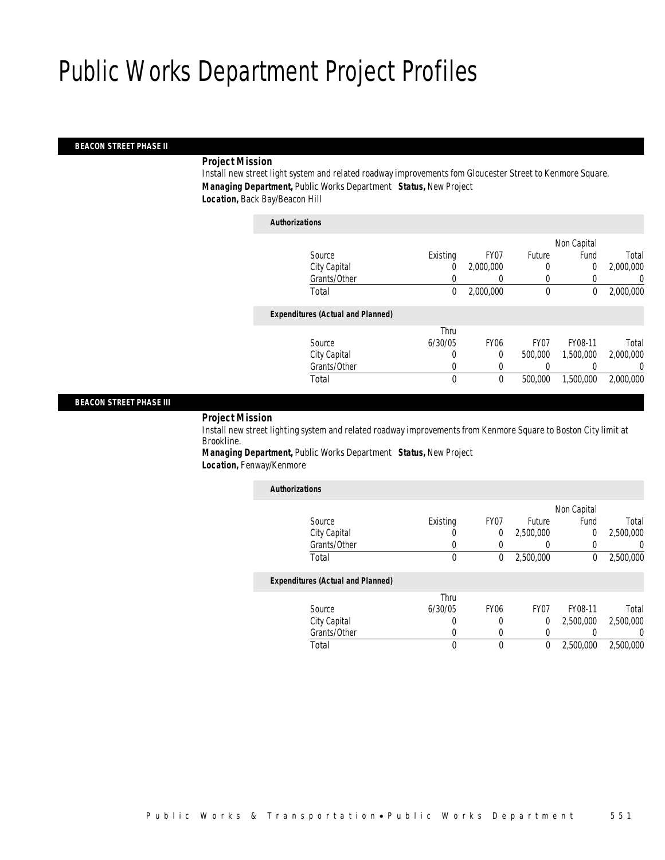#### *BEACON STREET PHASE II*

### *Project Mission*

Install new street light system and related roadway improvements fom Gloucester Street to Kenmore Square. *Managing Department,* Public Works Department *Status,* New Project *Location,* Back Bay/Beacon Hill

| <b>Authorizations</b>                    |          |             |             |             |           |
|------------------------------------------|----------|-------------|-------------|-------------|-----------|
|                                          |          |             |             | Non Capital |           |
| Source                                   | Existing | FY07        | Future      | Fund        | Total     |
| City Capital                             | 0        | 2.000.000   | 0           | 0           | 2,000,000 |
| Grants/Other                             |          |             | 0           |             | 0         |
| Total                                    | 0        | 2,000,000   | $\mathbf 0$ | 0           | 2,000,000 |
| <b>Expenditures (Actual and Planned)</b> |          |             |             |             |           |
|                                          | Thru     |             |             |             |           |
| Source                                   | 6/30/05  | <b>FY06</b> | FY07        | FY08-11     | Total     |
| City Capital                             | 0        | $\Omega$    | 500,000     | 1,500,000   | 2,000,000 |
| Grants/Other                             | 0        |             |             |             | 0         |
| Total                                    | 0        | $\theta$    | 500,000     | 1.500.000   | 2,000,000 |
|                                          |          |             |             |             |           |

#### *BEACON STREET PHASE III*

### *Project Mission*

Install new street lighting system and related roadway improvements from Kenmore Square to Boston City limit at Brookline.

*Managing Department,* Public Works Department *Status,* New Project *Location,* Fenway/Kenmore

| <b>Authorizations</b>                    |          |                  |           |             |           |
|------------------------------------------|----------|------------------|-----------|-------------|-----------|
|                                          |          |                  |           | Non Capital |           |
| Source                                   | Existing | FY07             | Future    | Fund        | Total     |
| City Capital                             | 0        | 0                | 2,500,000 | 0           | 2.500.000 |
| Grants/Other                             | 0        | 0                | 0         | 0           | $\left($  |
| Total                                    | 0        | 0                | 2,500,000 | 0           | 2,500,000 |
| <b>Expenditures (Actual and Planned)</b> |          |                  |           |             |           |
|                                          | Thru     |                  |           |             |           |
| Source                                   | 6/30/05  | FY <sub>06</sub> | FY07      | FY08-11     | Total     |
| City Capital                             | 0        | 0                | $\Omega$  | 2.500.000   | 2,500,000 |
| Grants/Other                             | 0        | 0                | 0         |             | $\left($  |
| Total                                    | 0        | 0                | 0         | 2.500.000   | 2.500.000 |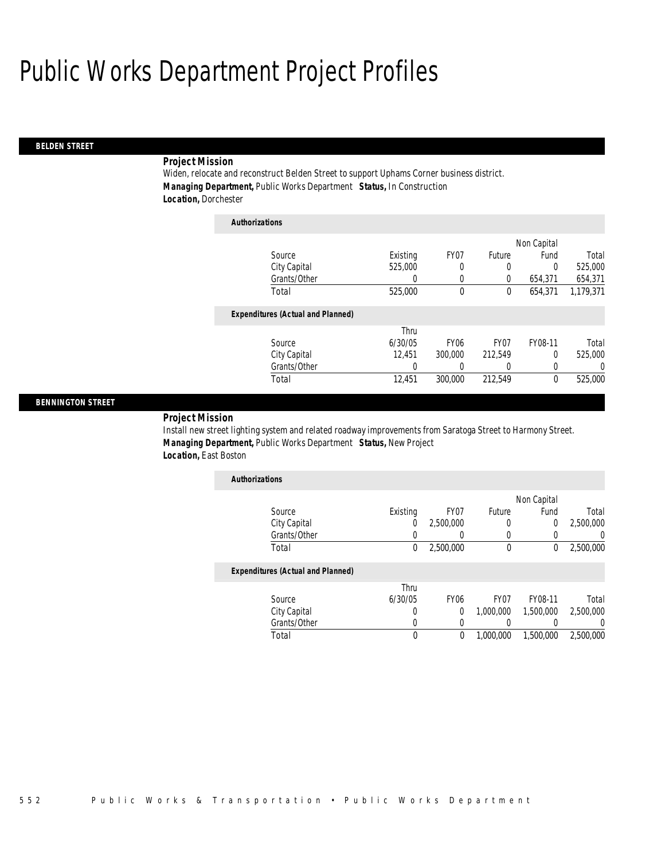### *BELDEN STREET*

### *Project Mission*

Widen, relocate and reconstruct Belden Street to support Uphams Corner business district. *Managing Department,* Public Works Department *Status,* In Construction *Location,* Dorchester

| <b>Authorizations</b>                    |          |                  |         |             |           |
|------------------------------------------|----------|------------------|---------|-------------|-----------|
|                                          |          |                  |         | Non Capital |           |
| Source                                   | Existing | FY07             | Future  | Fund        | Total     |
| City Capital                             | 525,000  | 0                | 0       | $\theta$    | 525,000   |
| Grants/Other                             | 0        | 0                | 0       | 654,371     | 654,371   |
| Total                                    | 525,000  | 0                | 0       | 654,371     | 1.179.371 |
| <b>Expenditures (Actual and Planned)</b> |          |                  |         |             |           |
|                                          | Thru     |                  |         |             |           |
| Source                                   | 6/30/05  | FY <sub>06</sub> | FY07    | FY08-11     | Total     |
| City Capital                             | 12.451   | 300,000          | 212.549 | $\theta$    | 525,000   |
| Grants/Other                             | 0        | 0                | 0       | 0           | 0         |
| Total                                    | 12.451   | 300,000          | 212.549 | $\theta$    | 525,000   |

#### *BENNINGTON STREET*

*Project Mission* 

Install new street lighting system and related roadway improvements from Saratoga Street to Harmony Street. *Managing Department,* Public Works Department *Status,* New Project *Location,* East Boston

| <b>Authorizations</b> |          |           |        |             |           |
|-----------------------|----------|-----------|--------|-------------|-----------|
|                       |          |           |        | Non Capital |           |
| Source                | Existing | FY07      | Future | Fund        | Total     |
| City Capital          |          | 2,500,000 |        |             | 2,500,000 |
| Grants/Other          |          |           |        |             |           |
| Total                 |          | 2,500,000 |        |             | 2,500,000 |

|              | Thru    |                  |           |           |           |
|--------------|---------|------------------|-----------|-----------|-----------|
| Source       | 6/30/05 | FY <sub>06</sub> | FY07      | FY08-11   | Total     |
| City Capital |         |                  | 1.000.000 | 1,500,000 | 2,500,000 |
| Grants/Other |         |                  |           |           |           |
| Total        |         |                  | 1,000,000 | 1,500,000 | 2,500,000 |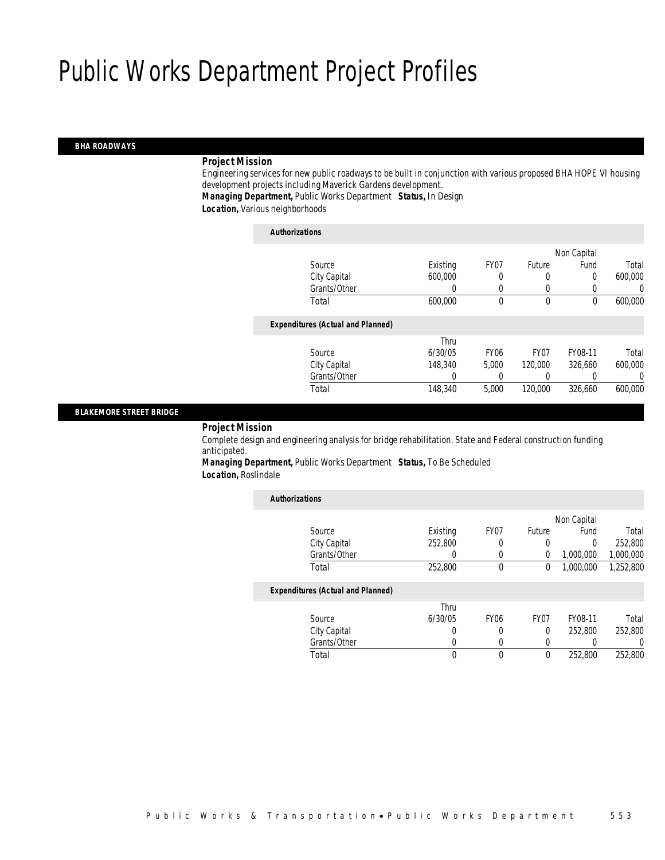#### *BHA ROADWAYS*

#### *Project Mission*

Engineering services for new public roadways to be built in conjunction with various proposed BHA HOPE VI housing development projects including Maverick Gardens development.

*Managing Department,* Public Works Department *Status,* In Design

*Location,* Various neighborhoods

#### *Authorizations*

|                                          |          |                  |                  | Non Capital |         |
|------------------------------------------|----------|------------------|------------------|-------------|---------|
| Source                                   | Existing | FY07             | Future           | Fund        | Total   |
| City Capital                             | 600,000  | 0                | 0                | 0           | 600,000 |
| Grants/Other                             |          |                  | 0                |             | 0       |
| Total                                    | 600,000  | 0                | $\mathbf 0$      | $\theta$    | 600,000 |
| <b>Expenditures (Actual and Planned)</b> |          |                  |                  |             |         |
|                                          | Thru     |                  |                  |             |         |
| Source                                   | 6/30/05  | FY <sub>06</sub> | FY <sub>07</sub> | FY08-11     | Total   |
| City Capital                             | 148,340  | 5.000            | 120,000          | 326.660     | 600,000 |
| Grants/Other                             |          |                  | 0                |             | 0       |
| Total                                    | 148,340  | 5,000            | 120,000          | 326,660     | 600,000 |
|                                          |          |                  |                  |             |         |

### *BLAKEMORE STREET BRIDGE*

*Project Mission* 

Complete design and engineering analysis for bridge rehabilitation. State and Federal construction funding anticipated.

*Managing Department,* Public Works Department *Status,* To Be Scheduled *Location,* Roslindale

| <b>Authorizations</b>                    |          |                  |          |             |           |
|------------------------------------------|----------|------------------|----------|-------------|-----------|
|                                          |          |                  |          | Non Capital |           |
| Source                                   | Existing | FY <sub>07</sub> | Future   | Fund        | Total     |
| City Capital                             | 252,800  | $\Omega$         | $\Omega$ | $\Omega$    | 252,800   |
| Grants/Other                             |          | 0                | 0        | 1,000,000   | 1,000,000 |
| Total                                    | 252,800  | $\theta$         | 0        | 1,000,000   | 1,252,800 |
| <b>Expenditures (Actual and Planned)</b> |          |                  |          |             |           |
|                                          | Thru     |                  |          |             |           |
| Source                                   | 6/30/05  | <b>FY06</b>      | FY07     | FY08-11     | Total     |
| City Capital                             | 0        | $\Omega$         | $\Omega$ | 252.800     | 252,800   |
| Grants/Other                             | O        | 0                | 0        | 0           | 0         |
| Total                                    | 0        | 0                | 0        | 252,800     | 252,800   |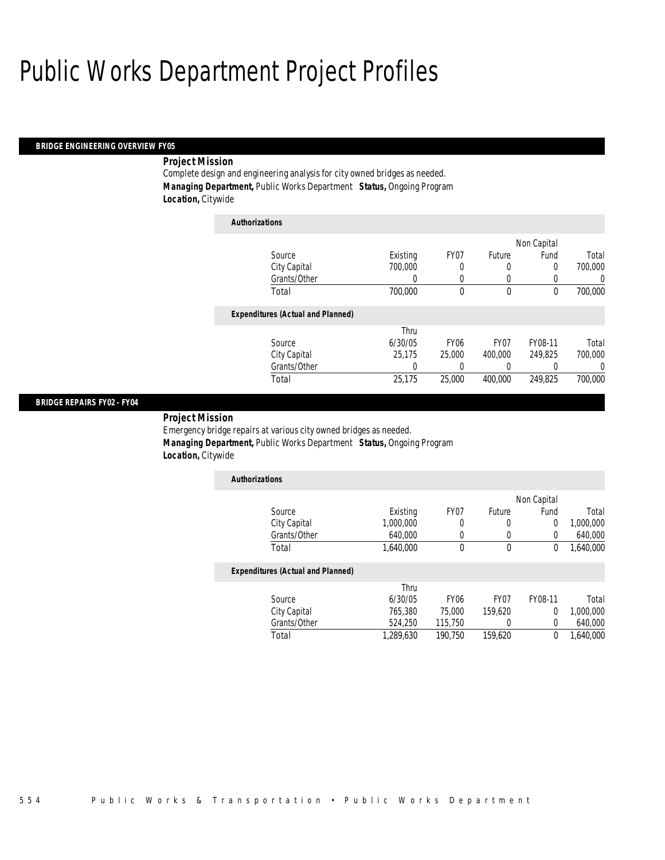#### *BRIDGE ENGINEERING OVERVIEW FY05*

## *Project Mission*

Complete design and engineering analysis for city owned bridges as needed. *Managing Department,* Public Works Department *Status,* Ongoing Program *Location,* Citywide

| <b>Authorizations</b>                    |          |                  |          |             |         |
|------------------------------------------|----------|------------------|----------|-------------|---------|
|                                          |          |                  |          | Non Capital |         |
| Source                                   | Existing | FY07             | Future   | Fund        | Total   |
| City Capital                             | 700,000  | 0                | 0        | $\Omega$    | 700,000 |
| Grants/Other                             | 0        | $\Omega$         | 0        | 0           | 0       |
| Total                                    | 700,000  | 0                | $\theta$ | $\theta$    | 700,000 |
| <b>Expenditures (Actual and Planned)</b> |          |                  |          |             |         |
|                                          | Thru     |                  |          |             |         |
| Source                                   | 6/30/05  | FY <sub>06</sub> | FY07     | FY08-11     | Total   |
| City Capital                             | 25.175   | 25,000           | 400,000  | 249.825     | 700,000 |
| Grants/Other                             | 0        | 0                | 0        |             | 0       |
| Total                                    | 25,175   | 25,000           | 400,000  | 249.825     | 700,000 |

#### *BRIDGE REPAIRS FY02 - FY04*

*Project Mission* 

Emergency bridge repairs at various city owned bridges as needed. *Managing Department,* Public Works Department *Status,* Ongoing Program *Location,* Citywide

| <b>Authorizations</b> |           |      |        |             |           |
|-----------------------|-----------|------|--------|-------------|-----------|
|                       |           |      |        | Non Capital |           |
| Source                | Existing  | FY07 | Future | Fund        | Total     |
| City Capital          | 1,000,000 |      |        |             | 1,000,000 |
| Grants/Other          | 640,000   |      |        |             | 640,000   |
| Total                 | 1,640,000 |      |        |             | 1,640,000 |

|              | Thru      |                  |         |         |           |
|--------------|-----------|------------------|---------|---------|-----------|
| Source       | 6/30/05   | FY <sub>06</sub> | FY07    | FY08-11 | Total     |
| City Capital | 765.380   | 75,000           | 159.620 |         | 1.000.000 |
| Grants/Other | 524.250   | 115.750          |         |         | 640.000   |
| Total        | 1.289.630 | 190.750          | 159.620 |         | 1.640.000 |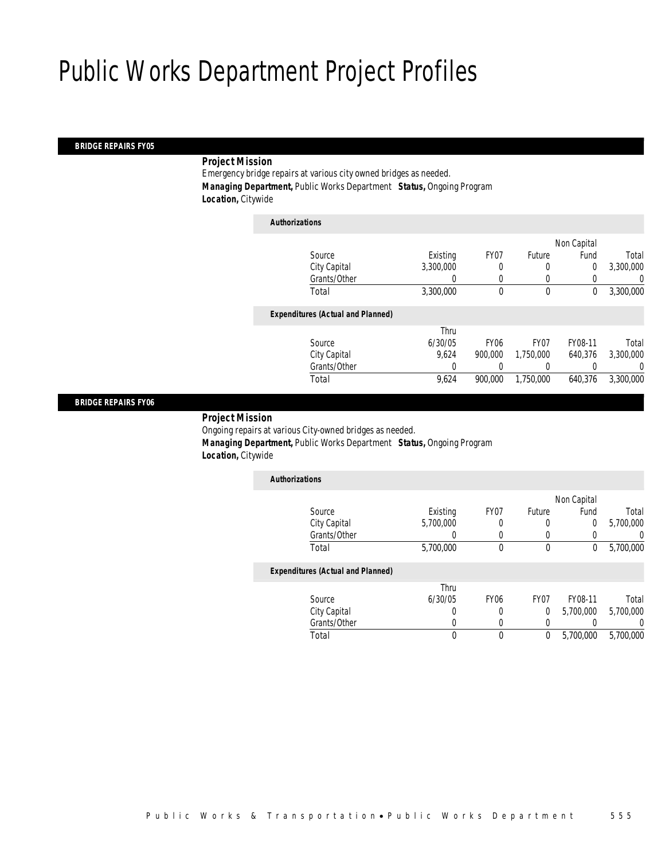#### *BRIDGE REPAIRS FY05*

### *Project Mission*

Emergency bridge repairs at various city owned bridges as needed. *Managing Department,* Public Works Department *Status,* Ongoing Program *Location,* Citywide

| <b>Authorizations</b>                    |           |             |                  |             |           |
|------------------------------------------|-----------|-------------|------------------|-------------|-----------|
|                                          |           |             |                  | Non Capital |           |
| Source                                   | Existing  | FY07        | Future           | Fund        | Total     |
| City Capital                             | 3,300,000 | 0           | 0                | 0           | 3,300,000 |
| Grants/Other                             |           |             | 0                |             | 0         |
| Total                                    | 3,300,000 | 0           | $\mathbf 0$      | 0           | 3,300,000 |
| <b>Expenditures (Actual and Planned)</b> |           |             |                  |             |           |
|                                          | Thru      |             |                  |             |           |
| Source                                   | 6/30/05   | <b>FY06</b> | FY <sub>07</sub> | FY08-11     | Total     |
| City Capital                             | 9.624     | 900,000     | 1.750.000        | 640.376     | 3,300,000 |
| Grants/Other                             | 0         |             |                  |             | 0         |
| Total                                    | 9,624     | 900,000     | 1,750,000        | 640.376     | 3.300.000 |
|                                          |           |             |                  |             |           |

#### *BRIDGE REPAIRS FY06*

#### *Project Mission*

Ongoing repairs at various City-owned bridges as needed. *Managing Department,* Public Works Department *Status,* Ongoing Program *Location,* Citywide

| <b>Authorizations</b>                    |           |      |        |             |           |
|------------------------------------------|-----------|------|--------|-------------|-----------|
|                                          |           |      |        | Non Capital |           |
| Source                                   | Existing  | FY07 | Future | Fund        | Total     |
| City Capital                             | 5,700,000 | 0    | 0      | 0           | 5,700,000 |
| Grants/Other                             |           |      |        |             | 0         |
| Total                                    | 5,700,000 |      | 0      | 0           | 5,700,000 |
| <b>Expenditures (Actual and Planned)</b> |           |      |        |             |           |
|                                          | Thru      |      |        |             |           |

|              | l hru   |      |      |           |           |
|--------------|---------|------|------|-----------|-----------|
| Source       | 6/30/05 | FY06 | FY07 | FY08-11   | Total     |
| City Capital |         |      |      | 5.700.000 | 5,700,000 |
| Grants/Other |         |      |      |           |           |
| Total        |         |      |      | 5,700,000 | 5,700,000 |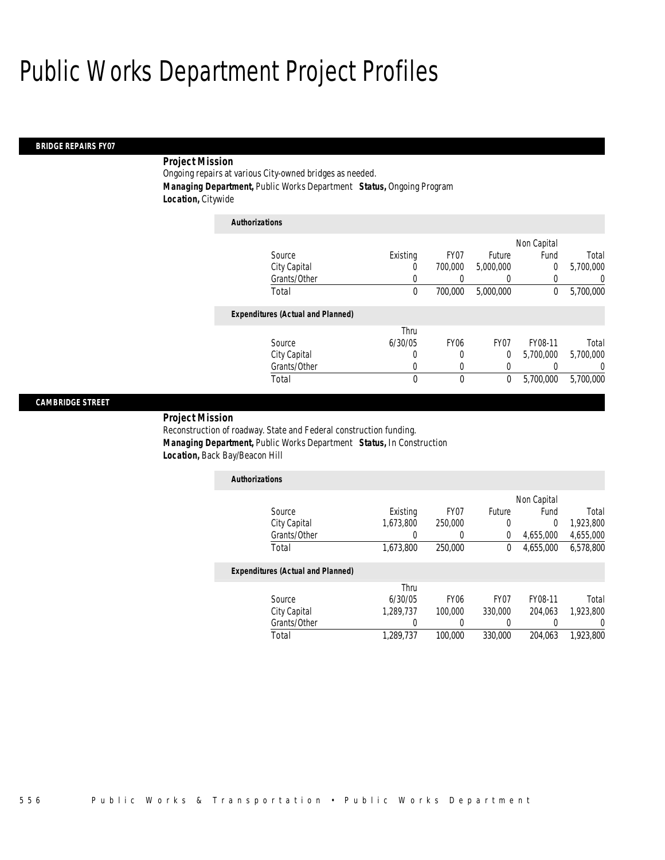*Authorizations*

#### *BRIDGE REPAIRS FY07*

### *Project Mission*

Ongoing repairs at various City-owned bridges as needed. *Managing Department,* Public Works Department *Status,* Ongoing Program *Location,* Citywide

| Non Capital<br>Existing<br>FY07<br>Fund<br>Source<br>Future<br>City Capital<br>700,000<br>5,000,000<br>0<br>0<br>Grants/Other<br>0<br>0<br>0<br>0<br>Total<br>0<br>700,000<br>5,000,000<br>0<br><b>Expenditures (Actual and Planned)</b><br>Thru<br>6/30/05<br><b>FY06</b><br>FY <sub>07</sub><br>FY08-11<br>Source<br>City Capital<br>5,700,000<br>0<br>0<br>0<br>Grants/Other<br>0<br>0<br>0 | Authorizations |  |  |           |
|------------------------------------------------------------------------------------------------------------------------------------------------------------------------------------------------------------------------------------------------------------------------------------------------------------------------------------------------------------------------------------------------|----------------|--|--|-----------|
|                                                                                                                                                                                                                                                                                                                                                                                                |                |  |  |           |
|                                                                                                                                                                                                                                                                                                                                                                                                |                |  |  | Total     |
|                                                                                                                                                                                                                                                                                                                                                                                                |                |  |  | 5,700,000 |
|                                                                                                                                                                                                                                                                                                                                                                                                |                |  |  | 0         |
|                                                                                                                                                                                                                                                                                                                                                                                                |                |  |  | 5,700,000 |
|                                                                                                                                                                                                                                                                                                                                                                                                |                |  |  |           |
|                                                                                                                                                                                                                                                                                                                                                                                                |                |  |  |           |
|                                                                                                                                                                                                                                                                                                                                                                                                |                |  |  | Total     |
|                                                                                                                                                                                                                                                                                                                                                                                                |                |  |  | 5.700.000 |
|                                                                                                                                                                                                                                                                                                                                                                                                |                |  |  | $\left($  |
| 0<br>5,700,000<br>Total<br>0<br>0                                                                                                                                                                                                                                                                                                                                                              |                |  |  | 5,700,000 |

#### *CAMBRIDGE STREET*

*Project Mission* 

Reconstruction of roadway. State and Federal construction funding. *Managing Department,* Public Works Department *Status,* In Construction *Location,* Back Bay/Beacon Hill

| <b>Authorizations</b> |           |         |        |             |           |
|-----------------------|-----------|---------|--------|-------------|-----------|
|                       |           |         |        | Non Capital |           |
| Source                | Existing  | FY07    | Future | Fund        | Total     |
| City Capital          | 1,673,800 | 250,000 |        |             | 1,923,800 |
| Grants/Other          |           |         |        | 4,655,000   | 4,655,000 |
| Total                 | 1,673,800 | 250,000 | 0      | 4.655.000   | 6,578,800 |

|              | Thru      |                  |         |         |           |
|--------------|-----------|------------------|---------|---------|-----------|
| Source       | 6/30/05   | FY <sub>06</sub> | FY07    | FY08-11 | Total     |
| City Capital | 1.289.737 | 100.000          | 330,000 | 204.063 | 1.923.800 |
| Grants/Other |           |                  |         |         |           |
| Total        | 1.289.737 | 100.000          | 330,000 | 204.063 | 1.923.800 |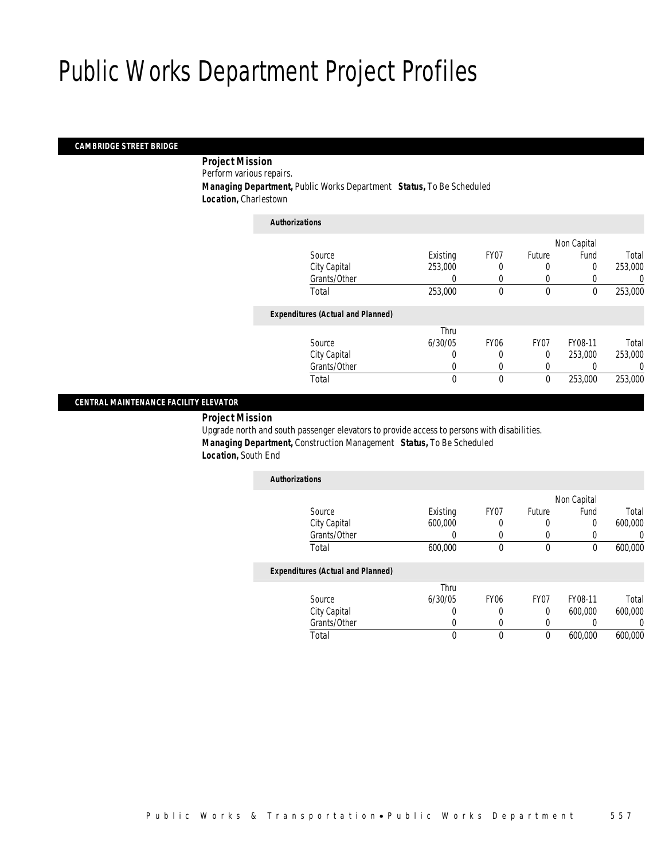#### *CAMBRIDGE STREET BRIDGE*

 *Project Mission* Perform various repairs. *Managing Department,* Public Works Department *Status,* To Be Scheduled

*Location,* Charlestown

| <b>Authorizations</b>                    |          |             |             |             |         |
|------------------------------------------|----------|-------------|-------------|-------------|---------|
|                                          |          |             |             | Non Capital |         |
| Source                                   | Existing | FY07        | Future      | Fund        | Total   |
| City Capital                             | 253,000  |             | 0           | $\Omega$    | 253,000 |
| Grants/Other                             | 0        | 0           | 0           |             | 0       |
| Total                                    | 253,000  | 0           | $\mathbf 0$ | $\theta$    | 253,000 |
| <b>Expenditures (Actual and Planned)</b> |          |             |             |             |         |
|                                          | Thru     |             |             |             |         |
| Source                                   | 6/30/05  | <b>FY06</b> | FY07        | FY08-11     | Total   |
| City Capital                             | 0        | 0           | $\Omega$    | 253,000     | 253,000 |
| Grants/Other                             | 0        | 0           | 0           |             | 0       |
| Total                                    | 0        | 0           | $\mathbf 0$ | 253,000     | 253,000 |
|                                          |          |             |             |             |         |

### *CENTRAL MAINTENANCE FACILITY ELEVATOR*

*Project Mission* 

Upgrade north and south passenger elevators to provide access to persons with disabilities. *Managing Department,* Construction Management *Status,* To Be Scheduled *Location,* South End

| <b>Authorizations</b>                    |          |             |                  |             |         |
|------------------------------------------|----------|-------------|------------------|-------------|---------|
|                                          |          |             |                  | Non Capital |         |
| Source                                   | Existing | FY07        | Future           | Fund        | Total   |
| City Capital                             | 600,000  | 0           | 0                | 0           | 600,000 |
| Grants/Other                             |          |             | 0                |             |         |
| Total                                    | 600,000  | 0           | 0                | $\mathbf 0$ | 600,000 |
| <b>Expenditures (Actual and Planned)</b> |          |             |                  |             |         |
|                                          | Thru     |             |                  |             |         |
| Source                                   | 6/30/05  | <b>FY06</b> | FY <sub>07</sub> | FY08-11     | Total   |
| City Capital                             |          | 0           | 0                | 600,000     | 600,000 |
| Grants/Other                             |          | 0           | 0                |             |         |
| Total                                    | 0        | 0           | 0                | 600.000     | 600.000 |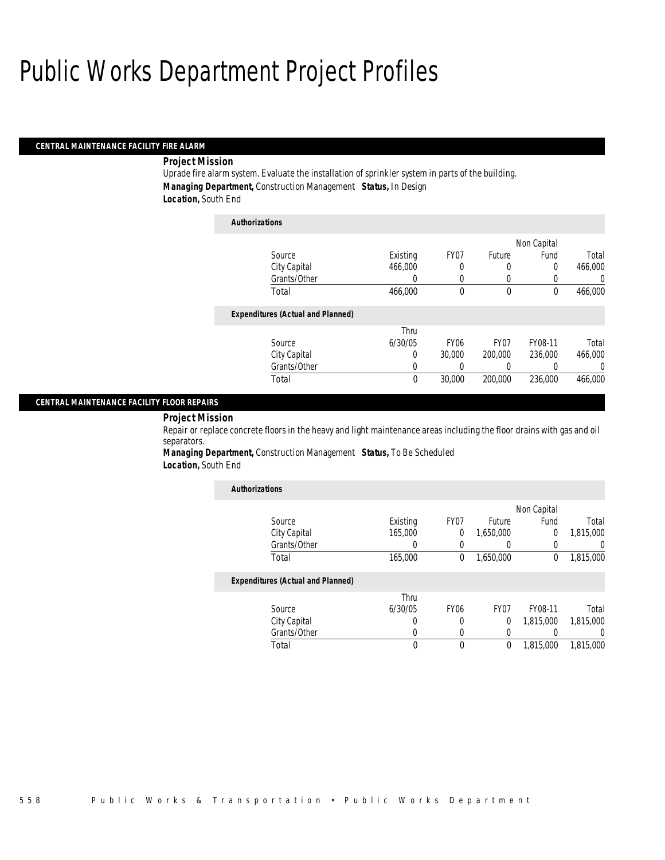#### *CENTRAL MAINTENANCE FACILITY FIRE ALARM*

#### *Project Mission*

Uprade fire alarm system. Evaluate the installation of sprinkler system in parts of the building. *Managing Department,* Construction Management *Status,* In Design *Location,* South End

| <b>Authorizations</b>                    |          |             |                  |             |         |
|------------------------------------------|----------|-------------|------------------|-------------|---------|
|                                          |          |             |                  | Non Capital |         |
| Source                                   | Existing | FY07        | Future           | Fund        | Total   |
| City Capital                             | 466,000  | 0           | 0                | 0           | 466.000 |
| Grants/Other                             | 0        | 0           | 0                | 0           | 0       |
| Total                                    | 466,000  | 0           | 0                | $\bf{0}$    | 466,000 |
| <b>Expenditures (Actual and Planned)</b> |          |             |                  |             |         |
|                                          | Thru     |             |                  |             |         |
| Source                                   | 6/30/05  | <b>FY06</b> | FY <sub>07</sub> | FY08-11     | Total   |
| City Capital                             | 0        | 30,000      | 200,000          | 236,000     | 466,000 |
| Grants/Other                             | 0        | 0           | 0                | 0           | 0       |
| Total                                    | 0        | 30,000      | 200,000          | 236,000     | 466.000 |

#### *CENTRAL MAINTENANCE FACILITY FLOOR REPAIRS*

*Project Mission* 

Repair or replace concrete floors in the heavy and light maintenance areas including the floor drains with gas and oil separators.

*Managing Department,* Construction Management *Status,* To Be Scheduled *Location,* South End

| <b>Authorizations</b>                    |          |                  |                  |             |                  |
|------------------------------------------|----------|------------------|------------------|-------------|------------------|
|                                          |          |                  |                  | Non Capital |                  |
| Source                                   | Existing | FY07             | Future           | Fund        | Total            |
| City Capital                             | 165,000  | $\theta$         | 1,650,000        | 0           | 1,815,000        |
| Grants/Other                             | O        |                  |                  | 0           | 0                |
| Total                                    | 165,000  | $\theta$         | 1,650,000        | 0           | 1,815,000        |
| <b>Expenditures (Actual and Planned)</b> |          |                  |                  |             |                  |
|                                          | Thru     |                  |                  |             |                  |
| Source                                   | 6/30/05  | FY <sub>06</sub> | FY <sub>07</sub> | FY08-11     | Total            |
| City Capital                             | 0        | 0                | 0                | 1,815,000   | 1,815,000        |
| Grants/Other                             | 0        |                  | 0                |             | $\left( \right)$ |
| Total                                    | 0        | $\theta$         | 0                | 1.815.000   | 1,815,000        |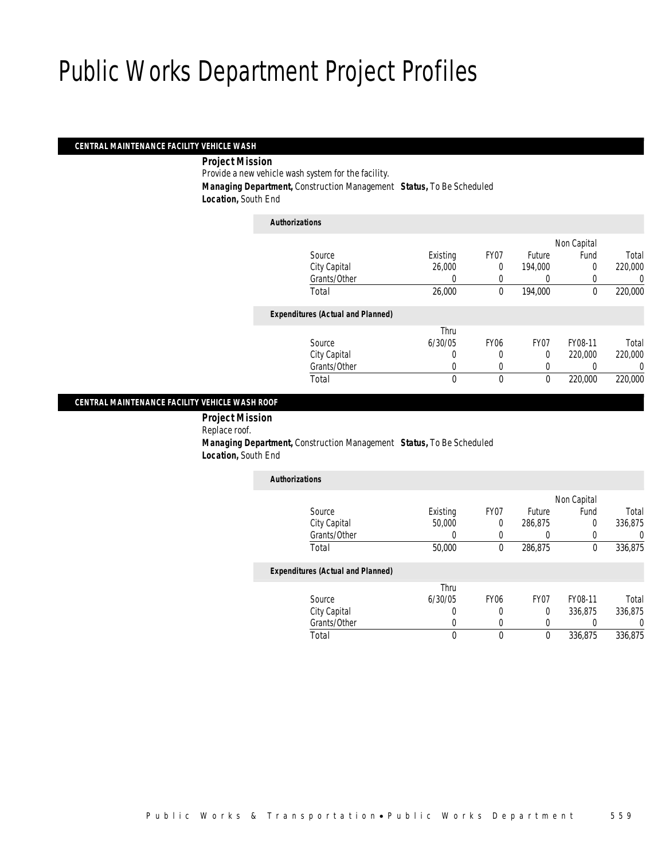#### *CENTRAL MAINTENANCE FACILITY VEHICLE WASH*

*Project Mission* 

Provide a new vehicle wash system for the facility. *Managing Department,* Construction Management *Status,* To Be Scheduled

*Location,* South End

| <b>Authorizations</b>                    |          |             |          |             |         |
|------------------------------------------|----------|-------------|----------|-------------|---------|
|                                          |          |             |          | Non Capital |         |
| Source                                   | Existing | FY07        | Future   | Fund        | Total   |
| City Capital                             | 26,000   | 0           | 194.000  | 0           | 220,000 |
| Grants/Other                             | $\left($ |             | 0        |             | 0       |
| Total                                    | 26,000   | 0           | 194,000  | 0           | 220,000 |
| <b>Expenditures (Actual and Planned)</b> |          |             |          |             |         |
|                                          | Thru     |             |          |             |         |
| Source                                   | 6/30/05  | <b>FY06</b> | FY07     | FY08-11     | Total   |
| City Capital                             | 0        | 0           | $\Omega$ | 220,000     | 220,000 |
| Grants/Other                             | 0        | 0           | 0        |             | 0       |
| Total                                    | 0        | 0           | $\theta$ | 220,000     | 220,000 |
|                                          |          |             |          |             |         |

#### *CENTRAL MAINTENANCE FACILITY VEHICLE WASH ROOF*

 *Project Mission* Replace roof. *Managing Department,* Construction Management *Status,* To Be Scheduled *Location,* South End

| <b>Authorizations</b>                    |          |                  |                  |             |         |
|------------------------------------------|----------|------------------|------------------|-------------|---------|
|                                          |          |                  |                  | Non Capital |         |
| Source                                   | Existing | FY07             | Future           | Fund        | Total   |
| City Capital                             | 50,000   | $\overline{0}$   | 286.875          | 0           | 336.875 |
| Grants/Other                             |          | 0                | 0                |             |         |
| Total                                    | 50,000   | 0                | 286,875          | 0           | 336,875 |
| <b>Expenditures (Actual and Planned)</b> |          |                  |                  |             |         |
|                                          | Thru     |                  |                  |             |         |
| Source                                   | 6/30/05  | FY <sub>06</sub> | FY <sub>07</sub> | FY08-11     | Total   |
| City Capital                             | 0        | 0                | 0                | 336,875     | 336,875 |
| Grants/Other                             |          | 0                | 0                |             |         |

Total 0 0 0 336,875 336,875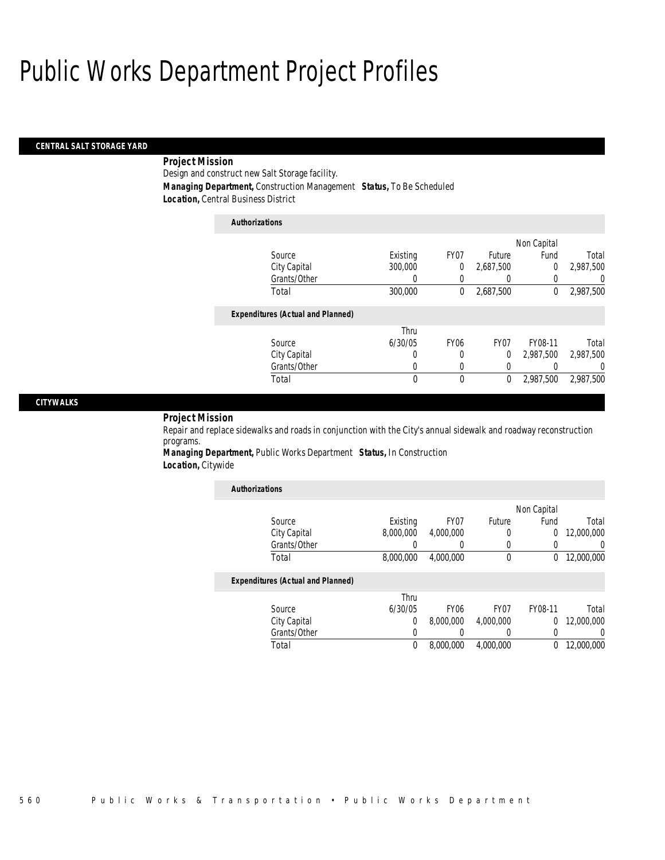## *CENTRAL SALT STORAGE YARD*

## *Project Mission*

Design and construct new Salt Storage facility.

*Managing Department,* Construction Management *Status,* To Be Scheduled

*Location,* Central Business District

| <b>Authorizations</b>                    |          |             |                  |             |           |
|------------------------------------------|----------|-------------|------------------|-------------|-----------|
|                                          |          |             |                  | Non Capital |           |
| Source                                   | Existing | FY07        | Future           | Fund        | Total     |
| City Capital                             | 300,000  | 0           | 2,687,500        | 0           | 2.987.500 |
| Grants/Other                             | 0        | 0           | 0                | 0           | $\left($  |
| Total                                    | 300,000  | 0           | 2,687,500        | 0           | 2,987,500 |
| <b>Expenditures (Actual and Planned)</b> |          |             |                  |             |           |
|                                          | Thru     |             |                  |             |           |
| Source                                   | 6/30/05  | <b>FY06</b> | FY <sub>07</sub> | FY08-11     | Total     |
| City Capital                             | 0        | 0           | 0                | 2.987.500   | 2,987,500 |
| Grants/Other                             | 0        | 0           | 0                |             | $\left($  |
| Total                                    | 0        | 0           | 0                | 2.987.500   | 2,987,500 |

### *CITYWALKS*

### *Project Mission*

Repair and replace sidewalks and roads in conjunction with the City's annual sidewalk and roadway reconstruction programs.

*Managing Department,* Public Works Department *Status,* In Construction *Location,* Citywide

| <b>Authorizations</b>                    |           |                  |                  |             |            |
|------------------------------------------|-----------|------------------|------------------|-------------|------------|
|                                          |           |                  |                  | Non Capital |            |
| Source                                   | Existing  | FY07             | Future           | Fund        | Total      |
| City Capital                             | 8,000,000 | 4,000,000        | 0                | 0           | 12,000,000 |
| Grants/Other                             |           | 0                | 0                | 0           | 0          |
| Total                                    | 8,000,000 | 4,000,000        | 0                | 0           | 12,000,000 |
| <b>Expenditures (Actual and Planned)</b> |           |                  |                  |             |            |
|                                          | Thru      |                  |                  |             |            |
| Source                                   | 6/30/05   | FY <sub>06</sub> | FY <sub>07</sub> | FY08-11     | Total      |
| City Capital                             | $\theta$  | 8,000,000        | 4,000,000        | $\Omega$    | 12,000,000 |
| Grants/Other                             |           |                  | 0                | 0           | 0          |
| Total                                    | $\theta$  | 8,000,000        | 4,000,000        | 0           | 12,000,000 |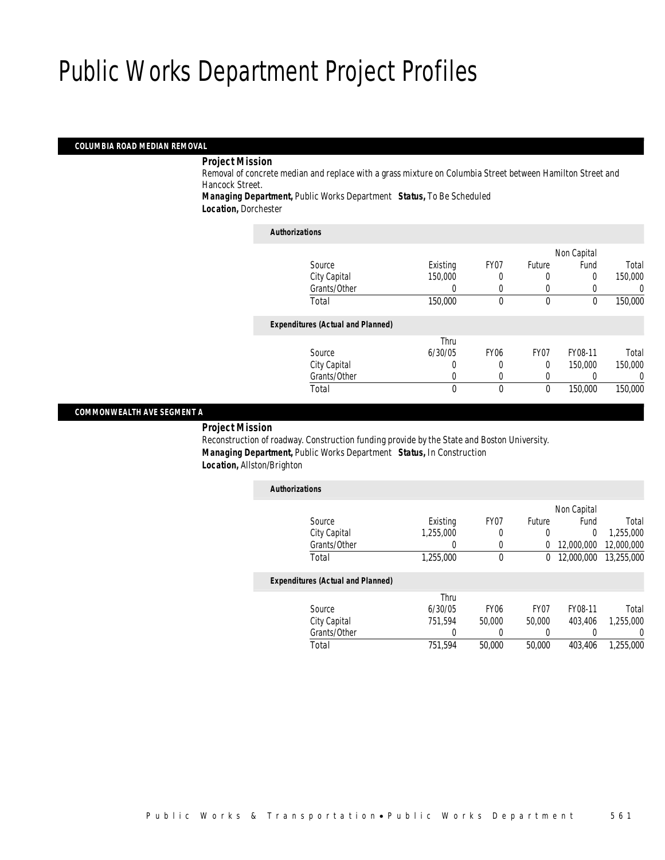#### *COLUMBIA ROAD MEDIAN REMOVAL*

#### *Project Mission*

Removal of concrete median and replace with a grass mixture on Columbia Street between Hamilton Street and Hancock Street.

*Managing Department,* Public Works Department *Status,* To Be Scheduled *Location,* Dorchester

| <b>Authorizations</b>                    |          |             |          |             |         |
|------------------------------------------|----------|-------------|----------|-------------|---------|
|                                          |          |             |          | Non Capital |         |
| Source                                   | Existing | FY07        | Future   | Fund        | Total   |
| City Capital                             | 150,000  |             | 0        | 0           | 150,000 |
| Grants/Other                             | 0        | 0           | 0        |             | 0       |
| Total                                    | 150,000  | 0           | $\theta$ | $\theta$    | 150,000 |
| <b>Expenditures (Actual and Planned)</b> |          |             |          |             |         |
|                                          | Thru     |             |          |             |         |
| Source                                   | 6/30/05  | <b>FY06</b> | FY07     | FY08-11     | Total   |
| City Capital                             | 0        | 0           | $\Omega$ | 150,000     | 150,000 |
| Grants/Other                             | 0        | 0           | 0        |             | 0       |
| Total                                    | 0        | 0           | $\theta$ | 150,000     | 150,000 |
|                                          |          |             |          |             |         |

#### *COMMONWEALTH AVE SEGMENT A*

#### *Project Mission*

Reconstruction of roadway. Construction funding provide by the State and Boston University. *Managing Department,* Public Works Department *Status,* In Construction *Location,* Allston/Brighton

| <b>Authorizations</b>                    |           |                  |                  |             |            |
|------------------------------------------|-----------|------------------|------------------|-------------|------------|
|                                          |           |                  |                  | Non Capital |            |
| Source                                   | Existing  | FY <sub>07</sub> | Future           | Fund        | Total      |
| City Capital                             | 1.255.000 | 0                | 0                | 0           | 1.255.000  |
| Grants/Other                             | 0         | 0                | 0                | 12,000,000  | 12,000,000 |
| Total                                    | 1,255,000 | 0                | 0                | 12,000,000  | 13,255,000 |
| <b>Expenditures (Actual and Planned)</b> |           |                  |                  |             |            |
|                                          | Thru      |                  |                  |             |            |
| Source                                   | 6/30/05   | FY <sub>06</sub> | FY <sub>07</sub> | FY08-11     | Total      |
| City Capital                             | 751,594   | 50,000           | 50,000           | 403.406     | 1.255.000  |
| Grants/Other                             | 0         | 0                | 0                |             | 0          |
| Total                                    | 751.594   | 50,000           | 50,000           | 403.406     | 1,255,000  |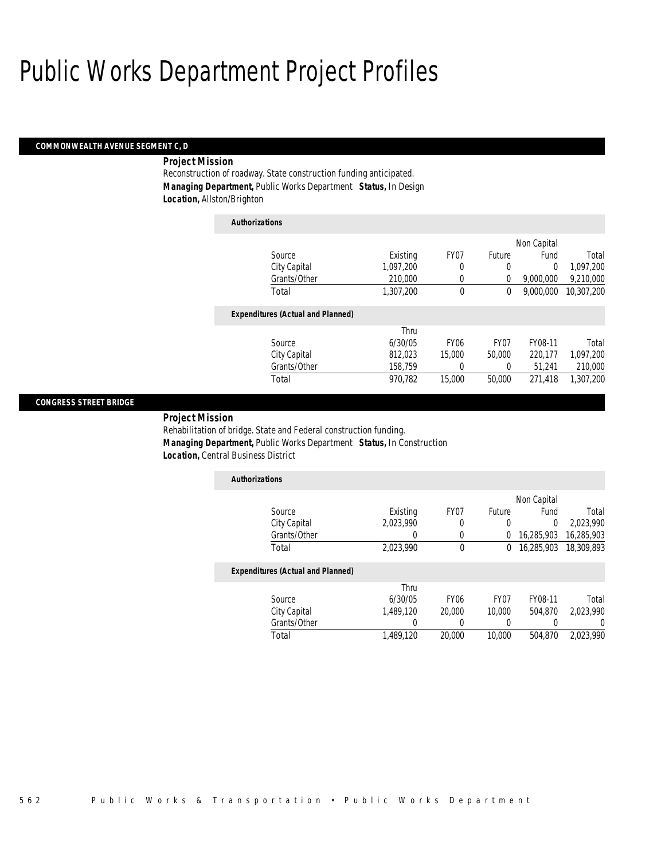#### *COMMONWEALTH AVENUE SEGMENT C, D*

### *Project Mission*

Reconstruction of roadway. State construction funding anticipated. *Managing Department,* Public Works Department *Status,* In Design *Location,* Allston/Brighton

| <b>Authorizations</b>                    |           |                  |                  |             |            |
|------------------------------------------|-----------|------------------|------------------|-------------|------------|
|                                          |           |                  |                  | Non Capital |            |
| Source                                   | Existing  | FY07             | Future           | Fund        | Total      |
| City Capital                             | 1.097.200 | 0                | 0                | $\Omega$    | 1,097,200  |
| Grants/Other                             | 210,000   | 0                | 0                | 9,000,000   | 9,210,000  |
| Total                                    | 1,307,200 | 0                | 0                | 9.000.000   | 10.307.200 |
| <b>Expenditures (Actual and Planned)</b> |           |                  |                  |             |            |
|                                          | Thru      |                  |                  |             |            |
| Source                                   | 6/30/05   | FY <sub>06</sub> | FY <sub>07</sub> | FY08-11     | Total      |
| City Capital                             | 812,023   | 15,000           | 50,000           | 220.177     | 1,097,200  |
| Grants/Other                             | 158,759   | 0                | 0                | 51.241      | 210,000    |
| Total                                    | 970.782   | 15,000           | 50,000           | 271.418     | 1,307,200  |

### *CONGRESS STREET BRIDGE*

*Project Mission* 

Rehabilitation of bridge. State and Federal construction funding. *Managing Department,* Public Works Department *Status,* In Construction *Location,* Central Business District

| <b>Authorizations</b> |           |      |          |                       |           |
|-----------------------|-----------|------|----------|-----------------------|-----------|
|                       |           |      |          | Non Capital           |           |
| Source                | Existing  | FY07 | Future   | Fund                  | Total     |
| City Capital          | 2,023,990 |      |          |                       | 2.023.990 |
| Grants/Other          |           |      |          | 16,285,903 16,285,903 |           |
| Total                 | 2,023,990 |      | $\sigma$ | 16,285,903 18,309,893 |           |
|                       |           |      |          |                       |           |

|              | Thru      |                  |        |         |           |
|--------------|-----------|------------------|--------|---------|-----------|
| Source       | 6/30/05   | FY <sub>06</sub> | FY07   | FY08-11 | Total     |
| City Capital | 1.489.120 | 20,000           | 10,000 | 504.870 | 2.023.990 |
| Grants/Other |           |                  |        |         |           |
| Total        | 1,489,120 | 20,000           | 10,000 | 504,870 | 2.023.990 |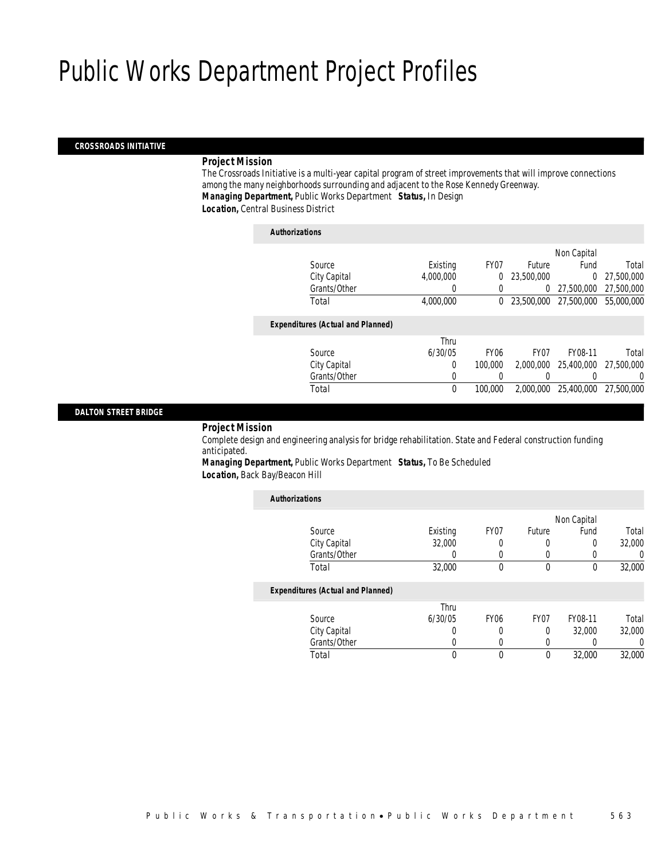#### *CROSSROADS INITIATIVE*

#### *Project Mission*

The Crossroads Initiative is a multi-year capital program of street improvements that will improve connections among the many neighborhoods surrounding and adjacent to the Rose Kennedy Greenway. *Managing Department,* Public Works Department *Status,* In Design *Location,* Central Business District

### *Authorizations* Source **Existing** FY07 Future Non Capital Fund Total<br>0 27,500,000 City Capital 4,000,000 0 23,500,000 Grants/Other 0 0 0 0 27,500,000 27,500,000 Total 4,000,000 0 23,500,000 27,500,000 55,000,000 *Expenditures (Actual and Planned)* Source Thru 6/30/05 FY06 FY07 FY08-11 Total City Capital 0 100,000 2,000,000 25,400,000 Grants/Other 0 0 0 0 0 0 Total 0 100,000 2,000,000 25,400,000 27,500,000

### *DALTON STREET BRIDGE*

*Project Mission* 

Complete design and engineering analysis for bridge rehabilitation. State and Federal construction funding anticipated.

*Managing Department,* Public Works Department *Status,* To Be Scheduled *Location,* Back Bay/Beacon Hill

| <b>Authorizations</b>                    |          |                  |                  |             |        |
|------------------------------------------|----------|------------------|------------------|-------------|--------|
|                                          |          |                  |                  | Non Capital |        |
| Source                                   | Existing | FY07             | Future           | Fund        | Total  |
| City Capital                             | 32,000   |                  | 0                | 0           | 32,000 |
| Grants/Other                             | 0        |                  |                  |             | 0      |
| Total                                    | 32,000   | $\Omega$         | $\theta$         | 0           | 32,000 |
| <b>Expenditures (Actual and Planned)</b> |          |                  |                  |             |        |
|                                          | Thru     |                  |                  |             |        |
| Source                                   | 6/30/05  | FY <sub>06</sub> | FY <sub>07</sub> | FY08-11     | Total  |
| City Capital                             | 0        | 0                | 0                | 32,000      | 32,000 |
| Grants/Other                             | U        | 0                | $\left($         |             | 0      |
| Total                                    |          |                  | $\theta$         | 32,000      | 32,000 |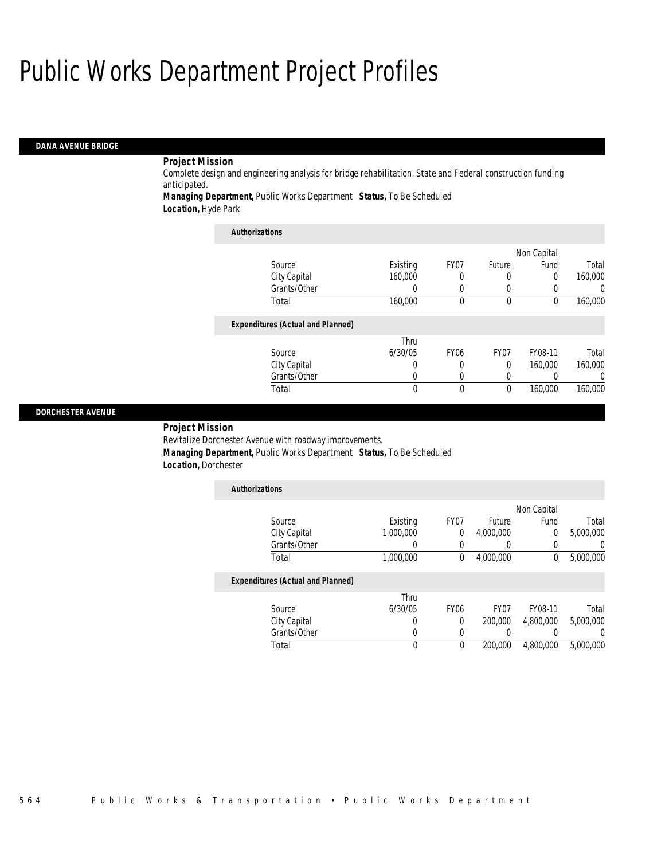### *DANA AVENUE BRIDGE*

## *Project Mission*

Complete design and engineering analysis for bridge rehabilitation. State and Federal construction funding anticipated.

*Managing Department,* Public Works Department *Status,* To Be Scheduled *Location,* Hyde Park

*Authorizations*

| <b>Authorizations</b>                    |          |                  |                  |             |                  |
|------------------------------------------|----------|------------------|------------------|-------------|------------------|
|                                          |          |                  |                  | Non Capital |                  |
| Source                                   | Existing | FY07             | Future           | Fund        | Total            |
| City Capital                             | 160,000  |                  | 0                | 0           | 160,000          |
| Grants/Other                             | 0        |                  | 0                |             | $\left( \right)$ |
| Total                                    | 160,000  | $\theta$         | 0                | 0           | 160,000          |
| <b>Expenditures (Actual and Planned)</b> |          |                  |                  |             |                  |
|                                          | Thru     |                  |                  |             |                  |
| Source                                   | 6/30/05  | FY <sub>06</sub> | FY <sub>07</sub> | FY08-11     | Total            |
| City Capital                             | O        |                  | $\theta$         | 160,000     | 160,000          |
| Grants/Other                             | 0        |                  | 0                |             | 0                |
| Total                                    | $\Omega$ | $\Omega$         | $\theta$         | 160,000     | 160,000          |

#### *DORCHESTER AVENUE*

*Project Mission* 

Revitalize Dorchester Avenue with roadway improvements. *Managing Department,* Public Works Department *Status,* To Be Scheduled *Location,* Dorchester

| <b>Authorizations</b>                    |           |             |                  |             |           |
|------------------------------------------|-----------|-------------|------------------|-------------|-----------|
|                                          |           |             |                  | Non Capital |           |
| Source                                   | Existing  | FY07        | Future           | Fund        | Total     |
| City Capital                             | 1,000,000 | 0           | 4,000,000        | 0           | 5,000,000 |
| Grants/Other                             |           | 0           | 0                | 0           | 0         |
| Total                                    | 1,000,000 | 0           | 4,000,000        | 0           | 5,000,000 |
| <b>Expenditures (Actual and Planned)</b> |           |             |                  |             |           |
|                                          | Thru      |             |                  |             |           |
| Source                                   | 6/30/05   | <b>FY06</b> | FY <sub>07</sub> | FY08-11     | Total     |
| City Capital                             |           | $\Omega$    | 200,000          | 4.800.000   | 5.000.000 |
| Grants/Other                             |           | 0           | 0                | 0           | 0         |
| Total                                    | 0         | 0           | 200,000          | 4.800.000   | 5.000.000 |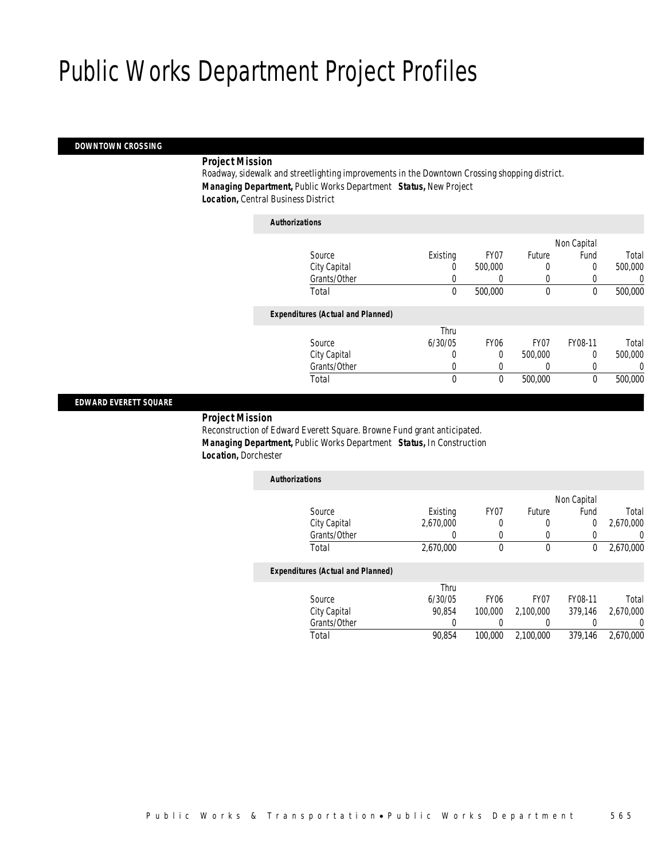### *DOWNTOWN CROSSING*

### *Project Mission*

Roadway, sidewalk and streetlighting improvements in the Downtown Crossing shopping district. *Managing Department,* Public Works Department *Status,* New Project *Location,* Central Business District

| Authorizations |  |
|----------------|--|
|                |  |

|                                          |          |                  |                  | Non Capital |         |
|------------------------------------------|----------|------------------|------------------|-------------|---------|
| Source                                   | Existing | FY07             | Future           | Fund        | Total   |
| City Capital                             | 0        | 500,000          | 0                | 0           | 500,000 |
| Grants/Other                             | 0        |                  | $\left($         |             | 0       |
| Total                                    | 0        | 500,000          | $\mathbf 0$      | 0           | 500,000 |
|                                          |          |                  |                  |             |         |
| <b>Expenditures (Actual and Planned)</b> |          |                  |                  |             |         |
|                                          | Thru     |                  |                  |             |         |
| Source                                   | 6/30/05  | FY <sub>06</sub> | FY <sub>07</sub> | FY08-11     | Total   |
| City Capital                             | 0        | 0                | 500,000          | 0           | 500,000 |
| Grants/Other                             | 0        |                  |                  |             | 0       |
| Total                                    | 0        | 0                | 500,000          | $\theta$    | 500,000 |
|                                          |          |                  |                  |             |         |

#### *EDWARD EVERETT SQUARE*

#### *Project Mission*

Reconstruction of Edward Everett Square. Browne Fund grant anticipated. *Managing Department,* Public Works Department *Status,* In Construction *Location,* Dorchester

| <b>Authorizations</b>                    |           |      |        |             |           |
|------------------------------------------|-----------|------|--------|-------------|-----------|
|                                          |           |      |        | Non Capital |           |
| Source                                   | Existing  | FY07 | Future | Fund        | Total     |
| City Capital                             | 2,670,000 |      | 0      | 0           | 2,670,000 |
| Grants/Other                             |           |      |        |             | 0         |
| Total                                    | 2,670,000 |      | 0      | 0           | 2,670,000 |
| <b>Expenditures (Actual and Planned)</b> |           |      |        |             |           |
|                                          | Thru      |      |        |             |           |

| Source       | 6/30/05 | FY06    | FY07      | FY08-11 | Total     |
|--------------|---------|---------|-----------|---------|-----------|
| City Capital | 90.854  | 100,000 | 2,100,000 | 379.146 | 2,670,000 |
| Grants/Other |         |         |           |         |           |
| Total        | 90.854  | 100,000 | 2.100.000 | 379.146 | 2,670,000 |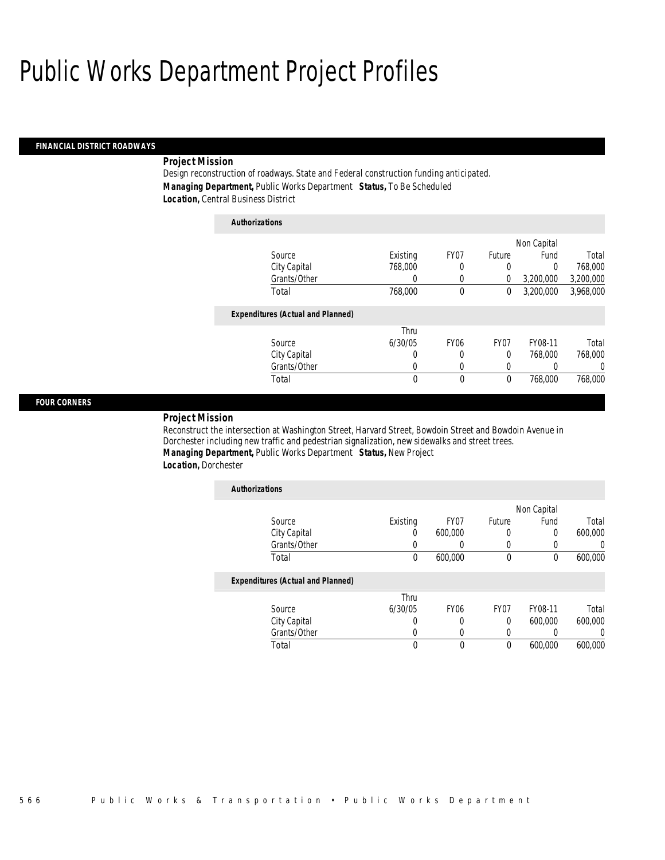#### *FINANCIAL DISTRICT ROADWAYS*

### *Project Mission*

Design reconstruction of roadways. State and Federal construction funding anticipated. *Managing Department,* Public Works Department *Status,* To Be Scheduled *Location,* Central Business District

| <b>Authorizations</b>                    |          |                  |                  |             |           |
|------------------------------------------|----------|------------------|------------------|-------------|-----------|
|                                          |          |                  |                  | Non Capital |           |
| Source                                   | Existing | FY <sub>07</sub> | Future           | Fund        | Total     |
| City Capital                             | 768,000  | 0                | 0                | 0           | 768,000   |
| Grants/Other                             | 0        | 0                | $\overline{0}$   | 3,200,000   | 3,200,000 |
| Total                                    | 768,000  | 0                | 0                | 3,200,000   | 3.968.000 |
| <b>Expenditures (Actual and Planned)</b> |          |                  |                  |             |           |
|                                          | Thru     |                  |                  |             |           |
| Source                                   | 6/30/05  | FY <sub>06</sub> | FY <sub>07</sub> | FY08-11     | Total     |
| City Capital                             | 0        | 0                | 0                | 768,000     | 768,000   |
| Grants/Other                             | 0        | 0                | 0                | 0           | $\Omega$  |
| Total                                    | 0        | 0                | $\mathbf 0$      | 768,000     | 768,000   |

#### *FOUR CORNERS*

### *Project Mission*

Reconstruct the intersection at Washington Street, Harvard Street, Bowdoin Street and Bowdoin Avenue in Dorchester including new traffic and pedestrian signalization, new sidewalks and street trees. *Managing Department,* Public Works Department *Status,* New Project *Location,* Dorchester

| <b>Authorizations</b>                    |          |             |                  |             |                |
|------------------------------------------|----------|-------------|------------------|-------------|----------------|
|                                          |          |             |                  | Non Capital |                |
| Source                                   | Existing | FY07        | Future           | Fund        | Total          |
| City Capital                             | 0        | 600,000     | $\left($         | 0           | 600,000        |
| Grants/Other                             |          |             |                  |             | $\overline{0}$ |
| Total                                    | 0        | 600,000     | $\mathbf 0$      | $\theta$    | 600,000        |
| <b>Expenditures (Actual and Planned)</b> |          |             |                  |             |                |
|                                          | Thru     |             |                  |             |                |
| Source                                   | 6/30/05  | <b>FY06</b> | FY <sub>07</sub> | FY08-11     | Total          |
| City Capital                             | 0        | 0           | $\Omega$         | 600,000     | 600,000        |
| Grants/Other                             | U        | 0           |                  |             |                |
| Total                                    | 0        | 0           | 0                | 600,000     | 600.000        |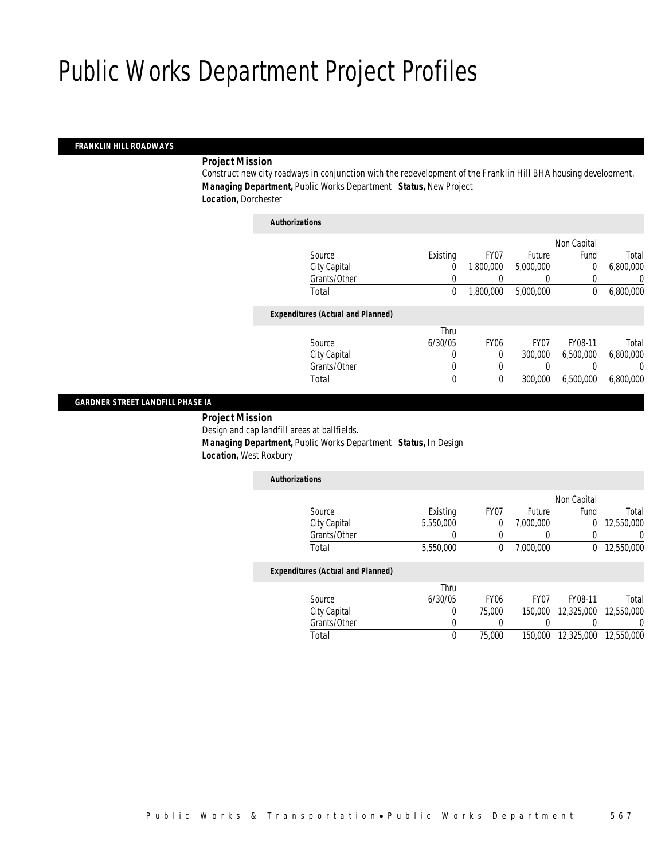### *FRANKLIN HILL ROADWAYS*

#### *Project Mission*

Construct new city roadways in conjunction with the redevelopment of the Franklin Hill BHA housing development. *Managing Department,* Public Works Department *Status,* New Project *Location,* Dorchester

| <b>Authorizations</b>                    |             |             |                  |             |                  |
|------------------------------------------|-------------|-------------|------------------|-------------|------------------|
|                                          |             |             |                  | Non Capital |                  |
| Source                                   | Existing    | FY07        | Future           | Fund        | Total            |
| City Capital                             | 0           | 1,800,000   | 5,000,000        | $\mathbf 0$ | 6,800,000        |
| Grants/Other                             | 0           |             | $\left( \right)$ |             | 0                |
| Total                                    | $\mathbf 0$ | 1,800,000   | 5,000,000        | 0           | 6,800,000        |
| <b>Expenditures (Actual and Planned)</b> |             |             |                  |             |                  |
|                                          | Thru        |             |                  |             |                  |
| Source                                   | 6/30/05     | <b>FY06</b> | FY <sub>07</sub> | FY08-11     | Total            |
| City Capital                             | 0           | $\Omega$    | 300,000          | 6,500,000   | 6,800,000        |
| Grants/Other                             | 0           |             | 0                |             | $\left( \right)$ |
| Total                                    | 0           | $\theta$    | 300,000          | 6,500,000   | 6,800,000        |
|                                          |             |             |                  |             |                  |

#### *GARDNER STREET LANDFILL PHASE IA*

 *Project Mission* Design and cap landfill areas at ballfields. *Managing Department,* Public Works Department *Status,* In Design

*Location,* West Roxbury

| <b>Authorizations</b>                    |           |      |           |             |            |
|------------------------------------------|-----------|------|-----------|-------------|------------|
|                                          |           |      |           | Non Capital |            |
| Source                                   | Existing  | FY07 | Future    | Fund        | Total      |
| City Capital                             | 5,550,000 |      | 7,000,000 | 0           | 12,550,000 |
| Grants/Other                             |           |      |           |             | 0          |
| Total                                    | 5,550,000 |      | 7,000,000 | 0           | 12,550,000 |
| <b>Expenditures (Actual and Planned)</b> |           |      |           |             |            |

|              | Thru    |                  |         |                               |       |
|--------------|---------|------------------|---------|-------------------------------|-------|
| Source       | 6/30/05 | FY <sub>06</sub> | FY07    | FY08-11                       | Total |
| City Capital |         | 75.000           | 150,000 |                               |       |
| Grants/Other |         |                  |         |                               |       |
| Total        |         | 75.000           |         | 150,000 12,325,000 12,550,000 |       |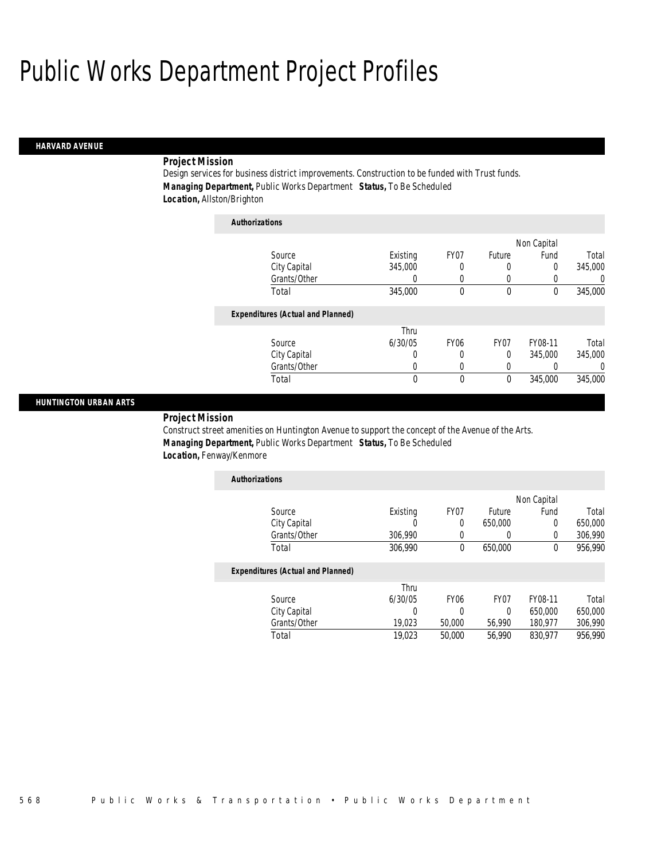#### *HARVARD AVENUE*

### *Project Mission*

Design services for business district improvements. Construction to be funded with Trust funds. *Managing Department,* Public Works Department *Status,* To Be Scheduled *Location,* Allston/Brighton

| <b>Authorizations</b>                    |          |                  |                  |             |          |
|------------------------------------------|----------|------------------|------------------|-------------|----------|
|                                          |          |                  |                  | Non Capital |          |
| Source                                   | Existing | FY07             | Future           | Fund        | Total    |
| City Capital                             | 345,000  | 0                | 0                | 0           | 345,000  |
| Grants/Other                             | 0        | 0                | 0                | 0           | 0        |
| Total                                    | 345,000  | 0                | 0                | $\bf{0}$    | 345,000  |
| <b>Expenditures (Actual and Planned)</b> |          |                  |                  |             |          |
|                                          | Thru     |                  |                  |             |          |
| Source                                   | 6/30/05  | FY <sub>06</sub> | FY <sub>07</sub> | FY08-11     | Total    |
| City Capital                             | 0        | 0                | 0                | 345,000     | 345,000  |
| Grants/Other                             | 0        | 0                | 0                | 0           | $\left($ |
| Total                                    | 0        | 0                | 0                | 345,000     | 345,000  |

#### *HUNTINGTON URBAN ARTS*

*Project Mission* 

Construct street amenities on Huntington Avenue to support the concept of the Avenue of the Arts. *Managing Department,* Public Works Department *Status,* To Be Scheduled *Location,* Fenway/Kenmore

| <b>Authorizations</b> |          |      |         |             |         |
|-----------------------|----------|------|---------|-------------|---------|
|                       |          |      |         | Non Capital |         |
| Source                | Existing | FY07 | Future  | Fund        | Total   |
| City Capital          |          |      | 650,000 |             | 650,000 |
| Grants/Other          | 306.990  |      |         |             | 306,990 |
| Total                 | 306,990  |      | 650,000 |             | 956,990 |

|              | Thru    |                  |        |         |         |
|--------------|---------|------------------|--------|---------|---------|
| Source       | 6/30/05 | FY <sub>06</sub> | FY07   | FY08-11 | Total   |
| City Capital |         |                  |        | 650,000 | 650,000 |
| Grants/Other | 19.023  | 50,000           | 56.990 | 180.977 | 306.990 |
| Total        | 19,023  | 50,000           | 56.990 | 830.977 | 956.990 |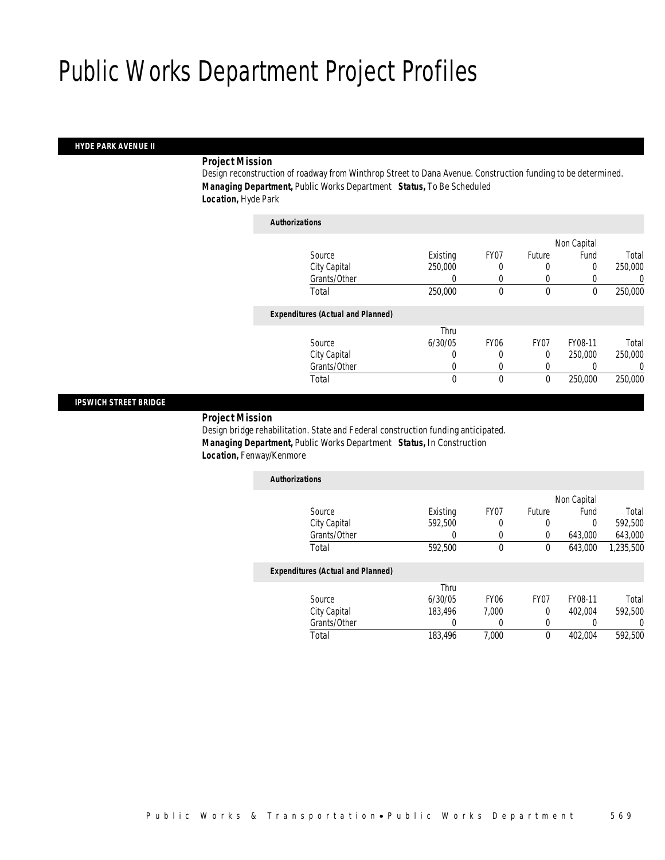#### *HYDE PARK AVENUE II*

### *Project Mission*

Design reconstruction of roadway from Winthrop Street to Dana Avenue. Construction funding to be determined. *Managing Department,* Public Works Department *Status,* To Be Scheduled *Location,* Hyde Park

| <b>Authorizations</b>                    |          |             |             |             |         |
|------------------------------------------|----------|-------------|-------------|-------------|---------|
|                                          |          |             |             | Non Capital |         |
| Source                                   | Existing | FY07        | Future      | Fund        | Total   |
| City Capital                             | 250,000  |             | 0           | 0           | 250,000 |
| Grants/Other                             | 0        |             | 0           |             | 0       |
| Total                                    | 250,000  | 0           | $\mathbf 0$ | $\theta$    | 250,000 |
| <b>Expenditures (Actual and Planned)</b> |          |             |             |             |         |
|                                          | Thru     |             |             |             |         |
| Source                                   | 6/30/05  | <b>FY06</b> | FY07        | FY08-11     | Total   |
| City Capital                             | 0        | 0           | $\Omega$    | 250,000     | 250,000 |
| Grants/Other                             | 0        |             | 0           |             | 0       |
| Total                                    | 0        | 0           | $\theta$    | 250,000     | 250,000 |

#### *IPSWICH STREET BRIDGE*

#### *Project Mission*

Design bridge rehabilitation. State and Federal construction funding anticipated. *Managing Department,* Public Works Department *Status,* In Construction *Location,* Fenway/Kenmore

| <b>Authorizations</b>                    |          |                  |                  |             |           |
|------------------------------------------|----------|------------------|------------------|-------------|-----------|
|                                          |          |                  |                  | Non Capital |           |
| Source                                   | Existing | FY <sub>07</sub> | Future           | Fund        | Total     |
| City Capital                             | 592,500  | 0                |                  | $\Omega$    | 592,500   |
| Grants/Other                             | 0        | 0                | 0                | 643,000     | 643,000   |
| Total                                    | 592,500  | $\theta$         | 0                | 643,000     | 1,235,500 |
| <b>Expenditures (Actual and Planned)</b> |          |                  |                  |             |           |
|                                          | Thru     |                  |                  |             |           |
| Source                                   | 6/30/05  | FY <sub>06</sub> | FY <sub>07</sub> | FY08-11     | Total     |
| City Capital                             | 183.496  | 7.000            | 0                | 402.004     | 592.500   |
| Grants/Other                             | 0        |                  | 0                |             |           |
| Total                                    | 183.496  | 7.000            | $\theta$         | 402.004     | 592.500   |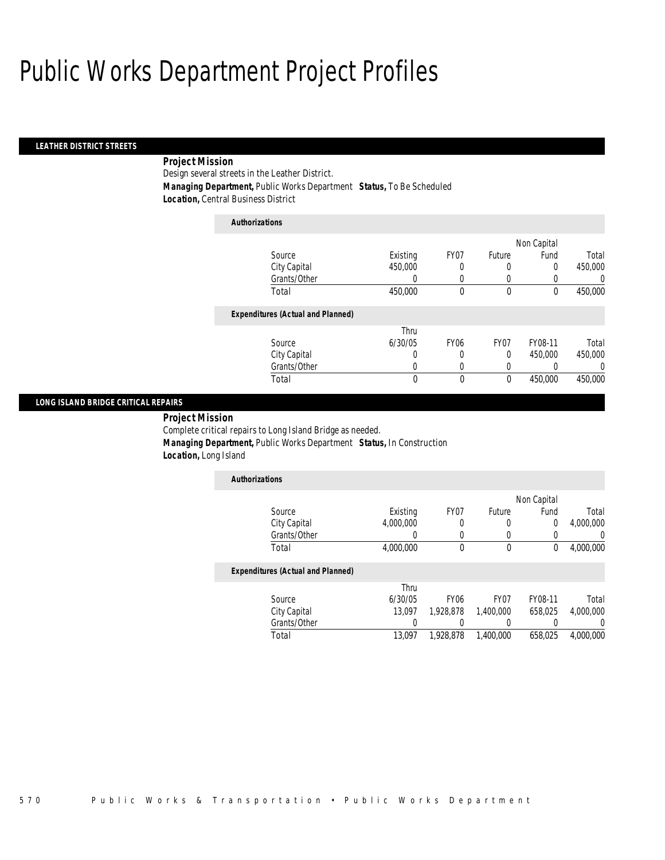#### *LEATHER DISTRICT STREETS*

## *Project Mission*

Design several streets in the Leather District.

*Managing Department,* Public Works Department *Status,* To Be Scheduled

*Location,* Central Business District

| <b>Authorizations</b>                    |          |                  |        |             |          |
|------------------------------------------|----------|------------------|--------|-------------|----------|
|                                          |          |                  |        | Non Capital |          |
| Source                                   | Existing | FY07             | Future | Fund        | Total    |
| City Capital                             | 450,000  | 0                | 0      | 0           | 450,000  |
| Grants/Other                             |          | 0                | 0      |             | $\Omega$ |
| Total                                    | 450,000  | 0                | 0      | 0           | 450,000  |
| <b>Expenditures (Actual and Planned)</b> |          |                  |        |             |          |
|                                          | Thru     |                  |        |             |          |
| Source                                   | 6/30/05  | FY <sub>06</sub> | FY07   | FY08-11     | Total    |
| City Capital                             | 0        | 0                | 0      | 450,000     | 450,000  |
| Grants/Other                             |          |                  |        |             | $\left($ |

Total 0 0 0 450,000 450,000

#### *LONG ISLAND BRIDGE CRITICAL REPAIRS*

*Project Mission* 

Complete critical repairs to Long Island Bridge as needed.

*Managing Department,* Public Works Department *Status,* In Construction

*Location,* Long Island

| <b>Authorizations</b> |           |      |        |             |           |
|-----------------------|-----------|------|--------|-------------|-----------|
|                       |           |      |        | Non Capital |           |
| Source                | Existing  | FY07 | Future | Fund        | Total     |
| City Capital          | 4,000,000 |      |        |             | 4,000,000 |
| Grants/Other          |           |      |        |             |           |
| Total                 | 4,000,000 |      | 0      |             | 4,000,000 |

|              | Thru    |                  |                  |         |           |
|--------------|---------|------------------|------------------|---------|-----------|
| Source       | 6/30/05 | FY <sub>06</sub> | FY <sub>07</sub> | FY08-11 | Total     |
| City Capital | 13.097  | 1,928,878        | 1,400,000        | 658.025 | 4.000.000 |
| Grants/Other |         |                  |                  |         |           |
| Total        | 13.097  | 1,928,878        | 1,400,000        | 658.025 | 4.000.000 |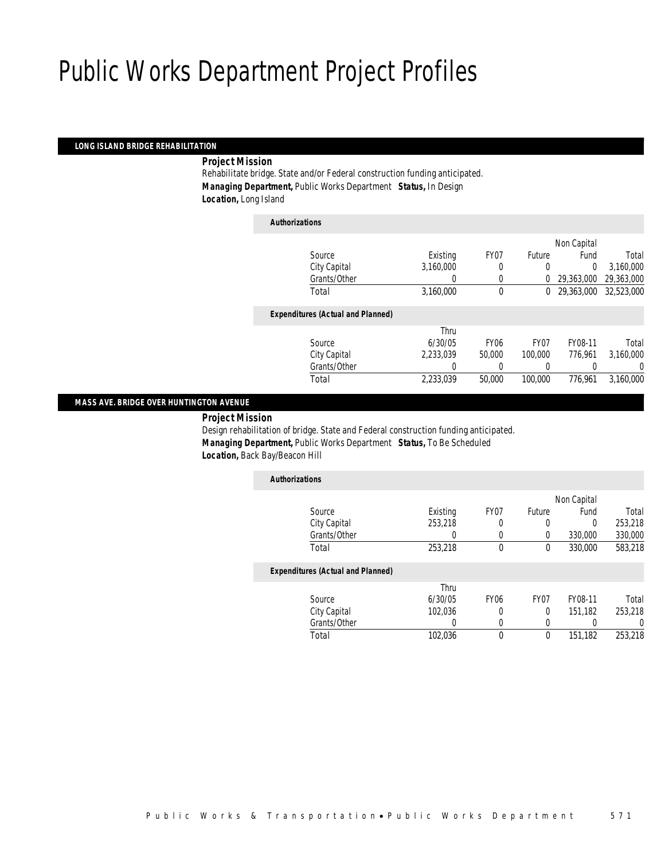#### *LONG ISLAND BRIDGE REHABILITATION*

*Project Mission* 

Rehabilitate bridge. State and/or Federal construction funding anticipated. *Managing Department,* Public Works Department *Status,* In Design *Location,* Long Island

| <b>Authorizations</b>                    |           |                  |                  |             |            |
|------------------------------------------|-----------|------------------|------------------|-------------|------------|
|                                          |           |                  |                  | Non Capital |            |
| Source                                   | Existing  | FY <sub>07</sub> | Future           | Fund        | Total      |
| City Capital                             | 3,160,000 | 0                | 0                | $\Omega$    | 3,160,000  |
| Grants/Other                             | 0         | 0                | $\Omega$         | 29,363,000  | 29,363,000 |
| Total                                    | 3,160,000 | $\theta$         | $\theta$         | 29.363.000  | 32,523,000 |
| <b>Expenditures (Actual and Planned)</b> |           |                  |                  |             |            |
|                                          | Thru      |                  |                  |             |            |
| Source                                   | 6/30/05   | <b>FY06</b>      | FY <sub>07</sub> | FY08-11     | Total      |
| City Capital                             | 2.233.039 | 50,000           | 100,000          | 776.961     | 3,160,000  |
| Grants/Other                             | $\left($  | 0                | 0                |             | 0          |
| Total                                    | 2,233,039 | 50,000           | 100,000          | 776.961     | 3.160.000  |
|                                          |           |                  |                  |             |            |

### *MASS AVE. BRIDGE OVER HUNTINGTON AVENUE*

*Project Mission* 

Design rehabilitation of bridge. State and Federal construction funding anticipated. *Managing Department,* Public Works Department *Status,* To Be Scheduled *Location,* Back Bay/Beacon Hill

| <b>Authorizations</b>                    |          |                  |                  |             |         |
|------------------------------------------|----------|------------------|------------------|-------------|---------|
|                                          |          |                  |                  | Non Capital |         |
| Source                                   | Existing | FY <sub>07</sub> | Future           | Fund        | Total   |
| City Capital                             | 253,218  | 0                | 0                | $\Omega$    | 253,218 |
| Grants/Other                             |          | 0                | 0                | 330,000     | 330,000 |
| Total                                    | 253,218  | 0                | 0                | 330,000     | 583,218 |
| <b>Expenditures (Actual and Planned)</b> |          |                  |                  |             |         |
|                                          | Thru     |                  |                  |             |         |
| Source                                   | 6/30/05  | FY <sub>06</sub> | FY <sub>07</sub> | FY08-11     | Total   |
| City Capital                             | 102.036  | $\Omega$         | $\Omega$         | 151.182     | 253.218 |
| Grants/Other                             | 0        | 0                | 0                |             | 0       |
| Total                                    | 102,036  | 0                | $\theta$         | 151.182     | 253,218 |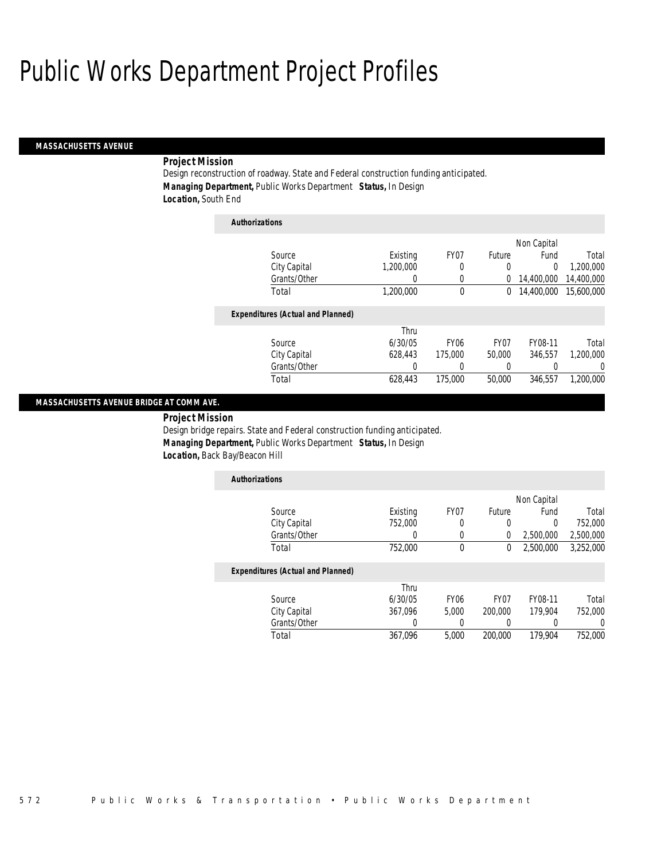#### *MASSACHUSETTS AVENUE*

### *Project Mission*

Design reconstruction of roadway. State and Federal construction funding anticipated. *Managing Department,* Public Works Department *Status,* In Design *Location,* South End

| <b>Authorizations</b> |                                          |           |             |                  |             |            |
|-----------------------|------------------------------------------|-----------|-------------|------------------|-------------|------------|
|                       |                                          |           |             |                  | Non Capital |            |
|                       | Source                                   | Existing  | FY07        | Future           | Fund        | Total      |
|                       | City Capital                             | 1.200.000 | 0           | 0                | $\theta$    | 1,200,000  |
|                       | Grants/Other                             | 0         | 0           | 0                | 14,400,000  | 14,400,000 |
|                       | Total                                    | 1,200,000 | 0           | 0                | 14,400,000  | 15,600,000 |
|                       | <b>Expenditures (Actual and Planned)</b> |           |             |                  |             |            |
|                       |                                          | Thru      |             |                  |             |            |
|                       | Source                                   | 6/30/05   | <b>FY06</b> | FY <sub>07</sub> | FY08-11     | Total      |
|                       | City Capital                             | 628.443   | 175,000     | 50,000           | 346.557     | 1.200.000  |
|                       | Grants/Other                             | 0         | 0           | 0                | 0           | 0          |
|                       | Total                                    | 628,443   | 175,000     | 50,000           | 346,557     | 1,200,000  |

#### *MASSACHUSETTS AVENUE BRIDGE AT COMM AVE.*

 *Project Mission* Design bridge repairs. State and Federal construction funding anticipated.

 *Managing Department,* Public Works Department *Status,* In Design *Location,* Back Bay/Beacon Hill

| <b>Authorizations</b>                    |                 |              |               |                 |             |
|------------------------------------------|-----------------|--------------|---------------|-----------------|-------------|
|                                          |                 |              |               | Non Capital     |             |
| Source                                   | Existing        | FY07         | <b>Future</b> | Fund            | Total       |
| City Capital                             | 752,000         | 0            | 0             | 0               | 752,000     |
| Grants/Other                             |                 | 0            | 0             | 2,500,000       | 2,500,000   |
| Total                                    | 752,000         | 0            | 0             | 2,500,000       | 3,252,000   |
| <b>Expenditures (Actual and Planned)</b> |                 |              |               |                 |             |
| $\sim$                                   | Thru<br>110010F | $\Gamma$ 10/ | $\Gamma$ 107  | $\Gamma$ 100.11 | $T - 1 - 1$ |

| Total        | 367.096 | 5.000            | 200,000 | 179.904 | 752.000 |
|--------------|---------|------------------|---------|---------|---------|
| Grants/Other |         |                  |         |         |         |
| City Capital | 367.096 | 5.000            | 200.000 | 179.904 | 752.000 |
| Source       | 6/30/05 | FY <sub>06</sub> | FY07    | FY08-11 | Total   |
|              | i nru   |                  |         |         |         |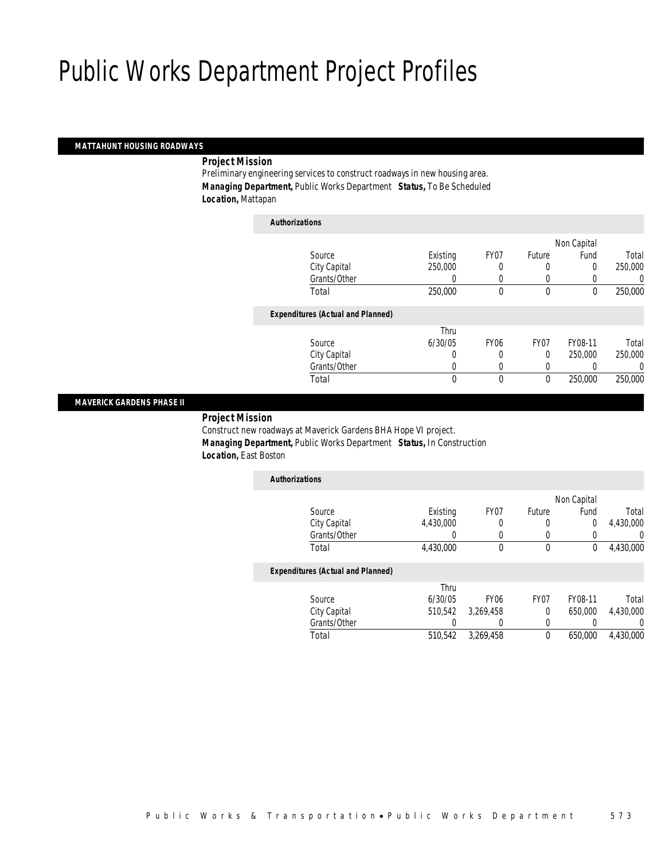#### *MATTAHUNT HOUSING ROADWAYS*

*Project Mission* 

Preliminary engineering services to construct roadways in new housing area. *Managing Department,* Public Works Department *Status,* To Be Scheduled *Location,* Mattapan

| <b>Authorizations</b>                    |          |             |             |             |         |
|------------------------------------------|----------|-------------|-------------|-------------|---------|
|                                          |          |             |             | Non Capital |         |
| Source                                   | Existing | FY07        | Future      | Fund        | Total   |
| City Capital                             | 250,000  | 0           | 0           | 0           | 250,000 |
| Grants/Other                             |          |             | 0           |             | 0       |
| Total                                    | 250,000  | 0           | $\mathbf 0$ | $\mathbf 0$ | 250,000 |
| <b>Expenditures (Actual and Planned)</b> |          |             |             |             |         |
|                                          | Thru     |             |             |             |         |
| Source                                   | 6/30/05  | <b>FY06</b> | FY07        | FY08-11     | Total   |
| City Capital                             | 0        |             | $\Omega$    | 250,000     | 250,000 |
| Grants/Other                             | 0        | 0           | 0           |             | 0       |
| Total                                    | 0        | 0           | 0           | 250,000     | 250,000 |

#### *MAVERICK GARDENS PHASE II*

#### *Project Mission*

Construct new roadways at Maverick Gardens BHA Hope VI project. *Managing Department,* Public Works Department *Status,* In Construction *Location,* East Boston

| <b>Authorizations</b>                    |           |                  |                |             |           |
|------------------------------------------|-----------|------------------|----------------|-------------|-----------|
|                                          |           |                  |                | Non Capital |           |
| Source                                   | Existing  | FY07             | Future         | Fund        | Total     |
| City Capital                             | 4,430,000 | 0                | 0              | 0           | 4,430,000 |
| Grants/Other                             |           |                  |                |             |           |
| Total                                    | 4,430,000 | 0                | 0              | 0           | 4,430,000 |
| <b>Expenditures (Actual and Planned)</b> |           |                  |                |             |           |
|                                          | Thru      |                  |                |             |           |
| Source                                   | 6/30/05   | FY <sub>06</sub> | FY07           | FY08-11     | Total     |
| City Capital                             | 510.542   | 3,269,458        | $\overline{0}$ | 650,000     | 4,430,000 |

Total 510,542 3,269,458 0 650,000 4,430,000

Grants/Other 0 0 0 0 0 0

|  |  |  | Public Works & Transportation • Public Works Department | 5 7 3 |
|--|--|--|---------------------------------------------------------|-------|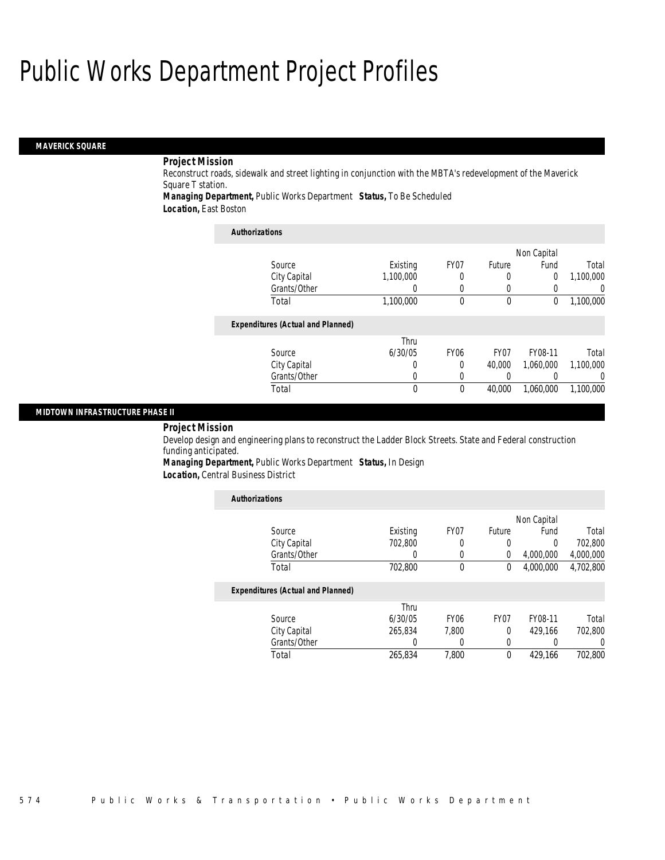#### *MAVERICK SQUARE*

### *Project Mission*

Reconstruct roads, sidewalk and street lighting in conjunction with the MBTA's redevelopment of the Maverick Square T station.

*Managing Department,* Public Works Department *Status,* To Be Scheduled

*Location,* East Boston

| <b>Authorizations</b>                    |           |             |                  |             |           |
|------------------------------------------|-----------|-------------|------------------|-------------|-----------|
|                                          |           |             |                  | Non Capital |           |
| Source                                   | Existing  | FY07        | Future           | Fund        | Total     |
| City Capital                             | 1,100,000 | 0           | $\Omega$         | 0           | 1,100,000 |
| Grants/Other                             | 0         | 0           | 0                |             |           |
| Total                                    | 1,100,000 | 0           | 0                | 0           | 1,100,000 |
| <b>Expenditures (Actual and Planned)</b> |           |             |                  |             |           |
|                                          | Thru      |             |                  |             |           |
| Source                                   | 6/30/05   | <b>FY06</b> | FY <sub>07</sub> | FY08-11     | Total     |
| City Capital                             | 0         | 0           | 40.000           | 1.060.000   | 1,100,000 |
| Grants/Other                             | 0         | $\Omega$    |                  |             |           |
| Total                                    | 0         | 0           | 40,000           | 1,060,000   | 1.100.000 |
|                                          |           |             |                  |             |           |

#### *MIDTOWN INFRASTRUCTURE PHASE II*

*Project Mission* 

Develop design and engineering plans to reconstruct the Ladder Block Streets. State and Federal construction funding anticipated.

*Managing Department,* Public Works Department *Status,* In Design

*Location,* Central Business District

| <b>Authorizations</b>                    |          |                  |                  |             |           |
|------------------------------------------|----------|------------------|------------------|-------------|-----------|
|                                          |          |                  |                  | Non Capital |           |
| Source                                   | Existing | FY07             | Future           | Fund        | Total     |
| City Capital                             | 702.800  |                  | 0                | 0           | 702.800   |
| Grants/Other                             | 0        | 0                | 0                | 4,000,000   | 4,000,000 |
| Total                                    | 702,800  | $\theta$         | 0                | 4.000.000   | 4,702,800 |
| <b>Expenditures (Actual and Planned)</b> |          |                  |                  |             |           |
|                                          | Thru     |                  |                  |             |           |
| Source                                   | 6/30/05  | FY <sub>06</sub> | FY <sub>07</sub> | FY08-11     | Total     |
| City Capital                             | 265.834  | 7.800            | $\theta$         | 429.166     | 702.800   |
| Grants/Other                             | 0        |                  | 0                | 0           | 0         |
| Total                                    | 265.834  | 7.800            | 0                | 429.166     | 702.800   |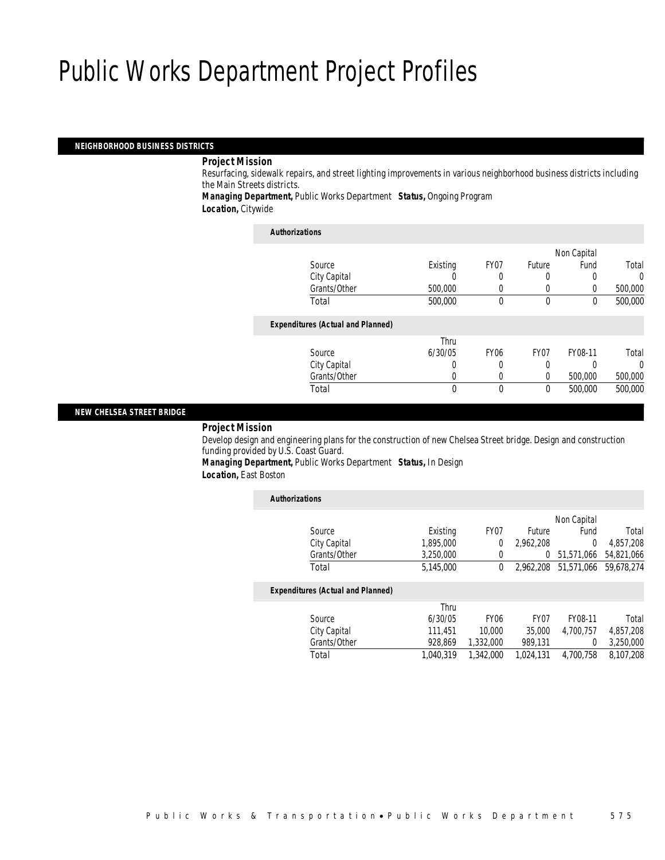#### *NEIGHBORHOOD BUSINESS DISTRICTS*

#### *Project Mission*

Resurfacing, sidewalk repairs, and street lighting improvements in various neighborhood business districts including the Main Streets districts.

*Managing Department,* Public Works Department *Status,* Ongoing Program *Location,* Citywide

| <b>Authorizations</b>                    |          |                  |                  |             |          |
|------------------------------------------|----------|------------------|------------------|-------------|----------|
|                                          |          |                  |                  | Non Capital |          |
| Source                                   | Existing | FY07             | Future           | Fund        | Total    |
| City Capital                             |          |                  | U                |             | $\Omega$ |
| Grants/Other                             | 500,000  | 0                | 0                | $\Omega$    | 500,000  |
| Total                                    | 500,000  | 0                | $\theta$         | $\Omega$    | 500,000  |
| <b>Expenditures (Actual and Planned)</b> |          |                  |                  |             |          |
|                                          | Thru     |                  |                  |             |          |
| Source                                   | 6/30/05  | FY <sub>06</sub> | FY <sub>07</sub> | FY08-11     | Total    |
| City Capital                             | 0        |                  | 0                |             | $\Omega$ |
| Grants/Other                             | 0        | 0                | 0                | 500,000     | 500,000  |
| Total                                    | 0        | 0                | 0                | 500,000     | 500,000  |

### *NEW CHELSEA STREET BRIDGE*

#### *Project Mission*

Develop design and engineering plans for the construction of new Chelsea Street bridge. Design and construction funding provided by U.S. Coast Guard. *Managing Department,* Public Works Department *Status,* In Design

*Location,* East Boston

| <b>Authorizations</b>                    |           |                  |                  |             |            |
|------------------------------------------|-----------|------------------|------------------|-------------|------------|
|                                          |           |                  |                  | Non Capital |            |
| Source                                   | Existing  | FY07             | Future           | Fund        | Total      |
| City Capital                             | 1.895.000 | 0                | 2.962.208        | $\Omega$    | 4.857.208  |
| Grants/Other                             | 3.250.000 | 0                | 0                | 51.571.066  | 54,821,066 |
| Total                                    | 5.145.000 | $\theta$         | 2.962.208        | 51,571,066  | 59.678.274 |
| <b>Expenditures (Actual and Planned)</b> |           |                  |                  |             |            |
|                                          | Thru      |                  |                  |             |            |
| Source                                   | 6/30/05   | FY <sub>06</sub> | FY <sub>07</sub> | FY08-11     | Total      |
| City Capital                             | 111.451   | 10,000           | 35,000           | 4.700.757   | 4,857,208  |
| Grants/Other                             | 928.869   | 1,332,000        | 989,131          | 0           | 3,250,000  |
| Total                                    | 1.040.319 | 1,342,000        | 1.024.131        | 4,700,758   | 8,107,208  |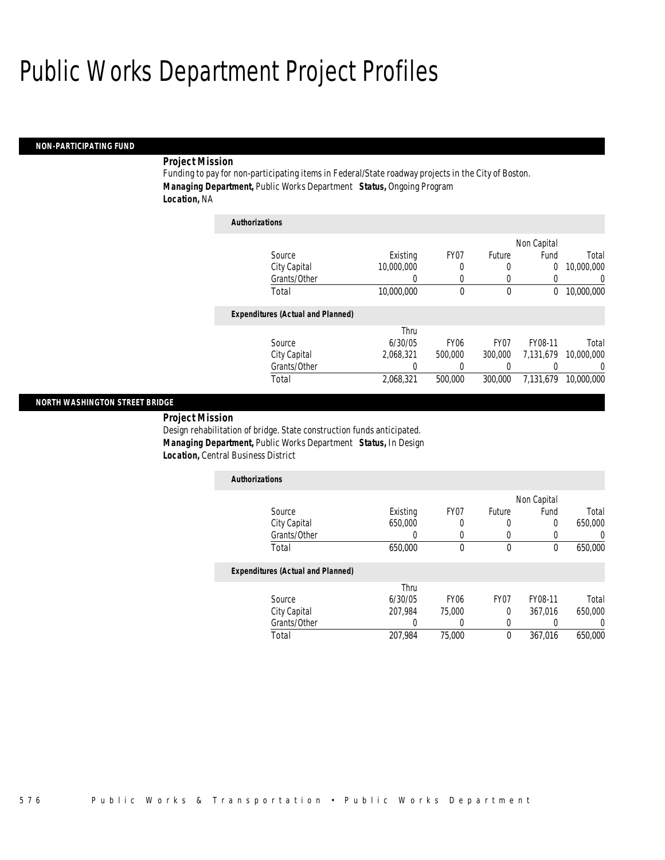#### *NON-PARTICIPATING FUND*

### *Project Mission*

Funding to pay for non-participating items in Federal/State roadway projects in the City of Boston. *Managing Department,* Public Works Department *Status,* Ongoing Program *Location,* NA

| <b>Authorizations</b>                    |            |                  |                  |             |            |
|------------------------------------------|------------|------------------|------------------|-------------|------------|
|                                          |            |                  |                  | Non Capital |            |
| Source                                   | Existing   | FY <sub>07</sub> | Future           | Fund        | Total      |
| City Capital                             | 10,000,000 | 0                | 0                | 0           | 10,000,000 |
| Grants/Other                             | 0          | 0                | 0                | 0           | 0          |
| Total                                    | 10,000,000 | 0                | 0                | 0           | 10.000.000 |
| <b>Expenditures (Actual and Planned)</b> |            |                  |                  |             |            |
|                                          | Thru       |                  |                  |             |            |
| Source                                   | 6/30/05    | <b>FY06</b>      | FY <sub>07</sub> | FY08-11     | Total      |
| City Capital                             | 2,068,321  | 500,000          | 300,000          | 7,131,679   | 10,000,000 |
| Grants/Other                             | 0          | 0                | 0                | 0           | 0          |
| Total                                    | 2.068.321  | 500,000          | 300,000          | 7.131.679   | 10,000,000 |

#### *NORTH WASHINGTON STREET BRIDGE*

*Project Mission* 

Design rehabilitation of bridge. State construction funds anticipated. *Managing Department,* Public Works Department *Status,* In Design *Location,* Central Business District

| <b>Authorizations</b>                    |                  |                  |                  |             |         |
|------------------------------------------|------------------|------------------|------------------|-------------|---------|
|                                          |                  |                  |                  | Non Capital |         |
| Source                                   | Existing         | FY07             | Future           | Fund        | Total   |
| City Capital                             | 650,000          | 0                | 0                | 0           | 650,000 |
| Grants/Other                             | $\left( \right)$ | 0                | 0                |             |         |
| Total                                    | 650,000          | 0                | 0                | $\theta$    | 650,000 |
| <b>Expenditures (Actual and Planned)</b> |                  |                  |                  |             |         |
|                                          | Thru             |                  |                  |             |         |
| Source                                   | 6/30/05          | FY <sub>06</sub> | FY <sub>07</sub> | FY08-11     | Total   |
| City Capital                             | 207.984          | 75,000           | 0                | 367,016     | 650,000 |
| Grants/Other                             |                  | 0                | 0                |             |         |

Total 207,984 75,000 0 367,016 650,000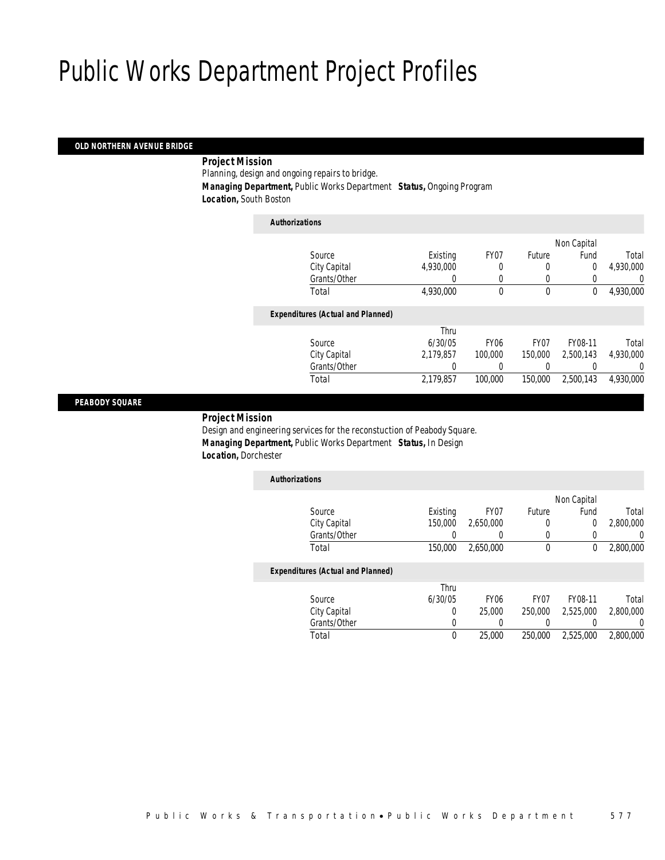### *OLD NORTHERN AVENUE BRIDGE*

### *Project Mission*

Planning, design and ongoing repairs to bridge.

*Managing Department,* Public Works Department *Status,* Ongoing Program

*Location,* South Boston

| <b>Authorizations</b>                    |           |             |                  |             |           |
|------------------------------------------|-----------|-------------|------------------|-------------|-----------|
|                                          |           |             |                  | Non Capital |           |
| Source                                   | Existing  | FY07        | Future           | Fund        | Total     |
| City Capital                             | 4.930.000 | 0           | 0                | 0           | 4,930,000 |
| Grants/Other                             |           |             | 0                |             | 0         |
| Total                                    | 4,930,000 | 0           | $\mathbf 0$      | 0           | 4,930,000 |
| <b>Expenditures (Actual and Planned)</b> |           |             |                  |             |           |
|                                          | Thru      |             |                  |             |           |
| Source                                   | 6/30/05   | <b>FY06</b> | FY <sub>07</sub> | FY08-11     | Total     |
| City Capital                             | 2.179.857 | 100,000     | 150,000          | 2.500.143   | 4,930,000 |
| Grants/Other                             |           |             |                  |             | 0         |
| Total                                    | 2,179,857 | 100,000     | 150,000          | 2.500.143   | 4.930.000 |
|                                          |           |             |                  |             |           |

#### *PEABODY SQUARE*

#### *Project Mission*

Design and engineering services for the reconstuction of Peabody Square. *Managing Department,* Public Works Department *Status,* In Design *Location,* Dorchester

| <b>Authorizations</b>                    |          |           |        |             |           |
|------------------------------------------|----------|-----------|--------|-------------|-----------|
|                                          |          |           |        | Non Capital |           |
| Source                                   | Existing | FY07      | Future | Fund        | Total     |
| City Capital                             | 150,000  | 2,650,000 |        | 0           | 2,800,000 |
| Grants/Other                             |          |           |        |             |           |
| Total                                    | 150,000  | 2.650.000 | 0      |             | 2,800,000 |
| <b>Expenditures (Actual and Planned)</b> |          |           |        |             |           |
|                                          | Thru     |           |        |             |           |

|              | Thru    |                  |                  |           |           |
|--------------|---------|------------------|------------------|-----------|-----------|
| Source       | 6/30/05 | FY <sub>06</sub> | FY <sub>07</sub> | FY08-11   | Total     |
| City Capital |         | 25.000           | 250,000          | 2.525.000 | 2,800,000 |
| Grants/Other |         |                  |                  |           |           |
| Total        |         | 25,000           | 250,000          | 2,525,000 | 2,800,000 |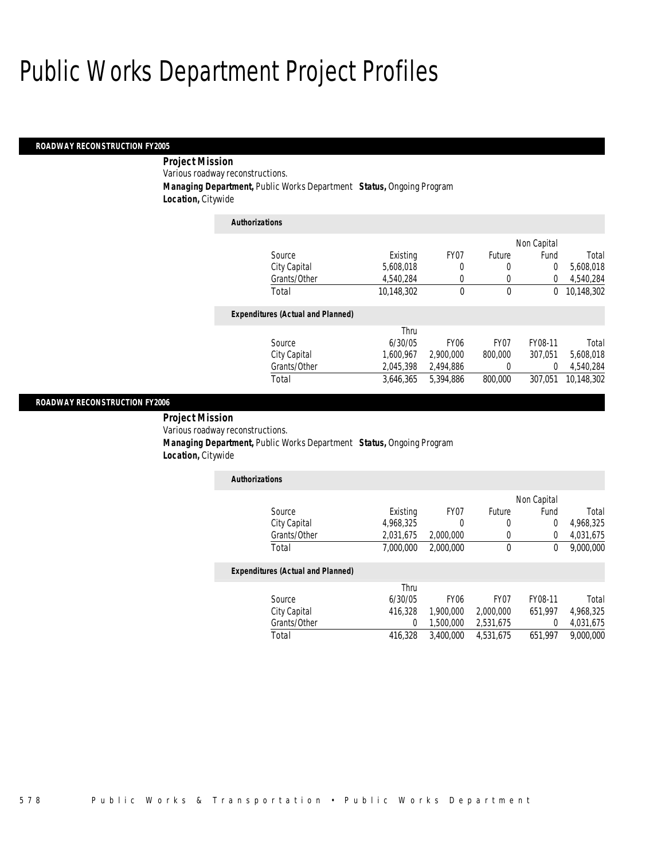#### *ROADWAY RECONSTRUCTION FY2005*

 *Project Mission* Various roadway reconstructions. *Managing Department,* Public Works Department *Status,* Ongoing Program *Location,* Citywide

*Authorizations*

| <i>Authorizations</i>                    |            |                  |             |             |            |
|------------------------------------------|------------|------------------|-------------|-------------|------------|
|                                          |            |                  |             | Non Capital |            |
| Source                                   | Existing   | FY07             | Future      | Fund        | Total      |
| City Capital                             | 5,608,018  | 0                | 0           | 0           | 5,608,018  |
| Grants/Other                             | 4.540.284  |                  | $\theta$    | 0           | 4,540,284  |
| Total                                    | 10,148,302 | $\theta$         | $\mathbf 0$ | 0           | 10,148,302 |
| <b>Expenditures (Actual and Planned)</b> |            |                  |             |             |            |
|                                          | Thru       |                  |             |             |            |
| Source                                   | 6/30/05    | FY <sub>06</sub> | FY07        | FY08-11     | Total      |
| City Capital                             | 1.600.967  | 2,900,000        | 800,000     | 307.051     | 5,608,018  |
| Grants/Other                             | 2.045.398  | 2,494,886        | 0           | 0           | 4,540,284  |
| Total                                    | 3.646.365  | 5.394.886        | 800.000     | 307.051     | 10,148,302 |

#### *ROADWAY RECONSTRUCTION FY2006*

 *Project Mission* Various roadway reconstructions. *Managing Department,* Public Works Department *Status,* Ongoing Program *Location,* Citywide

| <b>Authorizations</b> |           |           |                  |             |           |
|-----------------------|-----------|-----------|------------------|-------------|-----------|
|                       |           |           |                  | Non Capital |           |
| Source                | Existing  | FY07      | <b>Future</b>    | Fund        | Total     |
| City Capital          | 4.968.325 |           | $\left( \right)$ |             | 4,968,325 |
| Grants/Other          | 2,031,675 | 2.000.000 |                  |             | 4,031,675 |
| Total                 | 7.000.000 | 2,000,000 |                  |             | 9,000,000 |

|              | Thru    |                  |           |         |           |
|--------------|---------|------------------|-----------|---------|-----------|
| Source       | 6/30/05 | FY <sub>06</sub> | FY07      | FY08-11 | Total     |
| City Capital | 416.328 | 1,900,000        | 2,000,000 | 651.997 | 4.968.325 |
| Grants/Other |         | 1.500.000        | 2.531.675 |         | 4.031.675 |
| Total        | 416.328 | 3.400.000        | 4.531.675 | 651.997 | 9,000,000 |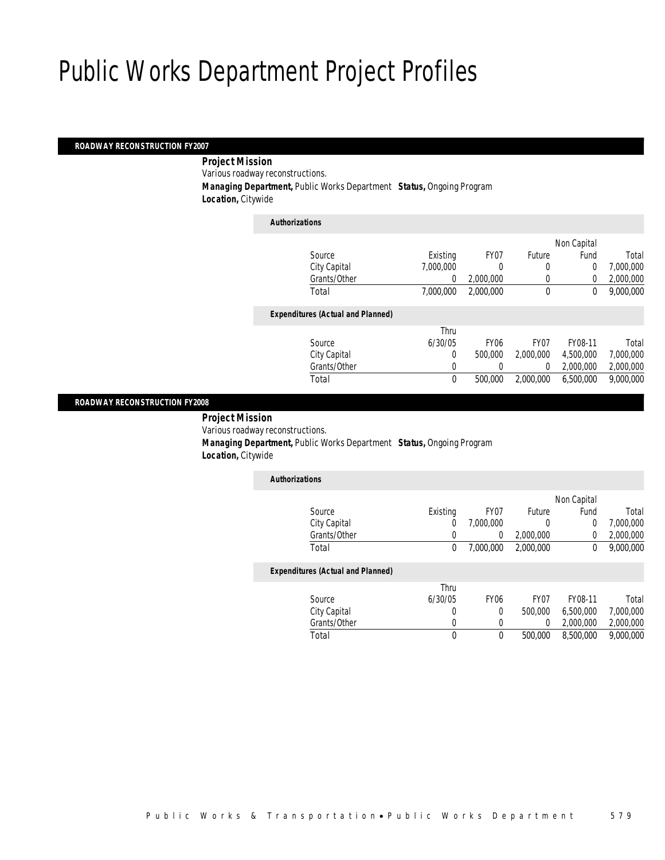#### *ROADWAY RECONSTRUCTION FY2007*

*Project Mission* 

Various roadway reconstructions.

*Managing Department,* Public Works Department *Status,* Ongoing Program

*Location,* Citywide

| <b>Authorizations</b>                    |             |             |                  |             |           |
|------------------------------------------|-------------|-------------|------------------|-------------|-----------|
|                                          |             |             |                  | Non Capital |           |
| Source                                   | Existing    | FY07        | Future           | Fund        | Total     |
| City Capital                             | 7.000.000   |             | 0                | 0           | 7,000,000 |
| Grants/Other                             | 0           | 2.000.000   | 0                | $\Omega$    | 2,000,000 |
| Total                                    | 7.000.000   | 2.000.000   | $\mathbf{0}$     | 0           | 9,000,000 |
| <b>Expenditures (Actual and Planned)</b> |             |             |                  |             |           |
|                                          | Thru        |             |                  |             |           |
| Source                                   | 6/30/05     | <b>FY06</b> | FY <sub>07</sub> | FY08-11     | Total     |
| City Capital                             | 0           | 500,000     | 2.000.000        | 4.500.000   | 7,000,000 |
| Grants/Other                             | 0           |             | $\Omega$         | 2,000,000   | 2,000,000 |
| Total                                    | $\mathbf 0$ | 500,000     | 2.000.000        | 6.500.000   | 9,000,000 |
|                                          |             |             |                  |             |           |

#### *ROADWAY RECONSTRUCTION FY2008*

 *Project Mission* Various roadway reconstructions. *Managing Department,* Public Works Department *Status,* Ongoing Program *Location,* Citywide

| <b>Authorizations</b> |          |           |           |             |           |
|-----------------------|----------|-----------|-----------|-------------|-----------|
|                       |          |           |           | Non Capital |           |
| Source                | Existing | FY07      | Future    | Fund        | Total     |
| City Capital          |          | 7,000,000 |           |             | 7,000,000 |
| Grants/Other          |          |           | 2,000,000 |             | 2,000,000 |
| Total                 | 0        | 7,000,000 | 2,000,000 |             | 9,000,000 |

|              | Thru    |                  |                  |           |           |
|--------------|---------|------------------|------------------|-----------|-----------|
| Source       | 6/30/05 | FY <sub>06</sub> | FY <sub>07</sub> | FY08-11   | Total     |
| City Capital |         |                  | 500,000          | 6.500.000 | 7,000,000 |
| Grants/Other |         |                  |                  | 2,000,000 | 2,000,000 |
| Total        |         |                  | 500,000          | 8,500,000 | 9,000,000 |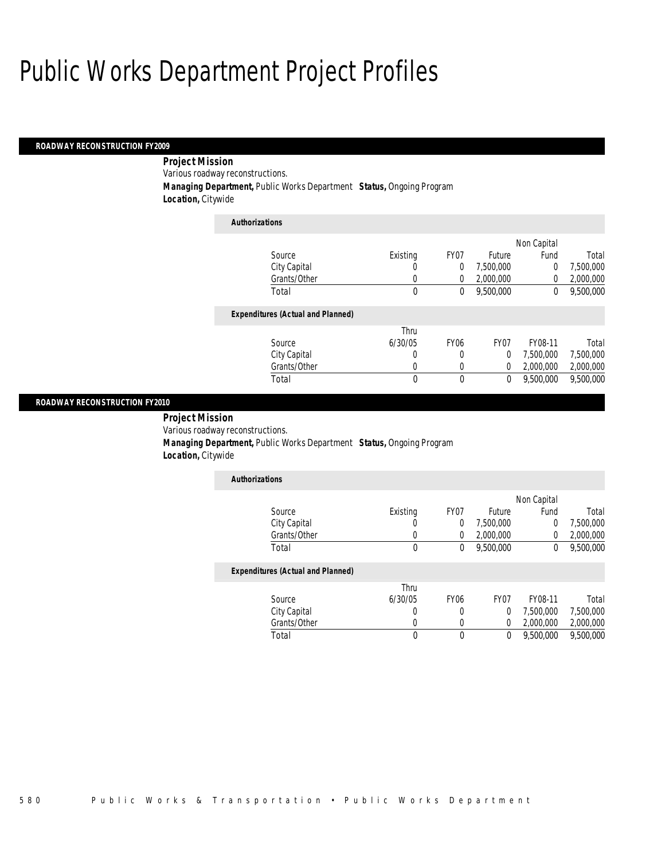#### *ROADWAY RECONSTRUCTION FY2009*

 *Project Mission* Various roadway reconstructions. *Managing Department,* Public Works Department *Status,* Ongoing Program *Location,* Citywide

| <b>Authorizations</b>                    |             |             |                  |             |           |
|------------------------------------------|-------------|-------------|------------------|-------------|-----------|
|                                          |             |             |                  | Non Capital |           |
| Source                                   | Existing    | FY07        | Future           | Fund        | Total     |
| City Capital                             | 0           | 0           | 7,500,000        | 0           | 7,500,000 |
| Grants/Other                             | 0           | 0           | 2.000.000        | 0           | 2,000,000 |
| Total                                    | $\mathbf 0$ | 0           | 9.500.000        | 0           | 9.500.000 |
| <b>Expenditures (Actual and Planned)</b> |             |             |                  |             |           |
|                                          | Thru        |             |                  |             |           |
| Source                                   | 6/30/05     | <b>FY06</b> | FY <sub>07</sub> | FY08-11     | Total     |
| City Capital                             | 0           | 0           | 0                | 7,500,000   | 7,500,000 |
| Grants/Other                             | 0           | 0           | 0                | 2,000,000   | 2,000,000 |
| Total                                    | 0           | 0           | 0                | 9.500.000   | 9.500.000 |

#### *ROADWAY RECONSTRUCTION FY2010*

 *Project Mission* Various roadway reconstructions. *Managing Department,* Public Works Department *Status,* Ongoing Program *Location,* Citywide

| <b>Authorizations</b> |          |      |           |             |           |
|-----------------------|----------|------|-----------|-------------|-----------|
|                       |          |      |           | Non Capital |           |
| Source                | Existing | FY07 | Future    | Fund        | Total     |
| City Capital          |          |      | 7.500.000 |             | 7,500,000 |
| Grants/Other          |          |      | 2,000,000 |             | 2,000,000 |
| Total                 |          |      | 9,500,000 |             | 9,500,000 |

|              | Thru    |      |      |           |           |
|--------------|---------|------|------|-----------|-----------|
| Source       | 6/30/05 | FY06 | FY07 | FY08-11   | Total     |
| City Capital |         |      |      | 7.500.000 | 7.500.000 |
| Grants/Other |         |      |      | 2,000,000 | 2,000,000 |
| Total        |         |      |      | 9,500,000 | 9,500,000 |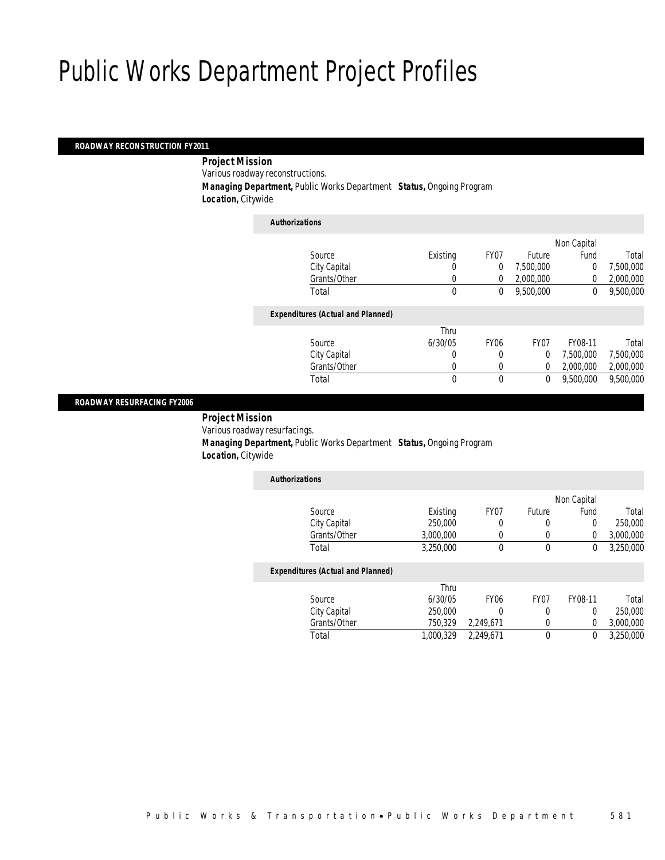#### *ROADWAY RECONSTRUCTION FY2011*

*Project Mission* 

Various roadway reconstructions.

*Managing Department,* Public Works Department *Status,* Ongoing Program

*Location,* Citywide

| <b>Authorizations</b>                    |          |                |                  |             |           |
|------------------------------------------|----------|----------------|------------------|-------------|-----------|
|                                          |          |                |                  | Non Capital |           |
| Source                                   | Existing | FY07           | Future           | Fund        | Total     |
| City Capital                             | 0        | $\overline{0}$ | 7,500,000        | 0           | 7,500,000 |
| Grants/Other                             | 0        | $\Omega$       | 2.000.000        | $\Omega$    | 2,000,000 |
| Total                                    | 0        | 0              | 9.500.000        | 0           | 9,500,000 |
| <b>Expenditures (Actual and Planned)</b> |          |                |                  |             |           |
|                                          | Thru     |                |                  |             |           |
| Source                                   | 6/30/05  | <b>FY06</b>    | FY <sub>07</sub> | FY08-11     | Total     |
| City Capital                             | 0        | 0              | $\overline{0}$   | 7,500,000   | 7,500,000 |
| Grants/Other                             | 0        | 0              | $\overline{0}$   | 2,000,000   | 2,000,000 |
| Total                                    | $\theta$ | $\theta$       | 0                | 9.500.000   | 9,500,000 |
|                                          |          |                |                  |             |           |

#### *ROADWAY RESURFACING FY2006*

 *Project Mission* Various roadway resurfacings. *Managing Department,* Public Works Department *Status,* Ongoing Program *Location,* Citywide

| <b>Authorizations</b>                    |           |      |        |             |           |
|------------------------------------------|-----------|------|--------|-------------|-----------|
|                                          |           |      |        | Non Capital |           |
| Source                                   | Existing  | FY07 | Future | Fund        | Total     |
| City Capital                             | 250,000   | 0    |        |             | 250,000   |
| Grants/Other                             | 3,000,000 |      |        |             | 3,000,000 |
| Total                                    | 3,250,000 | 0    | 0      |             | 3,250,000 |
| <b>Expenditures (Actual and Planned)</b> |           |      |        |             |           |

| Thru      |           |                  |         |           |
|-----------|-----------|------------------|---------|-----------|
| 6/30/05   | FY06      | FY <sub>07</sub> | FY08-11 | Total     |
| 250,000   |           |                  |         | 250,000   |
| 750.329   | 2.249.671 |                  |         | 3,000,000 |
| 1.000.329 | 2.249.671 |                  |         | 3,250,000 |
|           |           |                  |         |           |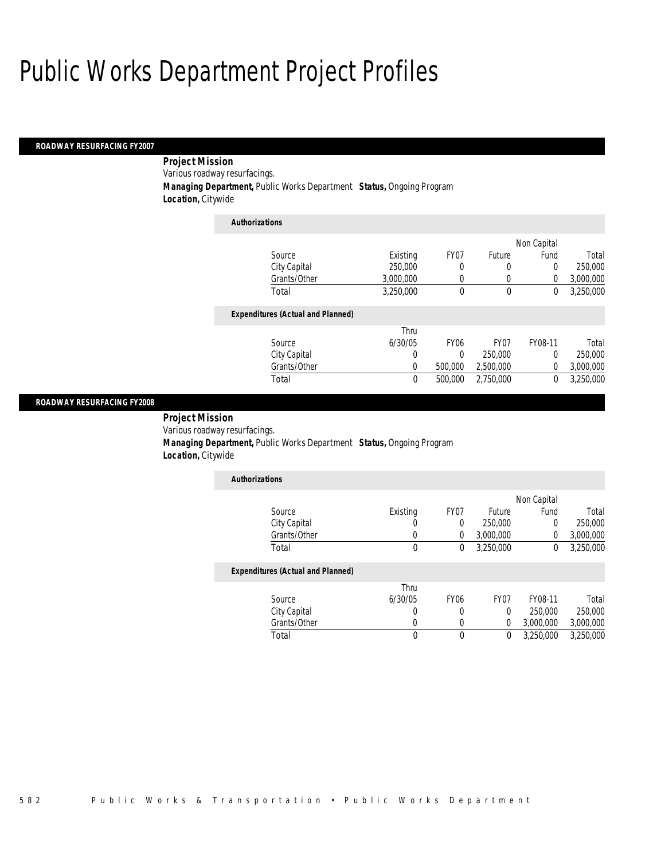#### *ROADWAY RESURFACING FY2007*

 *Project Mission* Various roadway resurfacings. *Managing Department,* Public Works Department *Status,* Ongoing Program *Location,* Citywide

| <b>Authorizations</b>                    |           |                  |           |             |           |
|------------------------------------------|-----------|------------------|-----------|-------------|-----------|
|                                          |           |                  |           | Non Capital |           |
| Source                                   | Existing  | FY07             | Future    | Fund        | Total     |
| City Capital                             | 250,000   | 0                | 0         | 0           | 250,000   |
| Grants/Other                             | 3.000.000 | 0                | 0         | 0           | 3,000,000 |
| Total                                    | 3,250,000 | 0                | 0         | 0           | 3,250,000 |
| <b>Expenditures (Actual and Planned)</b> |           |                  |           |             |           |
|                                          | Thru      |                  |           |             |           |
| Source                                   | 6/30/05   | FY <sub>06</sub> | FY07      | FY08-11     | Total     |
| City Capital                             | 0         | $\Omega$         | 250,000   | $\theta$    | 250,000   |
| Grants/Other                             | 0         | 500,000          | 2,500,000 | 0           | 3,000,000 |
| Total                                    | 0         | 500,000          | 2,750,000 | 0           | 3.250.000 |

#### *ROADWAY RESURFACING FY2008*

 *Project Mission* Various roadway resurfacings. *Managing Department,* Public Works Department *Status,* Ongoing Program *Location,* Citywide

| <b>Authorizations</b> |          |      |           |             |           |
|-----------------------|----------|------|-----------|-------------|-----------|
|                       |          |      |           | Non Capital |           |
| Source                | Existing | FY07 | Future    | Fund        | Total     |
| City Capital          |          |      | 250,000   |             | 250,000   |
| Grants/Other          |          |      | 3,000,000 |             | 3,000,000 |
| Total                 |          |      | 3,250,000 |             | 3,250,000 |

|              | Thru    |                  |      |           |           |
|--------------|---------|------------------|------|-----------|-----------|
| Source       | 6/30/05 | FY <sub>06</sub> | FY07 | FY08-11   | Total     |
| City Capital |         |                  |      | 250,000   | 250,000   |
| Grants/Other |         |                  |      | 3,000,000 | 3.000.000 |
| Total        |         |                  |      | 3,250,000 | 3.250.000 |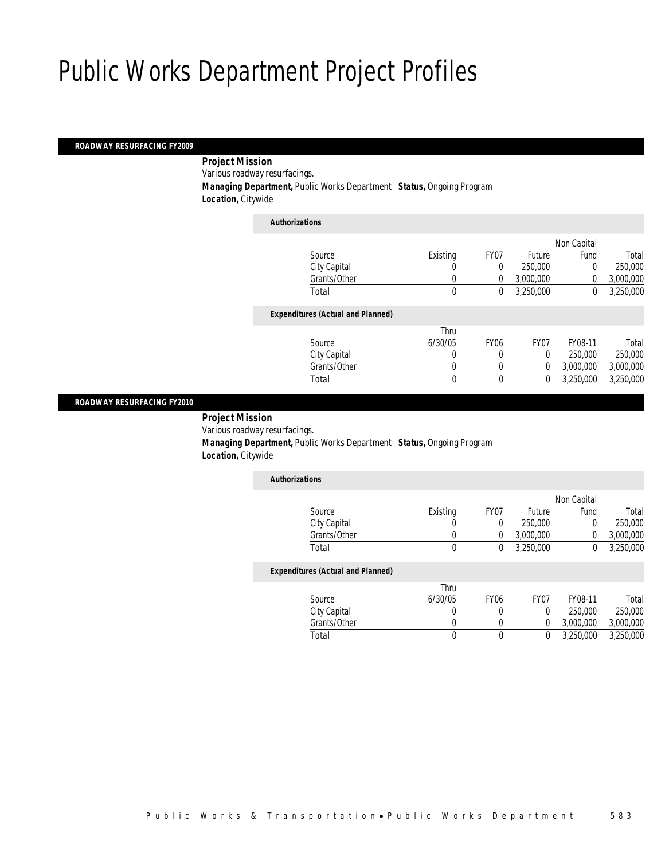## *ROADWAY RESURFACING FY2009*

 *Project Mission* Various roadway resurfacings.

*Managing Department,* Public Works Department *Status,* Ongoing Program

*Location,* Citywide

| <b>Authorizations</b>                    |          |                |                  |             |           |
|------------------------------------------|----------|----------------|------------------|-------------|-----------|
|                                          |          |                |                  | Non Capital |           |
| Source                                   | Existing | FY07           | Future           | Fund        | Total     |
| City Capital                             | 0        | $\overline{0}$ | 250,000          | 0           | 250,000   |
| Grants/Other                             | 0        | $\Omega$       | 3,000,000        | $\Omega$    | 3,000,000 |
| Total                                    | 0        | 0              | 3,250,000        | 0           | 3,250,000 |
| <b>Expenditures (Actual and Planned)</b> |          |                |                  |             |           |
|                                          | Thru     |                |                  |             |           |
| Source                                   | 6/30/05  | <b>FY06</b>    | FY <sub>07</sub> | FY08-11     | Total     |
| City Capital                             | 0        | 0              | $\Omega$         | 250,000     | 250,000   |
| Grants/Other                             | 0        | 0              | $\theta$         | 3,000,000   | 3,000,000 |
| Total                                    | $\theta$ | $\theta$       | 0                | 3,250,000   | 3,250,000 |
|                                          |          |                |                  |             |           |

#### *ROADWAY RESURFACING FY2010*

 *Project Mission* Various roadway resurfacings. *Managing Department,* Public Works Department *Status,* Ongoing Program *Location,* Citywide

| <b>Authorizations</b>                    |          |      |           |             |           |
|------------------------------------------|----------|------|-----------|-------------|-----------|
|                                          |          |      |           | Non Capital |           |
| Source                                   | Existing | FY07 | Future    | Fund        | Total     |
| City Capital                             | 0        |      | 250,000   |             | 250,000   |
| Grants/Other                             |          |      | 3,000,000 |             | 3,000,000 |
| Total                                    | 0        |      | 3.250.000 |             | 3,250,000 |
| <b>Expenditures (Actual and Planned)</b> |          |      |           |             |           |

|              | Thru    |      |                  |           |           |
|--------------|---------|------|------------------|-----------|-----------|
| Source       | 6/30/05 | FY06 | FY <sub>07</sub> | FY08-11   | Total     |
| City Capital |         |      |                  | 250,000   | 250,000   |
| Grants/Other |         |      |                  | 3,000,000 | 3,000,000 |
| Total        |         |      |                  | 3.250.000 | 3,250,000 |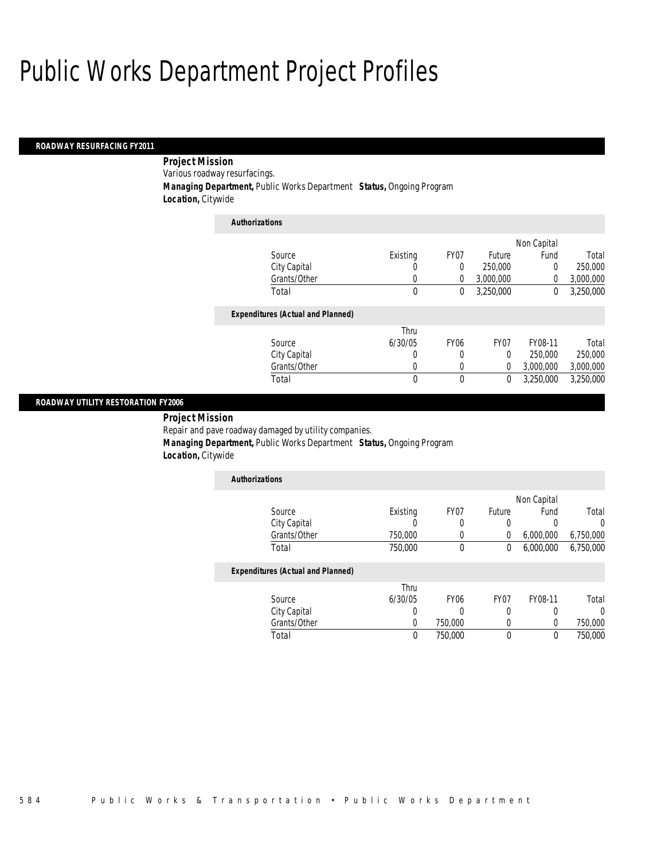#### *ROADWAY RESURFACING FY2011*

 *Project Mission* Various roadway resurfacings. *Managing Department,* Public Works Department *Status,* Ongoing Program *Location,* Citywide

| Existing | FY07             | Future           | Fund      | Total       |
|----------|------------------|------------------|-----------|-------------|
| 0        | 0                | 250,000          | 0         | 250,000     |
| 0        | 0                | 3,000,000        | 0         | 3,000,000   |
| $\theta$ | 0                | 3,250,000        | 0         | 3,250,000   |
|          |                  |                  |           |             |
| Thru     |                  |                  |           |             |
| 6/30/05  | FY <sub>06</sub> | FY <sub>07</sub> | FY08-11   | Total       |
| 0        | 0                | 0                | 250,000   | 250,000     |
| 0        | 0                | 0                | 3,000,000 | 3,000,000   |
| 0        | 0                | 0                | 3.250.000 | 3.250.000   |
|          |                  |                  |           | Non Capital |

### *ROADWAY UTILITY RESTORATION FY2006*

*Project Mission* 

Repair and pave roadway damaged by utility companies.

*Managing Department,* Public Works Department *Status,* Ongoing Program

*Location,* Citywide

| <b>Authorizations</b> |          |      |        |             |           |
|-----------------------|----------|------|--------|-------------|-----------|
|                       |          |      |        | Non Capital |           |
| Source                | Existing | FY07 | Future | Fund        | Total     |
| City Capital          |          |      |        |             |           |
| Grants/Other          | 750.000  |      |        | 6,000,000   | 6,750,000 |
| Total                 | 750,000  |      |        | 6,000,000   | 6.750.000 |

|              | Thru    |         |      |         |         |
|--------------|---------|---------|------|---------|---------|
| Source       | 6/30/05 | FY06    | FY07 | FY08-11 | Total   |
| City Capital |         |         |      |         |         |
| Grants/Other |         | 750.000 |      |         | 750,000 |
| Total        |         | 750.000 |      |         | 750.000 |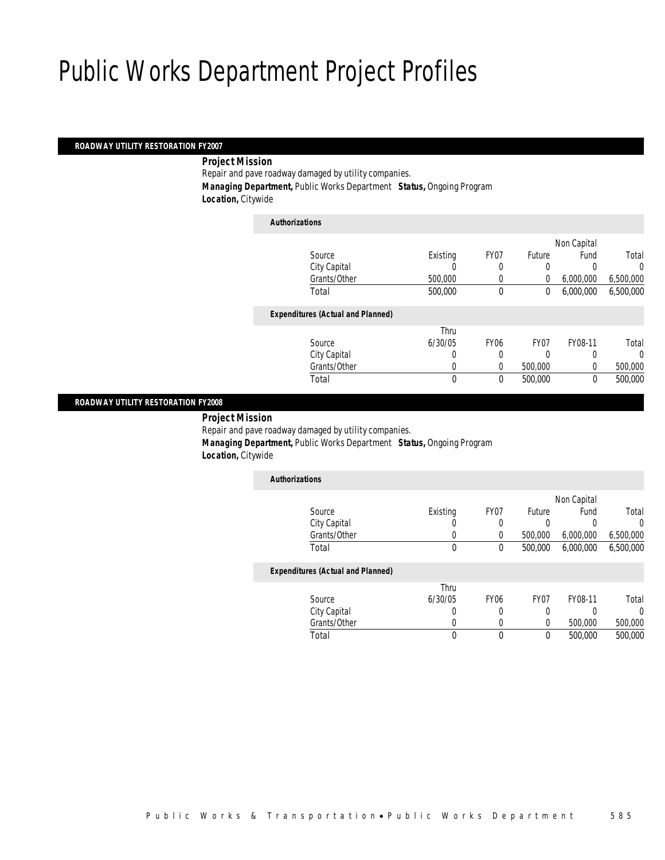### *ROADWAY UTILITY RESTORATION FY2007*

*Project Mission* 

Repair and pave roadway damaged by utility companies. *Managing Department,* Public Works Department *Status,* Ongoing Program *Location,* Citywide

| <b>Authorizations</b>                    |              |             |                |             |           |
|------------------------------------------|--------------|-------------|----------------|-------------|-----------|
|                                          |              |             |                | Non Capital |           |
| Source                                   | Existing     | FY07        | Future         | Fund        | Total     |
| City Capital                             | 0            | 0           | 0              |             | 0         |
| Grants/Other                             | 500,000      | 0           | $\overline{0}$ | 6,000,000   | 6,500,000 |
| Total                                    | 500,000      | 0           | 0              | 6.000.000   | 6,500,000 |
| <b>Expenditures (Actual and Planned)</b> |              |             |                |             |           |
|                                          | Thru         |             |                |             |           |
| Source                                   | 6/30/05      | <b>FY06</b> | FY07           | FY08-11     | Total     |
| City Capital                             | 0            | 0           | 0              | U           | $\Omega$  |
| Grants/Other                             | 0            | 0           | 500,000        | 0           | 500,000   |
| Total                                    | $\mathbf{0}$ | 0           | 500,000        | 0           | 500,000   |
|                                          |              |             |                |             |           |

### *ROADWAY UTILITY RESTORATION FY2008*

 *Project Mission* Repair and pave roadway damaged by utility companies. *Managing Department,* Public Works Department *Status,* Ongoing Program *Location,* Citywide

| <b>Authorizations</b>                    |          |                  |         |             |           |
|------------------------------------------|----------|------------------|---------|-------------|-----------|
|                                          |          |                  |         | Non Capital |           |
| Source                                   | Existing | FY07             | Future  | Fund        | Total     |
| City Capital                             |          | 0                | 0       | 0           |           |
| Grants/Other                             |          | 0                | 500,000 | 6,000,000   | 6,500,000 |
| Total                                    | 0        | 0                | 500,000 | 6,000,000   | 6,500,000 |
| <b>Expenditures (Actual and Planned)</b> |          |                  |         |             |           |
|                                          | Thru     |                  |         |             |           |
| Source                                   | 6/30/05  | FY <sub>06</sub> | FY07    | FY08-11     | Total     |

Total 0 0 0 500,000 500,000

City Capital  $\begin{array}{cccccccc} \text{City Capital} & & & 0 & & 0 & & 0 & & 0 \\ \text{Grants/Other} & & & & 0 & & 0 & & 0 & & 500,000 \end{array}$ 

|  | Public Works & Transportation•Public Works Department |  | 585 |
|--|-------------------------------------------------------|--|-----|

Grants/Other 0 0 0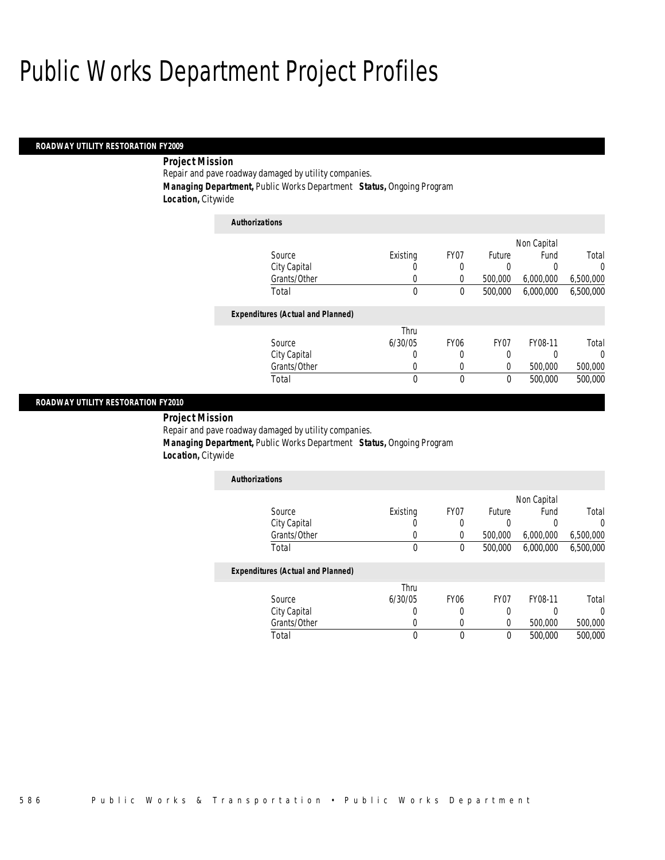## *ROADWAY UTILITY RESTORATION FY2009*

## *Project Mission*

Repair and pave roadway damaged by utility companies. *Managing Department,* Public Works Department *Status,* Ongoing Program *Location,* Citywide

| <i><b>AUINOFIZATIONS</b></i>             |             |                  |             |           |           |  |  |  |
|------------------------------------------|-------------|------------------|-------------|-----------|-----------|--|--|--|
|                                          |             |                  | Non Capital |           |           |  |  |  |
| Source                                   | Existing    | FY07             | Future      | Fund      | Total     |  |  |  |
| City Capital                             | U           | 0                | 0           | 0         | $\Omega$  |  |  |  |
| Grants/Other                             | 0           | 0                | 500,000     | 6,000,000 | 6,500,000 |  |  |  |
| Total                                    | $\mathbf 0$ | 0                | 500,000     | 6,000,000 | 6,500,000 |  |  |  |
| <b>Expenditures (Actual and Planned)</b> |             |                  |             |           |           |  |  |  |
|                                          | Thru        |                  |             |           |           |  |  |  |
| Source                                   | 6/30/05     | FY <sub>06</sub> | FY07        | FY08-11   | Total     |  |  |  |
| City Capital                             | 0           | 0                | 0           | 0         | $\Omega$  |  |  |  |
| Grants/Other                             | 0           | 0                | 0           | 500,000   | 500,000   |  |  |  |
| Total                                    | 0           | 0                | 0           | 500,000   | 500,000   |  |  |  |

### *ROADWAY UTILITY RESTORATION FY2010*

*Project Mission* 

Repair and pave roadway damaged by utility companies.

*Authorizations*

*Managing Department,* Public Works Department *Status,* Ongoing Program

*Location,* Citywide

| <b>Authorizations</b> |          |      |         |             |           |
|-----------------------|----------|------|---------|-------------|-----------|
|                       |          |      |         | Non Capital |           |
| Source                | Existing | FY07 | Future  | Fund        | Total     |
| City Capital          |          |      |         |             |           |
| Grants/Other          |          |      | 500,000 | 6,000,000   | 6,500,000 |
| Total                 | 0        |      | 500,000 | 6.000.000   | 6,500,000 |

|              | Thru    |      |      |         |         |
|--------------|---------|------|------|---------|---------|
| Source       | 6/30/05 | FY06 | FY07 | FY08-11 | Total   |
| City Capital |         |      |      |         |         |
| Grants/Other |         |      |      | 500,000 | 500,000 |
| Total        |         |      |      | 500,000 | 500,000 |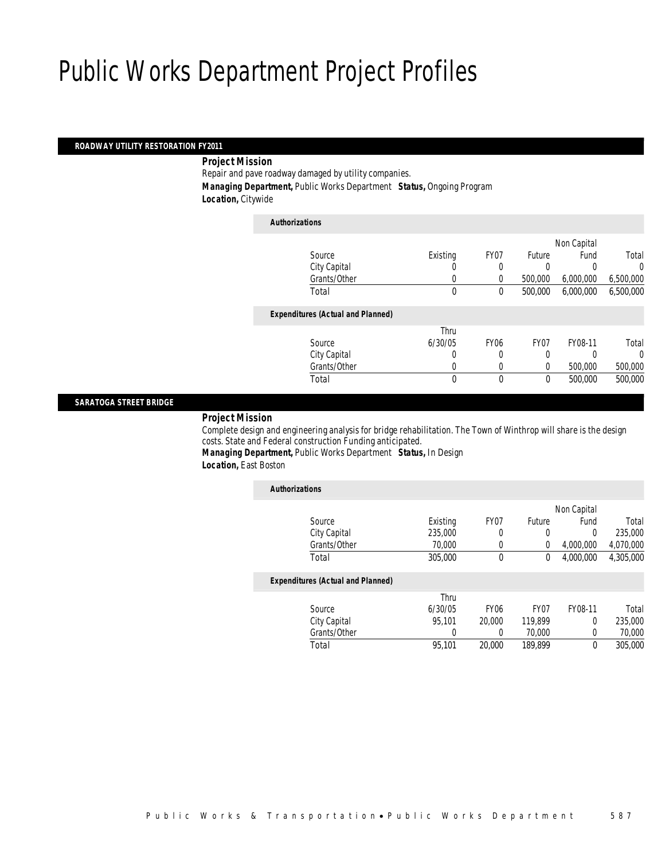## *ROADWAY UTILITY RESTORATION FY2011*

*Project Mission* 

Repair and pave roadway damaged by utility companies. *Managing Department,* Public Works Department *Status,* Ongoing Program *Location,* Citywide

| <b>Authorizations</b> |                                          |          |             |                |             |           |
|-----------------------|------------------------------------------|----------|-------------|----------------|-------------|-----------|
|                       |                                          |          |             |                | Non Capital |           |
|                       | Source                                   | Existing | FY07        | Future         | Fund        | Total     |
|                       | City Capital                             |          | 0           | 0              |             | 0         |
|                       | Grants/Other                             | 0        | 0           | 500,000        | 6,000,000   | 6,500,000 |
|                       | Total                                    | 0        | 0           | 500,000        | 6,000,000   | 6,500,000 |
|                       | <b>Expenditures (Actual and Planned)</b> |          |             |                |             |           |
|                       |                                          | Thru     |             |                |             |           |
|                       | Source                                   | 6/30/05  | <b>FY06</b> | FY07           | FY08-11     | Total     |
|                       | City Capital                             | 0        | O           | 0              |             | $\Omega$  |
|                       | Grants/Other                             | 0        | 0           | $\overline{0}$ | 500,000     | 500,000   |
|                       | Total                                    | 0        | 0           | $\mathbf 0$    | 500,000     | 500,000   |

### *SARATOGA STREET BRIDGE*

*Project Mission* 

Complete design and engineering analysis for bridge rehabilitation. The Town of Winthrop will share is the design costs. State and Federal construction Funding anticipated.

*Managing Department,* Public Works Department *Status,* In Design *Location,* East Boston

| Existing | FY <sub>07</sub> | Future           | Fund      | Total       |
|----------|------------------|------------------|-----------|-------------|
| 235,000  | 0                | 0                | 0         | 235,000     |
| 70,000   | 0                | 0                | 4,000,000 | 4,070,000   |
| 305,000  | 0                | 0                | 4.000.000 | 4.305.000   |
|          |                  |                  |           |             |
| Thru     |                  |                  |           |             |
| 6/30/05  | FY <sub>06</sub> | FY <sub>07</sub> | FY08-11   | Total       |
| 95.101   | 20.000           | 119.899          | 0         | 235,000     |
| 0        | 0                | 70,000           | 0         | 70,000      |
| 95.101   | 20,000           | 189.899          | 0         | 305,000     |
|          |                  |                  |           | Non Capital |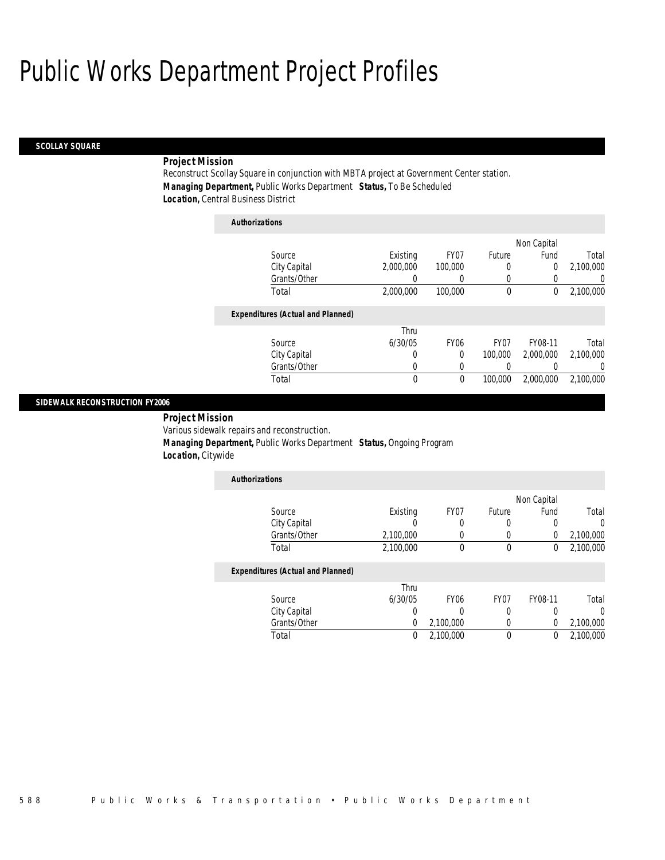#### *SCOLLAY SQUARE*

## *Project Mission*

Reconstruct Scollay Square in conjunction with MBTA project at Government Center station. *Managing Department,* Public Works Department *Status,* To Be Scheduled *Location,* Central Business District

| <b>Authorizations</b>                    |           |                  |                  |             |           |
|------------------------------------------|-----------|------------------|------------------|-------------|-----------|
|                                          |           |                  |                  | Non Capital |           |
| Source                                   | Existing  | FY07             | Future           | Fund        | Total     |
| City Capital                             | 2.000.000 | 100,000          | 0                | 0           | 2,100,000 |
| Grants/Other                             | 0         | 0                | 0                | 0           | 0         |
| Total                                    | 2,000,000 | 100,000          | $\mathbf 0$      | $\theta$    | 2,100,000 |
| <b>Expenditures (Actual and Planned)</b> |           |                  |                  |             |           |
|                                          | Thru      |                  |                  |             |           |
| Source                                   | 6/30/05   | FY <sub>06</sub> | FY <sub>07</sub> | FY08-11     | Total     |
| City Capital                             | 0         | 0                | 100,000          | 2,000,000   | 2.100.000 |
| Grants/Other                             | 0         | 0                | 0                |             | $\Omega$  |
| Total                                    | 0         | 0                | 100,000          | 2,000,000   | 2.100.000 |

### *SIDEWALK RECONSTRUCTION FY2006*

*Project Mission* 

Various sidewalk repairs and reconstruction.

*Managing Department,* Public Works Department *Status,* Ongoing Program

*Location,* Citywide

| Authorizations |           |      |        |             |           |
|----------------|-----------|------|--------|-------------|-----------|
|                |           |      |        | Non Capital |           |
| Source         | Existing  | FY07 | Future | Fund        | Total     |
| City Capital   |           |      |        |             |           |
| Grants/Other   | 2,100,000 |      |        |             | 2,100,000 |
| Total          | 2,100,000 |      | 0      |             | 2,100,000 |

|              | Thru    |           |                  |         |           |
|--------------|---------|-----------|------------------|---------|-----------|
| Source       | 6/30/05 | FY06      | FY <sub>07</sub> | FY08-11 | Total     |
| City Capital |         |           |                  |         |           |
| Grants/Other |         | 2,100,000 |                  |         | 2,100,000 |
| Total        |         | 2,100,000 |                  |         | 2,100,000 |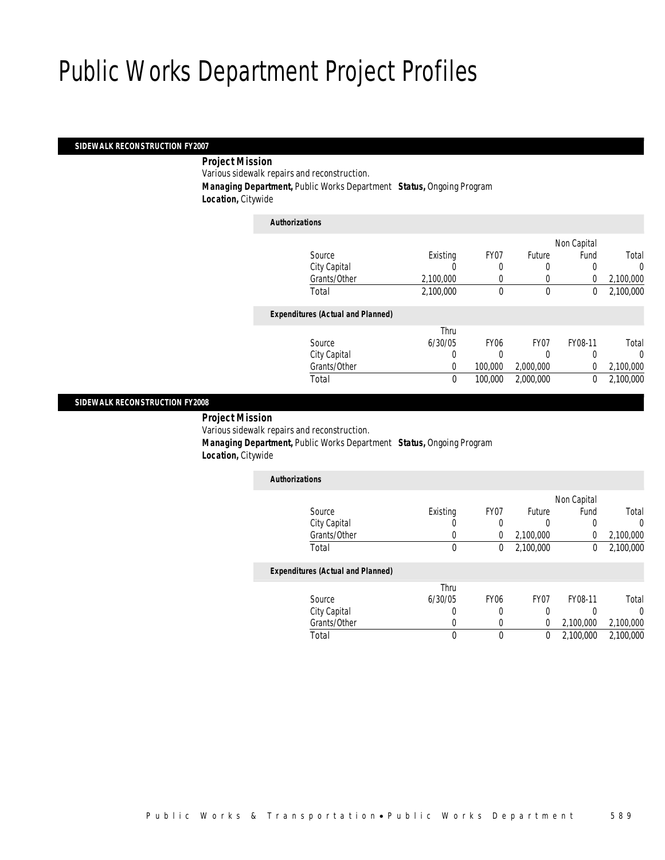### *SIDEWALK RECONSTRUCTION FY2007*

### *Project Mission*

Various sidewalk repairs and reconstruction.

*Managing Department,* Public Works Department *Status,* Ongoing Program

*Location,* Citywide

| <b>Authorizations</b>                    |             |             |             |             |           |
|------------------------------------------|-------------|-------------|-------------|-------------|-----------|
|                                          |             |             |             | Non Capital |           |
| Source                                   | Existing    | FY07        | Future      | Fund        | Total     |
| City Capital                             |             | 0           | 0           |             | 0         |
| Grants/Other                             | 2,100,000   |             | 0           | 0           | 2,100,000 |
| Total                                    | 2,100,000   | 0           | $\mathbf 0$ | 0           | 2,100,000 |
| <b>Expenditures (Actual and Planned)</b> |             |             |             |             |           |
|                                          | Thru        |             |             |             |           |
| Source                                   | 6/30/05     | <b>FY06</b> | FY07        | FY08-11     | Total     |
| City Capital                             | 0           |             | 0           | 0           | 0         |
| Grants/Other                             | $\Omega$    | 100,000     | 2,000,000   | 0           | 2,100,000 |
| Total                                    | $\mathbf 0$ | 100,000     | 2,000,000   | $\theta$    | 2,100,000 |
|                                          |             |             |             |             |           |

### *SIDEWALK RECONSTRUCTION FY2008*

*Project Mission* 

Various sidewalk repairs and reconstruction.

*Managing Department,* Public Works Department *Status,* Ongoing Program

*Location,* Citywide

| <b>Authorizations</b> |          |      |           |             |           |
|-----------------------|----------|------|-----------|-------------|-----------|
|                       |          |      |           | Non Capital |           |
| Source                | Existing | FY07 | Future    | Fund        | Total     |
| City Capital          |          |      |           |             | 0         |
| Grants/Other          | 0        |      | 2,100,000 |             | 2,100,000 |
| Total                 | 0        |      | 2,100,000 |             | 2,100,000 |

|              | Thru    |      |                  |           |           |
|--------------|---------|------|------------------|-----------|-----------|
| Source       | 6/30/05 | FY06 | FY <sub>07</sub> | FY08-11   | Total     |
| City Capital |         |      |                  |           |           |
| Grants/Other |         |      |                  | 2.100.000 | 2,100,000 |
| Total        |         |      |                  | 2.100.000 | 2,100,000 |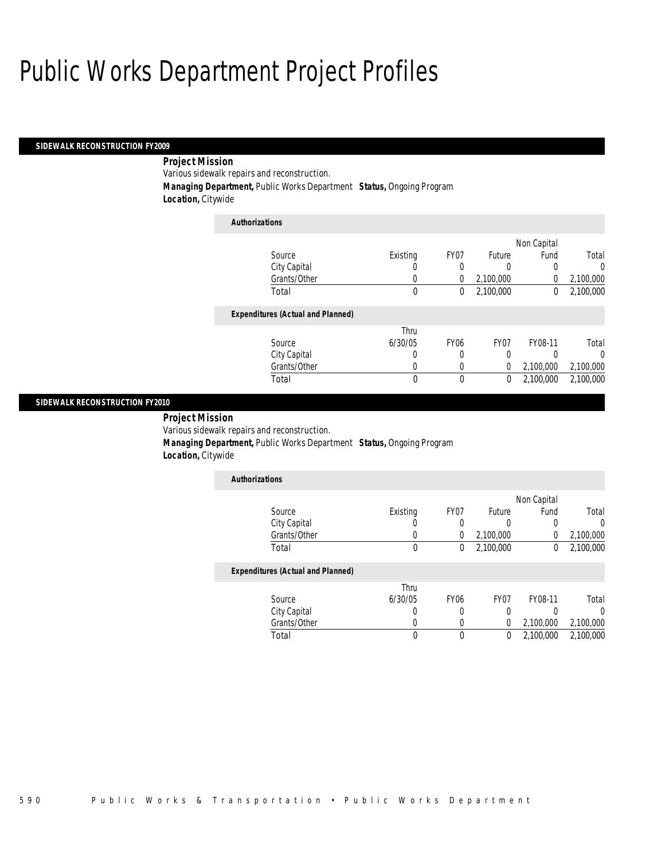### *SIDEWALK RECONSTRUCTION FY2009*

## *Project Mission*

Various sidewalk repairs and reconstruction.

*Managing Department,* Public Works Department *Status,* Ongoing Program

*Location,* Citywide

| <b>Authorizations</b>                    |          |                  |           |             |           |
|------------------------------------------|----------|------------------|-----------|-------------|-----------|
|                                          |          |                  |           | Non Capital |           |
| Source                                   | Existing | FY07             | Future    | Fund        | Total     |
| City Capital                             | U        | 0                | 0         | 0           | $\Omega$  |
| Grants/Other                             | 0        | 0                | 2,100,000 | 0           | 2,100,000 |
| Total                                    | 0        | 0                | 2,100,000 | 0           | 2,100,000 |
| <b>Expenditures (Actual and Planned)</b> |          |                  |           |             |           |
|                                          | Thru     |                  |           |             |           |
| Source                                   | 6/30/05  | FY <sub>06</sub> | FY07      | FY08-11     | Total     |
| City Capital                             | 0        | 0                | 0         | 0           | $\Omega$  |
| Grants/Other                             | 0        | 0                | 0         | 2,100,000   | 2,100,000 |
| Total                                    | 0        | 0                | 0         | 2,100,000   | 2,100,000 |

### *SIDEWALK RECONSTRUCTION FY2010*

*Project Mission* 

Various sidewalk repairs and reconstruction.

*Managing Department,* Public Works Department *Status,* Ongoing Program

*Location,* Citywide

| <b>Authorizations</b> |          |      |           |             |           |
|-----------------------|----------|------|-----------|-------------|-----------|
|                       |          |      |           | Non Capital |           |
| Source                | Existing | FY07 | Future    | Fund        | Total     |
| City Capital          |          |      |           |             |           |
| Grants/Other          |          |      | 2,100,000 |             | 2,100,000 |
| Total                 |          |      | 2,100,000 |             | 2,100,000 |

|        |              | Thru    |      |      |           |           |
|--------|--------------|---------|------|------|-----------|-----------|
| Source |              | 6/30/05 | FY06 | FY07 | FY08-11   | Total     |
|        | City Capital |         |      |      |           |           |
|        | Grants/Other |         |      |      | 2.100.000 | 2,100,000 |
| Total  |              |         |      |      | 2.100.000 | 2,100,000 |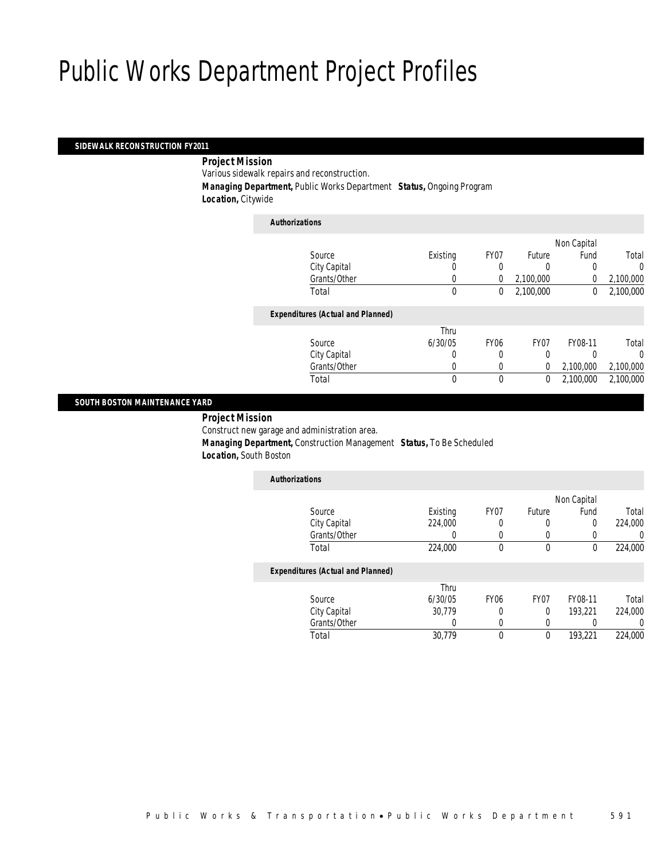### *SIDEWALK RECONSTRUCTION FY2011*

### *Project Mission*

Various sidewalk repairs and reconstruction.

*Managing Department,* Public Works Department *Status,* Ongoing Program

*Location,* Citywide

| <b>Authorizations</b>                    |          |             |                |             |           |
|------------------------------------------|----------|-------------|----------------|-------------|-----------|
|                                          |          |             |                | Non Capital |           |
| Source                                   | Existing | FY07        | Future         | Fund        | Total     |
| City Capital                             | 0        | 0           | 0              |             | 0         |
| Grants/Other                             | 0        | $\Omega$    | 2,100,000      | 0           | 2,100,000 |
| Total                                    | 0        | 0           | 2,100,000      | 0           | 2,100,000 |
| <b>Expenditures (Actual and Planned)</b> |          |             |                |             |           |
|                                          | Thru     |             |                |             |           |
| Source                                   | 6/30/05  | <b>FY06</b> | FY07           | FY08-11     | Total     |
| City Capital                             | 0        | 0           | 0              |             | 0         |
| Grants/Other                             | 0        | 0           | $\overline{0}$ | 2,100,000   | 2,100,000 |
| Total                                    | 0        | 0           | $\mathbf{0}$   | 2,100,000   | 2.100.000 |
|                                          |          |             |                |             |           |

### *SOUTH BOSTON MAINTENANCE YARD*

*Project Mission* 

Construct new garage and administration area.

*Managing Department,* Construction Management *Status,* To Be Scheduled

*Location,* South Boston

| <b>Authorizations</b>                    |          |                  |                  |             |         |
|------------------------------------------|----------|------------------|------------------|-------------|---------|
|                                          |          |                  |                  | Non Capital |         |
| Source                                   | Existing | FY07             | Future           | Fund        | Total   |
| City Capital                             | 224.000  | 0                | 0                | 0           | 224,000 |
| Grants/Other                             | 0        | 0                | 0                |             | U       |
| Total                                    | 224,000  | 0                | 0                | 0           | 224,000 |
| <b>Expenditures (Actual and Planned)</b> |          |                  |                  |             |         |
|                                          | Thru     |                  |                  |             |         |
| Source                                   | 6/30/05  | FY <sub>06</sub> | FY <sub>07</sub> | FY08-11     | Total   |
| City Capital                             | 30.779   | 0                | $\Omega$         | 193.221     | 224,000 |
| Grants/Other                             | 0        | 0                | 0                |             | 0       |
| Total                                    | 30.779   | 0                | 0                | 193,221     | 224,000 |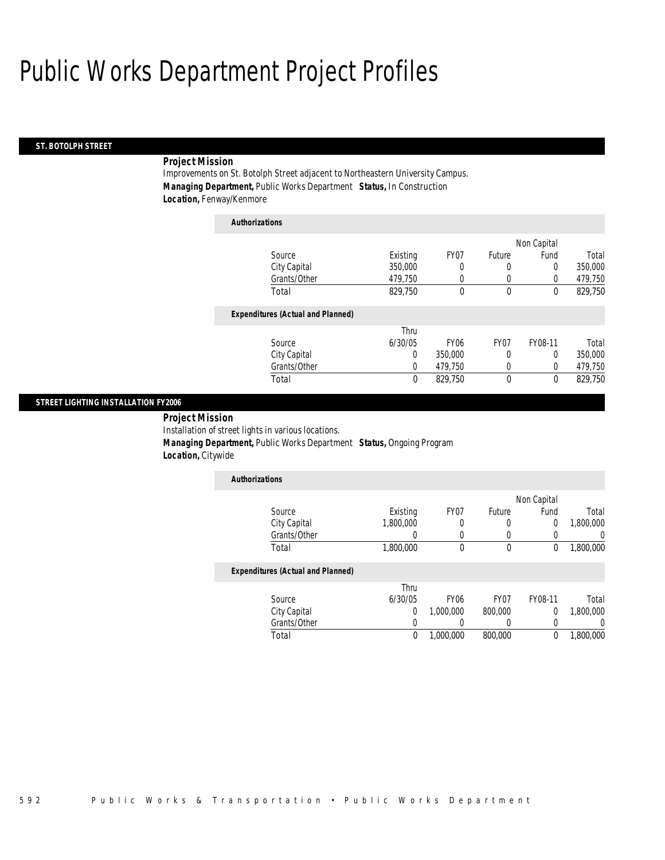### *ST. BOTOLPH STREET*

## *Project Mission*

Improvements on St. Botolph Street adjacent to Northeastern University Campus. *Managing Department,* Public Works Department *Status,* In Construction *Location,* Fenway/Kenmore

| <b>Authorizations</b>                    |          |                  |                  |             |         |
|------------------------------------------|----------|------------------|------------------|-------------|---------|
|                                          |          |                  |                  | Non Capital |         |
| Source                                   | Existing | FY <sub>07</sub> | Future           | Fund        | Total   |
| City Capital                             | 350,000  | 0                | 0                | $\Omega$    | 350,000 |
| Grants/Other                             | 479,750  | 0                | 0                | 0           | 479,750 |
| Total                                    | 829,750  | 0                | $\theta$         | $\theta$    | 829,750 |
| <b>Expenditures (Actual and Planned)</b> |          |                  |                  |             |         |
|                                          | Thru     |                  |                  |             |         |
| Source                                   | 6/30/05  | FY <sub>06</sub> | FY <sub>07</sub> | FY08-11     | Total   |
| City Capital                             | 0        | 350,000          | 0                | 0           | 350,000 |
| Grants/Other                             | 0        | 479,750          | 0                | $\Omega$    | 479,750 |
| Total                                    | 0        | 829.750          | $\mathbf 0$      | $\theta$    | 829.750 |

### *STREET LIGHTING INSTALLATION FY2006*

 *Project Mission* Installation of street lights in various locations. *Managing Department,* Public Works Department *Status,* Ongoing Program *Location,* Citywide

| <b>Authorizations</b> |           |      |        |             |           |
|-----------------------|-----------|------|--------|-------------|-----------|
|                       |           |      |        | Non Capital |           |
| Source                | Existing  | FY07 | Future | Fund        | Total     |
| City Capital          | 1,800,000 |      |        |             | 1,800,000 |
| Grants/Other          |           |      |        |             |           |
| Total                 | 1,800,000 |      |        |             | 1,800,000 |

|              | Thru    |                  |         |         |           |
|--------------|---------|------------------|---------|---------|-----------|
| Source       | 6/30/05 | FY <sub>06</sub> | FY07    | FY08-11 | Total     |
| City Capital |         | .000.000         | 800,000 |         | 1,800,000 |
| Grants/Other |         |                  |         |         |           |
| Total        |         | 1,000,000        | 800,000 |         | 1,800,000 |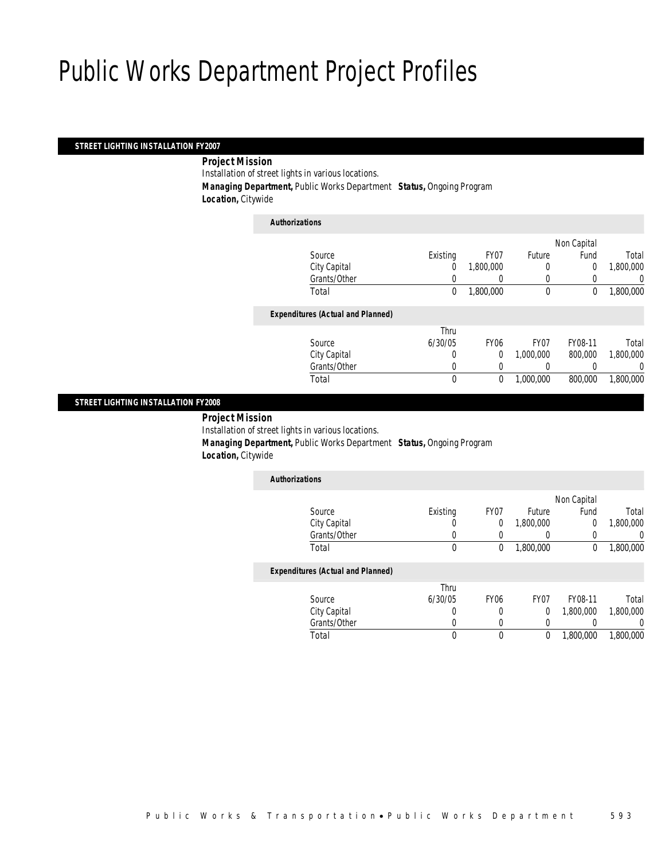## *STREET LIGHTING INSTALLATION FY2007*

### *Project Mission*

Installation of street lights in various locations.

*Managing Department,* Public Works Department *Status,* Ongoing Program

*Location,* Citywide

| <b>Authorizations</b>                    |          |                |             |             |           |
|------------------------------------------|----------|----------------|-------------|-------------|-----------|
|                                          |          |                |             | Non Capital |           |
| Source                                   | Existing | FY07           | Future      | Fund        | Total     |
| City Capital                             | 0        | 1.800.000      | 0           | 0           | 1,800,000 |
| Grants/Other                             | 0        |                | 0           |             | 0         |
| Total                                    | 0        | 1,800,000      | $\mathbf 0$ | 0           | 1,800,000 |
| <b>Expenditures (Actual and Planned)</b> |          |                |             |             |           |
|                                          | Thru     |                |             |             |           |
| Source                                   | 6/30/05  | <b>FY06</b>    | FY07        | FY08-11     | Total     |
| City Capital                             | 0        | $\overline{0}$ | 1,000,000   | 800,000     | 1,800,000 |
| Grants/Other                             | 0        |                | 0           |             | 0         |
| Total                                    | 0        | 0              | 1,000,000   | 800,000     | 1.800.000 |
|                                          |          |                |             |             |           |

### *STREET LIGHTING INSTALLATION FY2008*

*Project Mission* 

Installation of street lights in various locations.

*Managing Department,* Public Works Department *Status,* Ongoing Program

*Location,* Citywide

| <b>Authorizations</b> |          |      |           |             |           |
|-----------------------|----------|------|-----------|-------------|-----------|
|                       |          |      |           | Non Capital |           |
| Source                | Existing | FY07 | Future    | Fund        | Total     |
| City Capital          | U        | 0    | 1,800,000 |             | 1,800,000 |
| Grants/Other          |          |      |           |             | 0         |
| Total                 | 0        |      | 1,800,000 |             | 1,800,000 |
|                       |          |      |           |             |           |

| Thru    |              |                  |           |           |
|---------|--------------|------------------|-----------|-----------|
| 6/30/05 | <b>FY06</b>  | FY <sub>07</sub> | FY08-11   | Total     |
|         |              |                  | 1,800,000 | 1,800,000 |
|         |              |                  |           |           |
|         |              |                  | 1,800,000 | 1,800,000 |
|         | Grants/Other |                  |           |           |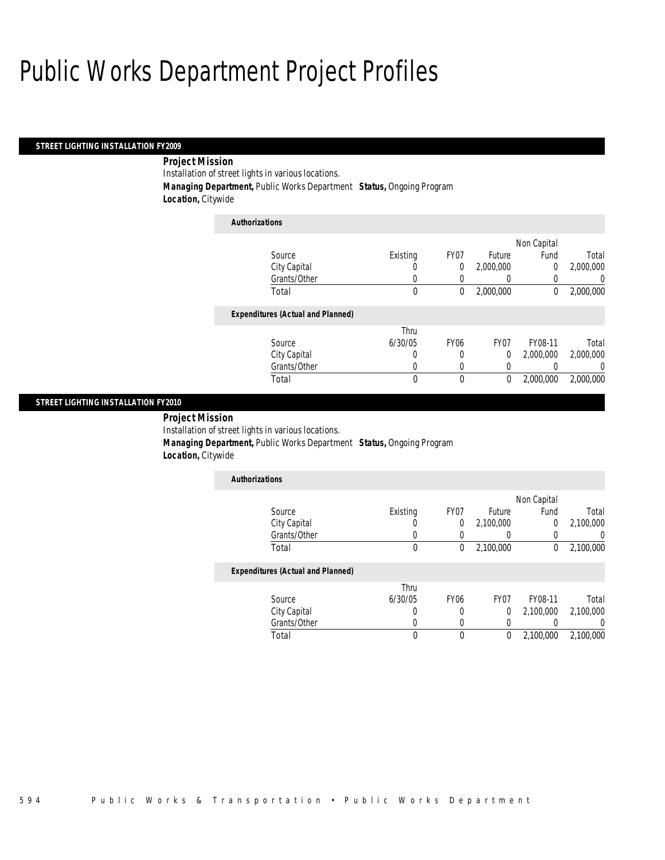### *STREET LIGHTING INSTALLATION FY2009*

## *Project Mission*

Installation of street lights in various locations.

*Managing Department,* Public Works Department *Status,* Ongoing Program

*Location,* Citywide

| <b>Authorizations</b>                    |          |                  |              |             |           |
|------------------------------------------|----------|------------------|--------------|-------------|-----------|
|                                          |          |                  |              | Non Capital |           |
| Source                                   | Existing | FY07             | Future       | Fund        | Total     |
| City Capital                             | U        | 0                | 2.000.000    | $\theta$    | 2,000,000 |
| Grants/Other                             | 0        | 0                |              |             | 0         |
| Total                                    | 0        | 0                | 2,000,000    | $\theta$    | 2,000,000 |
| <b>Expenditures (Actual and Planned)</b> |          |                  |              |             |           |
|                                          | Thru     |                  |              |             |           |
| Source                                   | 6/30/05  | FY <sub>06</sub> | FY07         | FY08-11     | Total     |
| City Capital                             | 0        | 0                | $\Omega$     | 2,000,000   | 2,000,000 |
| Grants/Other                             | O        | $\Omega$         |              |             | $\Omega$  |
| Total                                    | 0        | $\theta$         | $\mathbf{0}$ | 2,000,000   | 2,000,000 |

## *STREET LIGHTING INSTALLATION FY2010*

*Project Mission* 

Installation of street lights in various locations.

*Managing Department,* Public Works Department *Status,* Ongoing Program

*Location,* Citywide

| <b>Authorizations</b> |          |      |           |             |           |
|-----------------------|----------|------|-----------|-------------|-----------|
|                       |          |      |           | Non Capital |           |
| Source                | Existing | FY07 | Future    | Fund        | Total     |
| City Capital          | U        |      | 2,100,000 |             | 2,100,000 |
| Grants/Other          |          |      |           |             |           |
| Total                 |          |      | 2,100,000 |             | 2,100,000 |

|              | Thru    |      |      |           |           |
|--------------|---------|------|------|-----------|-----------|
| Source       | 6/30/05 | FY06 | FY07 | FY08-11   | Total     |
| City Capital |         |      |      | 2,100,000 | 2,100,000 |
| Grants/Other |         |      |      |           |           |
| Total        |         |      |      | 2.100.000 | 2,100,000 |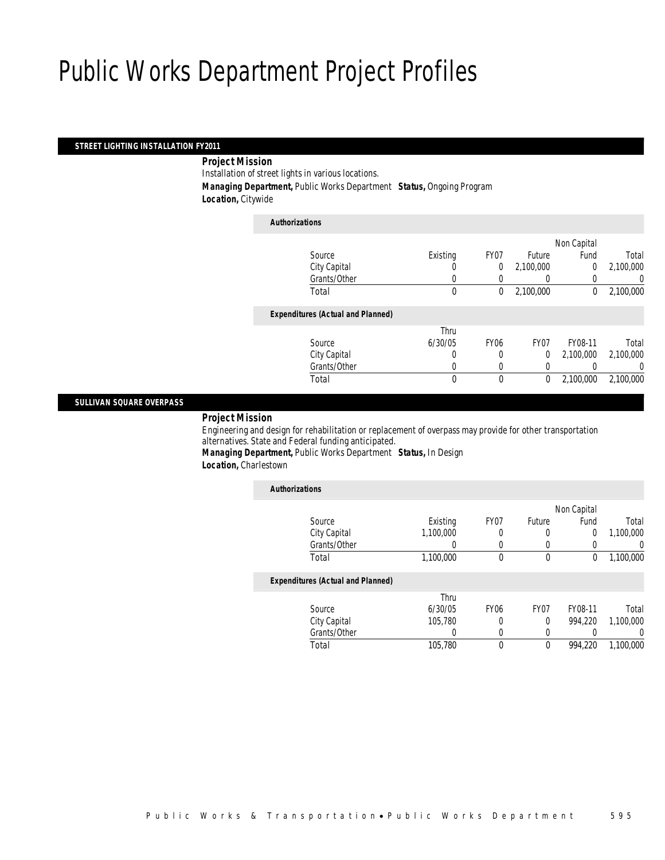## *STREET LIGHTING INSTALLATION FY2011*

### *Project Mission*

Installation of street lights in various locations.

*Managing Department,* Public Works Department *Status,* Ongoing Program

*Location,* Citywide

| <b>Authorizations</b>                    |          |                |                |             |           |
|------------------------------------------|----------|----------------|----------------|-------------|-----------|
|                                          |          |                |                | Non Capital |           |
| Source                                   | Existing | FY07           | Future         | Fund        | Total     |
| City Capital                             | 0        | $\overline{0}$ | 2,100,000      | 0           | 2,100,000 |
| Grants/Other                             | 0        |                |                |             | 0         |
| Total                                    | 0        | 0              | 2,100,000      | 0           | 2,100,000 |
| <b>Expenditures (Actual and Planned)</b> |          |                |                |             |           |
|                                          | Thru     |                |                |             |           |
| Source                                   | 6/30/05  | <b>FY06</b>    | FY07           | FY08-11     | Total     |
| City Capital                             | 0        | 0              | $\overline{0}$ | 2.100.000   | 2,100,000 |
| Grants/Other                             |          | 0              | 0              |             | 0         |
| Total                                    | 0        | 0              | $\mathbf 0$    | 2,100,000   | 2.100.000 |
|                                          |          |                |                |             |           |

### *SULLIVAN SQUARE OVERPASS*

## *Project Mission*

Engineering and design for rehabilitation or replacement of overpass may provide for other transportation alternatives. State and Federal funding anticipated.

*Managing Department,* Public Works Department *Status,* In Design *Location,* Charlestown

| <b>Authorizations</b>                    |           |                  |                  |             |                  |
|------------------------------------------|-----------|------------------|------------------|-------------|------------------|
|                                          |           |                  |                  | Non Capital |                  |
| Source                                   | Existing  | FY07             | Future           | Fund        | Total            |
| City Capital                             | 1.100.000 | 0                | 0                | 0           | 1.100.000        |
| Grants/Other                             |           |                  | 0                |             | $\left( \right)$ |
| Total                                    | 1,100,000 | 0                | 0                | 0           | 1,100,000        |
| <b>Expenditures (Actual and Planned)</b> |           |                  |                  |             |                  |
|                                          | Thru      |                  |                  |             |                  |
| Source                                   | 6/30/05   | FY <sub>06</sub> | FY <sub>07</sub> | FY08-11     | Total            |
| City Capital                             | 105.780   | 0                | 0                | 994.220     | 1.100.000        |
| Grants/Other                             | 0         |                  | 0                |             | 0                |
| Total                                    | 105,780   | 0                | 0                | 994.220     | 1.100.000        |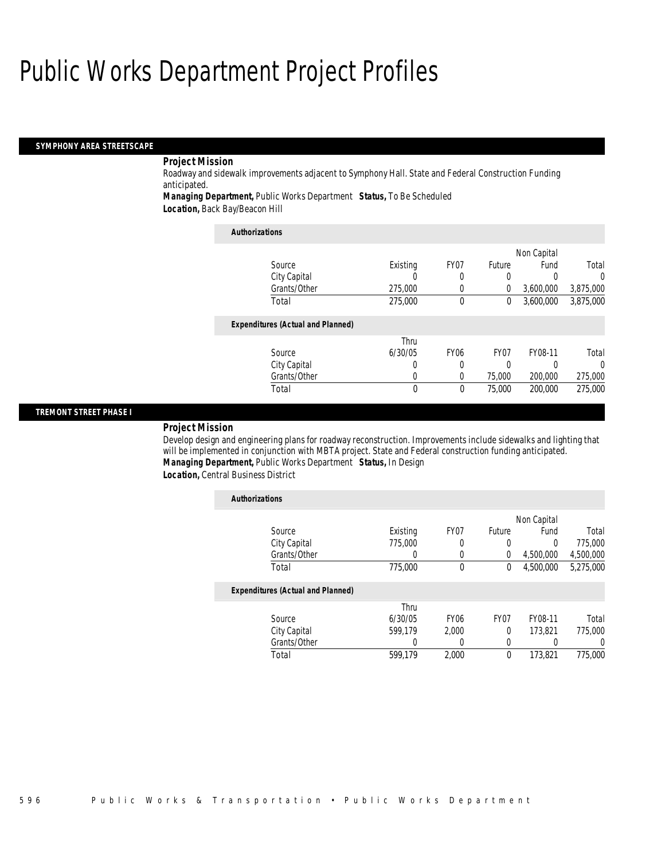#### *SYMPHONY AREA STREETSCAPE*

## *Project Mission*

Roadway and sidewalk improvements adjacent to Symphony Hall. State and Federal Construction Funding anticipated.

*Managing Department,* Public Works Department *Status,* To Be Scheduled

*Location,* Back Bay/Beacon Hill

| <b>Authorizations</b>                    |             |                  |                  |           |           |
|------------------------------------------|-------------|------------------|------------------|-----------|-----------|
|                                          | Non Capital |                  |                  |           |           |
| Source                                   | Existing    | FY <sub>07</sub> | Future           | Fund      | Total     |
| City Capital                             |             | 0                | 0                |           | $\Omega$  |
| Grants/Other                             | 275,000     | 0                | 0                | 3,600,000 | 3,875,000 |
| Total                                    | 275,000     | $\theta$         | 0                | 3,600,000 | 3,875,000 |
| <b>Expenditures (Actual and Planned)</b> |             |                  |                  |           |           |
|                                          | Thru        |                  |                  |           |           |
| Source                                   | 6/30/05     | <b>FY06</b>      | FY <sub>07</sub> | FY08-11   | Total     |
| City Capital                             | 0           | 0                | 0                | O         | $\Omega$  |
| Grants/Other                             | 0           | 0                | 75,000           | 200,000   | 275,000   |
| Total                                    | 0           | $\theta$         | 75,000           | 200,000   | 275,000   |

### *TREMONT STREET PHASE I*

### *Project Mission*

Develop design and engineering plans for roadway reconstruction. Improvements include sidewalks and lighting that will be implemented in conjunction with MBTA project. State and Federal construction funding anticipated. *Managing Department,* Public Works Department *Status,* In Design

*Location,* Central Business District

| <b>Authorizations</b>                    |          |             |                  |             |           |
|------------------------------------------|----------|-------------|------------------|-------------|-----------|
|                                          |          |             |                  | Non Capital |           |
| Source                                   | Existing | FY07        | Future           | Fund        | Total     |
| City Capital                             | 775,000  | 0           | 0                | 0           | 775,000   |
| Grants/Other                             | 0        | $\Omega$    | $\Omega$         | 4,500,000   | 4,500,000 |
| Total                                    | 775,000  | $\theta$    | $\mathbf{0}$     | 4.500.000   | 5,275,000 |
| <b>Expenditures (Actual and Planned)</b> |          |             |                  |             |           |
|                                          | Thru     |             |                  |             |           |
| Source                                   | 6/30/05  | <b>FY06</b> | FY <sub>07</sub> | FY08-11     | Total     |
| City Capital                             | 599.179  | 2.000       | $\theta$         | 173.821     | 775,000   |
| Grants/Other                             | 0        | 0           | 0                |             | 0         |
| Total                                    | 599.179  | 2.000       | 0                | 173.821     | 775,000   |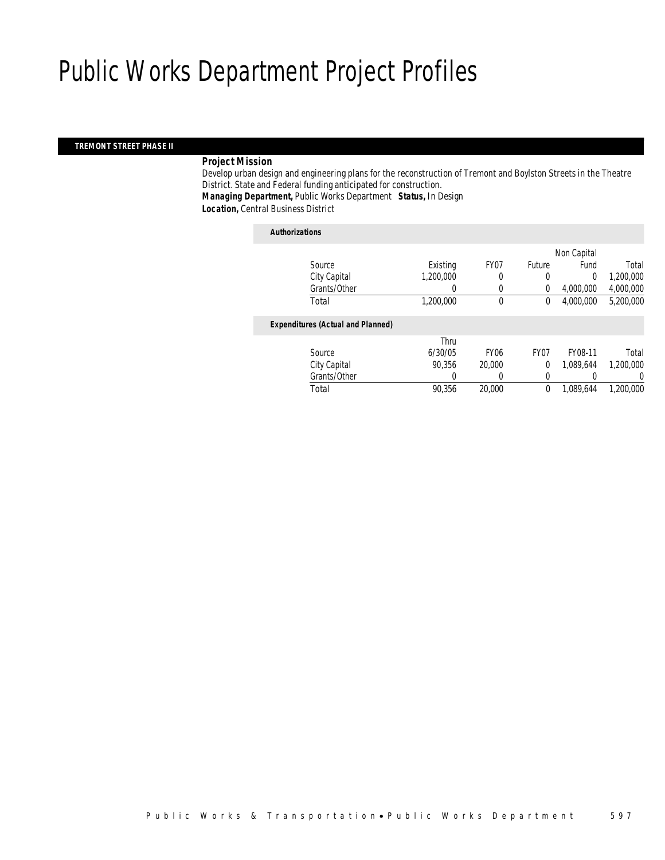### *TREMONT STREET PHASE II*

### *Project Mission*

Develop urban design and engineering plans for the reconstruction of Tremont and Boylston Streets in the Theatre District. State and Federal funding anticipated for construction. *Managing Department,* Public Works Department *Status,* In Design

*Location,* Central Business District

#### *Authorizations*

|                                          |           |             |                  | Non Capital |           |
|------------------------------------------|-----------|-------------|------------------|-------------|-----------|
| Source                                   | Existing  | FY07        | Future           | Fund        | Total     |
| City Capital                             | 1,200,000 | 0           | 0                | 0           | 1,200,000 |
| Grants/Other                             |           | 0           | $\overline{0}$   | 4,000,000   | 4,000,000 |
| Total                                    | 1,200,000 | 0           | 0                | 4,000,000   | 5,200,000 |
| <b>Expenditures (Actual and Planned)</b> |           |             |                  |             |           |
|                                          | Thru      |             |                  |             |           |
| Source                                   | 6/30/05   | <b>FY06</b> | FY <sub>07</sub> | FY08-11     | Total     |
| City Capital                             | 90,356    | 20,000      | $\overline{0}$   | 1,089,644   | 1,200,000 |
| Grants/Other                             | 0         |             | 0                |             | 0         |
| Total                                    | 90,356    | 20,000      | 0                | 1.089.644   | 1,200,000 |
|                                          |           |             |                  |             |           |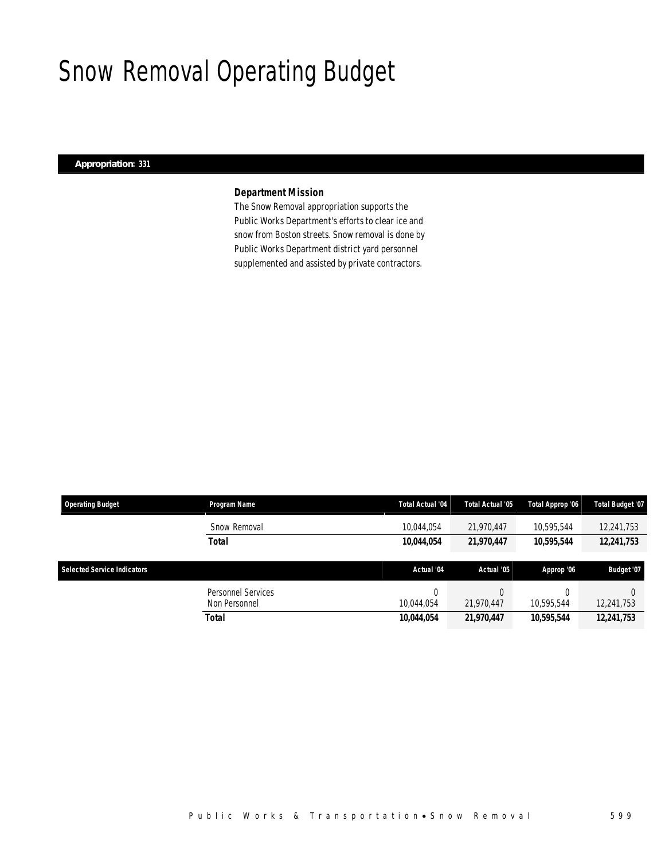# Snow Removal Operating Budget

## *Appropriation: 331*

## *Department Mission*

The Snow Removal appropriation supports the Public Works Department's efforts to clear ice and snow from Boston streets. Snow removal is done by Public Works Department district yard personnel supplemented and assisted by private contractors.

| <b>Operating Budget</b>            | Program Name       | <b>Total Actual '04</b> | Total Actual '05 | Total Approp '06 | Total Budget '07 |
|------------------------------------|--------------------|-------------------------|------------------|------------------|------------------|
|                                    | Snow Removal       | 10,044,054              | 21.970.447       | 10,595,544       | 12,241,753       |
|                                    | Total              | 10,044,054              | 21,970,447       | 10,595,544       | 12,241,753       |
|                                    |                    |                         |                  |                  |                  |
|                                    |                    |                         |                  |                  |                  |
| <b>Selected Service Indicators</b> |                    | Actual '04              | Actual '05       | Approp '06       | Budget '07       |
|                                    | Personnel Services | 0                       | 0                |                  |                  |
|                                    | Non Personnel      | 10.044.054              | 21.970.447       | 10.595.544       | 12,241,753       |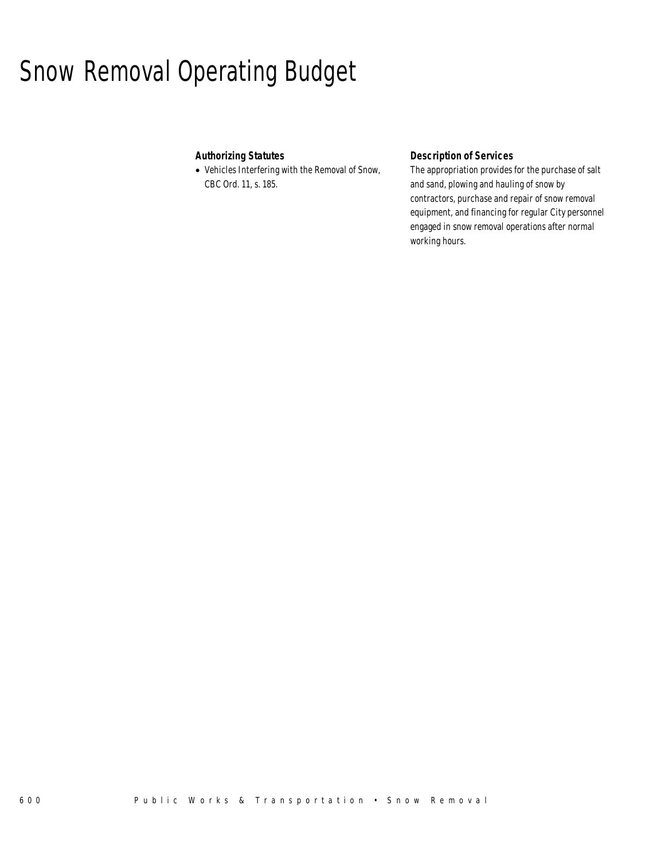# Snow Removal Operating Budget

## *Authorizing Statutes*

• Vehicles Interfering with the Removal of Snow, CBC Ord. 11, s. 185.

## *Description of Services*

The appropriation provides for the purchase of salt and sand, plowing and hauling of snow by contractors, purchase and repair of snow removal equipment, and financing for regular City personnel engaged in snow removal operations after normal working hours.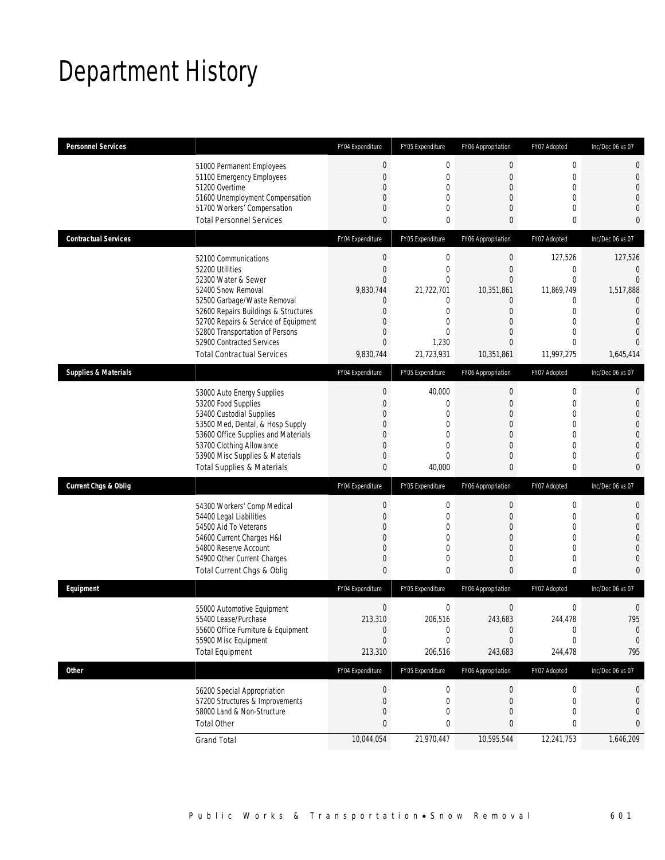# Department History

| <b>Personnel Services</b>       |                                                                                                                                                                                                                                                                                                          | FY04 Expenditure                                                                                                                                        | FY05 Expenditure                                                                                                                           | FY06 Appropriation                                                                                                                                                   | FY07 Adopted                                                                                                            | Inc/Dec 06 vs 07                                                                                                                 |
|---------------------------------|----------------------------------------------------------------------------------------------------------------------------------------------------------------------------------------------------------------------------------------------------------------------------------------------------------|---------------------------------------------------------------------------------------------------------------------------------------------------------|--------------------------------------------------------------------------------------------------------------------------------------------|----------------------------------------------------------------------------------------------------------------------------------------------------------------------|-------------------------------------------------------------------------------------------------------------------------|----------------------------------------------------------------------------------------------------------------------------------|
|                                 | 51000 Permanent Employees<br>51100 Emergency Employees<br>51200 Overtime<br>51600 Unemployment Compensation<br>51700 Workers' Compensation<br><b>Total Personnel Services</b>                                                                                                                            | $\mathbf 0$<br>$\mathbf 0$<br>$\overline{0}$<br>$\overline{0}$<br>$\overline{0}$<br>$\mathbf{0}$                                                        | $\boldsymbol{0}$<br>$\mathbf 0$<br>$\mathbf{0}$<br>$\mathbf{0}$<br>$\mathbf{0}$<br>$\mathbf 0$                                             | 0<br>$\overline{0}$<br>$\overline{0}$<br>$\mathbf{0}$<br>$\overline{0}$<br>$\mathbf{0}$                                                                              | 0<br>$\mathbf 0$<br>$\mathbf{0}$<br>$\Omega$<br>$\mathbf{0}$<br>$\mathbf{0}$                                            | 0<br>$\mathbf 0$<br>$\mathbf{0}$<br>0<br>$\mathbf 0$<br>0                                                                        |
| <b>Contractual Services</b>     |                                                                                                                                                                                                                                                                                                          | FY04 Expenditure                                                                                                                                        | FY05 Expenditure                                                                                                                           | FY06 Appropriation                                                                                                                                                   | FY07 Adopted                                                                                                            | Inc/Dec 06 vs 07                                                                                                                 |
|                                 | 52100 Communications<br>52200 Utilities<br>52300 Water & Sewer<br>52400 Snow Removal<br>52500 Garbage/Waste Removal<br>52600 Repairs Buildings & Structures<br>52700 Repairs & Service of Equipment<br>52800 Transportation of Persons<br>52900 Contracted Services<br><b>Total Contractual Services</b> | $\boldsymbol{0}$<br>$\overline{0}$<br>$\overline{0}$<br>9,830,744<br>0<br>$\overline{0}$<br>$\overline{0}$<br>$\mathbf{0}$<br>$\mathbf{0}$<br>9,830,744 | $\boldsymbol{0}$<br>$\mathbf{0}$<br>$\mathbf{0}$<br>21,722,701<br>0<br>$\mathbf{0}$<br>$\mathbf{0}$<br>$\mathbf{0}$<br>1,230<br>21,723,931 | $\boldsymbol{0}$<br>$\overline{0}$<br>$\mathbf{0}$<br>10,351,861<br>$\overline{0}$<br>$\mathbf{0}$<br>$\mathbf{0}$<br>$\overline{0}$<br>$\overline{0}$<br>10,351,861 | 127,526<br>0<br>$\Omega$<br>11,869,749<br>$\mathbf 0$<br>$\mathbf{0}$<br>$\Omega$<br>$\Omega$<br>$\theta$<br>11,997,275 | 127,526<br>$\mathbf{0}$<br>$\theta$<br>1,517,888<br>$\mathbf 0$<br>$\mathbf{0}$<br>$\theta$<br>$\Omega$<br>$\Omega$<br>1,645,414 |
| <b>Supplies &amp; Materials</b> |                                                                                                                                                                                                                                                                                                          | FY04 Expenditure                                                                                                                                        | FY05 Expenditure                                                                                                                           | FY06 Appropriation                                                                                                                                                   | FY07 Adopted                                                                                                            | Inc/Dec 06 vs 07                                                                                                                 |
|                                 | 53000 Auto Energy Supplies<br>53200 Food Supplies<br>53400 Custodial Supplies<br>53500 Med, Dental, & Hosp Supply<br>53600 Office Supplies and Materials<br>53700 Clothing Allowance<br>53900 Misc Supplies & Materials<br><b>Total Supplies &amp; Materials</b>                                         | $\boldsymbol{0}$<br>$\mathbf{0}$<br>$\overline{0}$<br>$\overline{0}$<br>$\overline{0}$<br>$\overline{0}$<br>$\mathbf 0$<br>$\mathbf{0}$                 | 40,000<br>$\mathbf{0}$<br>$\mathbf 0$<br>$\mathbf{0}$<br>$\mathbf{0}$<br>$\mathbf{0}$<br>$\mathbf{0}$<br>40,000                            | $\theta$<br>$\overline{0}$<br>$\mathbf{0}$<br>$\overline{0}$<br>$\overline{0}$<br>$\overline{0}$<br>$\mathbf 0$<br>$\mathbf{0}$                                      | 0<br>$\mathbf{0}$<br>$\mathbf{0}$<br>$\mathbf{0}$<br>$\mathbf{0}$<br>$\mathbf 0$<br>$\mathbf{0}$<br>0                   | 0<br>$\theta$<br>0<br>$\mathbf 0$<br>$\mathbf{0}$<br>0<br>$\mathbf 0$<br>0                                                       |
| <b>Current Chgs &amp; Oblig</b> |                                                                                                                                                                                                                                                                                                          | FY04 Expenditure                                                                                                                                        | FY05 Expenditure                                                                                                                           | FY06 Appropriation                                                                                                                                                   | FY07 Adopted                                                                                                            | Inc/Dec 06 vs 07                                                                                                                 |
|                                 | 54300 Workers' Comp Medical<br>54400 Legal Liabilities<br>54500 Aid To Veterans<br>54600 Current Charges H&I<br>54800 Reserve Account<br>54900 Other Current Charges<br>Total Current Chgs & Oblig                                                                                                       | $\boldsymbol{0}$<br>$\overline{0}$<br>$\Omega$<br>$\overline{0}$<br>$\overline{0}$<br>$\mathbf 0$<br>$\mathbf{0}$                                       | 0<br>$\mathbf{0}$<br>$\mathbf{0}$<br>$\mathbf{0}$<br>$\mathbf{0}$<br>$\mathbf 0$<br>$\theta$                                               | $\mathbf 0$<br>$\mathbf{0}$<br>$\overline{0}$<br>$\mathbf{0}$<br>$\overline{0}$<br>$\mathbf{0}$<br>$\mathbf{0}$                                                      | $\mathbf 0$<br>$\mathbf{0}$<br>$\Omega$<br>$\mathbf{0}$<br>$\mathbf 0$<br>$\mathbf 0$<br>0                              | 0<br>$\boldsymbol{0}$<br>$\theta$<br>$\overline{0}$<br>$\mathbf 0$<br>$\boldsymbol{0}$<br>0                                      |
| Equipment                       |                                                                                                                                                                                                                                                                                                          | FY04 Expenditure                                                                                                                                        | FY05 Expenditure                                                                                                                           | FY06 Appropriation                                                                                                                                                   | FY07 Adopted                                                                                                            | Inc/Dec 06 vs 07                                                                                                                 |
|                                 | 55000 Automotive Equipment<br>55400 Lease/Purchase<br>55600 Office Furniture & Equipment<br>55900 Misc Equipment<br><b>Total Equipment</b>                                                                                                                                                               | $\mathbf 0$<br>213,310<br>$\boldsymbol{0}$<br>$\mathbf{0}$<br>213,310                                                                                   | 0<br>206,516<br>$\boldsymbol{0}$<br>$\mathbf{0}$<br>206,516                                                                                | $\mathbf 0$<br>243,683<br>$\theta$<br>$\overline{0}$<br>243,683                                                                                                      | 0<br>244,478<br>0<br>$\mathbf 0$<br>244,478                                                                             | 0<br>795<br>$\mathbf 0$<br>$\boldsymbol{0}$<br>795                                                                               |
| Other                           |                                                                                                                                                                                                                                                                                                          | FY04 Expenditure                                                                                                                                        | FY05 Expenditure                                                                                                                           | FY06 Appropriation                                                                                                                                                   | FY07 Adopted                                                                                                            | Inc/Dec 06 vs 07                                                                                                                 |
|                                 | 56200 Special Appropriation<br>57200 Structures & Improvements<br>58000 Land & Non-Structure<br><b>Total Other</b>                                                                                                                                                                                       | 0<br>$\mathbf 0$<br>$\overline{0}$<br>$\mathbf{0}$                                                                                                      | $\boldsymbol{0}$<br>0<br>0<br>0                                                                                                            | $\boldsymbol{0}$<br>$\theta$<br>0<br>0                                                                                                                               | 0<br>0<br>0<br>0                                                                                                        | 0<br>$\mathbf 0$<br>0<br>0                                                                                                       |
|                                 | <b>Grand Total</b>                                                                                                                                                                                                                                                                                       | 10,044,054                                                                                                                                              | 21,970,447                                                                                                                                 | 10,595,544                                                                                                                                                           | 12,241,753                                                                                                              | 1,646,209                                                                                                                        |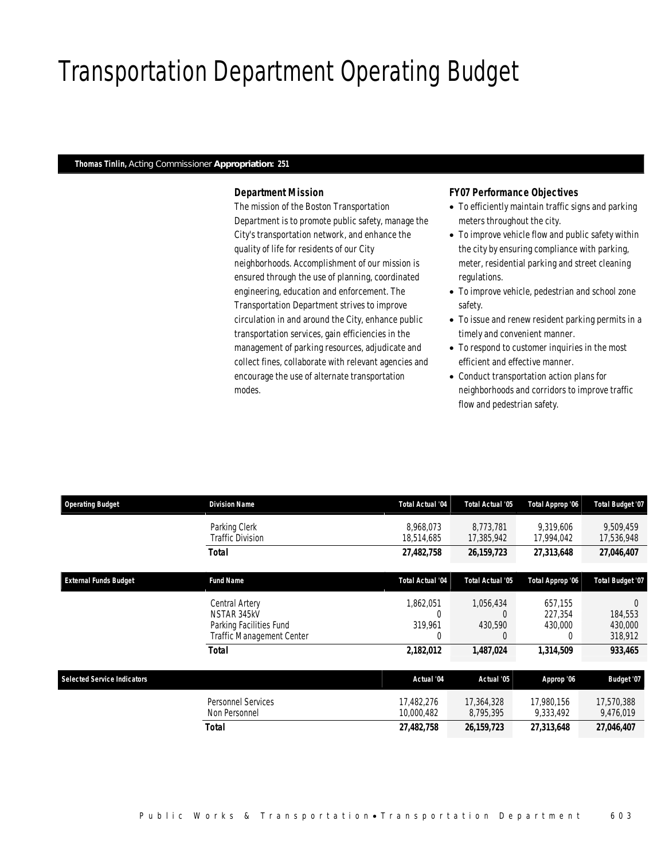# Transportation Department Operating Budget

### *Thomas Tinlin, Acting Commissioner Appropriation: 251*

## *Department Mission*

The mission of the Boston Transportation Department is to promote public safety, manage the City's transportation network, and enhance the quality of life for residents of our City neighborhoods. Accomplishment of our mission is ensured through the use of planning, coordinated engineering, education and enforcement. The Transportation Department strives to improve circulation in and around the City, enhance public transportation services, gain efficiencies in the management of parking resources, adjudicate and collect fines, collaborate with relevant agencies and encourage the use of alternate transportation modes.

## *FY07 Performance Objectives*

- To efficiently maintain traffic signs and parking meters throughout the city.
- To improve vehicle flow and public safety within the city by ensuring compliance with parking, meter, residential parking and street cleaning regulations.
- To improve vehicle, pedestrian and school zone safety.
- To issue and renew resident parking permits in a timely and convenient manner.
- To respond to customer inquiries in the most efficient and effective manner.
- Conduct transportation action plans for neighborhoods and corridors to improve traffic flow and pedestrian safety.

| <b>Operating Budget</b>            | <b>Division Name</b>                                                                  | <b>Total Actual '04</b>               | <b>Total Actual '05</b>                      | Total Approp '06                   | <b>Total Budget '07</b>                   |
|------------------------------------|---------------------------------------------------------------------------------------|---------------------------------------|----------------------------------------------|------------------------------------|-------------------------------------------|
|                                    | Parking Clerk<br>Traffic Division                                                     | 8.968.073<br>18,514,685               | 8.773.781<br>17,385,942                      | 9.319.606<br>17,994,042            | 9.509.459<br>17,536,948                   |
|                                    | Total                                                                                 | 27,482,758                            | 26, 159, 723                                 | 27,313,648                         | 27,046,407                                |
| <b>External Funds Budget</b>       | <b>Fund Name</b>                                                                      | <b>Total Actual '04</b>               | <b>Total Actual '05</b>                      | Total Approp '06                   | Total Budget '07                          |
|                                    | Central Artery<br>NSTAR 345kV<br>Parking Facilities Fund<br>Traffic Management Center | 1,862,051<br>$\Omega$<br>319,961<br>0 | 1,056,434<br>$\Omega$<br>430,590<br>$\theta$ | 657,155<br>227.354<br>430,000<br>0 | $\Omega$<br>184,553<br>430,000<br>318,912 |
|                                    | <b>Total</b>                                                                          | 2,182,012                             | 1,487,024                                    | 1,314,509                          | 933,465                                   |
| <b>Selected Service Indicators</b> |                                                                                       | Actual '04                            | Actual '05                                   | Approp '06                         | Budget '07                                |
|                                    | <b>Personnel Services</b><br>Non Personnel                                            | 17,482,276<br>10,000,482              | 17,364,328<br>8,795,395                      | 17,980,156<br>9,333,492            | 17,570,388<br>9,476,019                   |
|                                    | Total                                                                                 | 27,482,758                            | 26, 159, 723                                 | 27,313,648                         | 27,046,407                                |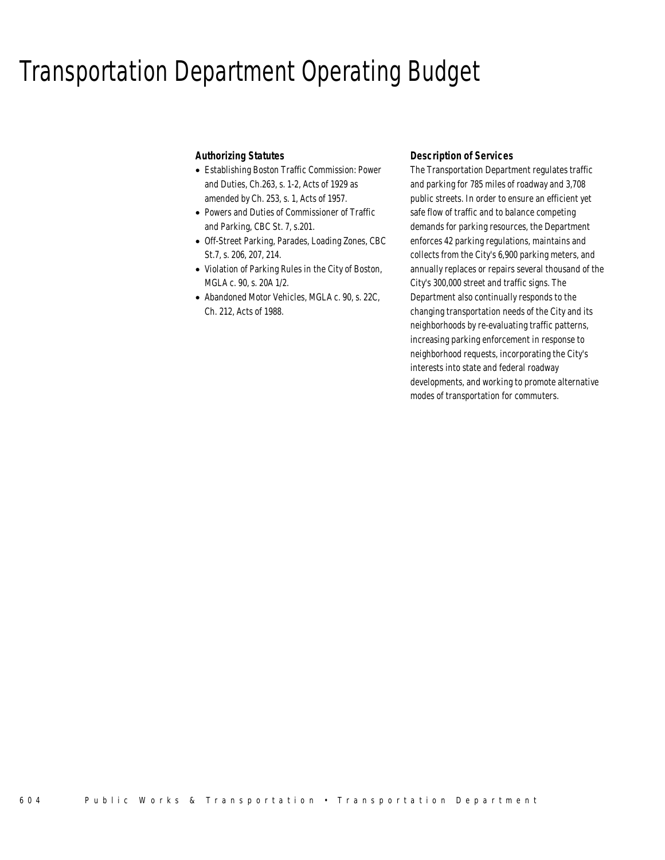## Transportation Department Operating Budget

## *Authorizing Statutes*

- Establishing Boston Traffic Commission: Power and Duties, Ch.263, s. 1-2, Acts of 1929 as amended by Ch. 253, s. 1, Acts of 1957.
- Powers and Duties of Commissioner of Traffic and Parking, CBC St. 7, s.201.
- Off-Street Parking, Parades, Loading Zones, CBC St.7, s. 206, 207, 214.
- Violation of Parking Rules in the City of Boston, MGLA c. 90, s. 20A 1/2.
- Abandoned Motor Vehicles, MGLA c. 90, s. 22C, Ch. 212, Acts of 1988.

## *Description of Services*

The Transportation Department regulates traffic and parking for 785 miles of roadway and 3,708 public streets. In order to ensure an efficient yet safe flow of traffic and to balance competing demands for parking resources, the Department enforces 42 parking regulations, maintains and collects from the City's 6,900 parking meters, and annually replaces or repairs several thousand of the City's 300,000 street and traffic signs. The Department also continually responds to the changing transportation needs of the City and its neighborhoods by re-evaluating traffic patterns, increasing parking enforcement in response to neighborhood requests, incorporating the City's interests into state and federal roadway developments, and working to promote alternative modes of transportation for commuters.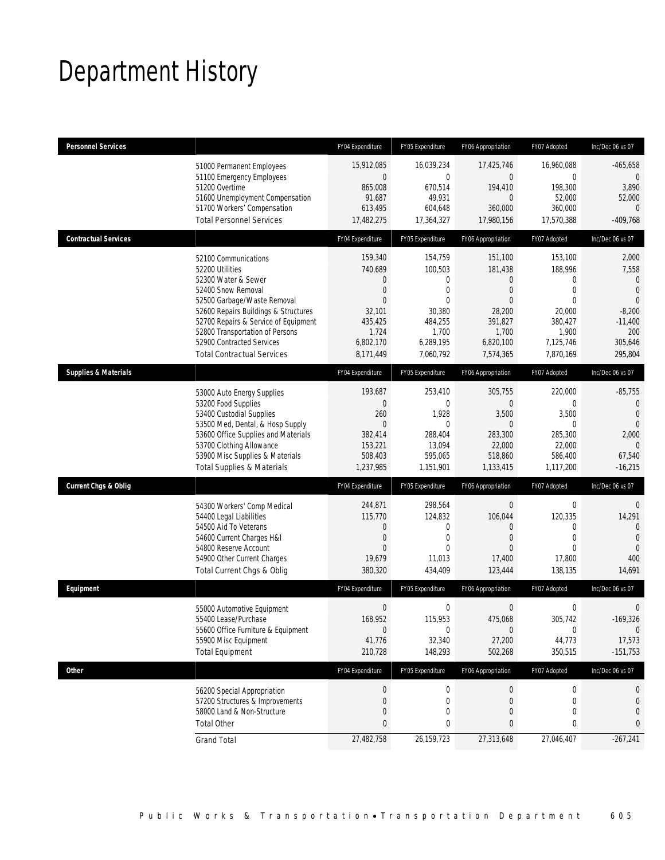# Department History

| <b>Personnel Services</b>       |                                                                                                                                                                                                                                                                                                          | FY04 Expenditure                                                                                                       | FY05 Expenditure                                                                                 | FY06 Appropriation                                                                                                         | FY07 Adopted                                                                                     | Inc/Dec 06 vs 07                                                                                                       |
|---------------------------------|----------------------------------------------------------------------------------------------------------------------------------------------------------------------------------------------------------------------------------------------------------------------------------------------------------|------------------------------------------------------------------------------------------------------------------------|--------------------------------------------------------------------------------------------------|----------------------------------------------------------------------------------------------------------------------------|--------------------------------------------------------------------------------------------------|------------------------------------------------------------------------------------------------------------------------|
|                                 | 51000 Permanent Employees<br>51100 Emergency Employees<br>51200 Overtime<br>51600 Unemployment Compensation<br>51700 Workers' Compensation<br><b>Total Personnel Services</b>                                                                                                                            | 15,912,085<br>$\boldsymbol{0}$<br>865,008<br>91,687<br>613,495<br>17,482,275                                           | 16,039,234<br>$\mathbf 0$<br>670,514<br>49,931<br>604,648<br>17,364,327                          | 17,425,746<br>$\overline{0}$<br>194,410<br>$\overline{0}$<br>360.000<br>17,980,156                                         | 16,960,088<br>$\mathbf 0$<br>198,300<br>52,000<br>360,000<br>17,570,388                          | $-465,658$<br>$\theta$<br>3,890<br>52,000<br>0<br>$-409,768$                                                           |
| <b>Contractual Services</b>     |                                                                                                                                                                                                                                                                                                          | FY04 Expenditure                                                                                                       | FY05 Expenditure                                                                                 | FY06 Appropriation                                                                                                         | FY07 Adopted                                                                                     | Inc/Dec 06 vs 07                                                                                                       |
|                                 | 52100 Communications<br>52200 Utilities<br>52300 Water & Sewer<br>52400 Snow Removal<br>52500 Garbage/Waste Removal<br>52600 Repairs Buildings & Structures<br>52700 Repairs & Service of Equipment<br>52800 Transportation of Persons<br>52900 Contracted Services<br><b>Total Contractual Services</b> | 159,340<br>740,689<br>$\mathbf{0}$<br>$\theta$<br>$\mathbf{0}$<br>32,101<br>435,425<br>1,724<br>6,802,170<br>8,171,449 | 154,759<br>100,503<br>0<br>0<br>$\theta$<br>30,380<br>484,255<br>1,700<br>6,289,195<br>7,060,792 | 151,100<br>181,438<br>$\overline{0}$<br>$\overline{0}$<br>$\Omega$<br>28,200<br>391,827<br>1,700<br>6,820,100<br>7,574,365 | 153,100<br>188,996<br>0<br>0<br>$\Omega$<br>20,000<br>380,427<br>1,900<br>7,125,746<br>7,870,169 | 2,000<br>7,558<br>$\mathbf{0}$<br>$\mathbf{0}$<br>$\overline{0}$<br>$-8,200$<br>$-11,400$<br>200<br>305,646<br>295,804 |
| <b>Supplies &amp; Materials</b> |                                                                                                                                                                                                                                                                                                          | FY04 Expenditure                                                                                                       | FY05 Expenditure                                                                                 | FY06 Appropriation                                                                                                         | FY07 Adopted                                                                                     | Inc/Dec 06 vs 07                                                                                                       |
|                                 | 53000 Auto Energy Supplies<br>53200 Food Supplies<br>53400 Custodial Supplies<br>53500 Med, Dental, & Hosp Supply<br>53600 Office Supplies and Materials<br>53700 Clothing Allowance<br>53900 Misc Supplies & Materials<br><b>Total Supplies &amp; Materials</b>                                         | 193,687<br>$\overline{0}$<br>260<br>$\mathbf{0}$<br>382,414<br>153,221<br>508,403<br>1,237,985                         | 253,410<br>$\theta$<br>1,928<br>$\Omega$<br>288,404<br>13,094<br>595,065<br>1,151,901            | 305,755<br>$\Omega$<br>3,500<br>$\Omega$<br>283,300<br>22,000<br>518,860<br>1,133,415                                      | 220,000<br>0<br>3,500<br>$\Omega$<br>285,300<br>22,000<br>586,400<br>1,117,200                   | $-85,755$<br>$\overline{0}$<br>$\mathbf{0}$<br>$\mathbf{0}$<br>2,000<br>$\mathbf{0}$<br>67,540<br>$-16,215$            |
| <b>Current Chgs &amp; Oblig</b> |                                                                                                                                                                                                                                                                                                          | FY04 Expenditure                                                                                                       | FY05 Expenditure                                                                                 | FY06 Appropriation                                                                                                         | FY07 Adopted                                                                                     | Inc/Dec 06 vs 07                                                                                                       |
|                                 | 54300 Workers' Comp Medical<br>54400 Legal Liabilities<br>54500 Aid To Veterans<br>54600 Current Charges H&I<br>54800 Reserve Account<br>54900 Other Current Charges<br>Total Current Chgs & Oblig                                                                                                       | 244,871<br>115,770<br>$\overline{0}$<br>$\mathbf 0$<br>$\theta$<br>19,679<br>380,320                                   | 298,564<br>124,832<br>0<br>$\mathbf 0$<br>$\Omega$<br>11,013<br>434,409                          | $\mathbf 0$<br>106,044<br>$\Omega$<br>$\overline{0}$<br>$\Omega$<br>17,400<br>123,444                                      | $\mathbf 0$<br>120,335<br>0<br>$\mathbf 0$<br>0<br>17,800<br>138,135                             | $\overline{0}$<br>14,291<br>$\Omega$<br>$\Omega$<br>$\mathbf{0}$<br>400<br>14,691                                      |
| Equipment                       |                                                                                                                                                                                                                                                                                                          | FY04 Expenditure                                                                                                       | FY05 Expenditure                                                                                 | FY06 Appropriation                                                                                                         | FY07 Adopted                                                                                     | Inc/Dec 06 vs 07                                                                                                       |
|                                 | 55000 Automotive Equipment<br>55400 Lease/Purchase<br>55600 Office Furniture & Equipment<br>55900 Misc Equipment<br><b>Total Equipment</b>                                                                                                                                                               | $\mathbf 0$<br>168,952<br>$\mathbf 0$<br>41,776<br>210,728                                                             | 0<br>115,953<br>$\mathbf{0}$<br>32,340<br>148,293                                                | 0<br>475,068<br>$\mathbf 0$<br>27,200<br>502,268                                                                           | 0<br>305,742<br>0<br>44,773<br>350,515                                                           | $\mathbf 0$<br>$-169,326$<br>$\Omega$<br>17,573<br>$-151,753$                                                          |
| <b>Other</b>                    |                                                                                                                                                                                                                                                                                                          | FY04 Expenditure                                                                                                       | FY05 Expenditure                                                                                 | FY06 Appropriation                                                                                                         | FY07 Adopted                                                                                     | Inc/Dec 06 vs 07                                                                                                       |
|                                 | 56200 Special Appropriation<br>57200 Structures & Improvements<br>58000 Land & Non-Structure<br><b>Total Other</b>                                                                                                                                                                                       | 0<br>$\mathbf 0$<br>$\mathbf 0$<br>$\mathbf{0}$                                                                        | $\boldsymbol{0}$<br>0<br>0<br>0                                                                  | $\boldsymbol{0}$<br>0<br>0<br>$\mathbf{0}$                                                                                 | 0<br>0<br>0<br>0                                                                                 | 0<br>$\mathbf 0$<br>0<br>0                                                                                             |
|                                 | <b>Grand Total</b>                                                                                                                                                                                                                                                                                       | 27,482,758                                                                                                             | 26,159,723                                                                                       | 27,313,648                                                                                                                 | 27,046,407                                                                                       | $-267,241$                                                                                                             |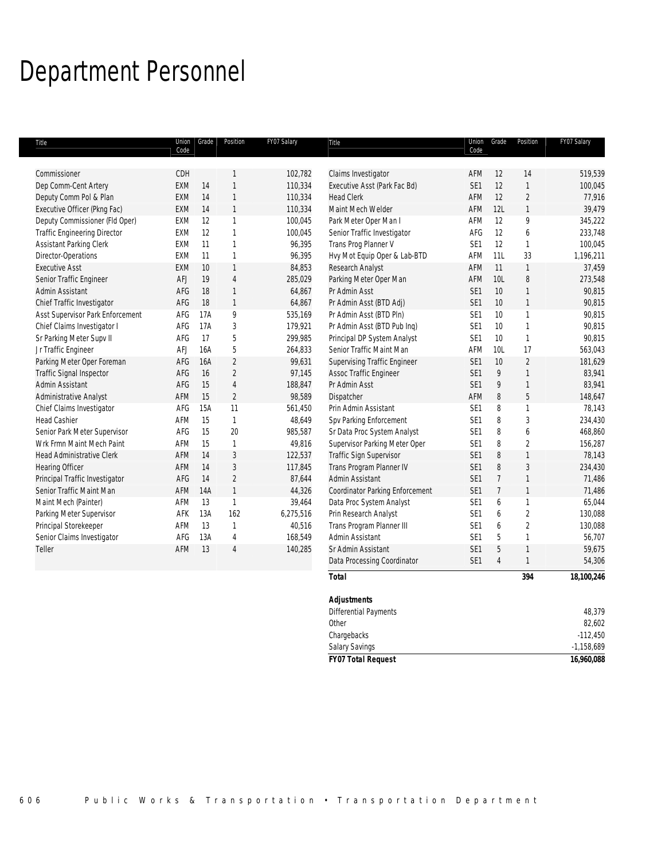## Department Personnel

| Title                               | Union<br>Code | Grade | Position       | FY07 Salary | Title                               | Union<br>Code   | Grade           | Position       | FY07 Salary |
|-------------------------------------|---------------|-------|----------------|-------------|-------------------------------------|-----------------|-----------------|----------------|-------------|
|                                     |               |       |                |             |                                     |                 |                 |                |             |
| Commissioner                        | CDH           |       | $\mathbf{1}$   | 102,782     | Claims Investigator                 | AFM             | 12              | 14             | 519,539     |
| Dep Comm-Cent Artery                | EXM           | 14    | $\mathbf{1}$   | 110,334     | Executive Asst (Park Fac Bd)        | SE <sub>1</sub> | 12              | $\mathbf{1}$   | 100,045     |
| Deputy Comm Pol & Plan              | <b>EXM</b>    | 14    | $\mathbf{1}$   | 110,334     | <b>Head Clerk</b>                   | AFM             | 12              | $\overline{2}$ | 77,916      |
| Executive Officer (Pkng Fac)        | EXM           | 14    | $\mathbf{1}$   | 110,334     | Maint Mech Welder                   | AFM             | 12L             | $\mathbf{1}$   | 39,479      |
| Deputy Commissioner (Fld Oper)      | EXM           | 12    | $\mathbf{1}$   | 100,045     | Park Meter Oper Man I               | AFM             | 12              | 9              | 345,222     |
| <b>Traffic Engineering Director</b> | EXM           | 12    | $\mathbf{1}$   | 100,045     | Senior Traffic Investigator         | AFG             | 12              | 6              | 233,748     |
| Assistant Parking Clerk             | <b>EXM</b>    | 11    | $\mathbf{1}$   | 96,395      | Trans Prog Planner V                | SE <sub>1</sub> | 12              | 1              | 100,045     |
| Director-Operations                 | <b>EXM</b>    | 11    | $\mathbf{1}$   | 96,395      | Hvy Mot Equip Oper & Lab-BTD        | AFM             | 11L             | 33             | 1,196,211   |
| <b>Executive Asst</b>               | EXM           | 10    | $\mathbf{1}$   | 84,853      | Research Analyst                    | AFM             | 11              | $\mathbf{1}$   | 37,459      |
| Senior Traffic Engineer             | AFJ           | 19    | $\overline{4}$ | 285,029     | Parking Meter Oper Man              | AFM             | 10 <sub>L</sub> | 8              | 273,548     |
| Admin Assistant                     | AFG           | 18    | $\mathbf{1}$   | 64,867      | Pr Admin Asst                       | SE1             | 10              | $\mathbf{1}$   | 90,815      |
| Chief Traffic Investigator          | AFG           | 18    | $\mathbf{1}$   | 64,867      | Pr Admin Asst (BTD Adj)             | SE <sub>1</sub> | 10              | $\mathbf{1}$   | 90,815      |
| Asst Supervisor Park Enforcement    | AFG           | 17A   | 9              | 535,169     | Pr Admin Asst (BTD Pln)             | SE <sub>1</sub> | 10              | $\mathbf{1}$   | 90,815      |
| Chief Claims Investigator I         | AFG           | 17A   | $\mathfrak{Z}$ | 179,921     | Pr Admin Asst (BTD Pub Inq)         | SE <sub>1</sub> | 10              | $\mathbf{1}$   | 90,815      |
| Sr Parking Meter Supv II            | AFG           | 17    | 5              | 299,985     | Principal DP System Analyst         | SE <sub>1</sub> | 10              | $\mathbf{1}$   | 90,815      |
| Jr Traffic Engineer                 | AFJ           | 16A   | 5              | 264,833     | Senior Traffic Maint Man            | AFM             | 10L             | 17             | 563,043     |
| Parking Meter Oper Foreman          | AFG           | 16A   | $\overline{2}$ | 99,631      | <b>Supervising Traffic Engineer</b> | SE <sub>1</sub> | 10              | $\overline{2}$ | 181,629     |
| Traffic Signal Inspector            | AFG           | 16    | $\overline{2}$ | 97,145      | Assoc Traffic Engineer              | SE <sub>1</sub> | 9               | $\mathbf{1}$   | 83,941      |
| Admin Assistant                     | AFG           | 15    | $\sqrt{4}$     | 188,847     | Pr Admin Asst                       | SE1             | 9               | $\mathbf{1}$   | 83,941      |
| Administrative Analyst              | AFM           | 15    | $\overline{2}$ | 98,589      | Dispatcher                          | AFM             | 8               | 5              | 148,647     |
| Chief Claims Investigator           | AFG           | 15A   | 11             | 561,450     | Prin Admin Assistant                | SE <sub>1</sub> | 8               | 1              | 78,143      |
| <b>Head Cashier</b>                 | AFM           | 15    | $\mathbf{1}$   | 48,649      | Spv Parking Enforcement             | SE <sub>1</sub> | 8               | 3              | 234,430     |
| Senior Park Meter Supervisor        | AFG           | 15    | 20             | 985,587     | Sr Data Proc System Analyst         | SE1             | 8               | 6              | 468,860     |
| Wrk Frmn Maint Mech Paint           | AFM           | 15    | $\mathbf{1}$   | 49,816      | Supervisor Parking Meter Oper       | SE <sub>1</sub> | 8               | $\overline{c}$ | 156,287     |
| <b>Head Administrative Clerk</b>    | AFM           | 14    | 3              | 122,537     | Traffic Sign Supervisor             | SE <sub>1</sub> | 8               | $\mathbf{1}$   | 78,143      |
| <b>Hearing Officer</b>              | AFM           | 14    | 3              | 117,845     | Trans Program Planner IV            | SE <sub>1</sub> | 8               | 3              | 234,430     |
| Principal Traffic Investigator      | AFG           | 14    | $\overline{c}$ | 87,644      | Admin Assistant                     | SE <sub>1</sub> | $\overline{7}$  | $\mathbf{1}$   | 71,486      |
| Senior Traffic Maint Man            | AFM           | 14A   | $\mathbf{1}$   | 44,326      | Coordinator Parking Enforcement     | SE <sub>1</sub> | $\overline{7}$  | $\mathbf{1}$   | 71,486      |
| Maint Mech (Painter)                | AFM           | 13    | $\mathbf{1}$   | 39,464      | Data Proc System Analyst            | SE <sub>1</sub> | 6               | 1              | 65,044      |
| Parking Meter Supervisor            | AFK           | 13A   | 162            | 6,275,516   | Prin Research Analyst               | SE <sub>1</sub> | 6               | $\overline{2}$ | 130,088     |
| Principal Storekeeper               | AFM           | 13    | $\mathbf{1}$   | 40,516      | Trans Program Planner III           | SE <sub>1</sub> | 6               | $\overline{c}$ | 130,088     |
| Senior Claims Investigator          | AFG           | 13A   | $\overline{4}$ | 168,549     | Admin Assistant                     | SE <sub>1</sub> | 5               | 1              | 56,707      |
| Teller                              | AFM           | 13    | $\overline{4}$ | 140,285     | Sr Admin Assistant                  | SE <sub>1</sub> | 5               | $\mathbf{1}$   | 59,675      |
|                                     |               |       |                |             | Data Processing Coordinator         | SE <sub>1</sub> | $\overline{4}$  | $\mathbf{1}$   | 54,306      |
|                                     |               |       |                |             | <b>Total</b>                        |                 |                 | 394            | 18,100,246  |
|                                     |               |       |                |             | <b>Adjustments</b>                  |                 |                 |                |             |
|                                     |               |       |                |             | Differential Payments               |                 |                 |                | 48,379      |
|                                     |               |       |                |             | Other                               |                 |                 |                | 82,602      |

Chargebacks -112,450 Salary Savings **-1,158,689** *FY07 Total Request 16,960,088*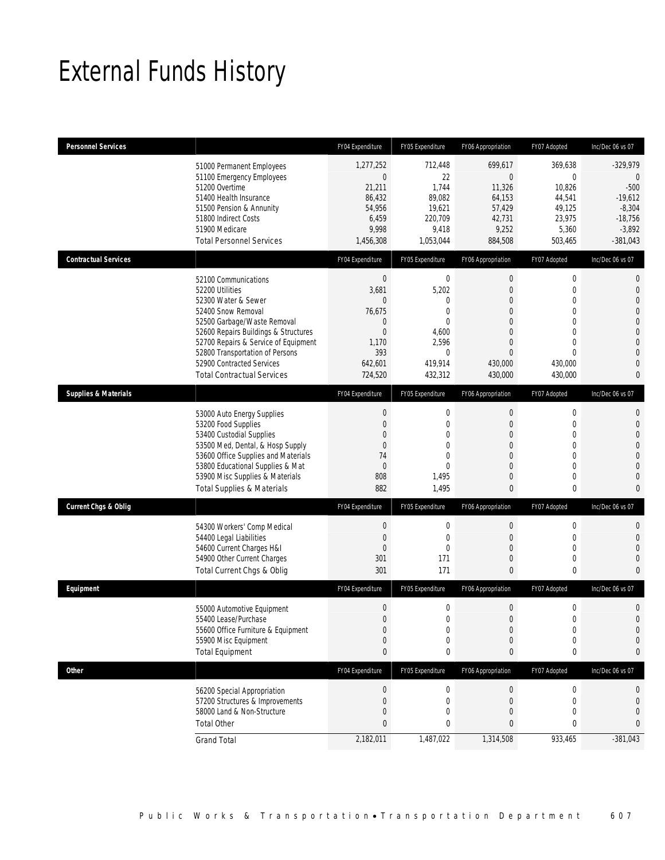# External Funds History

| <b>Personnel Services</b>       |                                                                                                                                                                                                                                                                                                          | FY04 Expenditure                                                                                                       | FY05 Expenditure                                                                                   | FY06 Appropriation                                                                                                                                | FY07 Adopted                                                                                                                           | Inc/Dec 06 vs 07                                                                                                                                      |
|---------------------------------|----------------------------------------------------------------------------------------------------------------------------------------------------------------------------------------------------------------------------------------------------------------------------------------------------------|------------------------------------------------------------------------------------------------------------------------|----------------------------------------------------------------------------------------------------|---------------------------------------------------------------------------------------------------------------------------------------------------|----------------------------------------------------------------------------------------------------------------------------------------|-------------------------------------------------------------------------------------------------------------------------------------------------------|
|                                 | 51000 Permanent Employees<br>51100 Emergency Employees<br>51200 Overtime<br>51400 Health Insurance<br>51500 Pension & Annunity<br>51800 Indirect Costs<br>51900 Medicare<br><b>Total Personnel Services</b>                                                                                              | 1,277,252<br>$\mathbf 0$<br>21,211<br>86,432<br>54,956<br>6,459<br>9,998<br>1,456,308                                  | 712,448<br>22<br>1,744<br>89,082<br>19,621<br>220,709<br>9,418<br>1,053,044                        | 699,617<br>$\mathbf 0$<br>11,326<br>64,153<br>57,429<br>42,731<br>9,252<br>884,508                                                                | 369,638<br>$\overline{0}$<br>10,826<br>44,541<br>49,125<br>23,975<br>5,360<br>503,465                                                  | $-329,979$<br>$\mathbf{0}$<br>$-500$<br>$-19,612$<br>$-8,304$<br>$-18,756$<br>$-3,892$<br>$-381,043$                                                  |
| <b>Contractual Services</b>     |                                                                                                                                                                                                                                                                                                          | FY04 Expenditure                                                                                                       | FY05 Expenditure                                                                                   | FY06 Appropriation                                                                                                                                | FY07 Adopted                                                                                                                           | Inc/Dec 06 vs 07                                                                                                                                      |
|                                 | 52100 Communications<br>52200 Utilities<br>52300 Water & Sewer<br>52400 Snow Removal<br>52500 Garbage/Waste Removal<br>52600 Repairs Buildings & Structures<br>52700 Repairs & Service of Equipment<br>52800 Transportation of Persons<br>52900 Contracted Services<br><b>Total Contractual Services</b> | $\mathbf 0$<br>3,681<br>$\mathbf{0}$<br>76,675<br>$\mathbf{0}$<br>$\overline{0}$<br>1,170<br>393<br>642,601<br>724,520 | $\mathbf 0$<br>5,202<br>0<br>0<br>$\Omega$<br>4,600<br>2,596<br>$\mathbf{0}$<br>419,914<br>432,312 | 0<br>$\boldsymbol{0}$<br>$\boldsymbol{0}$<br>$\overline{0}$<br>$\mathbf{0}$<br>$\overline{0}$<br>$\overline{0}$<br>$\Omega$<br>430,000<br>430,000 | $\mathbf 0$<br>$\mathbf 0$<br>$\mathbf 0$<br>$\overline{0}$<br>0<br>$\overline{0}$<br>$\overline{0}$<br>$\Omega$<br>430,000<br>430,000 | 0<br>$\mathbf{0}$<br>$\mathbf 0$<br>$\overline{0}$<br>$\mathbf{0}$<br>$\mathbf 0$<br>$\overline{0}$<br>$\mathbf{0}$<br>$\overline{0}$<br>$\mathbf{0}$ |
| <b>Supplies &amp; Materials</b> |                                                                                                                                                                                                                                                                                                          | FY04 Expenditure                                                                                                       | FY05 Expenditure                                                                                   | FY06 Appropriation                                                                                                                                | FY07 Adopted                                                                                                                           | Inc/Dec 06 vs 07                                                                                                                                      |
|                                 | 53000 Auto Energy Supplies<br>53200 Food Supplies<br>53400 Custodial Supplies<br>53500 Med, Dental, & Hosp Supply<br>53600 Office Supplies and Materials<br>53800 Educational Supplies & Mat<br>53900 Misc Supplies & Materials<br><b>Total Supplies &amp; Materials</b>                                 | $\theta$<br>$\mathbf{0}$<br>$\overline{0}$<br>$\mathbf{0}$<br>74<br>$\mathbf 0$<br>808<br>882                          | $\mathbf 0$<br>$\mathbf 0$<br>0<br>$\Omega$<br>$\overline{0}$<br>$\Omega$<br>1,495<br>1,495        | $\boldsymbol{0}$<br>$\boldsymbol{0}$<br>$\overline{0}$<br>$\mathbf{0}$<br>$\overline{0}$<br>$\overline{0}$<br>$\mathbf 0$<br>$\mathbf{0}$         | $\mathbf 0$<br>$\mathbf 0$<br>$\overline{0}$<br>$\overline{0}$<br>$\overline{0}$<br>0<br>$\mathbf 0$<br>0                              | $\mathbf{0}$<br>$\mathbf{0}$<br>$\mathbf{0}$<br>$\overline{0}$<br>$\overline{0}$<br>$\overline{0}$<br>$\mathbf 0$<br>$\bf{0}$                         |
| <b>Current Chgs &amp; Oblig</b> |                                                                                                                                                                                                                                                                                                          | FY04 Expenditure                                                                                                       | FY05 Expenditure                                                                                   | FY06 Appropriation                                                                                                                                | FY07 Adopted                                                                                                                           | Inc/Dec 06 vs 07                                                                                                                                      |
|                                 | 54300 Workers' Comp Medical<br>54400 Legal Liabilities<br>54600 Current Charges H&I<br>54900 Other Current Charges<br>Total Current Chgs & Oblig                                                                                                                                                         | $\mathbf 0$<br>$\mathbf 0$<br>$\mathbf 0$<br>301<br>301                                                                | $\mathbf 0$<br>$\mathbf{0}$<br>$\mathbf{0}$<br>171<br>171                                          | 0<br>$\overline{0}$<br>$\mathbf 0$<br>$\mathbf 0$<br>$\Omega$                                                                                     | $\mathbf 0$<br>0<br>0<br>$\mathbf 0$<br>0                                                                                              | 0<br>$\overline{0}$<br>$\mathbf 0$<br>$\mathbf{0}$<br>$\mathbf{0}$                                                                                    |
| Equipment                       |                                                                                                                                                                                                                                                                                                          | FY04 Expenditure                                                                                                       | FY05 Expenditure                                                                                   | FY06 Appropriation                                                                                                                                | FY07 Adopted                                                                                                                           | Inc/Dec 06 vs 07                                                                                                                                      |
|                                 | 55000 Automotive Equipment<br>55400 Lease/Purchase<br>55600 Office Furniture & Equipment<br>55900 Misc Equipment<br><b>Total Equipment</b>                                                                                                                                                               | $\mathbf 0$<br>$\Omega$<br>$\mathbf{0}$<br>$\mathbf 0$<br>$\bf{0}$                                                     | 0<br>$\Omega$<br>$\mathbf 0$<br>0<br>0                                                             | 0<br>$\overline{0}$<br>$\boldsymbol{0}$<br>$\mathbf 0$<br>0                                                                                       | 0<br>$\Omega$<br>$\mathbf 0$<br>0<br>0                                                                                                 | $\mathbf 0$<br>$\Omega$<br>$\mathbf{0}$<br>$\mathbf 0$<br>0                                                                                           |
| Other                           |                                                                                                                                                                                                                                                                                                          | FY04 Expenditure                                                                                                       | FY05 Expenditure                                                                                   | FY06 Appropriation                                                                                                                                | FY07 Adopted                                                                                                                           | Inc/Dec 06 vs 07                                                                                                                                      |
|                                 | 56200 Special Appropriation<br>57200 Structures & Improvements<br>58000 Land & Non-Structure<br><b>Total Other</b>                                                                                                                                                                                       | $\boldsymbol{0}$<br>$\mathbf 0$<br>$\mathbf{0}$<br>$\mathbf{0}$<br>2,182,011                                           | $\boldsymbol{0}$<br>$\mathbf 0$<br>0<br>0                                                          | 0<br>$\mathbf 0$<br>0<br>0                                                                                                                        | $\boldsymbol{0}$<br>$\mathbf 0$<br>0<br>0                                                                                              | 0<br>$\mathbf 0$<br>$\mathbf 0$<br>0                                                                                                                  |
|                                 | <b>Grand Total</b>                                                                                                                                                                                                                                                                                       |                                                                                                                        | 1,487,022                                                                                          | 1,314,508                                                                                                                                         | 933,465                                                                                                                                | $-381,043$                                                                                                                                            |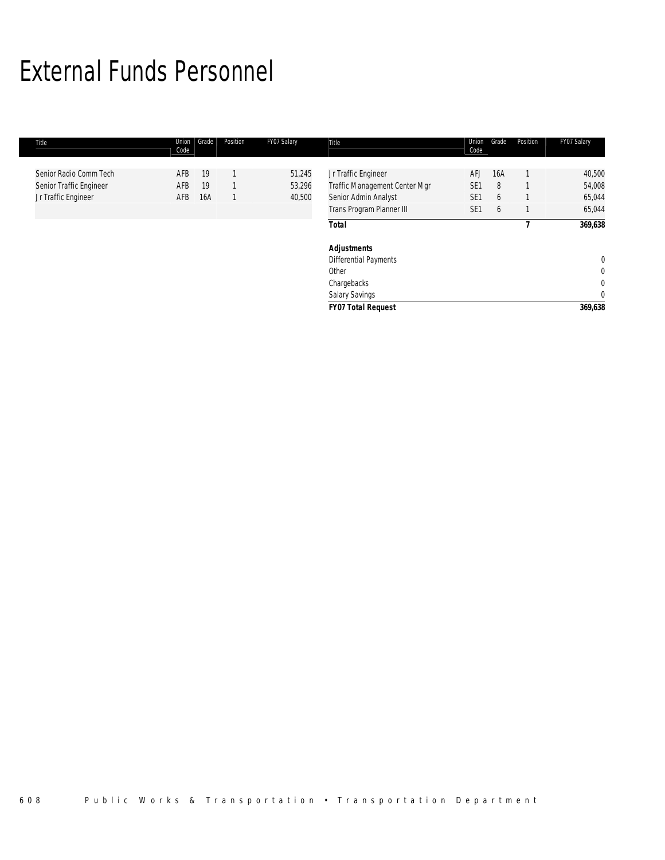# External Funds Personnel

| Title |                                                                          | Union<br>Code     | Grade           | Position | FY07 Salary                | Title                                                                                                     | Union<br>Code                                    | Grade              | Position | FY07 Salary                                    |
|-------|--------------------------------------------------------------------------|-------------------|-----------------|----------|----------------------------|-----------------------------------------------------------------------------------------------------------|--------------------------------------------------|--------------------|----------|------------------------------------------------|
|       | Senior Radio Comm Tech<br>Senior Traffic Engineer<br>Jr Traffic Engineer | AFB<br>AFB<br>AFB | 19<br>19<br>16A |          | 51,245<br>53,296<br>40,500 | Jr Traffic Engineer<br>Traffic Management Center Mgr<br>Senior Admin Analyst<br>Trans Program Planner III | AFJ<br>SE <sub>1</sub><br>SE1<br>SE <sub>1</sub> | 16A<br>8<br>6<br>6 |          | 40,500<br>54,008<br>65,044<br>65,044           |
|       |                                                                          |                   |                 |          |                            | <b>Total</b>                                                                                              |                                                  |                    |          | 369,638                                        |
|       |                                                                          |                   |                 |          |                            | <b>Adjustments</b><br><b>Differential Payments</b><br>Other<br>Chargebacks<br>Salary Savings              |                                                  |                    |          | 0<br>$\mathbf 0$<br>$\mathbf 0$<br>$\mathbf 0$ |
|       |                                                                          |                   |                 |          |                            | <b>FY07 Total Request</b>                                                                                 |                                                  |                    |          | 369,638                                        |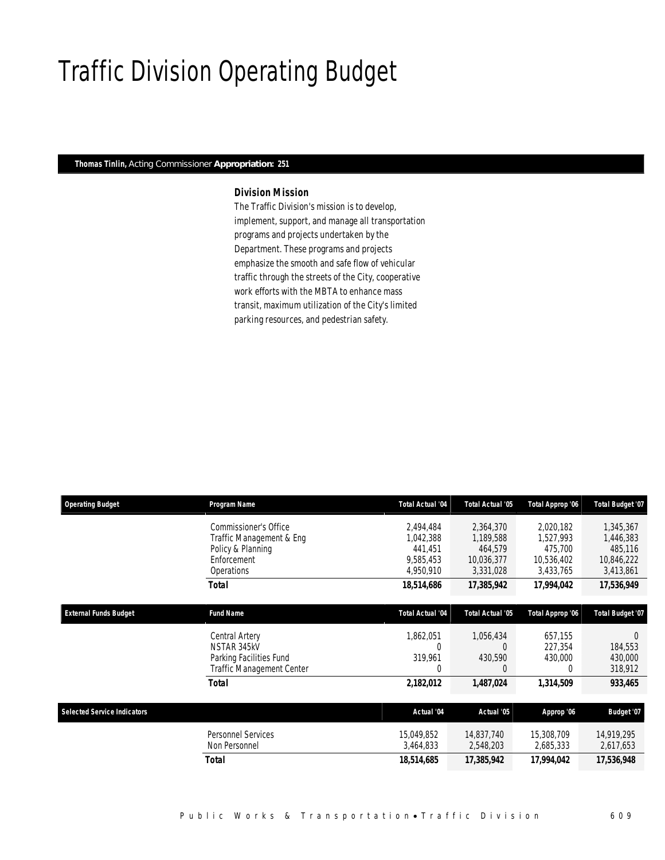# Traffic Division Operating Budget

### *Thomas Tinlin, Acting Commissioner Appropriation: 251*

## *Division Mission*

The Traffic Division's mission is to develop, implement, support, and manage all transportation programs and projects undertaken by the Department. These programs and projects emphasize the smooth and safe flow of vehicular traffic through the streets of the City, cooperative work efforts with the MBTA to enhance mass transit, maximum utilization of the City's limited parking resources, and pedestrian safety.

| <b>Operating Budget</b>            | Program Name                     | <b>Total Actual '04</b> | Total Actual '05        | Total Approp '06 | <b>Total Budget '07</b> |
|------------------------------------|----------------------------------|-------------------------|-------------------------|------------------|-------------------------|
|                                    | Commissioner's Office            | 2,494,484               | 2,364,370               | 2,020,182        | 1,345,367               |
|                                    | Traffic Management & Eng         | 1,042,388               | 1,189,588               | 1,527,993        | 1,446,383               |
|                                    | Policy & Planning                | 441.451                 | 464.579                 | 475,700          | 485,116                 |
|                                    | Enforcement                      | 9,585,453               | 10,036,377              | 10,536,402       | 10,846,222              |
|                                    | Operations                       | 4,950,910               | 3,331,028               | 3,433,765        | 3,413,861               |
|                                    | Total                            | 18,514,686              | 17,385,942              | 17,994,042       | 17,536,949              |
| <b>External Funds Budget</b>       | <b>Fund Name</b>                 | <b>Total Actual '04</b> | <b>Total Actual '05</b> | Total Approp '06 | Total Budget '07        |
|                                    | Central Artery                   | 1,862,051               | 1,056,434               | 657,155          | $\Omega$                |
|                                    | NSTAR 345kV                      | $\theta$                | C                       | 227,354          | 184,553                 |
|                                    | Parking Facilities Fund          | 319,961                 | 430,590                 | 430,000          | 430,000                 |
|                                    | <b>Traffic Management Center</b> | 0                       | 0                       | 0                | 318,912                 |
|                                    | <b>Total</b>                     | 2,182,012               | 1,487,024               | 1,314,509        | 933,465                 |
|                                    |                                  |                         |                         |                  |                         |
| <b>Selected Service Indicators</b> |                                  | Actual '04              | Actual '05              | Approp '06       | Budget '07              |
|                                    | <b>Personnel Services</b>        | 15,049,852              | 14,837,740              | 15,308,709       | 14,919,295              |
|                                    | Non Personnel                    | 3,464,833               | 2,548,203               | 2,685,333        | 2,617,653               |
|                                    | Total                            | 18,514,685              | 17,385,942              | 17,994,042       | 17,536,948              |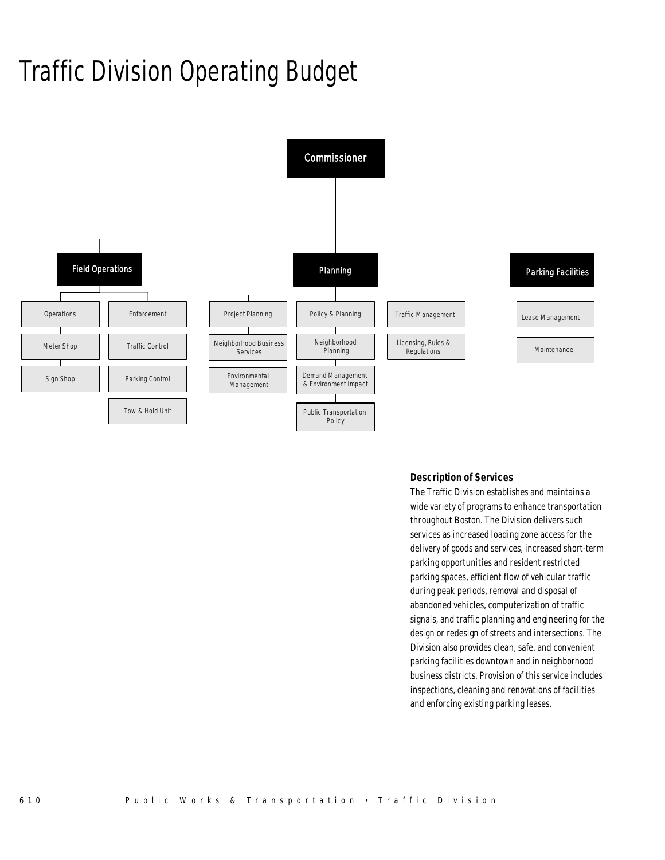# Traffic Division Operating Budget



## *Description of Services*

The Traffic Division establishes and maintains a wide variety of programs to enhance transportation throughout Boston. The Division delivers such services as increased loading zone access for the delivery of goods and services, increased short-term parking opportunities and resident restricted parking spaces, efficient flow of vehicular traffic during peak periods, removal and disposal of abandoned vehicles, computerization of traffic signals, and traffic planning and engineering for the design or redesign of streets and intersections. The Division also provides clean, safe, and convenient parking facilities downtown and in neighborhood business districts. Provision of this service includes inspections, cleaning and renovations of facilities and enforcing existing parking leases.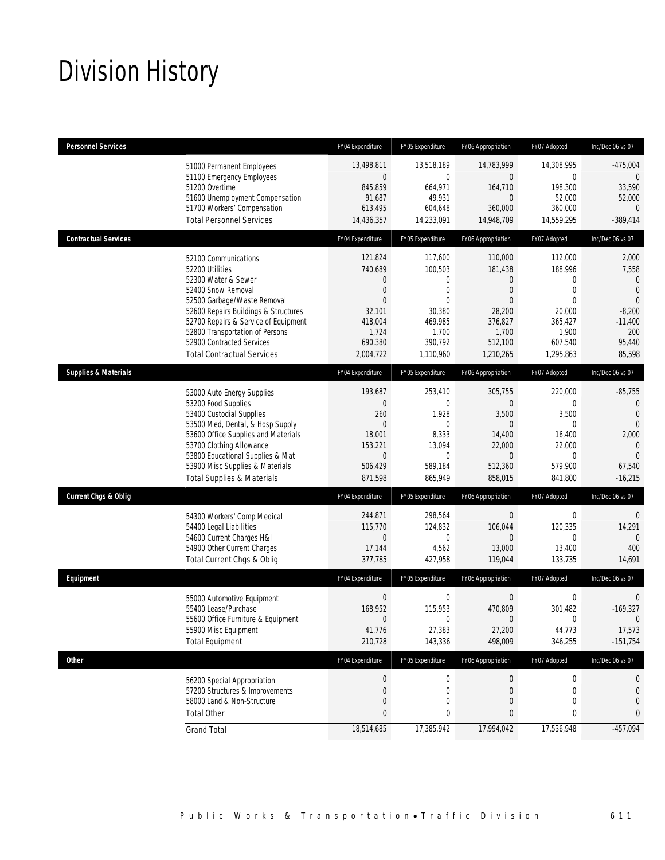# Division History

| <b>Personnel Services</b>       |                                                                                                                                                                                                                                                                                                          | FY04 Expenditure                                                                                             | FY05 Expenditure                                                                               | FY06 Appropriation                                                                                                       | FY07 Adopted                                                                                             | Inc/Dec 06 vs 07                                                                                                     |
|---------------------------------|----------------------------------------------------------------------------------------------------------------------------------------------------------------------------------------------------------------------------------------------------------------------------------------------------------|--------------------------------------------------------------------------------------------------------------|------------------------------------------------------------------------------------------------|--------------------------------------------------------------------------------------------------------------------------|----------------------------------------------------------------------------------------------------------|----------------------------------------------------------------------------------------------------------------------|
|                                 | 51000 Permanent Employees<br>51100 Emergency Employees<br>51200 Overtime<br>51600 Unemployment Compensation<br>51700 Workers' Compensation<br><b>Total Personnel Services</b>                                                                                                                            | 13,498,811<br>$\mathbf{0}$<br>845,859<br>91,687<br>613,495<br>14,436,357                                     | 13,518,189<br>$\mathbf 0$<br>664,971<br>49,931<br>604,648<br>14,233,091                        | 14,783,999<br>$\overline{0}$<br>164,710<br>$\mathbf{0}$<br>360,000<br>14,948,709                                         | 14,308,995<br>0<br>198,300<br>52,000<br>360,000<br>14,559,295                                            | $-475,004$<br>0<br>33,590<br>52,000<br>$\mathbf{0}$<br>$-389,414$                                                    |
| <b>Contractual Services</b>     |                                                                                                                                                                                                                                                                                                          | FY04 Expenditure                                                                                             | FY05 Expenditure                                                                               | FY06 Appropriation                                                                                                       | FY07 Adopted                                                                                             | Inc/Dec 06 vs 07                                                                                                     |
|                                 | 52100 Communications<br>52200 Utilities<br>52300 Water & Sewer<br>52400 Snow Removal<br>52500 Garbage/Waste Removal<br>52600 Repairs Buildings & Structures<br>52700 Repairs & Service of Equipment<br>52800 Transportation of Persons<br>52900 Contracted Services<br><b>Total Contractual Services</b> | 121,824<br>740.689<br>$\theta$<br>$\theta$<br>$\Omega$<br>32,101<br>418,004<br>1,724<br>690,380<br>2,004,722 | 117,600<br>100,503<br>0<br>0<br>$\theta$<br>30,380<br>469,985<br>1,700<br>390,792<br>1,110,960 | 110,000<br>181,438<br>$\overline{0}$<br>$\overline{0}$<br>$\Omega$<br>28,200<br>376,827<br>1,700<br>512,100<br>1,210,265 | 112,000<br>188,996<br>0<br>$\mathbf 0$<br>$\Omega$<br>20,000<br>365,427<br>1,900<br>607,540<br>1,295,863 | 2,000<br>7,558<br>$\mathbf{0}$<br>$\mathbf{0}$<br>$\overline{0}$<br>$-8,200$<br>$-11,400$<br>200<br>95,440<br>85,598 |
| <b>Supplies &amp; Materials</b> |                                                                                                                                                                                                                                                                                                          | FY04 Expenditure                                                                                             | FY05 Expenditure                                                                               | FY06 Appropriation                                                                                                       | FY07 Adopted                                                                                             | Inc/Dec 06 vs 07                                                                                                     |
|                                 | 53000 Auto Energy Supplies<br>53200 Food Supplies<br>53400 Custodial Supplies<br>53500 Med, Dental, & Hosp Supply<br>53600 Office Supplies and Materials<br>53700 Clothing Allowance<br>53800 Educational Supplies & Mat<br>53900 Misc Supplies & Materials<br><b>Total Supplies &amp; Materials</b>     | 193,687<br>$\mathbf{0}$<br>260<br>$\mathbf{0}$<br>18,001<br>153,221<br>$\theta$<br>506,429<br>871,598        | 253,410<br>0<br>1,928<br>$\theta$<br>8,333<br>13,094<br>$\theta$<br>589,184<br>865,949         | 305,755<br>$\overline{0}$<br>3,500<br>$\Omega$<br>14,400<br>22,000<br>$\overline{0}$<br>512,360<br>858,015               | 220,000<br>0<br>3,500<br>0<br>16,400<br>22,000<br>0<br>579,900<br>841,800                                | $-85,755$<br>0<br>$\mathbf{0}$<br>$\overline{0}$<br>2,000<br>$\mathbf 0$<br>$\Omega$<br>67,540<br>$-16,215$          |
| <b>Current Chgs &amp; Oblig</b> |                                                                                                                                                                                                                                                                                                          | FY04 Expenditure                                                                                             | FY05 Expenditure                                                                               | FY06 Appropriation                                                                                                       | FY07 Adopted                                                                                             | Inc/Dec 06 vs 07                                                                                                     |
|                                 | 54300 Workers' Comp Medical<br>54400 Legal Liabilities<br>54600 Current Charges H&I<br>54900 Other Current Charges<br>Total Current Chgs & Oblig                                                                                                                                                         | 244,871<br>115,770<br>$\mathbf 0$<br>17,144<br>377,785                                                       | 298,564<br>124,832<br>0<br>4,562<br>427,958                                                    | 0<br>106,044<br>$\overline{0}$<br>13,000<br>119,044                                                                      | 0<br>120,335<br>0<br>13,400<br>133,735                                                                   | $\mathbf 0$<br>14,291<br>$\Omega$<br>400<br>14,691                                                                   |
| Equipment                       |                                                                                                                                                                                                                                                                                                          | FY04 Expenditure                                                                                             | FY05 Expenditure                                                                               | FY06 Appropriation                                                                                                       | FY07 Adopted                                                                                             | Inc/Dec 06 vs 07                                                                                                     |
|                                 | 55000 Automotive Equipment<br>55400 Lease/Purchase<br>55600 Office Furniture & Equipment<br>55900 Misc Equipment<br><b>Total Equipment</b>                                                                                                                                                               | $\mathbf 0$<br>168,952<br>$\mathbf 0$<br>41,776<br>210,728                                                   | 0<br>115,953<br>0<br>27,383<br>143,336                                                         | $\mathbf 0$<br>470,809<br>0<br>27,200<br>498,009                                                                         | 0<br>301,482<br>0<br>44,773<br>346,255                                                                   | $\mathbf 0$<br>$-169,327$<br>$\mathbf 0$<br>17,573<br>$-151,754$                                                     |
| Other                           |                                                                                                                                                                                                                                                                                                          | FY04 Expenditure                                                                                             | FY05 Expenditure                                                                               | FY06 Appropriation                                                                                                       | FY07 Adopted                                                                                             | Inc/Dec 06 vs 07                                                                                                     |
|                                 | 56200 Special Appropriation<br>57200 Structures & Improvements<br>58000 Land & Non-Structure<br><b>Total Other</b>                                                                                                                                                                                       | $\boldsymbol{0}$<br>$\boldsymbol{0}$<br>$\theta$<br>$\pmb{0}$                                                | $\boldsymbol{0}$<br>$\mathbf 0$<br>$\boldsymbol{0}$<br>0                                       | $\boldsymbol{0}$<br>$\boldsymbol{0}$<br>$\boldsymbol{0}$<br>0                                                            | 0<br>$\boldsymbol{0}$<br>0<br>0                                                                          | 0<br>0<br>$\mathbf{0}$<br>0                                                                                          |
|                                 | <b>Grand Total</b>                                                                                                                                                                                                                                                                                       | 18,514,685                                                                                                   | 17,385,942                                                                                     | 17,994,042                                                                                                               | 17,536,948                                                                                               | $-457,094$                                                                                                           |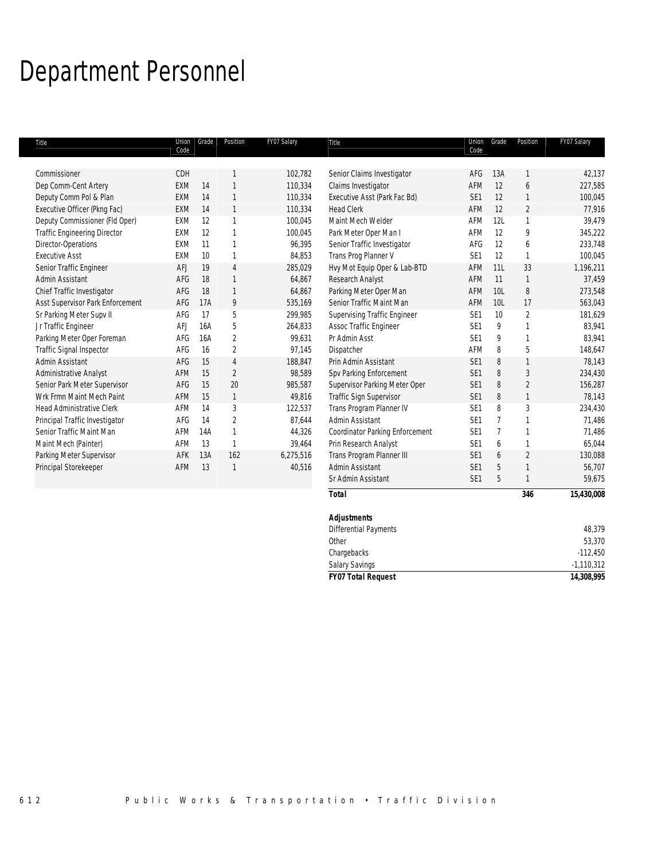# Department Personnel

| Title                               | Union<br>Code | Grade | Position       | FY07 Salary | Title                                  | Union<br>Code   | Grade           | Position       | FY07 Salary |
|-------------------------------------|---------------|-------|----------------|-------------|----------------------------------------|-----------------|-----------------|----------------|-------------|
|                                     |               |       |                |             |                                        |                 |                 |                |             |
| Commissioner                        | CDH           |       |                | 102,782     | Senior Claims Investigator             | AFG             | 13A             |                | 42,137      |
| Dep Comm-Cent Artery                | <b>EXM</b>    | 14    | $\mathbf{1}$   | 110,334     | Claims Investigator                    | AFM             | 12              | 6              | 227,585     |
| Deputy Comm Pol & Plan              | <b>EXM</b>    | 14    | $\mathbf{1}$   | 110,334     | Executive Asst (Park Fac Bd)           | SE <sub>1</sub> | 12              | $\mathbf{1}$   | 100,045     |
| Executive Officer (Pkng Fac)        | <b>EXM</b>    | 14    | $\mathbf{1}$   | 110,334     | <b>Head Clerk</b>                      | <b>AFM</b>      | 12              | $\overline{2}$ | 77,916      |
| Deputy Commissioner (Fld Oper)      | <b>EXM</b>    | 12    | 1              | 100,045     | Maint Mech Welder                      | AFM             | 12L             | 1              | 39,479      |
| <b>Traffic Engineering Director</b> | EXM           | 12    | $\mathbf{1}$   | 100,045     | Park Meter Oper Man I                  | <b>AFM</b>      | 12              | 9              | 345,222     |
| Director-Operations                 | EXM           | 11    | $\mathbf{1}$   | 96,395      | Senior Traffic Investigator            | AFG             | 12              | 6              | 233,748     |
| <b>Executive Asst</b>               | <b>EXM</b>    | 10    | $\mathbf{1}$   | 84,853      | Trans Prog Planner V                   | SE <sub>1</sub> | 12              | $\mathbf{1}$   | 100,045     |
| Senior Traffic Engineer             | AFJ           | 19    | $\overline{4}$ | 285,029     | Hvy Mot Equip Oper & Lab-BTD           | AFM             | 11L             | 33             | 1,196,211   |
| Admin Assistant                     | AFG           | 18    | $\mathbf{1}$   | 64,867      | Research Analyst                       | <b>AFM</b>      | 11              | 1              | 37,459      |
| Chief Traffic Investigator          | AFG           | 18    | $\mathbf{1}$   | 64,867      | Parking Meter Oper Man                 | AFM             | 10 <sub>L</sub> | 8              | 273,548     |
| Asst Supervisor Park Enforcement    | AFG           | 17A   | 9              | 535,169     | Senior Traffic Maint Man               | AFM             | 10L             | 17             | 563,043     |
| Sr Parking Meter Supv II            | AFG           | 17    | 5              | 299,985     | Supervising Traffic Engineer           | SE <sub>1</sub> | 10              | $\overline{2}$ | 181,629     |
| Jr Traffic Engineer                 | AFJ           | 16A   | 5              | 264,833     | Assoc Traffic Engineer                 | SE <sub>1</sub> | 9               | $\mathbf{1}$   | 83,941      |
| Parking Meter Oper Foreman          | AFG           | 16A   | $\overline{2}$ | 99,631      | Pr Admin Asst                          | SE <sub>1</sub> | 9               | $\mathbf{1}$   | 83,941      |
| Traffic Signal Inspector            | AFG           | 16    | $\overline{2}$ | 97,145      | Dispatcher                             | AFM             | 8               | 5              | 148,647     |
| Admin Assistant                     | AFG           | 15    | 4              | 188,847     | Prin Admin Assistant                   | SE <sub>1</sub> | 8               | $\mathbf{1}$   | 78,143      |
| Administrative Analyst              | AFM           | 15    | $\overline{2}$ | 98,589      | Spv Parking Enforcement                | SE <sub>1</sub> | 8               | 3              | 234,430     |
| Senior Park Meter Supervisor        | AFG           | 15    | 20             | 985,587     | Supervisor Parking Meter Oper          | SE <sub>1</sub> | 8               | $\overline{2}$ | 156,287     |
| Wrk Frmn Maint Mech Paint           | AFM           | 15    | $\mathbf{1}$   | 49,816      | Traffic Sign Supervisor                | SE <sub>1</sub> | 8               | $\mathbf{1}$   | 78,143      |
| <b>Head Administrative Clerk</b>    | AFM           | 14    | 3              | 122,537     | Trans Program Planner IV               | SE <sub>1</sub> | 8               | 3              | 234,430     |
| Principal Traffic Investigator      | AFG           | 14    | $\overline{2}$ | 87,644      | Admin Assistant                        | SE <sub>1</sub> | $\overline{7}$  | $\mathbf{1}$   | 71,486      |
| Senior Traffic Maint Man            | AFM           | 14A   | $\mathbf{1}$   | 44,326      | <b>Coordinator Parking Enforcement</b> | SE <sub>1</sub> | $\overline{7}$  | $\mathbf{1}$   | 71,486      |
| Maint Mech (Painter)                | AFM           | 13    | $\mathbf{1}$   | 39,464      | Prin Research Analyst                  | SE <sub>1</sub> | 6               | $\mathbf{1}$   | 65,044      |
| Parking Meter Supervisor            | AFK           | 13A   | 162            | 6,275,516   | Trans Program Planner III              | SE <sub>1</sub> | 6               | $\overline{2}$ | 130,088     |
| Principal Storekeeper               | AFM           | 13    | $\mathbf{1}$   | 40,516      | Admin Assistant                        | SE <sub>1</sub> | 5               | $\mathbf{1}$   | 56,707      |
|                                     |               |       |                |             | Sr Admin Assistant                     | SE <sub>1</sub> | 5               |                | 59,675      |
|                                     |               |       |                |             | <b>Total</b>                           |                 |                 | 346            | 15,430,008  |
|                                     |               |       |                |             | <b>Adjustments</b>                     |                 |                 |                |             |

| <b>FY07 Total Request</b>    | 14,308,995   |
|------------------------------|--------------|
| <b>Salary Savings</b>        | $-1,110,312$ |
| Chargebacks                  | $-112,450$   |
| Other                        | 53,370       |
| <b>Differential Payments</b> | 48,379       |
| <b>Adjustments</b>           |              |
|                              |              |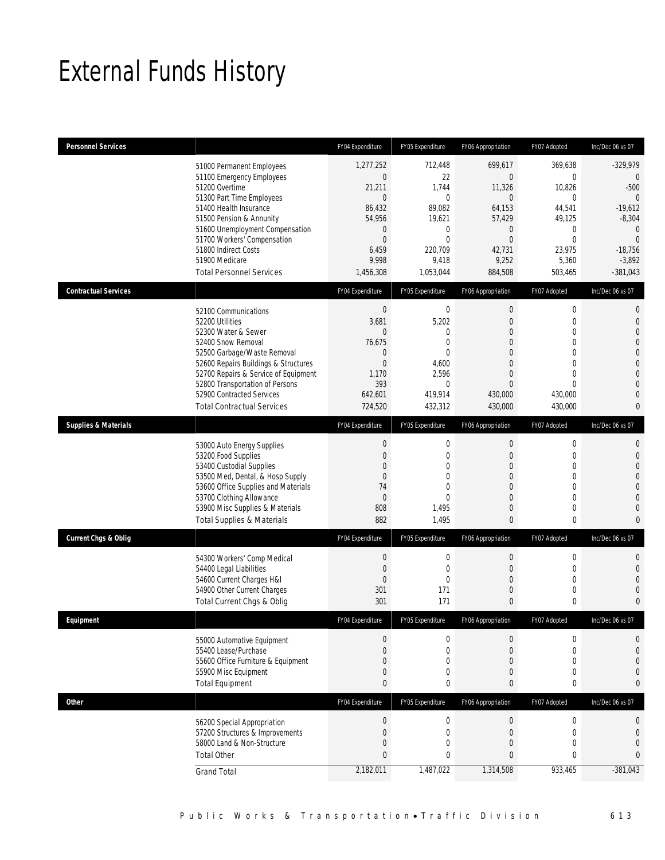# External Funds History

| <b>Personnel Services</b>       |                                                                                                                                                                                                                                                                                                            | FY04 Expenditure                                                                                                                          | FY05 Expenditure                                                                                                      | FY06 Appropriation                                                                                                                              | FY07 Adopted                                                                                                          | Inc/Dec 06 vs 07                                                                                                                                        |
|---------------------------------|------------------------------------------------------------------------------------------------------------------------------------------------------------------------------------------------------------------------------------------------------------------------------------------------------------|-------------------------------------------------------------------------------------------------------------------------------------------|-----------------------------------------------------------------------------------------------------------------------|-------------------------------------------------------------------------------------------------------------------------------------------------|-----------------------------------------------------------------------------------------------------------------------|---------------------------------------------------------------------------------------------------------------------------------------------------------|
|                                 | 51000 Permanent Employees<br>51100 Emergency Employees<br>51200 Overtime<br>51300 Part Time Employees<br>51400 Health Insurance<br>51500 Pension & Annunity<br>51600 Unemployment Compensation<br>51700 Workers' Compensation<br>51800 Indirect Costs<br>51900 Medicare<br><b>Total Personnel Services</b> | 1,277,252<br>$\boldsymbol{0}$<br>21,211<br>$\mathbf{0}$<br>86,432<br>54,956<br>$\mathbf 0$<br>$\mathbf{0}$<br>6,459<br>9,998<br>1,456,308 | 712,448<br>22<br>1,744<br>$\mathbf 0$<br>89,082<br>19,621<br>$\mathbf 0$<br>$\theta$<br>220.709<br>9,418<br>1,053,044 | 699,617<br>$\mathbf 0$<br>11,326<br>$\mathbf{0}$<br>64,153<br>57,429<br>$\overline{0}$<br>$\Omega$<br>42,731<br>9,252<br>884,508                | 369,638<br>$\mathbf 0$<br>10,826<br>$\mathbf 0$<br>44,541<br>49,125<br>$\mathbf 0$<br>0<br>23,975<br>5,360<br>503,465 | $-329,979$<br>$\mathbf 0$<br>$-500$<br>$\overline{0}$<br>$-19,612$<br>$-8,304$<br>$\mathbf{0}$<br>$\overline{0}$<br>$-18,756$<br>$-3,892$<br>$-381,043$ |
| <b>Contractual Services</b>     |                                                                                                                                                                                                                                                                                                            | FY04 Expenditure                                                                                                                          | FY05 Expenditure                                                                                                      | FY06 Appropriation                                                                                                                              | FY07 Adopted                                                                                                          | Inc/Dec 06 vs 07                                                                                                                                        |
|                                 | 52100 Communications<br>52200 Utilities<br>52300 Water & Sewer<br>52400 Snow Removal<br>52500 Garbage/Waste Removal<br>52600 Repairs Buildings & Structures<br>52700 Repairs & Service of Equipment<br>52800 Transportation of Persons<br>52900 Contracted Services<br><b>Total Contractual Services</b>   | $\boldsymbol{0}$<br>3,681<br>$\theta$<br>76,675<br>$\mathbf 0$<br>$\mathbf{0}$<br>1,170<br>393<br>642,601<br>724,520                      | 0<br>5,202<br>0<br>$\mathbf{0}$<br>$\mathbf{0}$<br>4,600<br>2,596<br>$\mathbf{0}$<br>419,914<br>432,312               | 0<br>$\boldsymbol{0}$<br>$\overline{0}$<br>$\overline{0}$<br>$\mathbf{0}$<br>$\overline{0}$<br>$\overline{0}$<br>$\Omega$<br>430,000<br>430,000 | 0<br>$\boldsymbol{0}$<br>0<br>$\boldsymbol{0}$<br>$\boldsymbol{0}$<br>0<br>0<br>$\Omega$<br>430,000<br>430,000        | 0<br>$\mathbf{0}$<br>$\mathbf 0$<br>$\overline{0}$<br>$\mathbf{0}$<br>$\overline{0}$<br>$\overline{0}$<br>$\mathbf 0$<br>$\overline{0}$<br>$\mathbf{0}$ |
| <b>Supplies &amp; Materials</b> |                                                                                                                                                                                                                                                                                                            | FY04 Expenditure                                                                                                                          | FY05 Expenditure                                                                                                      | FY06 Appropriation                                                                                                                              | FY07 Adopted                                                                                                          | Inc/Dec 06 vs 07                                                                                                                                        |
|                                 | 53000 Auto Energy Supplies<br>53200 Food Supplies<br>53400 Custodial Supplies<br>53500 Med, Dental, & Hosp Supply<br>53600 Office Supplies and Materials<br>53700 Clothing Allowance<br>53900 Misc Supplies & Materials<br><b>Total Supplies &amp; Materials</b>                                           | $\boldsymbol{0}$<br>$\mathbf 0$<br>$\mathbf 0$<br>$\mathbf{0}$<br>74<br>$\theta$<br>808<br>882                                            | $\boldsymbol{0}$<br>$\mathbf{0}$<br>0<br>$\overline{0}$<br>$\Omega$<br>$\Omega$<br>1,495<br>1,495                     | $\boldsymbol{0}$<br>$\boldsymbol{0}$<br>$\overline{0}$<br>$\boldsymbol{0}$<br>$\overline{0}$<br>$\overline{0}$<br>$\overline{0}$<br>0           | $\boldsymbol{0}$<br>$\boldsymbol{0}$<br>0<br>$\boldsymbol{0}$<br>0<br>0<br>0<br>0                                     | $\mathbf 0$<br>$\mathbf 0$<br>$\mathbf{0}$<br>$\mathbf{0}$<br>$\overline{0}$<br>$\overline{0}$<br>$\mathbf 0$<br>$\theta$                               |
| Current Chgs & Oblig            |                                                                                                                                                                                                                                                                                                            | FY04 Expenditure                                                                                                                          | FY05 Expenditure                                                                                                      | FY06 Appropriation                                                                                                                              | FY07 Adopted                                                                                                          | Inc/Dec 06 vs 07                                                                                                                                        |
|                                 | 54300 Workers' Comp Medical<br>54400 Legal Liabilities<br>54600 Current Charges H&I<br>54900 Other Current Charges<br>Total Current Chgs & Oblig                                                                                                                                                           | $\boldsymbol{0}$<br>$\mathbf{0}$<br>$\mathbf{0}$<br>301<br>301                                                                            | 0<br>$\mathbf{0}$<br>$\mathbf{0}$<br>171<br>171                                                                       | 0<br>$\boldsymbol{0}$<br>$\overline{0}$<br>0<br>$\mathbf{0}$                                                                                    | 0<br>$\boldsymbol{0}$<br>0<br>0<br>0                                                                                  | $\mathbf 0$<br>$\overline{0}$<br>$\overline{0}$<br>$\overline{0}$<br>$\mathbf{0}$                                                                       |
| <b>Fauinment</b>                |                                                                                                                                                                                                                                                                                                            | <b>FY04 Expenditure</b>                                                                                                                   | <b>FY05 Expenditure</b>                                                                                               | FY06 Appropriation                                                                                                                              | <b>FY07 Adonted</b>                                                                                                   | Inc/Dec 06 vs 07                                                                                                                                        |
|                                 | 55000 Automotive Equipment<br>55400 Lease/Purchase<br>55600 Office Furniture & Equipment<br>55900 Misc Equipment<br><b>Total Equipment</b>                                                                                                                                                                 | $\mathbf{0}$<br>$\mathbf{0}$<br>$\mathbf 0$<br>$\mathbf 0$<br>$\mathbf{0}$                                                                | 0<br>$\overline{0}$<br>0<br>0<br>0                                                                                    | 0<br>$\mathbf{0}$<br>0<br>0<br>0                                                                                                                | 0<br>$\mathbf 0$<br>0<br>0<br>0                                                                                       | $\mathbf 0$<br>$\mathbf{0}$<br>$\overline{0}$<br>$\mathbf 0$<br>$\mathbf{0}$                                                                            |
| <b>Other</b>                    |                                                                                                                                                                                                                                                                                                            | FY04 Expenditure                                                                                                                          | FY05 Expenditure                                                                                                      | FY06 Appropriation                                                                                                                              | FY07 Adopted                                                                                                          | Inc/Dec 06 vs 07                                                                                                                                        |
|                                 | 56200 Special Appropriation<br>57200 Structures & Improvements<br>58000 Land & Non-Structure<br><b>Total Other</b><br><b>Grand Total</b>                                                                                                                                                                   | $\boldsymbol{0}$<br>$\mathbf{0}$<br>$\mathbf{0}$<br>$\mathbf{0}$<br>2,182,011                                                             | $\mathbf 0$<br>$\mathbf 0$<br>0<br>0<br>1,487,022                                                                     | $\boldsymbol{0}$<br>$\boldsymbol{0}$<br>$\boldsymbol{0}$<br>$\mathbf{0}$<br>1,314,508                                                           | $\boldsymbol{0}$<br>$\boldsymbol{0}$<br>$\boldsymbol{0}$<br>0<br>933,465                                              | $\mathbf 0$<br>$\mathbf 0$<br>$\mathbf 0$<br>$\mathbf{0}$<br>$-381,043$                                                                                 |
|                                 |                                                                                                                                                                                                                                                                                                            |                                                                                                                                           |                                                                                                                       |                                                                                                                                                 |                                                                                                                       |                                                                                                                                                         |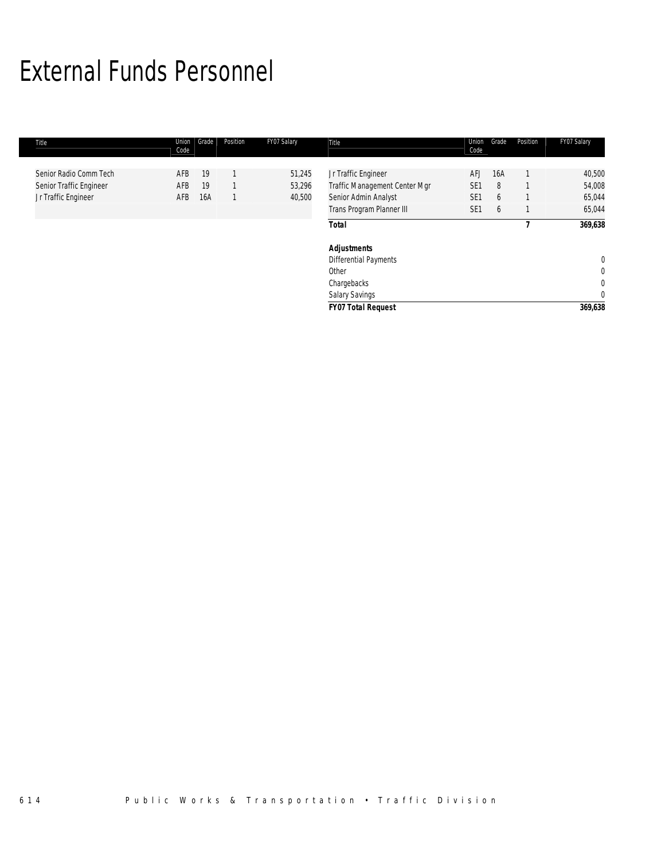# External Funds Personnel

| Title |                                                                          | Union<br>Code     | Grade           | Position | FY07 Salary                | Title                                                                                                     | Union<br>Code                                    | Grade              | Position | FY07 Salary                                    |
|-------|--------------------------------------------------------------------------|-------------------|-----------------|----------|----------------------------|-----------------------------------------------------------------------------------------------------------|--------------------------------------------------|--------------------|----------|------------------------------------------------|
|       | Senior Radio Comm Tech<br>Senior Traffic Engineer<br>Jr Traffic Engineer | AFB<br>AFB<br>AFB | 19<br>19<br>16A |          | 51,245<br>53,296<br>40,500 | Jr Traffic Engineer<br>Traffic Management Center Mgr<br>Senior Admin Analyst<br>Trans Program Planner III | AFJ<br>SE <sub>1</sub><br>SE1<br>SE <sub>1</sub> | 16A<br>8<br>6<br>6 |          | 40,500<br>54,008<br>65,044<br>65,044           |
|       |                                                                          |                   |                 |          |                            | <b>Total</b>                                                                                              |                                                  |                    |          | 369,638                                        |
|       |                                                                          |                   |                 |          |                            | <b>Adjustments</b><br><b>Differential Payments</b><br>Other<br>Chargebacks<br>Salary Savings              |                                                  |                    |          | 0<br>$\mathbf 0$<br>$\mathbf 0$<br>$\mathbf 0$ |
|       |                                                                          |                   |                 |          |                            | <b>FY07 Total Request</b>                                                                                 |                                                  |                    |          | 369,638                                        |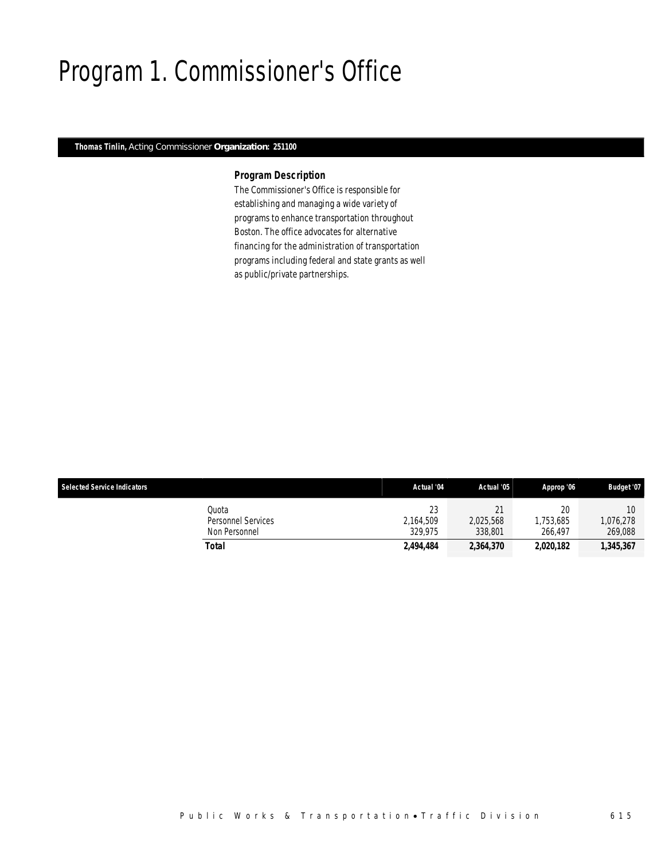# Program 1. Commissioner's Office

## *Thomas Tinlin, Acting Commissioner Organization: 251100*

### *Program Description*

The Commissioner's Office is responsible for establishing and managing a wide variety of programs to enhance transportation throughout Boston. The office advocates for alternative financing for the administration of transportation programs including federal and state grants as well as public/private partnerships.

| <b>Selected Service Indicators</b> |                                                     | Actual '04                 | Actual '05                           | Approp '06                 | <b>Budget '07</b>          |
|------------------------------------|-----------------------------------------------------|----------------------------|--------------------------------------|----------------------------|----------------------------|
|                                    | Quota<br><b>Personnel Services</b><br>Non Personnel | 23<br>2.164.509<br>329.975 | 21<br>$\sim$<br>2.025.568<br>338,801 | 20<br>1.753.685<br>266.497 | 10<br>1,076,278<br>269,088 |
|                                    | Total                                               | 2,494,484                  | 2,364,370                            | 2,020,182                  | 1,345,367                  |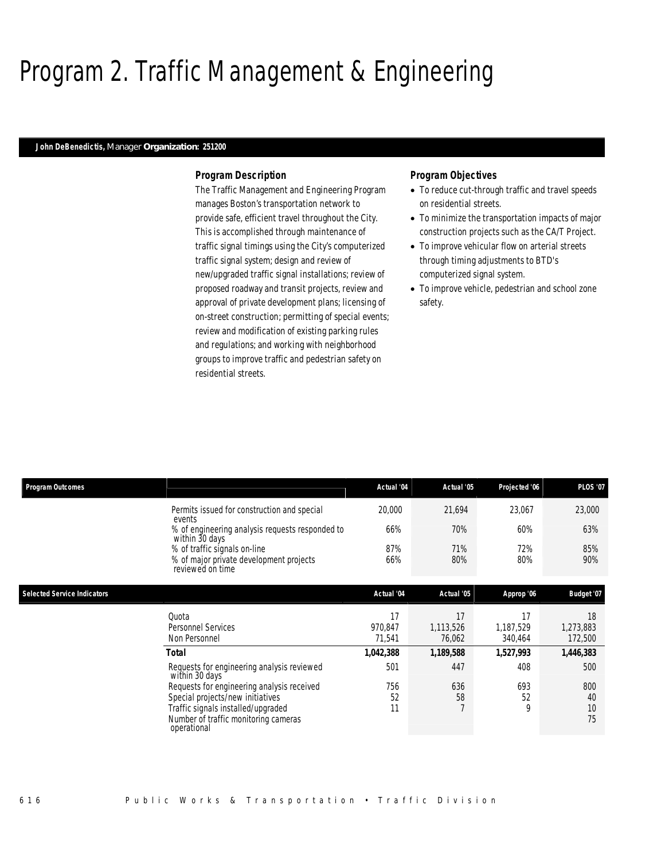# Program 2. Traffic Management & Engineering

### *John DeBenedictis, Manager Organization: 251200*

#### *Program Description*

The Traffic Management and Engineering Program manages Boston's transportation network to provide safe, efficient travel throughout the City. This is accomplished through maintenance of traffic signal timings using the City's computerized traffic signal system; design and review of new/upgraded traffic signal installations; review of proposed roadway and transit projects, review and approval of private development plans; licensing of on-street construction; permitting of special events; review and modification of existing parking rules and regulations; and working with neighborhood groups to improve traffic and pedestrian safety on residential streets.

## *Program Objectives*

- To reduce cut-through traffic and travel speeds on residential streets.
- To minimize the transportation impacts of major construction projects such as the CA/T Project.
- To improve vehicular flow on arterial streets through timing adjustments to BTD's computerized signal system.
- To improve vehicle, pedestrian and school zone safety.

| <b>Program Outcomes</b>            |                                                                                                                               | Actual '04                           | Actual '05                             | Projected '06                           | <b>PLOS '07</b>                         |
|------------------------------------|-------------------------------------------------------------------------------------------------------------------------------|--------------------------------------|----------------------------------------|-----------------------------------------|-----------------------------------------|
|                                    | Permits issued for construction and special                                                                                   | 20,000                               | 21,694                                 | 23,067                                  | 23,000                                  |
|                                    | events<br>% of engineering analysis requests responded to                                                                     | 66%                                  | 70%                                    | 60%                                     | 63%                                     |
|                                    | within 30 days<br>% of traffic signals on-line<br>% of major private development projects<br>reviewed on time                 | 87%<br>66%                           | 71%<br>80%                             | 72%<br>80%                              | 85%<br>90%                              |
| <b>Selected Service Indicators</b> |                                                                                                                               | Actual '04                           | Actual '05                             | Approp '06                              | Budget '07                              |
|                                    | Quota<br><b>Personnel Services</b><br>Non Personnel<br><b>Total</b>                                                           | 17<br>970,847<br>71,541<br>1,042,388 | 17<br>1,113,526<br>76,062<br>1,189,588 | 17<br>1,187,529<br>340,464<br>1,527,993 | 18<br>1,273,883<br>172,500<br>1,446,383 |
|                                    | Requests for engineering analysis reviewed<br>within 30 days<br>Requests for engineering analysis received                    | 501<br>756                           | 447<br>636                             | 408<br>693                              | 500<br>800                              |
|                                    | Special projects/new initiatives<br>Traffic signals installed/upgraded<br>Number of traffic monitoring cameras<br>operational | 52<br>11                             | 58<br>$\overline{7}$                   | 52<br>$\mathsf{Q}$                      | 40<br>10<br>75                          |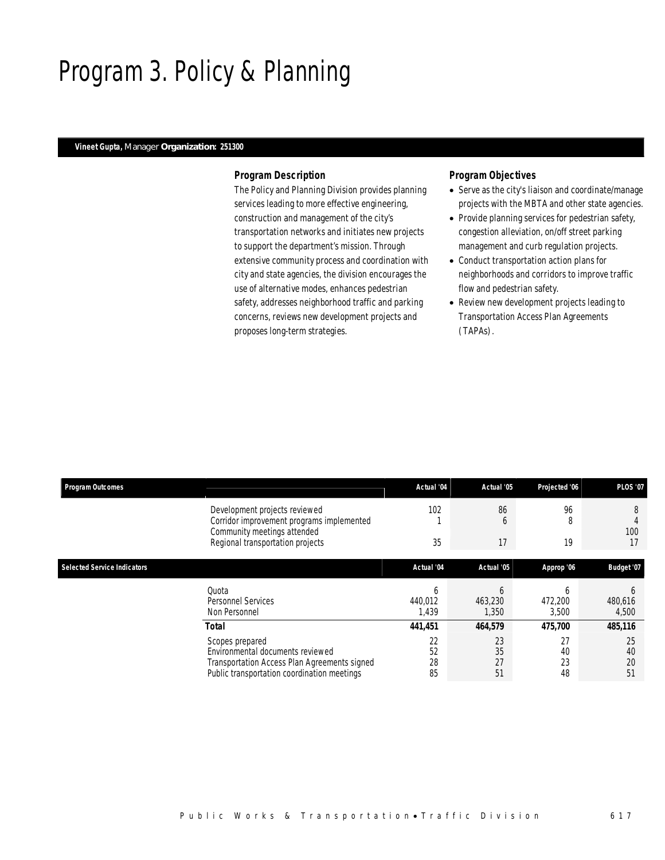## Program 3. Policy & Planning

### *Vineet Gupta, Manager Organization: 251300*

### *Program Description*

The Policy and Planning Division provides planning services leading to more effective engineering, construction and management of the city's transportation networks and initiates new projects to support the department's mission. Through extensive community process and coordination with city and state agencies, the division encourages the use of alternative modes, enhances pedestrian safety, addresses neighborhood traffic and parking concerns, reviews new development projects and proposes long-term strategies.

## *Program Objectives*

- Serve as the city's liaison and coordinate/manage projects with the MBTA and other state agencies.
- Provide planning services for pedestrian safety, congestion alleviation, on/off street parking management and curb regulation projects.
- Conduct transportation action plans for neighborhoods and corridors to improve traffic flow and pedestrian safety.
- Review new development projects leading to Transportation Access Plan Agreements (TAPAs).

| <b>Program Outcomes</b>            |                                                                                                                                                    | Actual '04            | Actual '05            | Projected '06         | <b>PLOS '07</b>       |
|------------------------------------|----------------------------------------------------------------------------------------------------------------------------------------------------|-----------------------|-----------------------|-----------------------|-----------------------|
|                                    | Development projects reviewed<br>Corridor improvement programs implemented<br>Community meetings attended                                          | 102                   | 86<br><sub>0</sub>    | 96<br>8               | 8<br>100              |
|                                    | Regional transportation projects                                                                                                                   | 35                    | 17                    | 19                    | 17                    |
| <b>Selected Service Indicators</b> |                                                                                                                                                    | Actual '04            | Actual '05            | Approp '06            | Budget '07            |
|                                    | Quota<br>Personnel Services<br>Non Personnel                                                                                                       | b<br>440.012<br>1,439 | h<br>463,230<br>1,350 | h<br>472,200<br>3,500 | h<br>480,616<br>4,500 |
|                                    | <b>Total</b>                                                                                                                                       | 441,451               | 464,579               | 475,700               | 485,116               |
|                                    | Scopes prepared<br>Environmental documents reviewed<br>Transportation Access Plan Agreements signed<br>Public transportation coordination meetings | 22<br>52<br>28<br>85  | 23<br>35<br>27<br>51  | 27<br>40<br>23<br>48  | 25<br>40<br>20<br>51  |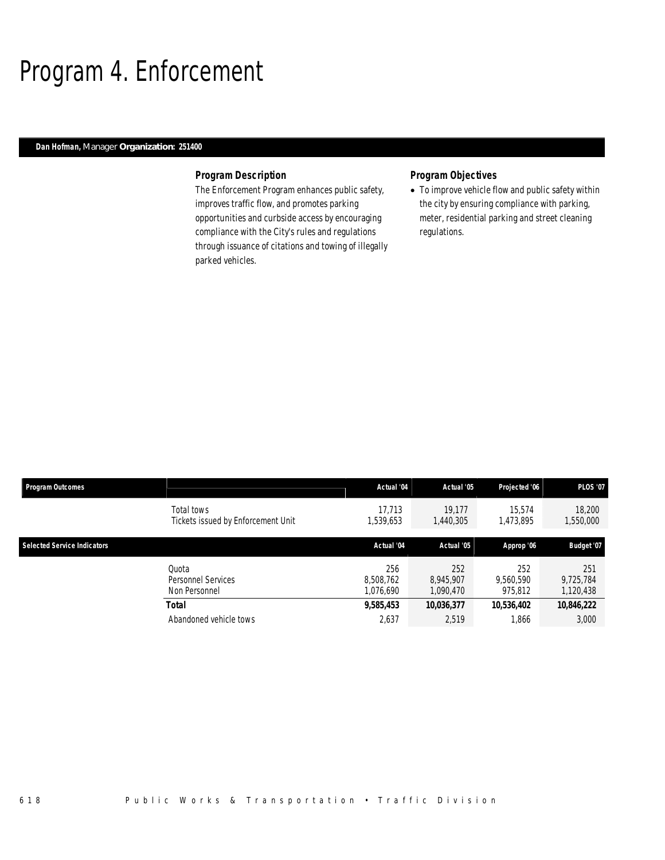# Program 4. Enforcement

## *Dan Hofman, Manager Organization: 251400*

### *Program Description*

The Enforcement Program enhances public safety, improves traffic flow, and promotes parking opportunities and curbside access by encouraging compliance with the City's rules and regulations through issuance of citations and towing of illegally parked vehicles.

## *Program Objectives*

• To improve vehicle flow and public safety within the city by ensuring compliance with parking, meter, residential parking and street cleaning regulations.

| <b>Program Outcomes</b>            |                                                  | Actual '04                    | Actual '05                    | Projected '06               | <b>PLOS '07</b>               |
|------------------------------------|--------------------------------------------------|-------------------------------|-------------------------------|-----------------------------|-------------------------------|
|                                    | Total tows<br>Tickets issued by Enforcement Unit | 17.713<br>.539,653            | 19.177<br>1,440,305           | 15.574<br>1,473,895         | 18,200<br>1,550,000           |
| <b>Selected Service Indicators</b> |                                                  | Actual '04                    | Actual '05                    | Approp '06                  | Budget '07                    |
|                                    | Ouota<br>Personnel Services<br>Non Personnel     | 256<br>8.508.762<br>1,076,690 | 252<br>8.945.907<br>1.090.470 | 252<br>9,560,590<br>975,812 | 251<br>9,725,784<br>1,120,438 |
|                                    | Total                                            | 9,585,453                     | 10,036,377                    | 10,536,402                  | 10,846,222                    |
|                                    | Abandoned vehicle tows                           | 2,637                         | 2,519                         | 1,866                       | 3,000                         |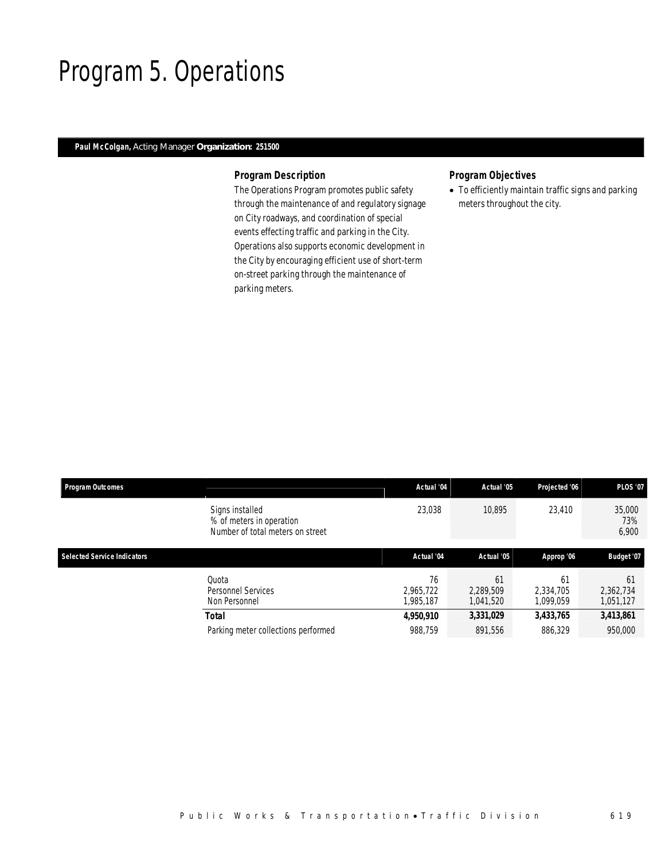## Program 5. Operations

## *Paul McColgan, Acting Manager Organization: 251500*

## *Program Description*

The Operations Program promotes public safety through the maintenance of and regulatory signage on City roadways, and coordination of special events effecting traffic and parking in the City. Operations also supports economic development in the City by encouraging efficient use of short-term on-street parking through the maintenance of parking meters.

## *Program Objectives*

• To efficiently maintain traffic signs and parking meters throughout the city.

| <b>Program Outcomes</b>            |                                                                                 | Actual '04                   | Actual '05                   | Projected '06                | <b>PLOS '07</b>              |
|------------------------------------|---------------------------------------------------------------------------------|------------------------------|------------------------------|------------------------------|------------------------------|
|                                    | Signs installed<br>% of meters in operation<br>Number of total meters on street | 23,038                       | 10.895                       | 23,410                       | 35,000<br>73%<br>6,900       |
| <b>Selected Service Indicators</b> |                                                                                 | Actual '04                   | Actual '05                   | Approp '06                   | Budget '07                   |
|                                    | Ouota<br><b>Personnel Services</b><br>Non Personnel                             | 76<br>2,965,722<br>1.985.187 | 61<br>2,289,509<br>1.041.520 | 61<br>2.334.705<br>1.099.059 | 61<br>2,362,734<br>1,051,127 |
|                                    | <b>Total</b>                                                                    | 4,950,910                    | 3,331,029                    | 3,433,765                    | 3,413,861                    |
|                                    | Parking meter collections performed                                             | 988.759                      | 891.556                      | 886.329                      | 950,000                      |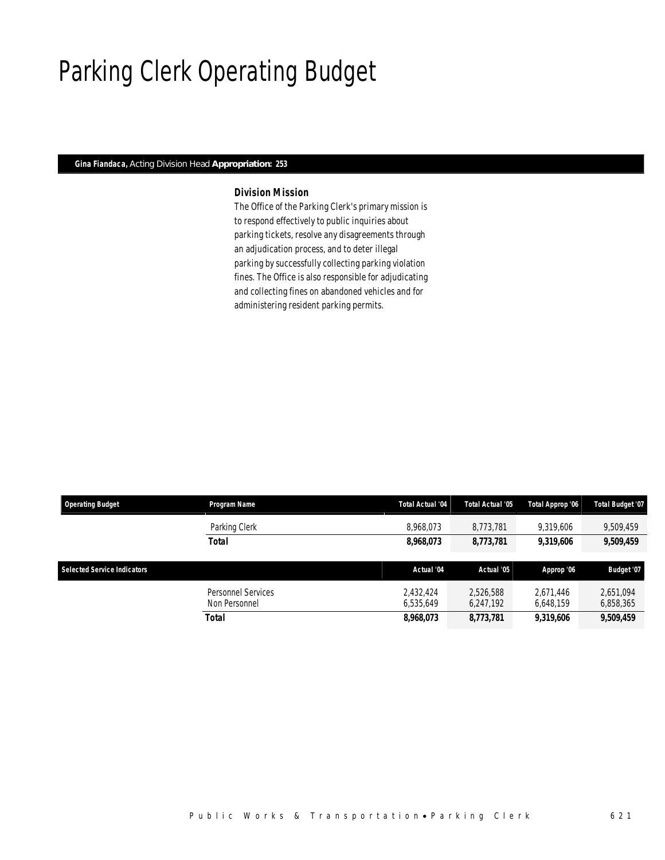# Parking Clerk Operating Budget

## *Gina Fiandaca, Acting Division Head Appropriation: 253*

## *Division Mission*

The Office of the Parking Clerk's primary mission is to respond effectively to public inquiries about parking tickets, resolve any disagreements through an adjudication process, and to deter illegal parking by successfully collecting parking violation fines. The Office is also responsible for adjudicating and collecting fines on abandoned vehicles and for administering resident parking permits.

| <b>Operating Budget</b>            | Program Name                        | <b>Total Actual '04</b> | Total Actual '05       | Total Approp '06       | Total Budget '07       |
|------------------------------------|-------------------------------------|-------------------------|------------------------|------------------------|------------------------|
|                                    | Parking Clerk                       | 8,968,073               | 8.773.781              | 9,319,606              | 9,509,459              |
|                                    | <b>Total</b>                        | 8,968,073               | 8,773,781              | 9,319,606              | 9,509,459              |
|                                    |                                     |                         |                        |                        |                        |
|                                    |                                     |                         |                        |                        |                        |
| <b>Selected Service Indicators</b> |                                     | Actual '04              | Actual '05             | Approp '06             | Budget '07             |
|                                    | Personnel Services<br>Non Personnel | 2.432.424<br>6.535.649  | 2,526,588<br>6,247,192 | 2.671.446<br>6,648,159 | 2.651.094<br>6,858,365 |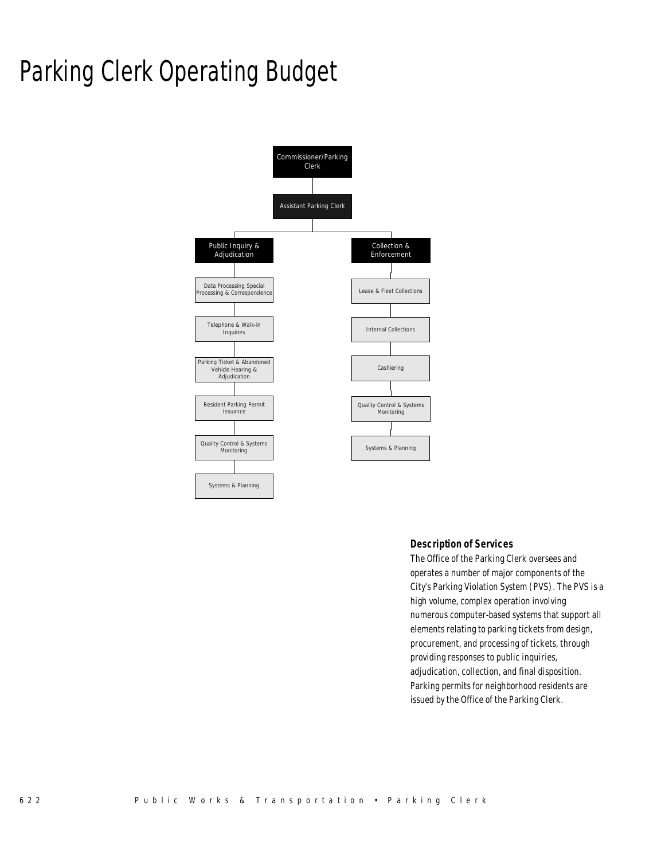# Parking Clerk Operating Budget



## *Description of Services*

The Office of the Parking Clerk oversees and operates a number of major components of the City's Parking Violation System (PVS). The PVS is a high volume, complex operation involving numerous computer-based systems that support all elements relating to parking tickets from design, procurement, and processing of tickets, through providing responses to public inquiries, adjudication, collection, and final disposition. Parking permits for neighborhood residents are issued by the Office of the Parking Clerk.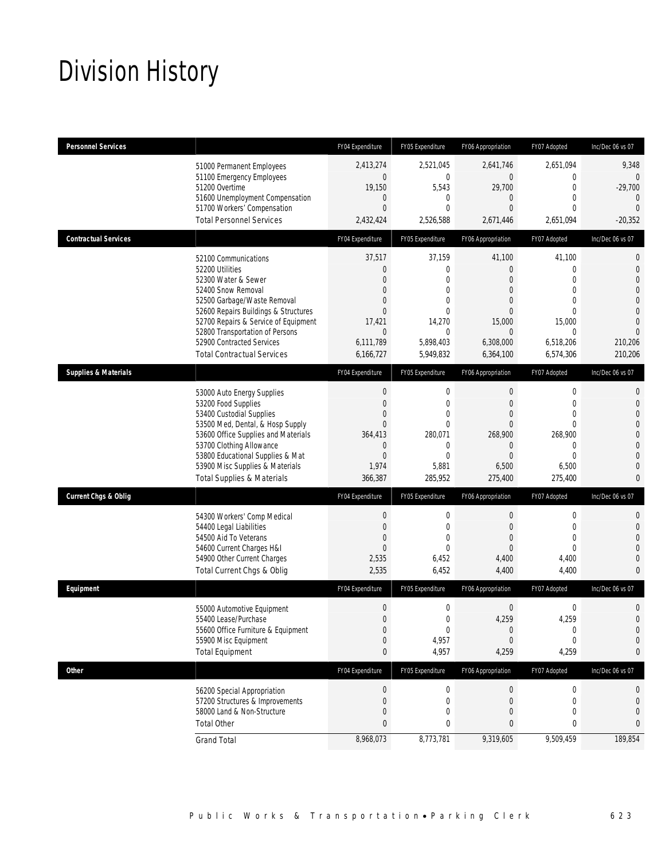# Division History

| <b>Personnel Services</b>       |                                                                                                                                                                                                                                                                                                          | FY04 Expenditure                                                                                                               | FY05 Expenditure                                                                                                      | FY06 Appropriation                                                                                                                     | FY07 Adopted                                                                    | Inc/Dec 06 vs 07                                                                                                                                        |
|---------------------------------|----------------------------------------------------------------------------------------------------------------------------------------------------------------------------------------------------------------------------------------------------------------------------------------------------------|--------------------------------------------------------------------------------------------------------------------------------|-----------------------------------------------------------------------------------------------------------------------|----------------------------------------------------------------------------------------------------------------------------------------|---------------------------------------------------------------------------------|---------------------------------------------------------------------------------------------------------------------------------------------------------|
|                                 | 51000 Permanent Employees<br>51100 Emergency Employees<br>51200 Overtime<br>51600 Unemployment Compensation<br>51700 Workers' Compensation<br><b>Total Personnel Services</b>                                                                                                                            | 2,413,274<br>$\boldsymbol{0}$<br>19,150<br>$\theta$<br>$\mathbf{0}$<br>2,432,424                                               | 2.521.045<br>0<br>5,543<br>0<br>$\Omega$<br>2,526,588                                                                 | 2.641.746<br>$\overline{0}$<br>29,700<br>$\mathbf{0}$<br>$\Omega$<br>2,671,446                                                         | 2,651,094<br>0<br>$\boldsymbol{0}$<br>0<br>0<br>2,651,094                       | 9,348<br>$\overline{0}$<br>$-29,700$<br>$\theta$<br>$\overline{0}$<br>$-20,352$                                                                         |
| <b>Contractual Services</b>     |                                                                                                                                                                                                                                                                                                          | FY04 Expenditure                                                                                                               | FY05 Expenditure                                                                                                      | FY06 Appropriation                                                                                                                     | FY07 Adopted                                                                    | Inc/Dec 06 vs 07                                                                                                                                        |
|                                 | 52100 Communications<br>52200 Utilities<br>52300 Water & Sewer<br>52400 Snow Removal<br>52500 Garbage/Waste Removal<br>52600 Repairs Buildings & Structures<br>52700 Repairs & Service of Equipment<br>52800 Transportation of Persons<br>52900 Contracted Services<br><b>Total Contractual Services</b> | 37,517<br>$\theta$<br>$\theta$<br>$\mathbf{0}$<br>$\mathbf{0}$<br>$\mathbf{0}$<br>17,421<br>$\theta$<br>6,111,789<br>6,166,727 | 37,159<br>0<br>$\Omega$<br>$\overline{0}$<br>$\Omega$<br>$\theta$<br>14,270<br>$\mathbf{0}$<br>5,898,403<br>5,949,832 | 41,100<br>$\overline{0}$<br>$\Omega$<br>$\mathbf{0}$<br>$\overline{0}$<br>$\mathbf{0}$<br>15,000<br>$\Omega$<br>6,308,000<br>6,364,100 | 41,100<br>0<br>$\Omega$<br>0<br>0<br>0<br>15,000<br>0<br>6,518,206<br>6,574,306 | $\mathbf{0}$<br>$\mathbf{0}$<br>$\overline{0}$<br>$\overline{0}$<br>$\overline{0}$<br>$\Omega$<br>$\overline{0}$<br>$\Omega$<br>210,206<br>210,206      |
| <b>Supplies &amp; Materials</b> |                                                                                                                                                                                                                                                                                                          | FY04 Expenditure                                                                                                               | FY05 Expenditure                                                                                                      | FY06 Appropriation                                                                                                                     | FY07 Adopted                                                                    | Inc/Dec 06 vs 07                                                                                                                                        |
|                                 | 53000 Auto Energy Supplies<br>53200 Food Supplies<br>53400 Custodial Supplies<br>53500 Med, Dental, & Hosp Supply<br>53600 Office Supplies and Materials<br>53700 Clothing Allowance<br>53800 Educational Supplies & Mat<br>53900 Misc Supplies & Materials<br><b>Total Supplies &amp; Materials</b>     | $\mathbf 0$<br>$\theta$<br>$\overline{0}$<br>$\mathbf{0}$<br>364,413<br>$\theta$<br>$\mathbf{0}$<br>1,974<br>366,387           | 0<br>$\mathbf{0}$<br>$\overline{0}$<br>0<br>280,071<br>0<br>$\Omega$<br>5,881<br>285,952                              | 0<br>$\mathbf{0}$<br>$\mathbf{0}$<br>$\overline{0}$<br>268,900<br>$\overline{0}$<br>$\Omega$<br>6,500<br>275,400                       | 0<br>0<br>0<br>0<br>268,900<br>$\mathbf 0$<br>$\theta$<br>6,500<br>275,400      | $\mathbf 0$<br>$\overline{0}$<br>$\overline{0}$<br>$\overline{0}$<br>$\overline{0}$<br>$\mathbf{0}$<br>$\overline{0}$<br>$\overline{0}$<br>$\mathbf{0}$ |
| <b>Current Chgs &amp; Oblig</b> |                                                                                                                                                                                                                                                                                                          | FY04 Expenditure                                                                                                               | FY05 Expenditure                                                                                                      | FY06 Appropriation                                                                                                                     | FY07 Adopted                                                                    | Inc/Dec 06 vs 07                                                                                                                                        |
|                                 | 54300 Workers' Comp Medical<br>54400 Legal Liabilities<br>54500 Aid To Veterans<br>54600 Current Charges H&I<br>54900 Other Current Charges<br>Total Current Chgs & Oblig                                                                                                                                | $\mathbf 0$<br>$\theta$<br>$\mathbf{0}$<br>$\mathbf{0}$<br>2,535<br>2,535                                                      | $\mathbf 0$<br>0<br>$\overline{0}$<br>$\Omega$<br>6,452<br>6,452                                                      | 0<br>$\mathbf{0}$<br>$\mathbf{0}$<br>$\Omega$<br>4,400<br>4,400                                                                        | 0<br>0<br>$\mathbf 0$<br>0<br>4,400<br>4,400                                    | 0<br>$\overline{0}$<br>$\Omega$<br>$\mathbf{0}$<br>$\overline{0}$<br>$\overline{0}$                                                                     |
| Equipment                       |                                                                                                                                                                                                                                                                                                          | FY04 Expenditure                                                                                                               | FY05 Expenditure                                                                                                      | FY06 Appropriation                                                                                                                     | FY07 Adopted                                                                    | Inc/Dec 06 vs 07                                                                                                                                        |
|                                 | 55000 Automotive Equipment<br>55400 Lease/Purchase<br>55600 Office Furniture & Equipment<br>55900 Misc Equipment<br><b>Total Equipment</b>                                                                                                                                                               | $\boldsymbol{0}$<br>$\mathbf{0}$<br>$\boldsymbol{0}$<br>$\overline{0}$<br>$\bf{0}$                                             | $\boldsymbol{0}$<br>0<br>0<br>4,957<br>4,957                                                                          | $\mathbf 0$<br>4.259<br>$\boldsymbol{0}$<br>$\overline{0}$<br>4,259                                                                    | $\boldsymbol{0}$<br>4,259<br>0<br>0<br>4,259                                    | $\mathbf 0$<br>$\overline{0}$<br>$\mathbf 0$<br>$\mathbf 0$<br>0                                                                                        |
| Other                           |                                                                                                                                                                                                                                                                                                          | FY04 Expenditure                                                                                                               | FY05 Expenditure                                                                                                      | FY06 Appropriation                                                                                                                     | FY07 Adopted                                                                    | Inc/Dec 06 vs 07                                                                                                                                        |
|                                 | 56200 Special Appropriation<br>57200 Structures & Improvements<br>58000 Land & Non-Structure<br><b>Total Other</b>                                                                                                                                                                                       | 0<br>$\mathbf 0$<br>$\theta$<br>$\mathbf{0}$                                                                                   | 0<br>0<br>0<br>0                                                                                                      | 0<br>0<br>0<br>$\mathbf{0}$                                                                                                            | 0<br>0<br>0<br>0                                                                | 0<br>0<br>$\mathbf 0$<br>0                                                                                                                              |
|                                 | <b>Grand Total</b>                                                                                                                                                                                                                                                                                       | 8,968,073                                                                                                                      | 8,773,781                                                                                                             | 9,319,605                                                                                                                              | 9,509,459                                                                       | 189,854                                                                                                                                                 |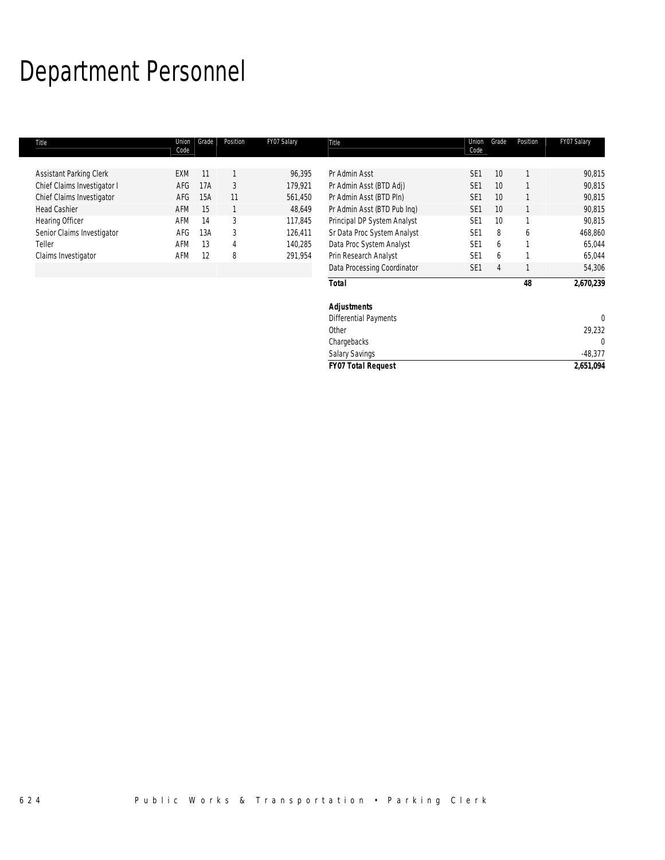# Department Personnel

| Title                       | Union<br>Code | Grade | Position | FY07 Salary | Title                       | Union<br>Code   | Grade | Position | FY07 Salary |
|-----------------------------|---------------|-------|----------|-------------|-----------------------------|-----------------|-------|----------|-------------|
|                             |               |       |          |             |                             |                 |       |          |             |
| Assistant Parking Clerk     | <b>EXM</b>    | 11    |          | 96,395      | Pr Admin Asst               | SE <sub>1</sub> | 10    |          | 90,815      |
| Chief Claims Investigator I | AFG           | 17A   | 3        | 179,921     | Pr Admin Asst (BTD Adj)     | SE <sub>1</sub> | 10    |          | 90,815      |
| Chief Claims Investigator   | AFG           | 15A   | 11       | 561,450     | Pr Admin Asst (BTD Pln)     | SE <sub>1</sub> | 10    |          | 90,815      |
| <b>Head Cashier</b>         | AFM           | 15    |          | 48,649      | Pr Admin Asst (BTD Pub Ing) | SE <sub>1</sub> | 10    |          | 90,815      |
| Hearing Officer             | AFM           | 14    | 3        | 117,845     | Principal DP System Analyst | SE <sub>1</sub> | 10    |          | 90,815      |
| Senior Claims Investigator  | AFG           | 13A   | 3        | 126,411     | Sr Data Proc System Analyst | SE <sub>1</sub> | 8     | 6        | 468,860     |
| Teller                      | AFM           | 13    | 4        | 140,285     | Data Proc System Analyst    | SE <sub>1</sub> | 6     |          | 65,044      |
| Claims Investigator         | AFM           | 12    | 8        | 291,954     | Prin Research Analyst       | SE <sub>1</sub> | 6     |          | 65,044      |
|                             |               |       |          |             | Data Processing Coordinator | SE <sub>1</sub> | 4     |          | 54,306      |
|                             |               |       |          |             | <b>Total</b>                |                 |       | 48       | 2,670,239   |
|                             |               |       |          |             | <b>Adjustments</b>          |                 |       |          |             |
|                             |               |       |          |             | Differential Payments       |                 |       |          | $\theta$    |
|                             |               |       |          |             | Other                       |                 |       |          | 29,232      |
|                             |               |       |          |             | Chargebacks                 |                 |       |          | 0           |

*FY07 Total Request 2,651,094*

Salary Savings -48,377<br>
FY07 Total Request 2,651,094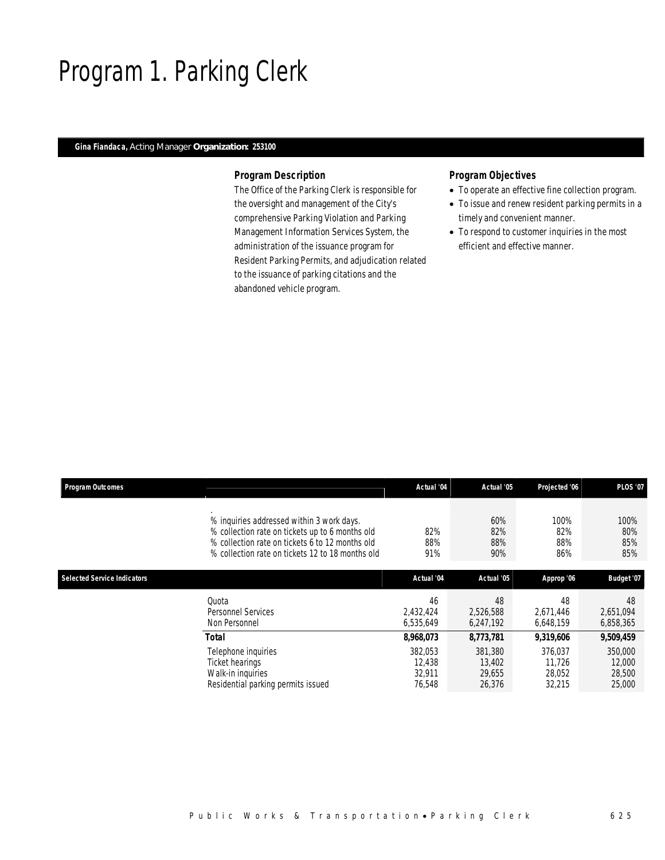## Program 1. Parking Clerk

### *Gina Fiandaca, Acting Manager Organization: 253100*

### *Program Description*

The Office of the Parking Clerk is responsible for the oversight and management of the City's comprehensive Parking Violation and Parking Management Information Services System, the administration of the issuance program for Resident Parking Permits, and adjudication related to the issuance of parking citations and the abandoned vehicle program.

### *Program Objectives*

- To operate an effective fine collection program.
- To issue and renew resident parking permits in a timely and convenient manner.
- To respond to customer inquiries in the most efficient and effective manner.

| <b>Program Outcomes</b>            |                                                                                                                                                                                                     | Actual '04                            | Actual '05                            | Projected '06                         | <b>PLOS '07</b>                       |
|------------------------------------|-----------------------------------------------------------------------------------------------------------------------------------------------------------------------------------------------------|---------------------------------------|---------------------------------------|---------------------------------------|---------------------------------------|
|                                    | % inquiries addressed within 3 work days.<br>% collection rate on tickets up to 6 months old<br>% collection rate on tickets 6 to 12 months old<br>% collection rate on tickets 12 to 18 months old | 82%<br>88%<br>91%                     | 60%<br>82%<br>88%<br>90%              | 100%<br>82%<br>88%<br>86%             | 100%<br>80%<br>85%<br>85%             |
| <b>Selected Service Indicators</b> |                                                                                                                                                                                                     | Actual '04                            | Actual '05                            | Approp '06                            | Budget '07                            |
|                                    | Ouota<br>Personnel Services<br>Non Personnel                                                                                                                                                        | 46<br>2.432.424<br>6,535,649          | 48<br>2.526.588<br>6,247,192          | 48<br>2.671.446<br>6,648,159          | 48<br>2,651,094<br>6,858,365          |
|                                    | Total                                                                                                                                                                                               | 8,968,073                             | 8,773,781                             | 9,319,606                             | 9,509,459                             |
|                                    | Telephone inquiries<br>Ticket hearings<br>Walk-in inquiries<br>Residential parking permits issued                                                                                                   | 382,053<br>12.438<br>32.911<br>76,548 | 381,380<br>13.402<br>29.655<br>26,376 | 376,037<br>11.726<br>28.052<br>32,215 | 350,000<br>12,000<br>28,500<br>25,000 |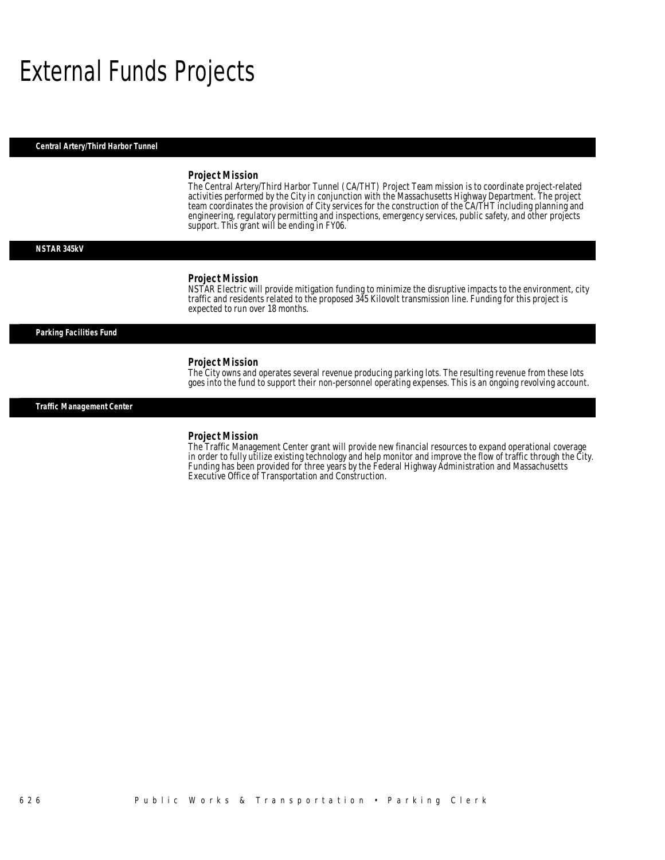## External Funds Projects

*Central Artery/Third Harbor Tunnel* 

#### *Project Mission*

The Central Artery/Third Harbor Tunnel (CA/THT) Project Team mission is to coordinate project-related activities performed by the City in conjunction with the Massachusetts Highway Department. The project team coordinates the provision of City services for the construction of the CA/THT including planning and engineering, regulatory permitting and inspections, emergency services, public safety, and other projects support. This grant will be ending in FY06.

#### *NSTAR 345kV*

#### *Project Mission*

NSTAR Electric will provide mitigation funding to minimize the disruptive impacts to the environment, city traffic and residents related to the proposed 345 Kilovolt transmission line. Funding for this project is expected to run over 18 months.

### *Parking Facilities Fund*

#### *Project Mission*

Ì

The City owns and operates several revenue producing parking lots. The resulting revenue from these lots goes into the fund to support their non-personnel operating expenses. This is an ongoing revolving account.

*Traffic Management Center* 

### *Project Mission*

The Traffic Management Center grant will provide new financial resources to expand operational coverage in order to fully utilize existing technology and help monitor and improve the flow of traffic through the City. Funding has been provided for three years by the Federal Highway Administration and Massachusetts Executive Office of Transportation and Construction.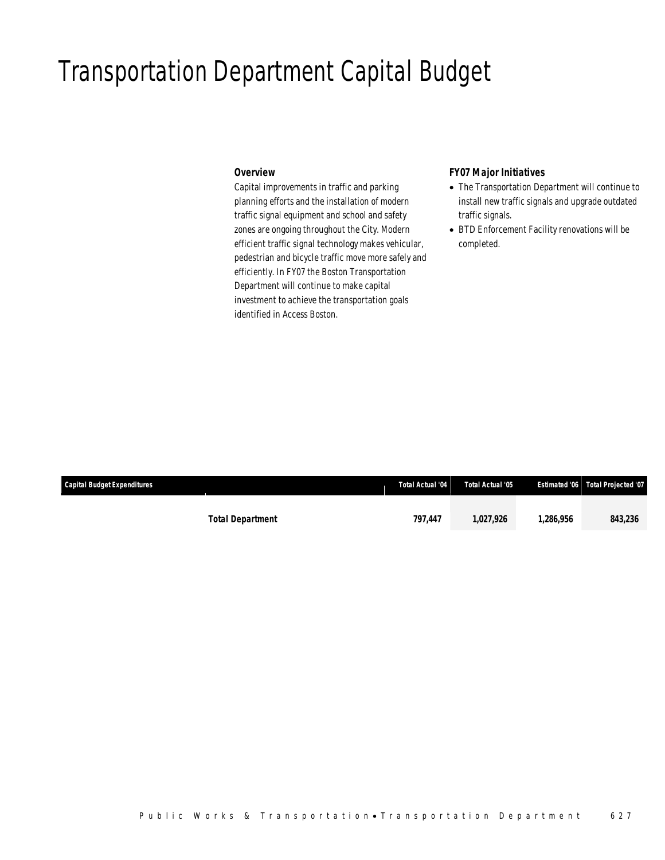### Transportation Department Capital Budget

### *Overview*

Capital improvements in traffic and parking planning efforts and the installation of modern traffic signal equipment and school and safety zones are ongoing throughout the City. Modern efficient traffic signal technology makes vehicular, pedestrian and bicycle traffic move more safely and efficiently. In FY07 the Boston Transportation Department will continue to make capital investment to achieve the transportation goals identified in Access Boston.

### *FY07 Major Initiatives*

- The Transportation Department will continue to install new traffic signals and upgrade outdated traffic signals.
- BTD Enforcement Facility renovations will be completed.

| <b>Capital Budget Expenditures</b> |                         | Total Actual '04 | Total Actual '05 |          | <b>Estimated '06 Total Projected '07</b> |
|------------------------------------|-------------------------|------------------|------------------|----------|------------------------------------------|
|                                    |                         |                  |                  |          |                                          |
|                                    | <b>Total Department</b> | 797.447          | 1.027.926        | .286.956 | 843,236                                  |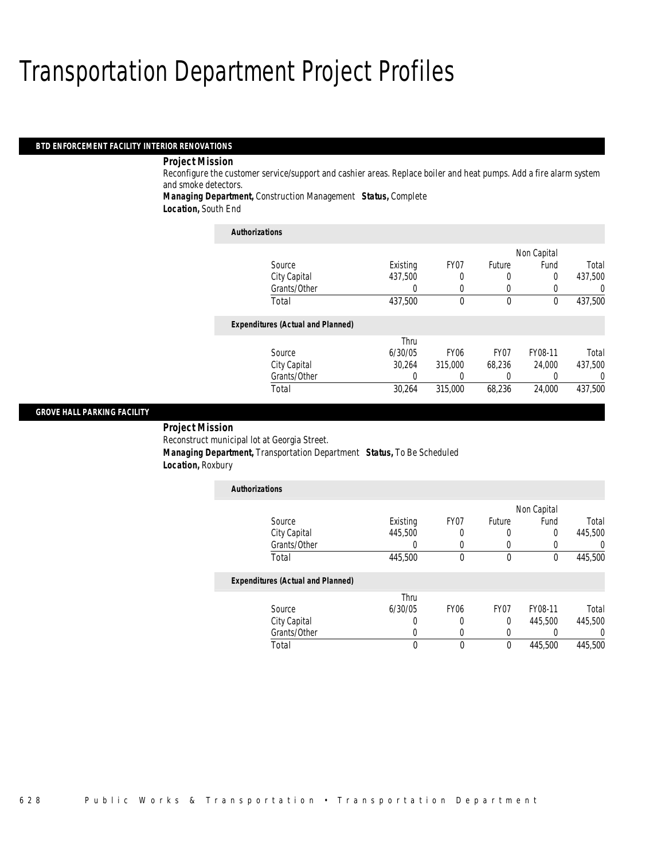### Transportation Department Project Profiles

### *BTD ENFORCEMENT FACILITY INTERIOR RENOVATIONS*

### *Project Mission*

Reconfigure the customer service/support and cashier areas. Replace boiler and heat pumps. Add a fire alarm system and smoke detectors.

*Managing Department,* Construction Management *Status,* Complete

*Location,* South End

| <b>Authorizations</b>                    |          |                  |                  |             |         |
|------------------------------------------|----------|------------------|------------------|-------------|---------|
|                                          |          |                  |                  | Non Capital |         |
| Source                                   | Existing | FY <sub>07</sub> | Future           | Fund        | Total   |
| City Capital                             | 437,500  | 0                | 0                | 0           | 437.500 |
| Grants/Other                             |          | 0                | 0                | 0           |         |
| Total                                    | 437,500  | 0                | $\theta$         | $\theta$    | 437,500 |
| <b>Expenditures (Actual and Planned)</b> |          |                  |                  |             |         |
|                                          | Thru     |                  |                  |             |         |
| Source                                   | 6/30/05  | <b>FY06</b>      | FY <sub>07</sub> | FY08-11     | Total   |
| City Capital                             | 30.264   | 315,000          | 68.236           | 24,000      | 437.500 |
| Grants/Other                             |          |                  | 0                | 0           |         |
| Total                                    | 30.264   | 315,000          | 68.236           | 24,000      | 437.500 |

### *GROVE HALL PARKING FACILITY*

 *Project Mission* Reconstruct municipal lot at Georgia Street. *Managing Department,* Transportation Department *Status,* To Be Scheduled *Location,* Roxbury

| <b>Authorizations</b>                    |          |             |                  |             |         |
|------------------------------------------|----------|-------------|------------------|-------------|---------|
|                                          |          |             |                  | Non Capital |         |
| Source                                   | Existing | FY07        | Future           | Fund        | Total   |
| City Capital                             | 445,500  | 0           | 0                | 0           | 445,500 |
| Grants/Other                             |          | 0           | 0                | 0           |         |
| Total                                    | 445,500  | 0           | 0                | $\mathbf 0$ | 445,500 |
| <b>Expenditures (Actual and Planned)</b> |          |             |                  |             |         |
|                                          | Thru     |             |                  |             |         |
| Source                                   | 6/30/05  | <b>FY06</b> | FY <sub>07</sub> | FY08-11     | Total   |
| City Capital                             |          | 0           | 0                | 445,500     | 445,500 |
| Grants/Other                             |          | 0           | 0                | 0           |         |
| Total                                    | 0        | $\theta$    | 0                | 445.500     | 445,500 |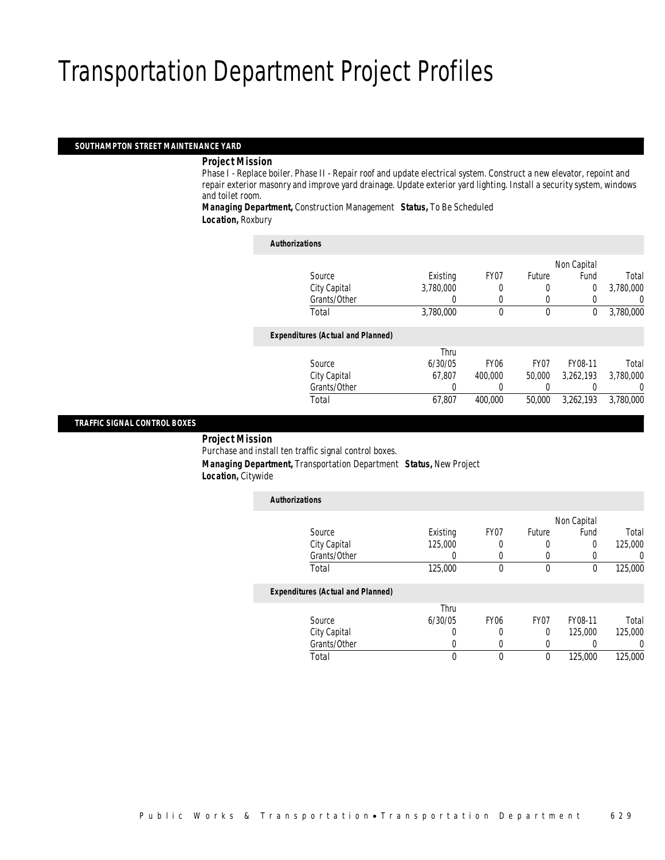### Transportation Department Project Profiles

### *SOUTHAMPTON STREET MAINTENANCE YARD*

### *Project Mission*

Phase I - Replace boiler. Phase II - Repair roof and update electrical system. Construct a new elevator, repoint and repair exterior masonry and improve yard drainage. Update exterior yard lighting. Install a security system, windows and toilet room.

*Managing Department,* Construction Management *Status,* To Be Scheduled *Location,* Roxbury

| <b>Authorizations</b>                    |           |                  |                  |             |                |
|------------------------------------------|-----------|------------------|------------------|-------------|----------------|
|                                          |           |                  |                  | Non Capital |                |
| Source                                   | Existing  | FY07             | Future           | Fund        | Total          |
| City Capital                             | 3.780.000 | 0                | $\Omega$         | $\Omega$    | 3,780,000      |
| Grants/Other                             |           | 0                | 0                |             | $\overline{0}$ |
| Total                                    | 3,780,000 | $\theta$         | $\theta$         | $\theta$    | 3,780,000      |
| <b>Expenditures (Actual and Planned)</b> |           |                  |                  |             |                |
|                                          | Thru      |                  |                  |             |                |
| Source                                   | 6/30/05   | FY <sub>06</sub> | FY <sub>07</sub> | FY08-11     | Total          |
| City Capital                             | 67.807    | 400,000          | 50,000           | 3.262.193   | 3,780,000      |
| Grants/Other                             | 0         | 0                | 0                |             | $\Omega$       |
| Total                                    | 67.807    | 400.000          | 50,000           | 3.262.193   | 3.780.000      |

### *TRAFFIC SIGNAL CONTROL BOXES*

### *Project Mission*

Purchase and install ten traffic signal control boxes. *Managing Department,* Transportation Department *Status,* New Project *Location,* Citywide

| <b>Authorizations</b>                    |          |                  |                  |             |          |
|------------------------------------------|----------|------------------|------------------|-------------|----------|
|                                          |          |                  |                  | Non Capital |          |
| Source                                   | Existing | FY <sub>07</sub> | Future           | Fund        | Total    |
| City Capital                             | 125,000  | 0                | O                | 0           | 125,000  |
| Grants/Other                             | 0        | $\Omega$         | 0                |             | $\Omega$ |
| Total                                    | 125,000  | 0                | $\theta$         | $\Omega$    | 125,000  |
| <b>Expenditures (Actual and Planned)</b> |          |                  |                  |             |          |
|                                          | Thru     |                  |                  |             |          |
| Source                                   | 6/30/05  | <b>FY06</b>      | FY <sub>07</sub> | FY08-11     | Total    |
| City Capital                             | 0        | 0                | $\theta$         | 125,000     | 125,000  |
| Grants/Other                             | O        | 0                | 0                |             | $\Omega$ |
| Total                                    | 0        | 0                | 0                | 125,000     | 125,000  |